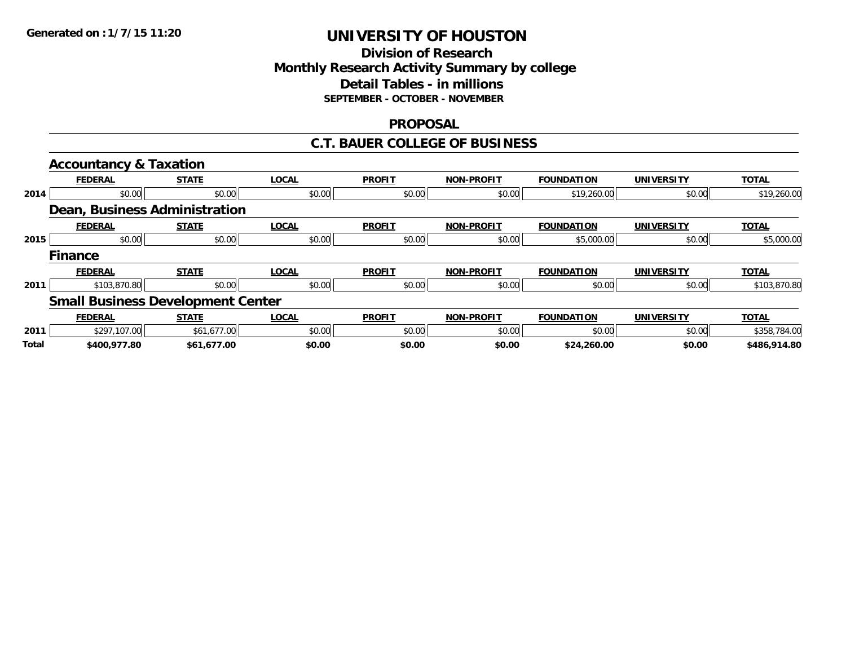### **Division of Research Monthly Research Activity Summary by college Detail Tables - in millions SEPTEMBER - OCTOBER - NOVEMBER**

#### **PROPOSAL**

#### **C.T. BAUER COLLEGE OF BUSINESS**

|              | <b>Accountancy &amp; Taxation</b>        |              |              |               |                   |                   |                   |              |
|--------------|------------------------------------------|--------------|--------------|---------------|-------------------|-------------------|-------------------|--------------|
|              | <b>FEDERAL</b>                           | <b>STATE</b> | <b>LOCAL</b> | <b>PROFIT</b> | <b>NON-PROFIT</b> | <b>FOUNDATION</b> | <b>UNIVERSITY</b> | <b>TOTAL</b> |
| 2014         | \$0.00                                   | \$0.00       | \$0.00       | \$0.00        | \$0.00            | \$19,260.00       | \$0.00            | \$19,260.00  |
|              | Dean, Business Administration            |              |              |               |                   |                   |                   |              |
|              | <b>FEDERAL</b>                           | <b>STATE</b> | <b>LOCAL</b> | <b>PROFIT</b> | <b>NON-PROFIT</b> | <b>FOUNDATION</b> | <b>UNIVERSITY</b> | <b>TOTAL</b> |
| 2015         | \$0.00                                   | \$0.00       | \$0.00       | \$0.00        | \$0.00            | \$5,000.00        | \$0.00            | \$5,000.00   |
|              | <b>Finance</b>                           |              |              |               |                   |                   |                   |              |
|              | <b>FEDERAL</b>                           | <b>STATE</b> | <b>LOCAL</b> | <b>PROFIT</b> | <b>NON-PROFIT</b> | <b>FOUNDATION</b> | <b>UNIVERSITY</b> | <b>TOTAL</b> |
| 2011         | \$103,870.80                             | \$0.00       | \$0.00       | \$0.00        | \$0.00            | \$0.00            | \$0.00            | \$103,870.80 |
|              | <b>Small Business Development Center</b> |              |              |               |                   |                   |                   |              |
|              | <b>FEDERAL</b>                           | <b>STATE</b> | <b>LOCAL</b> | <b>PROFIT</b> | <b>NON-PROFIT</b> | <b>FOUNDATION</b> | <b>UNIVERSITY</b> | <b>TOTAL</b> |
| 2011         | \$297,107.00                             | \$61,677.00  | \$0.00       | \$0.00        | \$0.00            | \$0.00            | \$0.00            | \$358,784.00 |
| <b>Total</b> | \$400,977.80                             | \$61,677.00  | \$0.00       | \$0.00        | \$0.00            | \$24,260.00       | \$0.00            | \$486,914.80 |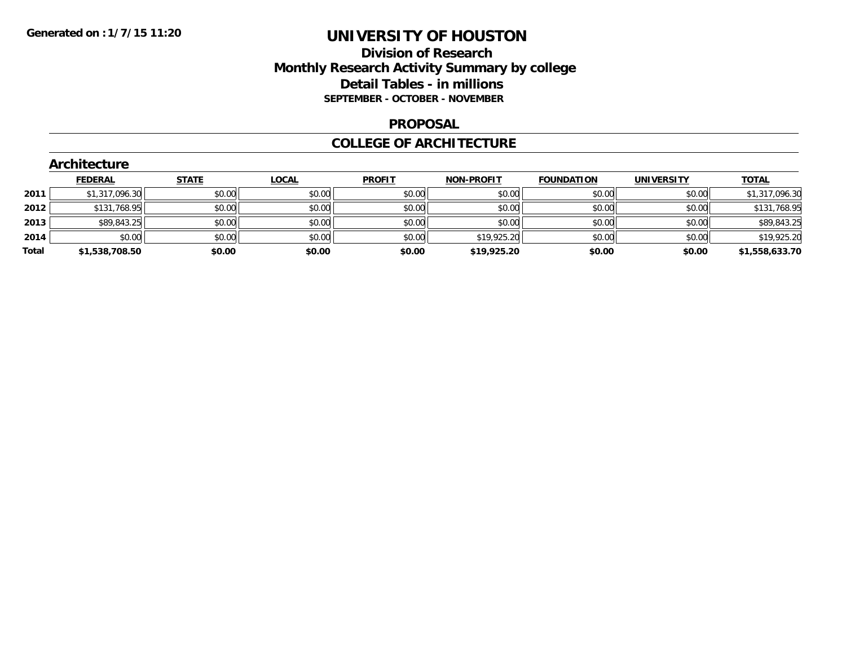### **Division of Research Monthly Research Activity Summary by college Detail Tables - in millions SEPTEMBER - OCTOBER - NOVEMBER**

#### **PROPOSAL**

#### **COLLEGE OF ARCHITECTURE**

|       | Architecture   |              |              |               |             |                   |                   |                |  |  |  |  |
|-------|----------------|--------------|--------------|---------------|-------------|-------------------|-------------------|----------------|--|--|--|--|
|       | <b>FEDERAL</b> | <b>STATE</b> | <b>LOCAL</b> | <b>PROFIT</b> | NON-PROFIT  | <b>FOUNDATION</b> | <b>UNIVERSITY</b> | <u>TOTAL</u>   |  |  |  |  |
| 2011  | \$1,317,096.30 | \$0.00       | \$0.00       | \$0.00        | \$0.00      | \$0.00            | \$0.00            | \$1,317,096.30 |  |  |  |  |
| 2012  | \$131,768.95   | \$0.00       | \$0.00       | \$0.00        | \$0.00      | \$0.00            | \$0.00            | \$131,768.95   |  |  |  |  |
| 2013  | \$89,843.25    | \$0.00       | \$0.00       | \$0.00        | \$0.00      | \$0.00            | \$0.00            | \$89,843.25    |  |  |  |  |
| 2014  | \$0.00         | \$0.00       | \$0.00       | \$0.00        | \$19,925.20 | \$0.00            | \$0.00            | \$19,925.20    |  |  |  |  |
| Total | \$1,538,708.50 | \$0.00       | \$0.00       | \$0.00        | \$19,925.20 | \$0.00            | \$0.00            | \$1,558,633.70 |  |  |  |  |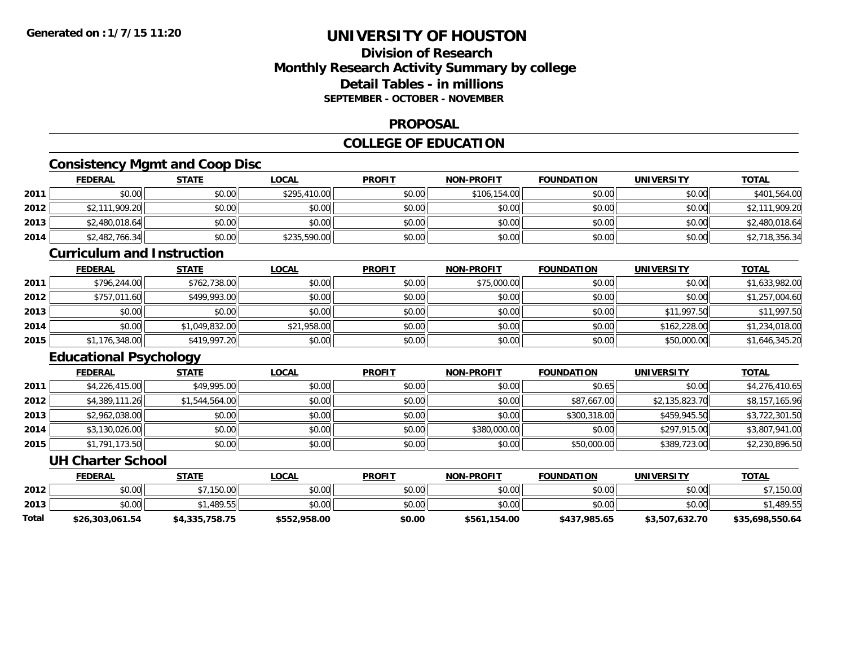# **Division of ResearchMonthly Research Activity Summary by college Detail Tables - in millionsSEPTEMBER - OCTOBER - NOVEMBER**

#### **PROPOSAL**

### **COLLEGE OF EDUCATION**

# **Consistency Mgmt and Coop Disc**

|      | <b>FEDERAL</b> | <u>STATE</u> | <u>LOCAL</u> | <b>PROFIT</b> | <b>NON-PROFIT</b> | <b>FOUNDATION</b> | <b>UNIVERSITY</b> | <b>TOTAL</b>   |
|------|----------------|--------------|--------------|---------------|-------------------|-------------------|-------------------|----------------|
| 2011 | \$0.00         | \$0.00       | \$295,410.00 | \$0.00        | \$106,154.00      | \$0.00            | \$0.00            | \$401,564.00   |
| 2012 | \$2,111,909.20 | \$0.00       | \$0.00       | \$0.00        | \$0.00            | \$0.00            | \$0.00            | \$2,111,909.20 |
| 2013 | \$2,480,018.64 | \$0.00       | \$0.00       | \$0.00        | \$0.00            | \$0.00            | \$0.00            | \$2,480,018.64 |
| 2014 | \$2,482,766.34 | \$0.00       | \$235,590.00 | \$0.00        | \$0.00            | \$0.00            | \$0.00            | \$2,718,356.34 |

#### **Curriculum and Instruction**

|      | <b>FEDERAL</b> | <b>STATE</b>   | <b>LOCAL</b> | <b>PROFIT</b> | <b>NON-PROFIT</b> | <b>FOUNDATION</b> | <b>UNIVERSITY</b> | <b>TOTAL</b>   |
|------|----------------|----------------|--------------|---------------|-------------------|-------------------|-------------------|----------------|
| 2011 | \$796,244.00   | \$762,738.00   | \$0.00       | \$0.00        | \$75,000.00       | \$0.00            | \$0.00            | \$1,633,982.00 |
| 2012 | \$757,011.60   | \$499,993.00   | \$0.00       | \$0.00        | \$0.00            | \$0.00            | \$0.00            | \$1,257,004.60 |
| 2013 | \$0.00         | \$0.00         | \$0.00       | \$0.00        | \$0.00            | \$0.00            | \$11,997.50       | \$11,997.50    |
| 2014 | \$0.00         | \$1,049,832.00 | \$21,958.00  | \$0.00        | \$0.00            | \$0.00            | \$162,228.00      | \$1,234,018.00 |
| 2015 | \$1,176,348.00 | \$419,997.20   | \$0.00       | \$0.00        | \$0.00            | \$0.00            | \$50,000.00       | \$1,646,345.20 |

# **Educational Psychology**

|      | <b>FEDERAL</b> | <b>STATE</b>   | <u>LOCAL</u> | <b>PROFIT</b> | <b>NON-PROFIT</b> | <b>FOUNDATION</b> | <b>UNIVERSITY</b> | <b>TOTAL</b>   |
|------|----------------|----------------|--------------|---------------|-------------------|-------------------|-------------------|----------------|
| 2011 | \$4,226,415.00 | \$49,995.00    | \$0.00       | \$0.00        | \$0.00            | \$0.65            | \$0.00            | \$4,276,410.65 |
| 2012 | \$4,389,111.26 | \$1,544,564.00 | \$0.00       | \$0.00        | \$0.00            | \$87,667.00       | \$2,135,823.70    | \$8,157,165.96 |
| 2013 | \$2,962,038.00 | \$0.00         | \$0.00       | \$0.00        | \$0.00            | \$300,318.00      | \$459,945.50      | \$3,722,301.50 |
| 2014 | \$3,130,026.00 | \$0.00         | \$0.00       | \$0.00        | \$380,000.00      | \$0.00            | \$297,915.00      | \$3,807,941.00 |
| 2015 | \$1,791,173.50 | \$0.00         | \$0.00       | \$0.00        | \$0.00            | \$50,000.00       | \$389,723.00      | \$2,230,896.50 |

#### **UH Charter School**

|       | <b>FEDERAL</b>  | STATE          | <u>LOCAL</u> | <b>PROFIT</b> | <b>NON-PROFIT</b> | <b>FOUNDATION</b> | UNIVERSITY     | <u>TOTAL</u>    |
|-------|-----------------|----------------|--------------|---------------|-------------------|-------------------|----------------|-----------------|
| 2012  | \$0.00          | \$7,150.00     | \$0.00       | \$0.00        | \$0.00            | \$0.00            | \$0.00         | ,150.00         |
| 2013  | \$0.00          | .489.55        | \$0.00       | \$0.00        | \$0.00            | \$0.00            | \$0.00         | ا1,489.55       |
| Total | \$26,303,061.54 | \$4,335,758.75 | \$552,958.00 | \$0.00        | \$561,154.00      | \$437,985.65      | \$3,507,632.70 | \$35,698,550.64 |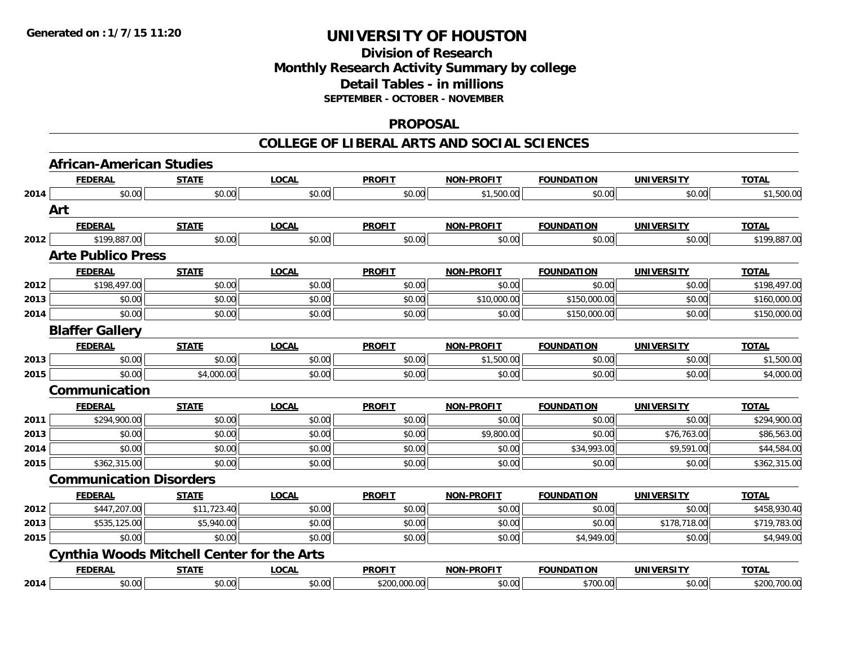### **Division of Research Monthly Research Activity Summary by college Detail Tables - in millions SEPTEMBER - OCTOBER - NOVEMBER**

#### **PROPOSAL**

#### **COLLEGE OF LIBERAL ARTS AND SOCIAL SCIENCES**

|      | <b>African-American Studies</b>                   |              |              |               |                   |                   |                   |              |  |  |
|------|---------------------------------------------------|--------------|--------------|---------------|-------------------|-------------------|-------------------|--------------|--|--|
|      | <b>FEDERAL</b>                                    | <b>STATE</b> | <b>LOCAL</b> | <b>PROFIT</b> | <b>NON-PROFIT</b> | <b>FOUNDATION</b> | <b>UNIVERSITY</b> | <b>TOTAL</b> |  |  |
| 2014 | \$0.00                                            | \$0.00       | \$0.00       | \$0.00        | \$1,500.00        | \$0.00            | \$0.00            | \$1,500.00   |  |  |
|      | Art                                               |              |              |               |                   |                   |                   |              |  |  |
|      | <b>FEDERAL</b>                                    | <b>STATE</b> | <b>LOCAL</b> | <b>PROFIT</b> | <b>NON-PROFIT</b> | <b>FOUNDATION</b> | <b>UNIVERSITY</b> | <b>TOTAL</b> |  |  |
| 2012 | \$199,887.00                                      | \$0.00       | \$0.00       | \$0.00        | \$0.00            | \$0.00            | \$0.00            | \$199,887.00 |  |  |
|      | <b>Arte Publico Press</b>                         |              |              |               |                   |                   |                   |              |  |  |
|      | <b>FEDERAL</b>                                    | <b>STATE</b> | <b>LOCAL</b> | <b>PROFIT</b> | <b>NON-PROFIT</b> | <b>FOUNDATION</b> | <b>UNIVERSITY</b> | <b>TOTAL</b> |  |  |
| 2012 | \$198,497.00                                      | \$0.00       | \$0.00       | \$0.00        | \$0.00            | \$0.00            | \$0.00            | \$198,497.00 |  |  |
| 2013 | \$0.00                                            | \$0.00       | \$0.00       | \$0.00        | \$10,000.00       | \$150,000.00      | \$0.00            | \$160,000.00 |  |  |
| 2014 | \$0.00                                            | \$0.00       | \$0.00       | \$0.00        | \$0.00            | \$150,000.00      | \$0.00            | \$150,000.00 |  |  |
|      | <b>Blaffer Gallery</b>                            |              |              |               |                   |                   |                   |              |  |  |
|      | <b>FEDERAL</b>                                    | <b>STATE</b> | <b>LOCAL</b> | <b>PROFIT</b> | <b>NON-PROFIT</b> | <b>FOUNDATION</b> | <b>UNIVERSITY</b> | <b>TOTAL</b> |  |  |
| 2013 | \$0.00                                            | \$0.00       | \$0.00       | \$0.00        | \$1,500.00        | \$0.00            | \$0.00            | \$1,500.00   |  |  |
| 2015 | \$0.00                                            | \$4,000.00   | \$0.00       | \$0.00        | \$0.00            | \$0.00            | \$0.00            | \$4,000.00   |  |  |
|      | Communication                                     |              |              |               |                   |                   |                   |              |  |  |
|      | <b>FEDERAL</b>                                    | <b>STATE</b> | <b>LOCAL</b> | <b>PROFIT</b> | <b>NON-PROFIT</b> | <b>FOUNDATION</b> | <b>UNIVERSITY</b> | <b>TOTAL</b> |  |  |
| 2011 | \$294,900.00                                      | \$0.00       | \$0.00       | \$0.00        | \$0.00            | \$0.00            | \$0.00            | \$294,900.00 |  |  |
| 2013 | \$0.00                                            | \$0.00       | \$0.00       | \$0.00        | \$9,800.00        | \$0.00            | \$76,763.00       | \$86,563.00  |  |  |
| 2014 | \$0.00                                            | \$0.00       | \$0.00       | \$0.00        | \$0.00            | \$34,993.00       | \$9,591.00        | \$44,584.00  |  |  |
| 2015 | \$362,315.00                                      | \$0.00       | \$0.00       | \$0.00        | \$0.00            | \$0.00            | \$0.00            | \$362,315.00 |  |  |
|      | <b>Communication Disorders</b>                    |              |              |               |                   |                   |                   |              |  |  |
|      | <b>FEDERAL</b>                                    | <b>STATE</b> | <b>LOCAL</b> | <b>PROFIT</b> | <b>NON-PROFIT</b> | <b>FOUNDATION</b> | <b>UNIVERSITY</b> | <b>TOTAL</b> |  |  |
| 2012 | \$447,207.00                                      | \$11,723.40  | \$0.00       | \$0.00        | \$0.00            | \$0.00            | \$0.00            | \$458,930.40 |  |  |
| 2013 | \$535,125.00                                      | \$5,940.00   | \$0.00       | \$0.00        | \$0.00            | \$0.00            | \$178,718.00      | \$719,783.00 |  |  |
| 2015 | \$0.00                                            | \$0.00       | \$0.00       | \$0.00        | \$0.00            | \$4,949.00        | \$0.00            | \$4,949.00   |  |  |
|      | <b>Cynthia Woods Mitchell Center for the Arts</b> |              |              |               |                   |                   |                   |              |  |  |
|      | <b>FEDERAL</b>                                    | <b>STATE</b> | <b>LOCAL</b> | <b>PROFIT</b> | <b>NON-PROFIT</b> | <b>FOUNDATION</b> | <b>UNIVERSITY</b> | <b>TOTAL</b> |  |  |
| 2014 | \$0.00                                            | \$0.00       | \$0.00       | \$200,000.00  | \$0.00            | \$700.00          | \$0.00            | \$200,700.00 |  |  |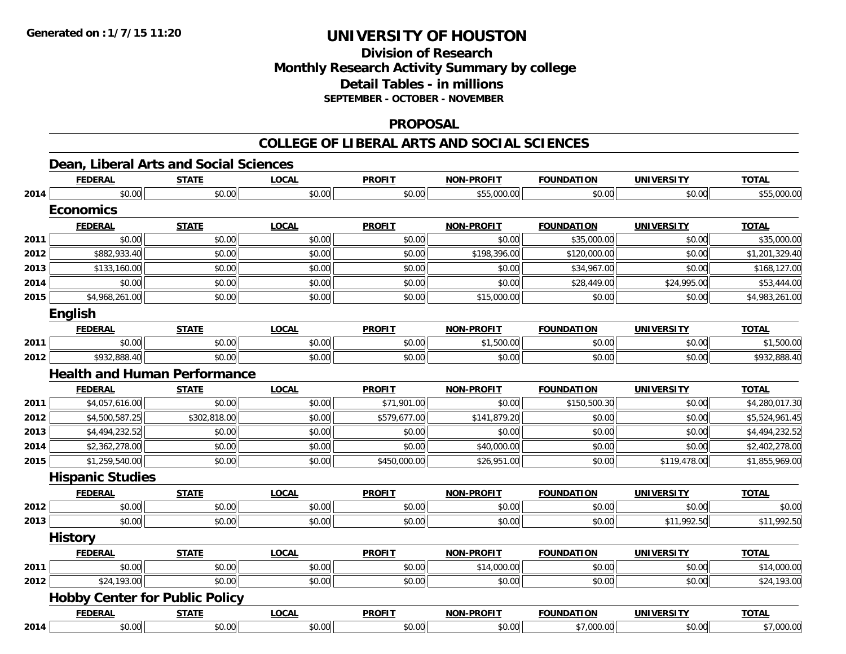# **Division of ResearchMonthly Research Activity Summary by college Detail Tables - in millions SEPTEMBER - OCTOBER - NOVEMBER**

#### **PROPOSAL**

#### **COLLEGE OF LIBERAL ARTS AND SOCIAL SCIENCES**

### **Dean, Liberal Arts and Social Sciences**

|      | <b>FEDERAL</b>                        | <b>STATE</b> | <b>LOCAL</b> | <b>PROFIT</b> | <b>NON-PROFIT</b> | <b>FOUNDATION</b> | <b>UNIVERSITY</b> | <b>TOTAL</b>   |
|------|---------------------------------------|--------------|--------------|---------------|-------------------|-------------------|-------------------|----------------|
| 2014 | \$0.00                                | \$0.00       | \$0.00       | \$0.00        | \$55,000.00       | \$0.00            | \$0.00            | \$55,000.00    |
|      | <b>Economics</b>                      |              |              |               |                   |                   |                   |                |
|      | <b>FEDERAL</b>                        | <b>STATE</b> | <b>LOCAL</b> | <b>PROFIT</b> | <b>NON-PROFIT</b> | <b>FOUNDATION</b> | <b>UNIVERSITY</b> | <b>TOTAL</b>   |
| 2011 | \$0.00                                | \$0.00       | \$0.00       | \$0.00        | \$0.00            | \$35,000.00       | \$0.00            | \$35,000.00    |
| 2012 | \$882,933.40                          | \$0.00       | \$0.00       | \$0.00        | \$198,396.00      | \$120,000.00      | \$0.00            | \$1,201,329.40 |
| 2013 | \$133,160.00                          | \$0.00       | \$0.00       | \$0.00        | \$0.00            | \$34,967.00       | \$0.00            | \$168,127.00   |
| 2014 | \$0.00                                | \$0.00       | \$0.00       | \$0.00        | \$0.00            | \$28,449.00       | \$24,995.00       | \$53,444.00    |
| 2015 | \$4,968,261.00                        | \$0.00       | \$0.00       | \$0.00        | \$15,000.00       | \$0.00            | \$0.00            | \$4,983,261.00 |
|      | English                               |              |              |               |                   |                   |                   |                |
|      | <b>FEDERAL</b>                        | <b>STATE</b> | <b>LOCAL</b> | <b>PROFIT</b> | <b>NON-PROFIT</b> | <b>FOUNDATION</b> | <b>UNIVERSITY</b> | <b>TOTAL</b>   |
| 2011 | \$0.00                                | \$0.00       | \$0.00       | \$0.00        | \$1,500.00        | \$0.00            | \$0.00            | \$1,500.00     |
| 2012 | \$932,888.40                          | \$0.00       | \$0.00       | \$0.00        | \$0.00            | \$0.00            | \$0.00            | \$932,888.40   |
|      | <b>Health and Human Performance</b>   |              |              |               |                   |                   |                   |                |
|      | <b>FEDERAL</b>                        | <b>STATE</b> | <b>LOCAL</b> | <b>PROFIT</b> | <b>NON-PROFIT</b> | <b>FOUNDATION</b> | <b>UNIVERSITY</b> | <b>TOTAL</b>   |
| 2011 | \$4,057,616.00                        | \$0.00       | \$0.00       | \$71,901.00   | \$0.00            | \$150,500.30      | \$0.00            | \$4,280,017.30 |
| 2012 | \$4,500,587.25                        | \$302,818.00 | \$0.00       | \$579,677.00  | \$141,879.20      | \$0.00            | \$0.00            | \$5,524,961.45 |
| 2013 | \$4,494,232.52                        | \$0.00       | \$0.00       | \$0.00        | \$0.00            | \$0.00            | \$0.00            | \$4,494,232.52 |
| 2014 | \$2,362,278.00                        | \$0.00       | \$0.00       | \$0.00        | \$40,000.00       | \$0.00            | \$0.00            | \$2,402,278.00 |
| 2015 | \$1,259,540.00                        | \$0.00       | \$0.00       | \$450,000.00  | \$26,951.00       | \$0.00            | \$119,478.00      | \$1,855,969.00 |
|      | <b>Hispanic Studies</b>               |              |              |               |                   |                   |                   |                |
|      | <b>FEDERAL</b>                        | <b>STATE</b> | <b>LOCAL</b> | <b>PROFIT</b> | <b>NON-PROFIT</b> | <b>FOUNDATION</b> | <b>UNIVERSITY</b> | <b>TOTAL</b>   |
| 2012 | \$0.00                                | \$0.00       | \$0.00       | \$0.00        | \$0.00            | \$0.00            | \$0.00            | \$0.00         |
| 2013 | \$0.00                                | \$0.00       | \$0.00       | \$0.00        | \$0.00            | \$0.00            | \$11,992.50       | \$11,992.50    |
|      | <b>History</b>                        |              |              |               |                   |                   |                   |                |
|      | <b>FEDERAL</b>                        | <b>STATE</b> | <b>LOCAL</b> | <b>PROFIT</b> | <b>NON-PROFIT</b> | <b>FOUNDATION</b> | <b>UNIVERSITY</b> | <b>TOTAL</b>   |
| 2011 | \$0.00                                | \$0.00       | \$0.00       | \$0.00        | \$14,000.00       | \$0.00            | \$0.00            | \$14,000.00    |
| 2012 | \$24,193.00                           | \$0.00       | \$0.00       | \$0.00        | \$0.00            | \$0.00            | \$0.00            | \$24,193.00    |
|      | <b>Hobby Center for Public Policy</b> |              |              |               |                   |                   |                   |                |
|      | <b>FEDERAL</b>                        | <b>STATE</b> | <b>LOCAL</b> | <b>PROFIT</b> | <b>NON-PROFIT</b> | <b>FOUNDATION</b> | <b>UNIVERSITY</b> | <b>TOTAL</b>   |
| 2014 | \$0.00                                | \$0.00       | \$0.00       | \$0.00        | \$0.00            | \$7,000.00        | \$0.00            | \$7,000.00     |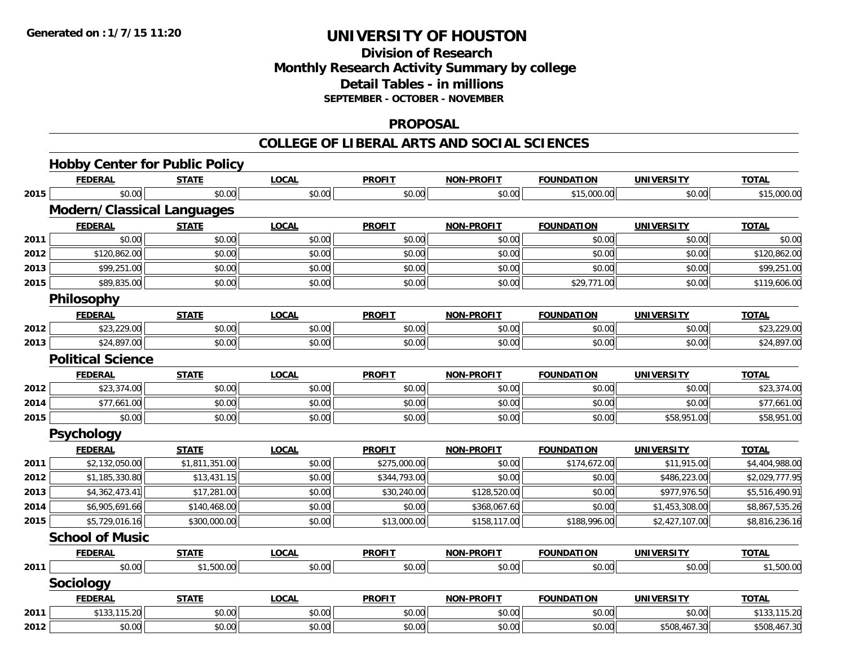# **Division of ResearchMonthly Research Activity Summary by college Detail Tables - in millions SEPTEMBER - OCTOBER - NOVEMBER**

#### **PROPOSAL**

#### **COLLEGE OF LIBERAL ARTS AND SOCIAL SCIENCES**

|      | <b>Hobby Center for Public Policy</b> |                |              |               |                   |                   |                   |                |
|------|---------------------------------------|----------------|--------------|---------------|-------------------|-------------------|-------------------|----------------|
|      | <b>FEDERAL</b>                        | <b>STATE</b>   | <b>LOCAL</b> | <b>PROFIT</b> | <b>NON-PROFIT</b> | <b>FOUNDATION</b> | <b>UNIVERSITY</b> | <b>TOTAL</b>   |
| 2015 | \$0.00                                | \$0.00         | \$0.00       | \$0.00        | \$0.00            | \$15,000.00       | \$0.00            | \$15,000.00    |
|      | <b>Modern/Classical Languages</b>     |                |              |               |                   |                   |                   |                |
|      | <b>FEDERAL</b>                        | <b>STATE</b>   | <b>LOCAL</b> | <b>PROFIT</b> | <b>NON-PROFIT</b> | <b>FOUNDATION</b> | <b>UNIVERSITY</b> | <b>TOTAL</b>   |
| 2011 | \$0.00                                | \$0.00         | \$0.00       | \$0.00        | \$0.00            | \$0.00            | \$0.00            | \$0.00         |
| 2012 | \$120,862.00                          | \$0.00         | \$0.00       | \$0.00        | \$0.00            | \$0.00            | \$0.00            | \$120,862.00   |
| 2013 | \$99,251.00                           | \$0.00         | \$0.00       | \$0.00        | \$0.00            | \$0.00            | \$0.00            | \$99,251.00    |
| 2015 | \$89,835.00                           | \$0.00         | \$0.00       | \$0.00        | \$0.00            | \$29,771.00       | \$0.00            | \$119,606.00   |
|      | Philosophy                            |                |              |               |                   |                   |                   |                |
|      | <b>FEDERAL</b>                        | <b>STATE</b>   | <b>LOCAL</b> | <b>PROFIT</b> | <b>NON-PROFIT</b> | <b>FOUNDATION</b> | <b>UNIVERSITY</b> | <b>TOTAL</b>   |
| 2012 | \$23,229.00                           | \$0.00         | \$0.00       | \$0.00        | \$0.00            | \$0.00            | \$0.00            | \$23,229.00    |
| 2013 | \$24,897.00                           | \$0.00         | \$0.00       | \$0.00        | \$0.00            | \$0.00            | \$0.00            | \$24,897.00    |
|      | <b>Political Science</b>              |                |              |               |                   |                   |                   |                |
|      | <b>FEDERAL</b>                        | <b>STATE</b>   | <b>LOCAL</b> | <b>PROFIT</b> | <b>NON-PROFIT</b> | <b>FOUNDATION</b> | <b>UNIVERSITY</b> | <b>TOTAL</b>   |
| 2012 | \$23,374.00                           | \$0.00         | \$0.00       | \$0.00        | \$0.00            | \$0.00            | \$0.00            | \$23,374.00    |
| 2014 | \$77,661.00                           | \$0.00         | \$0.00       | \$0.00        | \$0.00            | \$0.00            | \$0.00            | \$77,661.00    |
| 2015 | \$0.00                                | \$0.00         | \$0.00       | \$0.00        | \$0.00            | \$0.00            | \$58,951.00       | \$58,951.00    |
|      | Psychology                            |                |              |               |                   |                   |                   |                |
|      | <b>FEDERAL</b>                        | <b>STATE</b>   | <b>LOCAL</b> | <b>PROFIT</b> | <b>NON-PROFIT</b> | <b>FOUNDATION</b> | <b>UNIVERSITY</b> | <b>TOTAL</b>   |
| 2011 | \$2,132,050.00                        | \$1,811,351.00 | \$0.00       | \$275,000.00  | \$0.00            | \$174,672.00      | \$11,915.00       | \$4,404,988.00 |
| 2012 | \$1,185,330.80                        | \$13,431.15    | \$0.00       | \$344,793.00  | \$0.00            | \$0.00            | \$486,223.00      | \$2,029,777.95 |
| 2013 | \$4,362,473.41                        | \$17,281.00    | \$0.00       | \$30,240.00   | \$128,520.00      | \$0.00            | \$977,976.50      | \$5,516,490.91 |
| 2014 | \$6,905,691.66                        | \$140,468.00   | \$0.00       | \$0.00        | \$368,067.60      | \$0.00            | \$1,453,308.00    | \$8,867,535.26 |
| 2015 | \$5,729,016.16                        | \$300,000.00   | \$0.00       | \$13,000.00   | \$158,117.00      | \$188,996.00      | \$2,427,107.00    | \$8,816,236.16 |
|      | <b>School of Music</b>                |                |              |               |                   |                   |                   |                |
|      | <u>FEDERAL</u>                        | <b>STATE</b>   | <b>LOCAL</b> | <b>PROFIT</b> | <b>NON-PROFIT</b> | <b>FOUNDATION</b> | <b>UNIVERSITY</b> | <b>TOTAL</b>   |
| 2011 | \$0.00                                | \$1,500.00     | \$0.00       | \$0.00        | \$0.00            | \$0.00            | \$0.00            | \$1,500.00     |
|      | <b>Sociology</b>                      |                |              |               |                   |                   |                   |                |
|      | <b>FEDERAL</b>                        | <b>STATE</b>   | <b>LOCAL</b> | <b>PROFIT</b> | <b>NON-PROFIT</b> | <b>FOUNDATION</b> | <b>UNIVERSITY</b> | <b>TOTAL</b>   |
| 2011 | \$133,115.20                          | \$0.00         | \$0.00       | \$0.00        | \$0.00            | \$0.00            | \$0.00            | \$133,115.20   |
| 2012 | \$0.00                                | \$0.00         | \$0.00       | \$0.00        | \$0.00            | \$0.00            | \$508,467.30      | \$508,467.30   |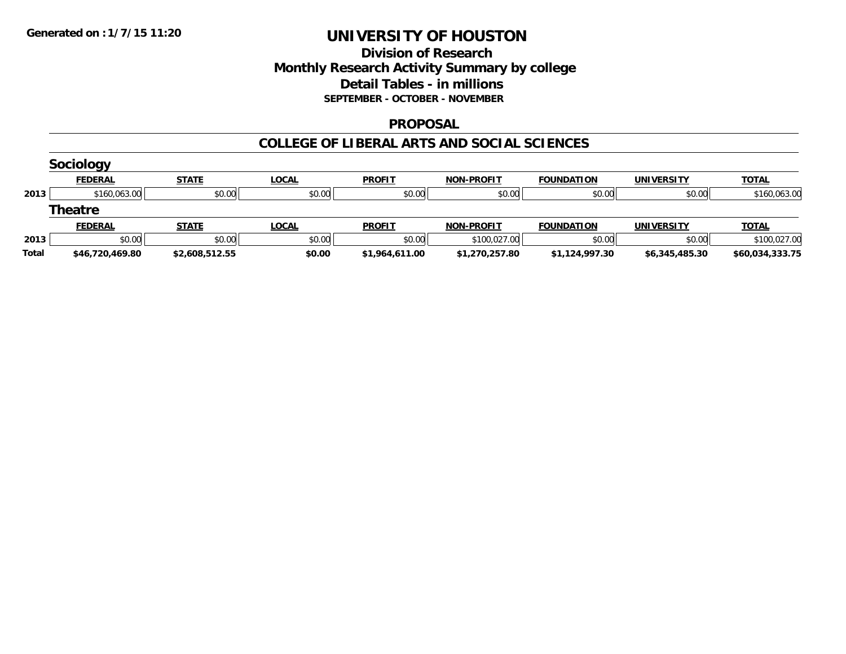### **Division of Research Monthly Research Activity Summary by college Detail Tables - in millions SEPTEMBER - OCTOBER - NOVEMBER**

#### **PROPOSAL**

#### **COLLEGE OF LIBERAL ARTS AND SOCIAL SCIENCES**

|              | <b>Sociology</b> |                |              |                |                   |                   |                   |                 |
|--------------|------------------|----------------|--------------|----------------|-------------------|-------------------|-------------------|-----------------|
|              | <b>FEDERAL</b>   | <b>STATE</b>   | <b>LOCAL</b> | <b>PROFIT</b>  | <b>NON-PROFIT</b> | <b>FOUNDATION</b> | <b>UNIVERSITY</b> | <b>TOTAL</b>    |
| 2013         | \$160,063.00     | \$0.00         | \$0.00       | \$0.00         | \$0.00            | \$0.00            | \$0.00            | \$160,063.00    |
|              | <b>Theatre</b>   |                |              |                |                   |                   |                   |                 |
|              | <b>FEDERAL</b>   | <b>STATE</b>   | <b>LOCAL</b> | <b>PROFIT</b>  | <b>NON-PROFIT</b> | <b>FOUNDATION</b> | <b>UNIVERSITY</b> | <b>TOTAL</b>    |
| 2013         | \$0.00           | \$0.00         | \$0.00       | \$0.00         | \$100,027.00      | \$0.00            | \$0.00            | \$100,027.00    |
| <b>Total</b> | \$46,720,469.80  | \$2,608,512.55 | \$0.00       | \$1,964,611.00 | \$1,270,257.80    | \$1,124,997.30    | \$6,345,485.30    | \$60,034,333.75 |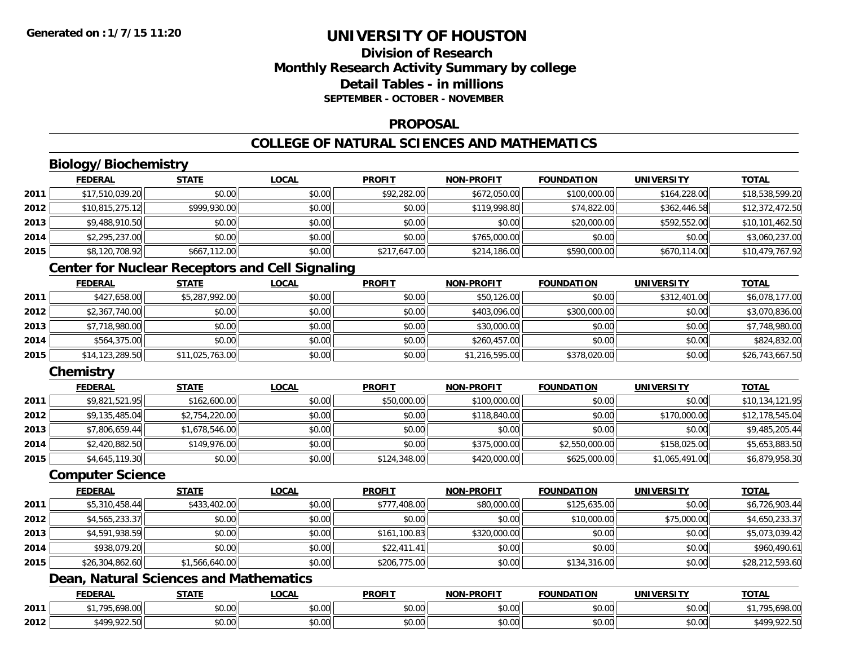### **Division of ResearchMonthly Research Activity Summary by college Detail Tables - in millionsSEPTEMBER - OCTOBER - NOVEMBER**

#### **PROPOSAL**

### **COLLEGE OF NATURAL SCIENCES AND MATHEMATICS**

# **Biology/Biochemistry**

|      | <b>FEDERAL</b>  | <b>STATE</b> | <b>LOCAL</b> | <b>PROFIT</b> | <b>NON-PROFIT</b> | <b>FOUNDATION</b> | <b>UNIVERSITY</b> | <b>TOTAL</b>    |
|------|-----------------|--------------|--------------|---------------|-------------------|-------------------|-------------------|-----------------|
| 2011 | \$17,510,039.20 | \$0.00       | \$0.00       | \$92,282.00   | \$672,050.00      | \$100,000.00      | \$164,228,00      | \$18,538,599.20 |
| 2012 | \$10,815,275.12 | \$999,930.00 | \$0.00       | \$0.00        | \$119,998.80      | \$74,822.00       | \$362,446.58      | \$12,372,472.50 |
| 2013 | \$9,488,910.50  | \$0.00       | \$0.00       | \$0.00        | \$0.00            | \$20,000.00       | \$592,552.00      | \$10,101,462.50 |
| 2014 | \$2,295,237.00  | \$0.00       | \$0.00       | \$0.00        | \$765,000.00      | \$0.00            | \$0.00            | \$3,060,237.00  |
| 2015 | \$8,120,708.92  | \$667,112.00 | \$0.00       | \$217,647.00  | \$214,186.00      | \$590,000.00      | \$670,114.00      | \$10,479,767.92 |

### **Center for Nuclear Receptors and Cell Signaling**

|      | <b>FEDERAL</b>  | <u>STATE</u>    | <b>LOCAL</b> | <b>PROFIT</b> | <b>NON-PROFIT</b> | <b>FOUNDATION</b> | <b>UNIVERSITY</b> | <b>TOTAL</b>    |
|------|-----------------|-----------------|--------------|---------------|-------------------|-------------------|-------------------|-----------------|
| 2011 | \$427,658.00    | \$5,287,992.00  | \$0.00       | \$0.00        | \$50,126.00       | \$0.00            | \$312,401.00      | \$6,078,177.00  |
| 2012 | \$2,367,740.00  | \$0.00          | \$0.00       | \$0.00        | \$403,096.00      | \$300,000.00      | \$0.00            | \$3,070,836.00  |
| 2013 | \$7,718,980.00  | \$0.00          | \$0.00       | \$0.00        | \$30,000.00       | \$0.00            | \$0.00            | \$7,748,980.00  |
| 2014 | \$564,375.00    | \$0.00          | \$0.00       | \$0.00        | \$260,457.00      | \$0.00            | \$0.00            | \$824,832.00    |
| 2015 | \$14,123,289.50 | \$11,025,763.00 | \$0.00       | \$0.00        | \$1,216,595.00    | \$378,020.00      | \$0.00            | \$26,743,667.50 |

### **Chemistry**

|      | <b>FEDERAL</b> | <b>STATE</b>   | <u>LOCAL</u> | <b>PROFIT</b> | <b>NON-PROFIT</b> | <b>FOUNDATION</b> | <b>UNIVERSITY</b> | <b>TOTAL</b>    |
|------|----------------|----------------|--------------|---------------|-------------------|-------------------|-------------------|-----------------|
| 2011 | \$9,821,521.95 | \$162,600.00   | \$0.00       | \$50,000.00   | \$100,000.00      | \$0.00            | \$0.00            | \$10,134,121.95 |
| 2012 | \$9,135,485.04 | \$2,754,220.00 | \$0.00       | \$0.00        | \$118,840.00      | \$0.00            | \$170,000.00      | \$12,178,545.04 |
| 2013 | \$7,806,659.44 | \$1,678,546.00 | \$0.00       | \$0.00        | \$0.00            | \$0.00            | \$0.00            | \$9,485,205.44  |
| 2014 | \$2,420,882.50 | \$149,976.00   | \$0.00       | \$0.00        | \$375,000.00      | \$2,550,000.00    | \$158,025,00      | \$5,653,883.50  |
| 2015 | \$4,645,119.30 | \$0.00         | \$0.00       | \$124,348.00  | \$420,000.00      | \$625,000.00      | \$1,065,491.00    | \$6,879,958.30  |

#### **Computer Science**

|      | <b>FEDERAL</b>  | <b>STATE</b>   | <b>LOCAL</b> | <b>PROFIT</b> | <b>NON-PROFIT</b> | <b>FOUNDATION</b> | <b>UNIVERSITY</b> | <b>TOTAL</b>    |
|------|-----------------|----------------|--------------|---------------|-------------------|-------------------|-------------------|-----------------|
| 2011 | \$5,310,458.44  | \$433,402.00   | \$0.00       | \$777,408.00  | \$80,000.00       | \$125,635.00      | \$0.00            | \$6,726,903.44  |
| 2012 | \$4,565,233.37  | \$0.00         | \$0.00       | \$0.00        | \$0.00            | \$10,000.00       | \$75,000.00       | \$4,650,233.37  |
| 2013 | \$4,591,938.59  | \$0.00         | \$0.00       | \$161,100.83  | \$320,000.00      | \$0.00            | \$0.00            | \$5,073,039.42  |
| 2014 | \$938,079.20    | \$0.00         | \$0.00       | \$22,411.41   | \$0.00            | \$0.00            | \$0.00            | \$960,490.61    |
| 2015 | \$26,304,862.60 | \$1,566,640.00 | \$0.00       | \$206,775.00  | \$0.00            | \$134,316.00      | \$0.00            | \$28,212,593.60 |

# **Dean, Natural Sciences and Mathematics**

|      | <b>FEDERAL</b>         | 27.77         | LOCAL                     | <b>PROFIT</b>      | J-PROFIT<br><b>AION'</b> | <b>FOUNDATION</b> | <b>UNIVERSIT</b>                       | <b>TOTAL</b>               |
|------|------------------------|---------------|---------------------------|--------------------|--------------------------|-------------------|----------------------------------------|----------------------------|
| 2011 | 100.00<br>705<br>70.VV | 0000<br>DU.U¢ | $\sim$<br>$\sim$<br>vu.uu | $\sim$ 00<br>งบ.บบ | 0000<br>PO.OO            | \$0.00            | $\mathfrak{g}$ $\mathfrak{g}$<br>งบ.บบ | 100.00<br>90.090.UU        |
| 2012 | \$499 922 50<br>722.JU | 0000<br>JU.UU | $\sim$ 00<br>vv.vv        | 0000<br>JU.UU      | 0000<br><b>DU.UG</b>     | \$0.00            | \$0.00                                 | 922.50<br>00 1.2<br>722.JU |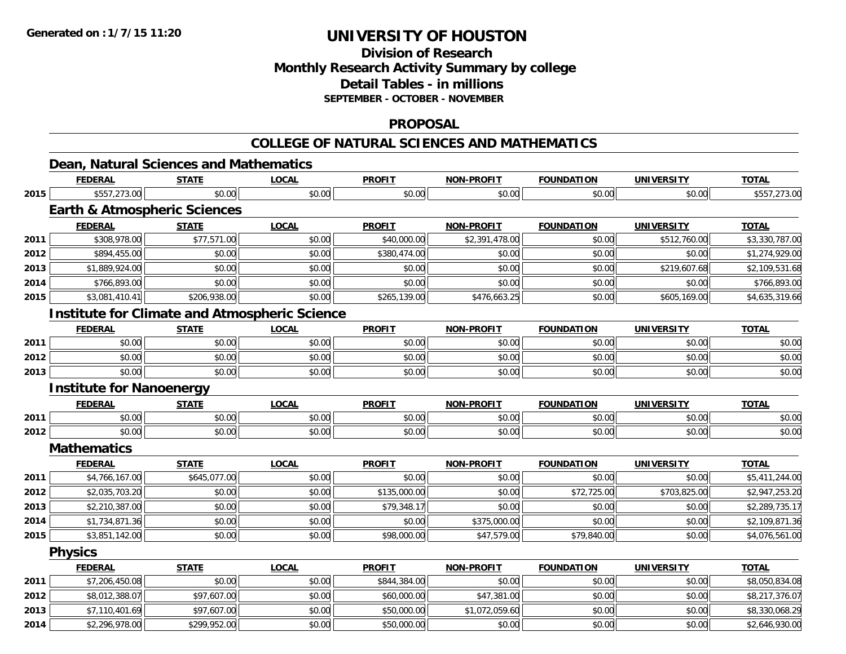**2014**

# **UNIVERSITY OF HOUSTON**

# **Division of ResearchMonthly Research Activity Summary by college Detail Tables - in millions SEPTEMBER - OCTOBER - NOVEMBER**

#### **PROPOSAL**

# **COLLEGE OF NATURAL SCIENCES AND MATHEMATICS**

|      | Dean, Natural Sciences and Mathematics               |              |              |               |                   |                   |                   |                |
|------|------------------------------------------------------|--------------|--------------|---------------|-------------------|-------------------|-------------------|----------------|
|      | <b>FEDERAL</b>                                       | <b>STATE</b> | <b>LOCAL</b> | <b>PROFIT</b> | <b>NON-PROFIT</b> | <b>FOUNDATION</b> | <b>UNIVERSITY</b> | TOTAL          |
| 2015 | \$557,273.00                                         | \$0.00       | \$0.00       | \$0.00        | \$0.00            | \$0.00            | \$0.00            | \$557,273.00   |
|      | <b>Earth &amp; Atmospheric Sciences</b>              |              |              |               |                   |                   |                   |                |
|      | <b>FEDERAL</b>                                       | <b>STATE</b> | <b>LOCAL</b> | <b>PROFIT</b> | <b>NON-PROFIT</b> | <b>FOUNDATION</b> | <b>UNIVERSITY</b> | <b>TOTAL</b>   |
| 2011 | \$308,978.00                                         | \$77,571.00  | \$0.00       | \$40,000.00   | \$2,391,478.00    | \$0.00            | \$512,760.00      | \$3,330,787.00 |
| 2012 | \$894,455.00                                         | \$0.00       | \$0.00       | \$380,474.00  | \$0.00            | \$0.00            | \$0.00            | \$1,274,929.00 |
| 2013 | \$1,889,924.00                                       | \$0.00       | \$0.00       | \$0.00        | \$0.00            | \$0.00            | \$219,607.68      | \$2,109,531.68 |
| 2014 | \$766,893.00                                         | \$0.00       | \$0.00       | \$0.00        | \$0.00            | \$0.00            | \$0.00            | \$766,893.00   |
| 2015 | \$3,081,410.41                                       | \$206,938.00 | \$0.00       | \$265,139.00  | \$476,663.25      | \$0.00            | \$605,169.00      | \$4,635,319.66 |
|      | <b>Institute for Climate and Atmospheric Science</b> |              |              |               |                   |                   |                   |                |
|      | <b>FEDERAL</b>                                       | <b>STATE</b> | <b>LOCAL</b> | <b>PROFIT</b> | <b>NON-PROFIT</b> | <b>FOUNDATION</b> | <b>UNIVERSITY</b> | <b>TOTAL</b>   |
| 2011 | \$0.00                                               | \$0.00       | \$0.00       | \$0.00        | \$0.00            | \$0.00            | \$0.00            | \$0.00         |
| 2012 | \$0.00                                               | \$0.00       | \$0.00       | \$0.00        | \$0.00            | \$0.00            | \$0.00            | \$0.00         |
| 2013 | \$0.00                                               | \$0.00       | \$0.00       | \$0.00        | \$0.00            | \$0.00            | \$0.00            | \$0.00         |
|      | <b>Institute for Nanoenergy</b>                      |              |              |               |                   |                   |                   |                |
|      | <b>FEDERAL</b>                                       | <b>STATE</b> | LOCAL        | <b>PROFIT</b> | <b>NON-PROFIT</b> | <b>FOUNDATION</b> | <b>UNIVERSITY</b> | <b>TOTAL</b>   |
| 2011 | \$0.00                                               | \$0.00       | \$0.00       | \$0.00        | \$0.00            | \$0.00            | \$0.00            | \$0.00         |
| 2012 | \$0.00                                               | \$0.00       | \$0.00       | \$0.00        | \$0.00            | \$0.00            | \$0.00            | \$0.00         |
|      | <b>Mathematics</b>                                   |              |              |               |                   |                   |                   |                |
|      | <b>FEDERAL</b>                                       | <b>STATE</b> | <b>LOCAL</b> | <b>PROFIT</b> | <b>NON-PROFIT</b> | <b>FOUNDATION</b> | <b>UNIVERSITY</b> | <b>TOTAL</b>   |
| 2011 | \$4,766,167.00                                       | \$645,077.00 | \$0.00       | \$0.00        | \$0.00            | \$0.00            | \$0.00            | \$5,411,244.00 |
| 2012 | \$2,035,703.20                                       | \$0.00       | \$0.00       | \$135,000.00  | \$0.00            | \$72,725.00       | \$703,825.00      | \$2,947,253.20 |
| 2013 | \$2,210,387.00                                       | \$0.00       | \$0.00       | \$79,348.17   | \$0.00            | \$0.00            | \$0.00            | \$2,289,735.17 |
| 2014 | \$1,734,871.36                                       | \$0.00       | \$0.00       | \$0.00        | \$375,000.00      | \$0.00            | \$0.00            | \$2,109,871.36 |
| 2015 | \$3,851,142.00                                       | \$0.00       | \$0.00       | \$98,000.00   | \$47,579.00       | \$79,840.00       | \$0.00            | \$4,076,561.00 |
|      | <b>Physics</b>                                       |              |              |               |                   |                   |                   |                |
|      | <b>FEDERAL</b>                                       | <b>STATE</b> | <b>LOCAL</b> | <b>PROFIT</b> | NON-PROFIT        | <b>FOUNDATION</b> | <b>UNIVERSITY</b> | <b>TOTAL</b>   |
| 2011 | \$7,206,450.08                                       | \$0.00       | \$0.00       | \$844,384.00  | \$0.00            | \$0.00            | \$0.00            | \$8,050,834.08 |
| 2012 | \$8,012,388.07                                       | \$97,607.00  | \$0.00       | \$60,000.00   | \$47,381.00       | \$0.00            | \$0.00            | \$8,217,376.07 |
| 2013 | \$7,110,401.69                                       | \$97,607.00  | \$0.00       | \$50,000.00   | \$1,072,059.60    | \$0.00            | \$0.00            | \$8,330,068.29 |

4 \$2,296,978.00| \$299,952.00| \$0.00| \$50,000.00| \$0.00| \$2,646,930.00|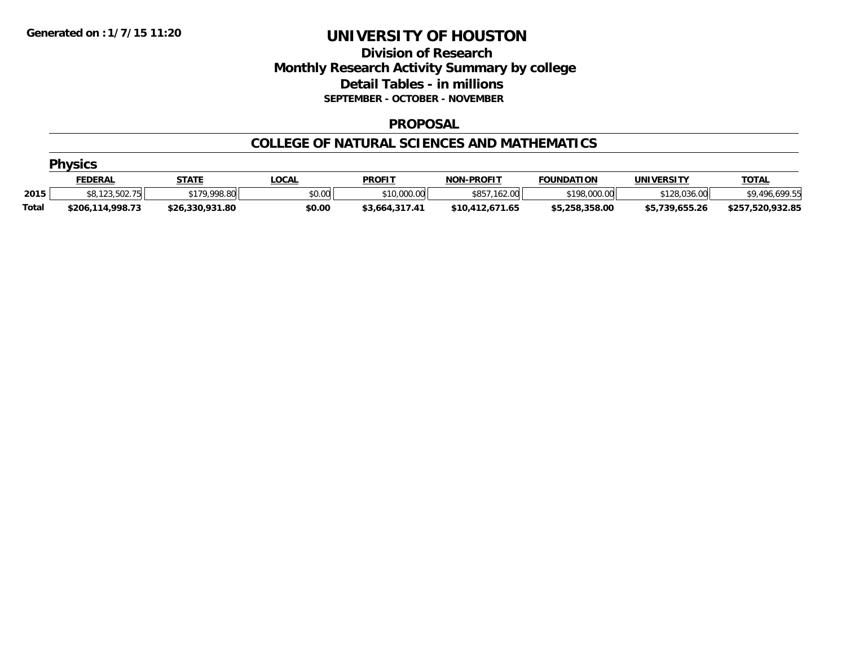### **Division of Research Monthly Research Activity Summary by college Detail Tables - in millions SEPTEMBER - OCTOBER - NOVEMBER**

#### **PROPOSAL**

#### **COLLEGE OF NATURAL SCIENCES AND MATHEMATICS**

|              | <b>Physics</b>   |                 |              |                |                   |                   |                   |                  |  |  |  |
|--------------|------------------|-----------------|--------------|----------------|-------------------|-------------------|-------------------|------------------|--|--|--|
|              | <u>FEDERAL</u>   | <b>STATE</b>    | <u>LOCAL</u> | <b>PROFIT</b>  | <b>NON-PROFIT</b> | <b>FOUNDATION</b> | <b>UNIVERSITY</b> | <b>TOTAL</b>     |  |  |  |
| 2015         | \$8,123,502.75   | \$179,998.80    | \$0.00       | \$10,000.00    | \$857,162.00      | \$198,000.00      | \$128,036.00      | \$9,496,699.55   |  |  |  |
| <b>Total</b> | \$206,114,998.73 | \$26,330,931.80 | \$0.00       | \$3,664,317.41 | \$10,412,671.65   | \$5,258,358.00    | \$5,739,655.26    | \$257,520,932.85 |  |  |  |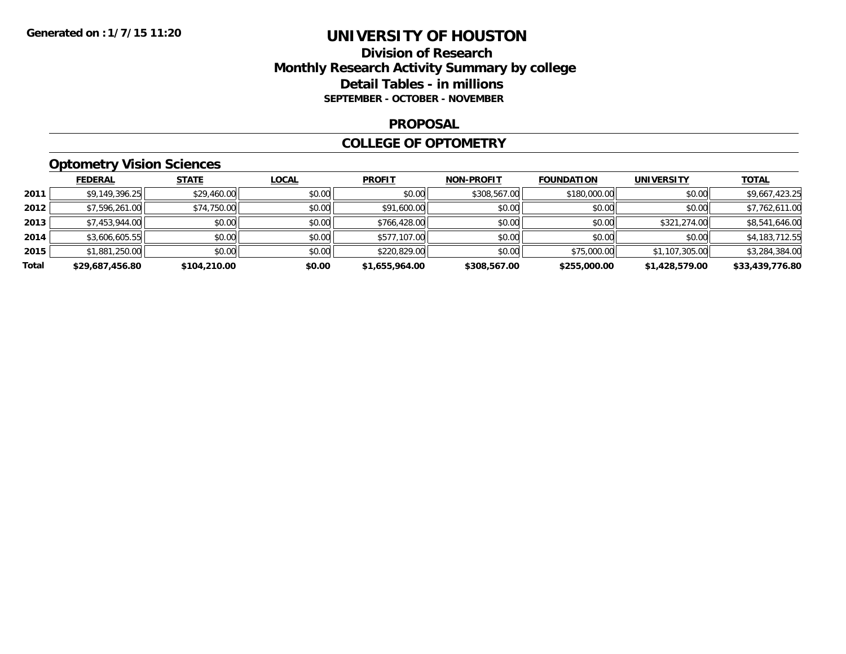### **Division of Research Monthly Research Activity Summary by college Detail Tables - in millions SEPTEMBER - OCTOBER - NOVEMBER**

#### **PROPOSAL**

#### **COLLEGE OF OPTOMETRY**

# **Optometry Vision Sciences**

|       | <b>FEDERAL</b>  | <b>STATE</b> | <b>LOCAL</b> | <b>PROFIT</b>  | <b>NON-PROFIT</b> | <b>FOUNDATION</b> | <b>UNIVERSITY</b> | <u>TOTAL</u>    |
|-------|-----------------|--------------|--------------|----------------|-------------------|-------------------|-------------------|-----------------|
| 2011  | \$9,149,396.25  | \$29,460.00  | \$0.00       | \$0.00         | \$308,567.00      | \$180,000.00      | \$0.00            | \$9,667,423.25  |
| 2012  | \$7,596,261.00  | \$74,750.00  | \$0.00       | \$91,600.00    | \$0.00            | \$0.00            | \$0.00            | \$7,762,611.00  |
| 2013  | \$7,453,944.00  | \$0.00       | \$0.00       | \$766,428,00   | \$0.00            | \$0.00            | \$321,274.00      | \$8,541,646.00  |
| 2014  | \$3,606,605.55  | \$0.00       | \$0.00       | \$577,107.00   | \$0.00            | \$0.00            | \$0.00            | \$4,183,712.55  |
| 2015  | \$1,881,250.00  | \$0.00       | \$0.00       | \$220,829.00   | \$0.00            | \$75,000.00       | \$1,107,305.00    | \$3,284,384.00  |
| Total | \$29,687,456.80 | \$104,210.00 | \$0.00       | \$1,655,964.00 | \$308,567.00      | \$255,000.00      | \$1,428,579.00    | \$33,439,776.80 |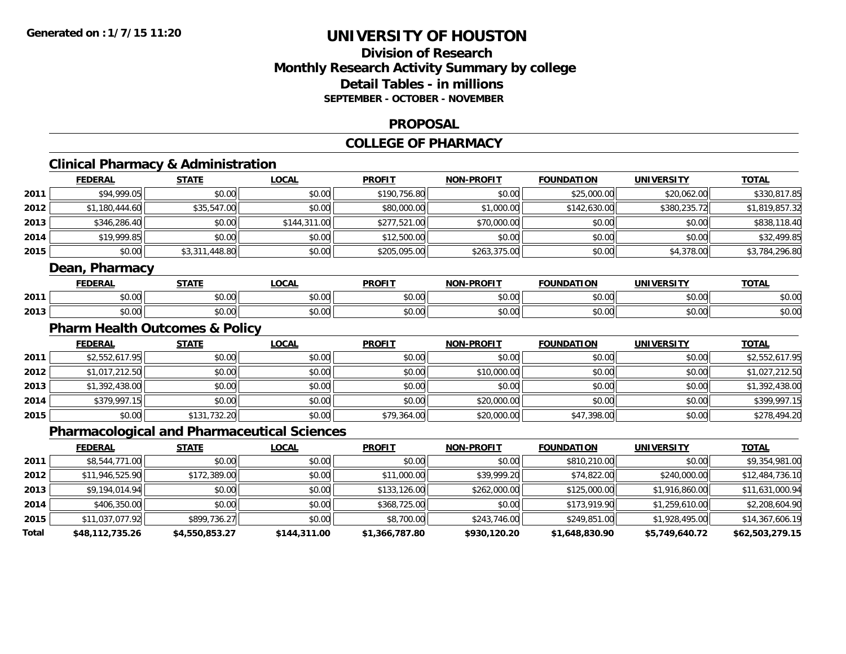# **Division of ResearchMonthly Research Activity Summary by college Detail Tables - in millionsSEPTEMBER - OCTOBER - NOVEMBER**

#### **PROPOSAL**

### **COLLEGE OF PHARMACY**

# **Clinical Pharmacy & Administration**

|      | <b>FEDERAL</b> | <b>STATE</b>   | <b>LOCAL</b> | <b>PROFIT</b> | <b>NON-PROFIT</b> | <b>FOUNDATION</b> | <b>UNIVERSITY</b> | <b>TOTAL</b>   |
|------|----------------|----------------|--------------|---------------|-------------------|-------------------|-------------------|----------------|
| 2011 | \$94,999.05    | \$0.00         | \$0.00       | \$190,756.80  | \$0.00            | \$25,000.00       | \$20,062.00       | \$330,817.85   |
| 2012 | \$1,180,444.60 | \$35,547.00    | \$0.00       | \$80,000.00   | \$1,000.00        | \$142,630.00      | \$380,235.72      | \$1,819,857.32 |
| 2013 | \$346,286.40   | \$0.00         | \$144,311.00 | \$277,521.00  | \$70,000.00       | \$0.00            | \$0.00            | \$838,118.40   |
| 2014 | \$19,999.85    | \$0.00         | \$0.00       | \$12,500.00   | \$0.00            | \$0.00            | \$0.00            | \$32,499.85    |
| 2015 | \$0.00         | \$3,311,448.80 | \$0.00       | \$205,095.00  | \$263,375.00      | \$0.00            | \$4,378.00        | \$3,784,296.80 |
|      | Daan Dharmacy  |                |              |               |                   |                   |                   |                |

#### **Dean, Pharmacy**

|      | <b>FEDERAL</b> | <b>STATE</b>       | $\sim$<br>.UUAI                     | <b>PROFIT</b>          | <b>-PROFIT</b><br>NON- | <b>FOUNDATION</b> | <b>UNIVERSITY</b> | <b>TOTAL</b>  |
|------|----------------|--------------------|-------------------------------------|------------------------|------------------------|-------------------|-------------------|---------------|
| 2011 | 0.00٪          | ሐሴ ሰሰ<br>JU.UV     | 0.00<br>pu.uu                       | $\sim$ $\sim$<br>JU.UU | 0000<br>vv.vv          | \$0.00            | 0.00<br>⊸∪∪∪⊪     | \$0.00        |
| 2013 | 60.00          | $\sim$ 00<br>JU.UU | $\theta$ $\theta$ $\theta$<br>pu.uu | $\sim$ $\sim$<br>JU.UU | 0000<br>\$U.UU         | \$0.00            | \$0.00            | 0000<br>DU.UU |

### **Pharm Health Outcomes & Policy**

|      | <b>FEDERAL</b> | <b>STATE</b> | <u>LOCAL</u> | <b>PROFIT</b> | <b>NON-PROFIT</b> | <b>FOUNDATION</b> | <b>UNIVERSITY</b> | <b>TOTAL</b>   |
|------|----------------|--------------|--------------|---------------|-------------------|-------------------|-------------------|----------------|
| 2011 | \$2,552,617.95 | \$0.00       | \$0.00       | \$0.00        | \$0.00            | \$0.00            | \$0.00            | \$2,552,617.95 |
| 2012 | \$1,017,212.50 | \$0.00       | \$0.00       | \$0.00        | \$10,000.00       | \$0.00            | \$0.00            | \$1,027,212.50 |
| 2013 | \$1,392,438.00 | \$0.00       | \$0.00       | \$0.00        | \$0.00            | \$0.00            | \$0.00            | \$1,392,438.00 |
| 2014 | \$379,997.15   | \$0.00       | \$0.00       | \$0.00        | \$20,000.00       | \$0.00            | \$0.00            | \$399,997.15   |
| 2015 | \$0.00         | \$131,732.20 | \$0.00       | \$79,364.00   | \$20,000.00       | \$47,398.00       | \$0.00            | \$278,494.20   |

### **Pharmacological and Pharmaceutical Sciences**

|       | <b>FEDERAL</b>  | <b>STATE</b>   | <b>LOCAL</b> | <b>PROFIT</b>  | <b>NON-PROFIT</b> | <b>FOUNDATION</b> | <b>UNIVERSITY</b> | <b>TOTAL</b>    |
|-------|-----------------|----------------|--------------|----------------|-------------------|-------------------|-------------------|-----------------|
| 2011  | \$8,544,771.00  | \$0.00         | \$0.00       | \$0.00         | \$0.00            | \$810,210.00      | \$0.00            | \$9,354,981.00  |
| 2012  | \$11,946,525.90 | \$172,389.00   | \$0.00       | \$11,000.00    | \$39,999.20       | \$74,822.00       | \$240,000.00      | \$12,484,736.10 |
| 2013  | \$9,194,014.94  | \$0.00         | \$0.00       | \$133,126.00   | \$262,000.00      | \$125,000.00      | \$1,916,860.00    | \$11,631,000.94 |
| 2014  | \$406,350,00    | \$0.00         | \$0.00       | \$368,725.00   | \$0.00            | \$173,919.90      | \$1,259,610.00    | \$2,208,604.90  |
| 2015  | \$11,037,077.92 | \$899,736.27   | \$0.00       | \$8,700.00     | \$243,746.00      | \$249,851.00      | \$1,928,495.00    | \$14,367,606.19 |
| Total | \$48,112,735.26 | \$4,550,853.27 | \$144,311.00 | \$1,366,787.80 | \$930,120.20      | \$1,648,830.90    | \$5,749,640.72    | \$62,503,279.15 |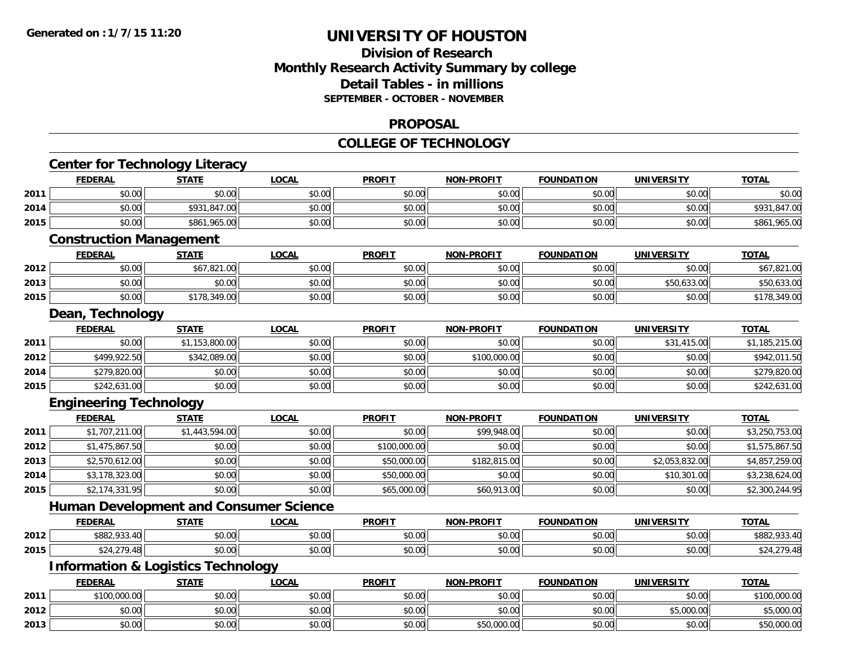### **Division of Research Monthly Research Activity Summary by college Detail Tables - in millions SEPTEMBER - OCTOBER - NOVEMBER**

#### **PROPOSAL**

#### **COLLEGE OF TECHNOLOGY**

|      | <b>Center for Technology Literacy</b>         |                |              |               |                   |                   |                   |                |
|------|-----------------------------------------------|----------------|--------------|---------------|-------------------|-------------------|-------------------|----------------|
|      | <b>FEDERAL</b>                                | <b>STATE</b>   | <b>LOCAL</b> | <b>PROFIT</b> | <b>NON-PROFIT</b> | <b>FOUNDATION</b> | <b>UNIVERSITY</b> | <b>TOTAL</b>   |
| 2011 | \$0.00                                        | \$0.00         | \$0.00       | \$0.00        | \$0.00            | \$0.00            | \$0.00            | \$0.00         |
| 2014 | \$0.00                                        | \$931,847.00   | \$0.00       | \$0.00        | \$0.00            | \$0.00            | \$0.00            | \$931,847.00   |
| 2015 | \$0.00                                        | \$861,965.00   | \$0.00       | \$0.00        | \$0.00            | \$0.00            | \$0.00            | \$861,965.00   |
|      | <b>Construction Management</b>                |                |              |               |                   |                   |                   |                |
|      | <b>FEDERAL</b>                                | <b>STATE</b>   | <b>LOCAL</b> | <b>PROFIT</b> | <b>NON-PROFIT</b> | <b>FOUNDATION</b> | <b>UNIVERSITY</b> | <b>TOTAL</b>   |
| 2012 | \$0.00                                        | \$67,821.00    | \$0.00       | \$0.00        | \$0.00            | \$0.00            | \$0.00            | \$67,821.00    |
| 2013 | \$0.00                                        | \$0.00         | \$0.00       | \$0.00        | \$0.00            | \$0.00            | \$50,633.00       | \$50,633.00    |
| 2015 | \$0.00                                        | \$178,349.00   | \$0.00       | \$0.00        | \$0.00            | \$0.00            | \$0.00            | \$178,349.00   |
|      | Dean, Technology                              |                |              |               |                   |                   |                   |                |
|      | <b>FEDERAL</b>                                | <b>STATE</b>   | <b>LOCAL</b> | <b>PROFIT</b> | <b>NON-PROFIT</b> | <b>FOUNDATION</b> | <b>UNIVERSITY</b> | <b>TOTAL</b>   |
| 2011 | \$0.00                                        | \$1,153,800.00 | \$0.00       | \$0.00        | \$0.00            | \$0.00            | \$31,415.00       | \$1,185,215.00 |
| 2012 | \$499,922.50                                  | \$342,089.00   | \$0.00       | \$0.00        | \$100,000.00      | \$0.00            | \$0.00            | \$942,011.50   |
| 2014 | \$279,820.00                                  | \$0.00         | \$0.00       | \$0.00        | \$0.00            | \$0.00            | \$0.00            | \$279,820.00   |
| 2015 | \$242,631.00                                  | \$0.00         | \$0.00       | \$0.00        | \$0.00            | \$0.00            | \$0.00            | \$242,631.00   |
|      | <b>Engineering Technology</b>                 |                |              |               |                   |                   |                   |                |
|      | <b>FEDERAL</b>                                | <b>STATE</b>   | <b>LOCAL</b> | <b>PROFIT</b> | <b>NON-PROFIT</b> | <b>FOUNDATION</b> | <b>UNIVERSITY</b> | <b>TOTAL</b>   |
| 2011 | \$1,707,211.00                                | \$1,443,594.00 | \$0.00       | \$0.00        | \$99,948.00       | \$0.00            | \$0.00            | \$3,250,753.00 |
| 2012 | \$1,475,867.50                                | \$0.00         | \$0.00       | \$100,000.00  | \$0.00            | \$0.00            | \$0.00            | \$1,575,867.50 |
| 2013 | \$2,570,612.00                                | \$0.00         | \$0.00       | \$50,000.00   | \$182,815.00      | \$0.00            | \$2,053,832.00    | \$4,857,259.00 |
| 2014 | \$3,178,323.00                                | \$0.00         | \$0.00       | \$50,000.00   | \$0.00            | \$0.00            | \$10,301.00       | \$3,238,624.00 |
| 2015 | \$2,174,331.95                                | \$0.00         | \$0.00       | \$65,000.00   | \$60,913.00       | \$0.00            | \$0.00            | \$2,300,244.95 |
|      | <b>Human Development and Consumer Science</b> |                |              |               |                   |                   |                   |                |
|      | <b>FEDERAL</b>                                | <b>STATE</b>   | <b>LOCAL</b> | <b>PROFIT</b> | <b>NON-PROFIT</b> | <b>FOUNDATION</b> | <b>UNIVERSITY</b> | <b>TOTAL</b>   |
| 2012 | \$882,933.40                                  | \$0.00         | \$0.00       | \$0.00        | \$0.00            | \$0.00            | \$0.00            | \$882,933.40   |
| 2015 | \$24,279.48                                   | \$0.00         | \$0.00       | \$0.00        | \$0.00            | \$0.00            | \$0.00            | \$24,279.48    |
|      | <b>Information &amp; Logistics Technology</b> |                |              |               |                   |                   |                   |                |
|      | <b>FEDERAL</b>                                | <b>STATE</b>   | <b>LOCAL</b> | <b>PROFIT</b> | <b>NON-PROFIT</b> | <b>FOUNDATION</b> | <b>UNIVERSITY</b> | <b>TOTAL</b>   |
| 2011 | \$100,000.00                                  | \$0.00         | \$0.00       | \$0.00        | \$0.00            | \$0.00            | \$0.00            | \$100,000.00   |
| 2012 | \$0.00                                        | \$0.00         | \$0.00       | \$0.00        | \$0.00            | \$0.00            | \$5,000.00        | \$5,000.00     |
| 2013 | \$0.00                                        | \$0.00         | \$0.00       | \$0.00        | \$50,000.00       | \$0.00            | \$0.00            | \$50,000.00    |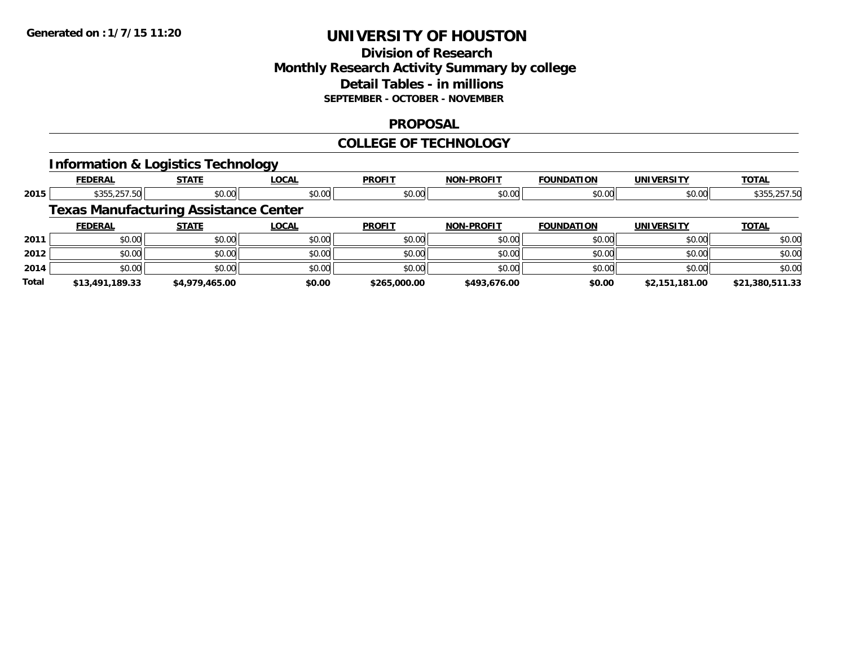### **Division of Research Monthly Research Activity Summary by college Detail Tables - in millions SEPTEMBER - OCTOBER - NOVEMBER**

#### **PROPOSAL**

#### **COLLEGE OF TECHNOLOGY**

### **Information & Logistics Technology**

|       | <b>FEDERAL</b>                               | <b>STATE</b>   | <b>LOCAL</b> | <b>PROFIT</b> | <b>NON-PROFIT</b> | <b>FOUNDATION</b> | <b>UNIVERSITY</b> | <b>TOTAL</b>    |
|-------|----------------------------------------------|----------------|--------------|---------------|-------------------|-------------------|-------------------|-----------------|
| 2015  | \$355,257.50                                 | \$0.00         | \$0.00       | \$0.00        | \$0.00            | \$0.00            | \$0.00            | \$355,257.50    |
|       | <b>Texas Manufacturing Assistance Center</b> |                |              |               |                   |                   |                   |                 |
|       | <b>FEDERAL</b>                               | <b>STATE</b>   | LOCAL        | <b>PROFIT</b> | <b>NON-PROFIT</b> | <b>FOUNDATION</b> | UNIVERSITY        | <b>TOTAL</b>    |
| 2011  | \$0.00                                       | \$0.00         | \$0.00       | \$0.00        | \$0.00            | \$0.00            | \$0.00            | \$0.00          |
| 2012  | \$0.00                                       | \$0.00         | \$0.00       | \$0.00        | \$0.00            | \$0.00            | \$0.00            | \$0.00          |
| 2014  | \$0.00                                       | \$0.00         | \$0.00       | \$0.00        | \$0.00            | \$0.00            | \$0.00            | \$0.00          |
| Total | \$13,491,189.33                              | \$4,979,465.00 | \$0.00       | \$265,000.00  | \$493.676.00      | \$0.00            | \$2,151,181.00    | \$21,380,511.33 |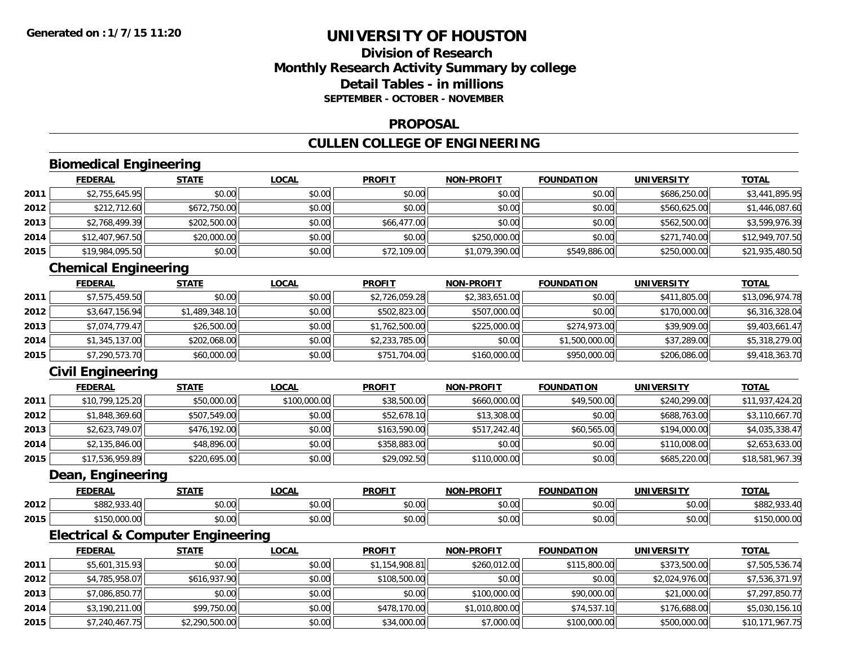### **Division of ResearchMonthly Research Activity Summary by college Detail Tables - in millionsSEPTEMBER - OCTOBER - NOVEMBER**

#### **PROPOSAL**

# **CULLEN COLLEGE OF ENGINEERING**

# **Biomedical Engineering**

|      | <b>FEDERAL</b>  | <b>STATE</b> | <u>LOCAL</u> | <b>PROFIT</b> | <b>NON-PROFIT</b> | <b>FOUNDATION</b> | <b>UNIVERSITY</b> | <b>TOTAL</b>    |
|------|-----------------|--------------|--------------|---------------|-------------------|-------------------|-------------------|-----------------|
| 2011 | \$2,755,645.95  | \$0.00       | \$0.00       | \$0.00        | \$0.00            | \$0.00            | \$686,250.00      | \$3,441,895.95  |
| 2012 | \$212,712.60    | \$672,750.00 | \$0.00       | \$0.00        | \$0.00            | \$0.00            | \$560,625.00      | \$1,446,087.60  |
| 2013 | \$2,768,499.39  | \$202,500.00 | \$0.00       | \$66,477.00   | \$0.00            | \$0.00            | \$562,500.00      | \$3,599,976.39  |
| 2014 | \$12,407,967.50 | \$20,000.00  | \$0.00       | \$0.00        | \$250,000.00      | \$0.00            | \$271,740.00      | \$12,949,707.50 |
| 2015 | \$19,984,095.50 | \$0.00       | \$0.00       | \$72,109.00   | \$1,079,390.00    | \$549,886.00      | \$250,000.00      | \$21,935,480.50 |

### **Chemical Engineering**

|      | <b>FEDERAL</b> | <b>STATE</b>   | <u>LOCAL</u> | <b>PROFIT</b>  | <b>NON-PROFIT</b> | <b>FOUNDATION</b> | <b>UNIVERSITY</b> | <b>TOTAL</b>    |
|------|----------------|----------------|--------------|----------------|-------------------|-------------------|-------------------|-----------------|
| 2011 | \$7,575,459.50 | \$0.00         | \$0.00       | \$2,726,059.28 | \$2,383,651.00    | \$0.00            | \$411,805.00      | \$13,096,974.78 |
| 2012 | \$3,647,156.94 | \$1,489,348.10 | \$0.00       | \$502,823.00   | \$507,000.00      | \$0.00            | \$170,000.00      | \$6,316,328.04  |
| 2013 | \$7.074.779.47 | \$26,500.00    | \$0.00       | \$1,762,500.00 | \$225,000.00      | \$274,973.00      | \$39,909.00       | \$9,403,661.47  |
| 2014 | \$1,345,137.00 | \$202,068.00   | \$0.00       | \$2,233,785.00 | \$0.00            | \$1,500,000.00    | \$37,289.00       | \$5,318,279.00  |
| 2015 | \$7,290,573.70 | \$60,000.00    | \$0.00       | \$751,704.00   | \$160,000.00      | \$950,000.00      | \$206,086.00      | \$9,418,363.70  |

# **Civil Engineering**

|      | <b>FEDERAL</b>  | <b>STATE</b> | <b>LOCAL</b> | <b>PROFIT</b> | <b>NON-PROFIT</b> | <b>FOUNDATION</b> | <b>UNIVERSITY</b> | <b>TOTAL</b>    |
|------|-----------------|--------------|--------------|---------------|-------------------|-------------------|-------------------|-----------------|
| 2011 | \$10,799,125.20 | \$50,000.00  | \$100,000.00 | \$38,500.00   | \$660,000.00      | \$49,500.00       | \$240,299.00      | \$11,937,424.20 |
| 2012 | \$1,848,369.60  | \$507,549.00 | \$0.00       | \$52,678.10   | \$13,308.00       | \$0.00            | \$688,763.00      | \$3,110,667.70  |
| 2013 | \$2,623,749.07  | \$476,192.00 | \$0.00       | \$163,590.00  | \$517,242.40      | \$60,565.00       | \$194,000.00      | \$4,035,338.47  |
| 2014 | \$2,135,846.00  | \$48,896.00  | \$0.00       | \$358,883.00  | \$0.00            | \$0.00            | \$110,008.00      | \$2,653,633.00  |
| 2015 | \$17,536,959.89 | \$220,695.00 | \$0.00       | \$29,092.50   | \$110,000.00      | \$0.00            | \$685,220.00      | \$18,581,967.39 |

#### **Dean, Engineering**

|      | <b>FEDERAL</b>            | <b>CTATE</b>   | .OCAL                  | <b>PROFIT</b>                                     | NON-PROFIT    | τιον<br><b>FOUNDAT</b>            | <b>UNIVERSITY</b> | <b>TOTAL</b>                           |
|------|---------------------------|----------------|------------------------|---------------------------------------------------|---------------|-----------------------------------|-------------------|----------------------------------------|
| 2012 | \$882,933.40              | ሶስ ሰሰ<br>JU.UU | $\sim$ $\sim$<br>JU.UU | $\mathsf{A}\cap\mathsf{A}\cap\mathsf{A}$<br>JU.UU | 0000<br>JU.UU | 0000<br>,uu                       | mn na<br>DU.UU    | coot<br>$\sim$ $\sim$<br>33.40<br>≀oo∠ |
| 2015 | 0 <sup>0</sup><br>u.uuu.u | ტი იი<br>JU.UU | 0000<br>DU.UU          | $\sim$ $\sim$<br>JU.UU                            | 0000<br>ง∪.∪บ | $\theta$ $\theta$ $\theta$<br>,uu | \$0.00            | 00000<br>rou.uuu.uu                    |

<u> 1980 - Johann Barbara, martxa amerikan bashkar (</u>

### **Electrical & Computer Engineering**

|      | <b>FEDERAL</b> | <b>STATE</b>   | <u>LOCAL</u> | <b>PROFIT</b>  | <b>NON-PROFIT</b> | <b>FOUNDATION</b> | UNIVERSITY     | <b>TOTAL</b>    |
|------|----------------|----------------|--------------|----------------|-------------------|-------------------|----------------|-----------------|
| 2011 | \$5,601,315.93 | \$0.00         | \$0.00       | \$1,154,908.81 | \$260,012.00      | \$115,800.00      | \$373,500.00   | \$7,505,536.74  |
| 2012 | \$4,785,958.07 | \$616,937.90   | \$0.00       | \$108,500.00   | \$0.00            | \$0.00            | \$2,024,976.00 | \$7,536,371.97  |
| 2013 | \$7,086,850.77 | \$0.00         | \$0.00       | \$0.00         | \$100,000.00      | \$90,000.00       | \$21,000.00    | \$7,297,850.77  |
| 2014 | \$3,190,211.00 | \$99,750.00    | \$0.00       | \$478,170.00   | \$1,010,800.00    | \$74,537.10       | \$176,688.00   | \$5,030,156.10  |
| 2015 | \$7,240,467.75 | \$2,290,500.00 | \$0.00       | \$34,000.00    | \$7,000.00        | \$100,000.00      | \$500,000.00   | \$10,171,967.75 |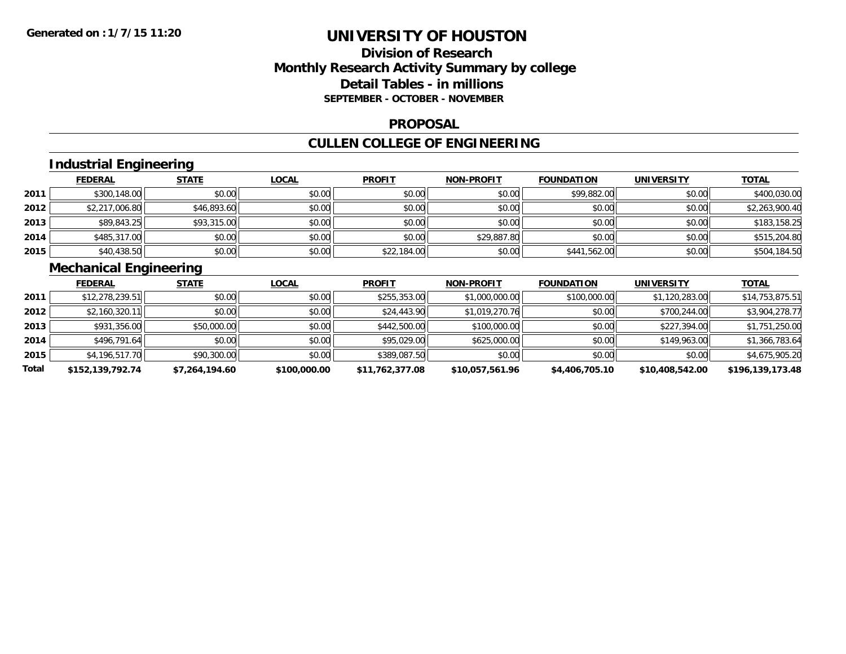### **Division of Research Monthly Research Activity Summary by college Detail Tables - in millions SEPTEMBER - OCTOBER - NOVEMBER**

#### **PROPOSAL**

# **CULLEN COLLEGE OF ENGINEERING**

# **Industrial Engineering**

|      | <b>FEDERAL</b> | <b>STATE</b> | <u>LOCAL</u> | <b>PROFIT</b> | <b>NON-PROFIT</b> | <b>FOUNDATION</b> | <b>UNIVERSITY</b> | <b>TOTAL</b>   |
|------|----------------|--------------|--------------|---------------|-------------------|-------------------|-------------------|----------------|
| 2011 | \$300,148.00   | \$0.00       | \$0.00       | \$0.00        | \$0.00            | \$99,882.00       | \$0.00            | \$400,030.00   |
| 2012 | \$2,217,006.80 | \$46,893.60  | \$0.00       | \$0.00        | \$0.00            | \$0.00            | \$0.00            | \$2,263,900.40 |
| 2013 | \$89,843.25    | \$93,315.00  | \$0.00       | \$0.00        | \$0.00            | \$0.00            | \$0.00            | \$183,158.25   |
| 2014 | \$485,317.00   | \$0.00       | \$0.00       | \$0.00        | \$29,887.80       | \$0.00            | \$0.00            | \$515,204.80   |
| 2015 | \$40,438.50    | \$0.00       | \$0.00       | \$22,184.00   | \$0.00            | \$441,562.00      | \$0.00            | \$504,184.50   |

# **Mechanical Engineering**

|       | <b>FEDERAL</b>   | <b>STATE</b>   | <b>LOCAL</b> | <b>PROFIT</b>   | <b>NON-PROFIT</b> | <b>FOUNDATION</b> | UNIVERSITY      | <b>TOTAL</b>     |
|-------|------------------|----------------|--------------|-----------------|-------------------|-------------------|-----------------|------------------|
| 2011  | \$12,278,239.51  | \$0.00         | \$0.00       | \$255,353.00    | \$1,000,000.00    | \$100,000.00      | \$1,120,283.00  | \$14,753,875.51  |
| 2012  | \$2,160,320.11   | \$0.00         | \$0.00       | \$24,443.90     | \$1,019,270.76    | \$0.00            | \$700,244.00    | \$3,904,278.77   |
| 2013  | \$931,356.00     | \$50,000.00    | \$0.00       | \$442,500.00    | \$100,000.00      | \$0.00            | \$227,394.00    | \$1,751,250.00   |
| 2014  | \$496,791.64     | \$0.00         | \$0.00       | \$95,029.00     | \$625,000.00      | \$0.00            | \$149,963.00    | \$1,366,783.64   |
| 2015  | \$4,196,517.70   | \$90,300.00    | \$0.00       | \$389,087.50    | \$0.00            | \$0.00            | \$0.00          | \$4,675,905.20   |
| Total | \$152,139,792.74 | \$7,264,194.60 | \$100,000.00 | \$11,762,377.08 | \$10,057,561.96   | \$4,406,705.10    | \$10,408,542.00 | \$196,139,173.48 |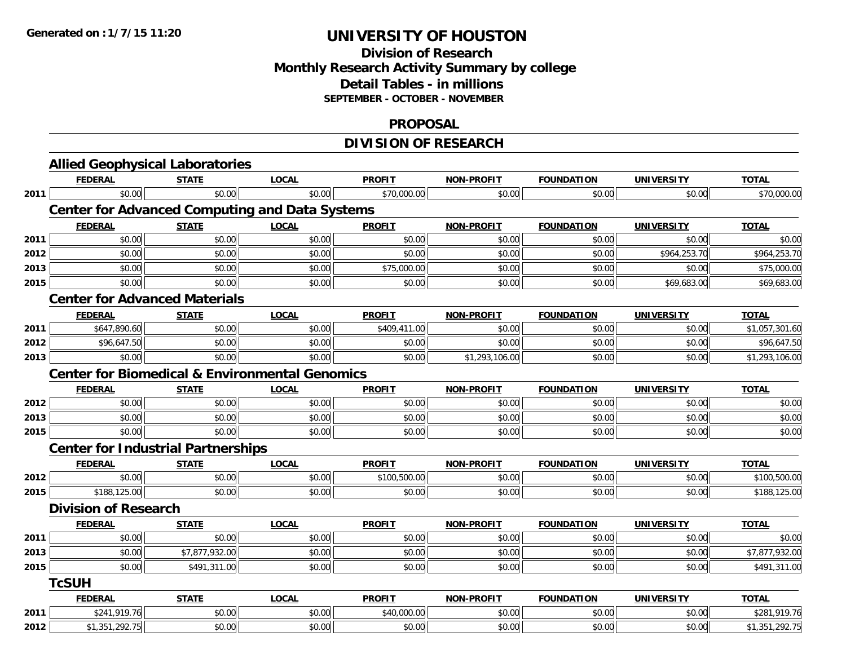### **Division of Research Monthly Research Activity Summary by college Detail Tables - in millions SEPTEMBER - OCTOBER - NOVEMBER**

#### **PROPOSAL**

# **DIVISION OF RESEARCH**

|      | <b>Allied Geophysical Laboratories</b>                    |                |              |               |                   |                   |                   |                |
|------|-----------------------------------------------------------|----------------|--------------|---------------|-------------------|-------------------|-------------------|----------------|
|      | <b>FEDERAL</b>                                            | <b>STATE</b>   | <b>LOCAL</b> | <b>PROFIT</b> | <b>NON-PROFIT</b> | <b>FOUNDATION</b> | <b>UNIVERSITY</b> | <b>TOTAL</b>   |
| 2011 | \$0.00                                                    | \$0.00         | \$0.00       | \$70,000.00   | \$0.00            | \$0.00            | \$0.00            | \$70,000.00    |
|      | <b>Center for Advanced Computing and Data Systems</b>     |                |              |               |                   |                   |                   |                |
|      | <b>FEDERAL</b>                                            | <b>STATE</b>   | <b>LOCAL</b> | <b>PROFIT</b> | <b>NON-PROFIT</b> | <b>FOUNDATION</b> | <b>UNIVERSITY</b> | <b>TOTAL</b>   |
| 2011 | \$0.00                                                    | \$0.00         | \$0.00       | \$0.00        | \$0.00            | \$0.00            | \$0.00            | \$0.00         |
| 2012 | \$0.00                                                    | \$0.00         | \$0.00       | \$0.00        | \$0.00            | \$0.00            | \$964,253.70      | \$964,253.70   |
| 2013 | \$0.00                                                    | \$0.00         | \$0.00       | \$75,000.00   | \$0.00            | \$0.00            | \$0.00            | \$75,000.00    |
| 2015 | \$0.00                                                    | \$0.00         | \$0.00       | \$0.00        | \$0.00            | \$0.00            | \$69,683.00       | \$69,683.00    |
|      | <b>Center for Advanced Materials</b>                      |                |              |               |                   |                   |                   |                |
|      | <b>FEDERAL</b>                                            | <b>STATE</b>   | <b>LOCAL</b> | <b>PROFIT</b> | <b>NON-PROFIT</b> | <b>FOUNDATION</b> | <b>UNIVERSITY</b> | <b>TOTAL</b>   |
| 2011 | \$647,890.60                                              | \$0.00         | \$0.00       | \$409,411.00  | \$0.00            | \$0.00            | \$0.00            | \$1,057,301.60 |
| 2012 | \$96,647.50                                               | \$0.00         | \$0.00       | \$0.00        | \$0.00            | \$0.00            | \$0.00            | \$96,647.50    |
| 2013 | \$0.00                                                    | \$0.00         | \$0.00       | \$0.00        | \$1,293,106.00    | \$0.00            | \$0.00            | \$1,293,106.00 |
|      | <b>Center for Biomedical &amp; Environmental Genomics</b> |                |              |               |                   |                   |                   |                |
|      | <b>FEDERAL</b>                                            | <b>STATE</b>   | <b>LOCAL</b> | <b>PROFIT</b> | <b>NON-PROFIT</b> | <b>FOUNDATION</b> | <b>UNIVERSITY</b> | <b>TOTAL</b>   |
| 2012 | \$0.00                                                    | \$0.00         | \$0.00       | \$0.00        | \$0.00            | \$0.00            | \$0.00            | \$0.00         |
| 2013 | \$0.00                                                    | \$0.00         | \$0.00       | \$0.00        | \$0.00            | \$0.00            | \$0.00            | \$0.00         |
| 2015 | \$0.00                                                    | \$0.00         | \$0.00       | \$0.00        | \$0.00            | \$0.00            | \$0.00            | \$0.00         |
|      | <b>Center for Industrial Partnerships</b>                 |                |              |               |                   |                   |                   |                |
|      | <b>FEDERAL</b>                                            | <b>STATE</b>   | <b>LOCAL</b> | <b>PROFIT</b> | <b>NON-PROFIT</b> | <b>FOUNDATION</b> | <b>UNIVERSITY</b> | <b>TOTAL</b>   |
| 2012 | \$0.00                                                    | \$0.00         | \$0.00       | \$100,500.00  | \$0.00            | \$0.00            | \$0.00            | \$100,500.00   |
| 2015 | \$188,125.00                                              | \$0.00         | \$0.00       | \$0.00        | \$0.00            | \$0.00            | \$0.00            | \$188,125.00   |
|      | <b>Division of Research</b>                               |                |              |               |                   |                   |                   |                |
|      | <b>FEDERAL</b>                                            | <b>STATE</b>   | <b>LOCAL</b> | <b>PROFIT</b> | <b>NON-PROFIT</b> | <b>FOUNDATION</b> | <b>UNIVERSITY</b> | <b>TOTAL</b>   |
| 2011 | \$0.00                                                    | \$0.00         | \$0.00       | \$0.00        | \$0.00            | \$0.00            | \$0.00            | \$0.00         |
| 2013 | \$0.00                                                    | \$7,877,932.00 | \$0.00       | \$0.00        | \$0.00            | \$0.00            | \$0.00            | \$7,877,932.00 |
| 2015 | \$0.00                                                    | \$491,311.00   | \$0.00       | \$0.00        | \$0.00            | \$0.00            | \$0.00            | \$491,311.00   |
|      | <b>TcSUH</b>                                              |                |              |               |                   |                   |                   |                |
|      | <b>FEDERAL</b>                                            | <b>STATE</b>   | <b>LOCAL</b> | <b>PROFIT</b> | <b>NON-PROFIT</b> | <b>FOUNDATION</b> | <b>UNIVERSITY</b> | <b>TOTAL</b>   |
| 2011 | \$241,919.76                                              | \$0.00         | \$0.00       | \$40,000.00   | \$0.00            | \$0.00            | \$0.00            | \$281,919.76   |
| 2012 | \$1,351,292.75                                            | \$0.00         | \$0.00       | \$0.00        | \$0.00            | \$0.00            | \$0.00            | \$1,351,292.75 |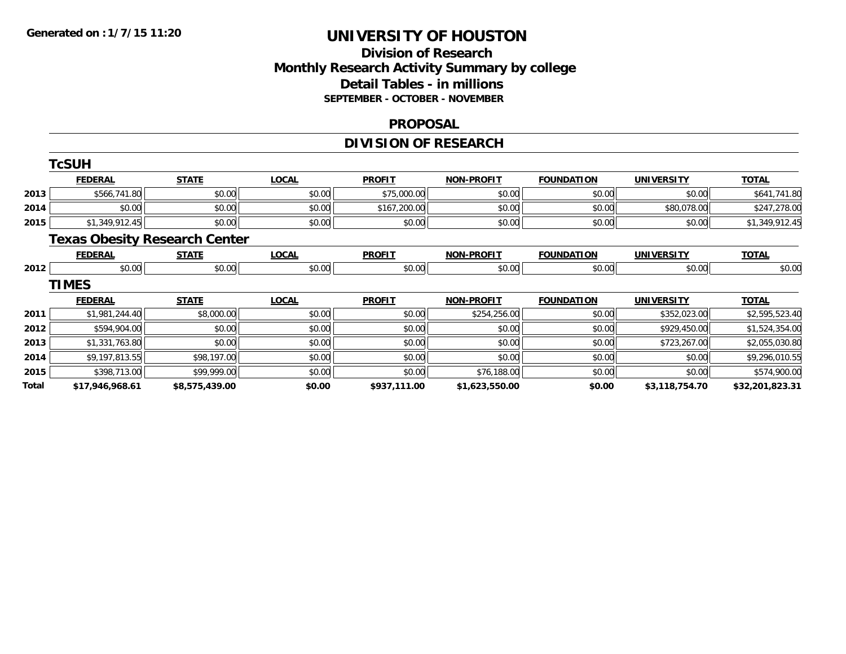### **Division of Research Monthly Research Activity Summary by college Detail Tables - in millions SEPTEMBER - OCTOBER - NOVEMBER**

#### **PROPOSAL**

# **DIVISION OF RESEARCH**

|       | <b>TcSUH</b>    |                                      |              |               |                   |                   |                   |                 |
|-------|-----------------|--------------------------------------|--------------|---------------|-------------------|-------------------|-------------------|-----------------|
|       | <b>FEDERAL</b>  | <b>STATE</b>                         | <b>LOCAL</b> | <b>PROFIT</b> | <b>NON-PROFIT</b> | <b>FOUNDATION</b> | <b>UNIVERSITY</b> | <b>TOTAL</b>    |
| 2013  | \$566,741.80    | \$0.00                               | \$0.00       | \$75,000.00   | \$0.00            | \$0.00            | \$0.00            | \$641,741.80    |
| 2014  | \$0.00          | \$0.00                               | \$0.00       | \$167,200.00  | \$0.00            | \$0.00            | \$80,078.00       | \$247,278.00    |
| 2015  | \$1,349,912.45  | \$0.00                               | \$0.00       | \$0.00        | \$0.00            | \$0.00            | \$0.00            | \$1,349,912.45  |
|       |                 | <b>Texas Obesity Research Center</b> |              |               |                   |                   |                   |                 |
|       | <b>FEDERAL</b>  | <b>STATE</b>                         | <b>LOCAL</b> | <b>PROFIT</b> | <b>NON-PROFIT</b> | <b>FOUNDATION</b> | <b>UNIVERSITY</b> | <b>TOTAL</b>    |
| 2012  | \$0.00          | \$0.00                               | \$0.00       | \$0.00        | \$0.00            | \$0.00            | \$0.00            | \$0.00          |
|       | <b>TIMES</b>    |                                      |              |               |                   |                   |                   |                 |
|       | <b>FEDERAL</b>  | <b>STATE</b>                         | <b>LOCAL</b> | <b>PROFIT</b> | <b>NON-PROFIT</b> | <b>FOUNDATION</b> | <b>UNIVERSITY</b> | <b>TOTAL</b>    |
| 2011  | \$1,981,244.40  | \$8,000.00                           | \$0.00       | \$0.00        | \$254,256.00      | \$0.00            | \$352,023.00      | \$2,595,523.40  |
| 2012  | \$594,904.00    | \$0.00                               | \$0.00       | \$0.00        | \$0.00            | \$0.00            | \$929,450.00      | \$1,524,354.00  |
| 2013  | \$1,331,763.80  | \$0.00                               | \$0.00       | \$0.00        | \$0.00            | \$0.00            | \$723,267.00      | \$2,055,030.80  |
| 2014  | \$9,197,813.55  | \$98,197.00                          | \$0.00       | \$0.00        | \$0.00            | \$0.00            | \$0.00            | \$9,296,010.55  |
| 2015  | \$398,713.00    | \$99,999.00                          | \$0.00       | \$0.00        | \$76,188.00       | \$0.00            | \$0.00            | \$574,900.00    |
| Total | \$17,946,968.61 | \$8,575,439.00                       | \$0.00       | \$937,111.00  | \$1,623,550.00    | \$0.00            | \$3,118,754.70    | \$32,201,823.31 |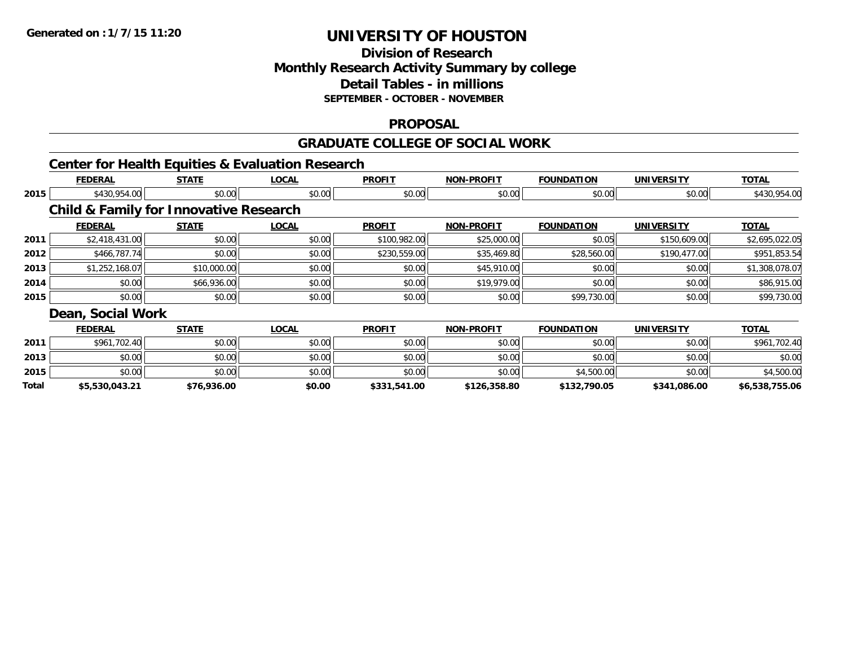### **Division of ResearchMonthly Research Activity Summary by college Detail Tables - in millions SEPTEMBER - OCTOBER - NOVEMBER**

#### **PROPOSAL**

#### **GRADUATE COLLEGE OF SOCIAL WORK**

### **Center for Health Equities & Evaluation Research**

|       | <b>FEDERAL</b>                                    | <b>STATE</b> | <b>LOCAL</b> | <b>PROFIT</b> | <b>NON-PROFIT</b> | <b>FOUNDATION</b> | <b>UNIVERSITY</b> | <b>TOTAL</b>   |
|-------|---------------------------------------------------|--------------|--------------|---------------|-------------------|-------------------|-------------------|----------------|
| 2015  | \$430,954.00                                      | \$0.00       | \$0.00       | \$0.00        | \$0.00            | \$0.00            | \$0.00            | \$430,954.00   |
|       | <b>Child &amp; Family for Innovative Research</b> |              |              |               |                   |                   |                   |                |
|       | <b>FEDERAL</b>                                    | <b>STATE</b> | <b>LOCAL</b> | <b>PROFIT</b> | <b>NON-PROFIT</b> | <b>FOUNDATION</b> | <b>UNIVERSITY</b> | <b>TOTAL</b>   |
| 2011  | \$2,418,431.00                                    | \$0.00       | \$0.00       | \$100,982.00  | \$25,000.00       | \$0.05            | \$150,609.00      | \$2,695,022.05 |
| 2012  | \$466,787.74                                      | \$0.00       | \$0.00       | \$230,559.00  | \$35,469.80       | \$28,560.00       | \$190,477.00      | \$951,853.54   |
| 2013  | \$1,252,168.07                                    | \$10,000.00  | \$0.00       | \$0.00        | \$45,910.00       | \$0.00            | \$0.00            | \$1,308,078.07 |
| 2014  | \$0.00                                            | \$66,936.00  | \$0.00       | \$0.00        | \$19,979.00       | \$0.00            | \$0.00            | \$86,915.00    |
| 2015  | \$0.00                                            | \$0.00       | \$0.00       | \$0.00        | \$0.00            | \$99,730.00       | \$0.00            | \$99,730.00    |
|       | Dean, Social Work                                 |              |              |               |                   |                   |                   |                |
|       | <b>FEDERAL</b>                                    | <b>STATE</b> | <b>LOCAL</b> | <b>PROFIT</b> | <b>NON-PROFIT</b> | <b>FOUNDATION</b> | <b>UNIVERSITY</b> | <b>TOTAL</b>   |
| 2011  | \$961,702.40                                      | \$0.00       | \$0.00       | \$0.00        | \$0.00            | \$0.00            | \$0.00            | \$961,702.40   |
| 2013  | \$0.00                                            | \$0.00       | \$0.00       | \$0.00        | \$0.00            | \$0.00            | \$0.00            | \$0.00         |
| 2015  | \$0.00                                            | \$0.00       | \$0.00       | \$0.00        | \$0.00            | \$4,500.00        | \$0.00            | \$4,500.00     |
| Total | \$5,530,043.21                                    | \$76,936.00  | \$0.00       | \$331,541.00  | \$126,358.80      | \$132,790.05      | \$341,086.00      | \$6,538,755.06 |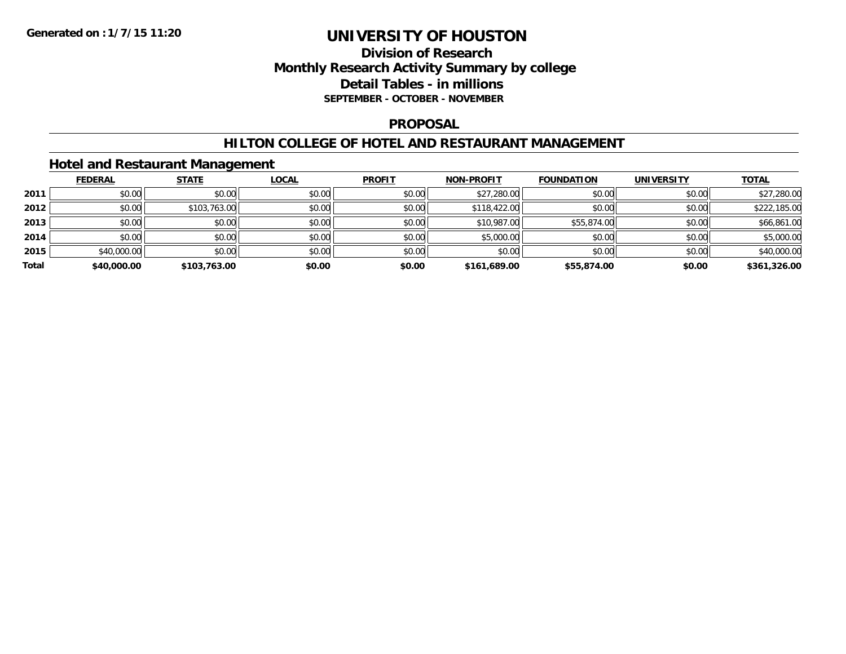### **Division of Research Monthly Research Activity Summary by college Detail Tables - in millions SEPTEMBER - OCTOBER - NOVEMBER**

#### **PROPOSAL**

#### **HILTON COLLEGE OF HOTEL AND RESTAURANT MANAGEMENT**

### **Hotel and Restaurant Management**

|       | <b>FEDERAL</b> | <b>STATE</b> | <b>LOCAL</b> | <b>PROFIT</b> | NON-PROFIT   | <b>FOUNDATION</b> | <b>UNIVERSITY</b> | <b>TOTAL</b> |
|-------|----------------|--------------|--------------|---------------|--------------|-------------------|-------------------|--------------|
| 2011  | \$0.00         | \$0.00       | \$0.00       | \$0.00        | \$27,280.00  | \$0.00            | \$0.00            | \$27,280.00  |
| 2012  | \$0.00         | \$103,763.00 | \$0.00       | \$0.00        | \$118,422.00 | \$0.00            | \$0.00            | \$222,185.00 |
| 2013  | \$0.00         | \$0.00       | \$0.00       | \$0.00        | \$10,987.00  | \$55,874.00       | \$0.00            | \$66,861.00  |
| 2014  | \$0.00         | \$0.00       | \$0.00       | \$0.00        | \$5,000.00   | \$0.00            | \$0.00            | \$5,000.00   |
| 2015  | \$40,000.00    | \$0.00       | \$0.00       | \$0.00        | \$0.00       | \$0.00            | \$0.00            | \$40,000.00  |
| Total | \$40,000.00    | \$103,763.00 | \$0.00       | \$0.00        | \$161,689.00 | \$55,874.00       | \$0.00            | \$361,326.00 |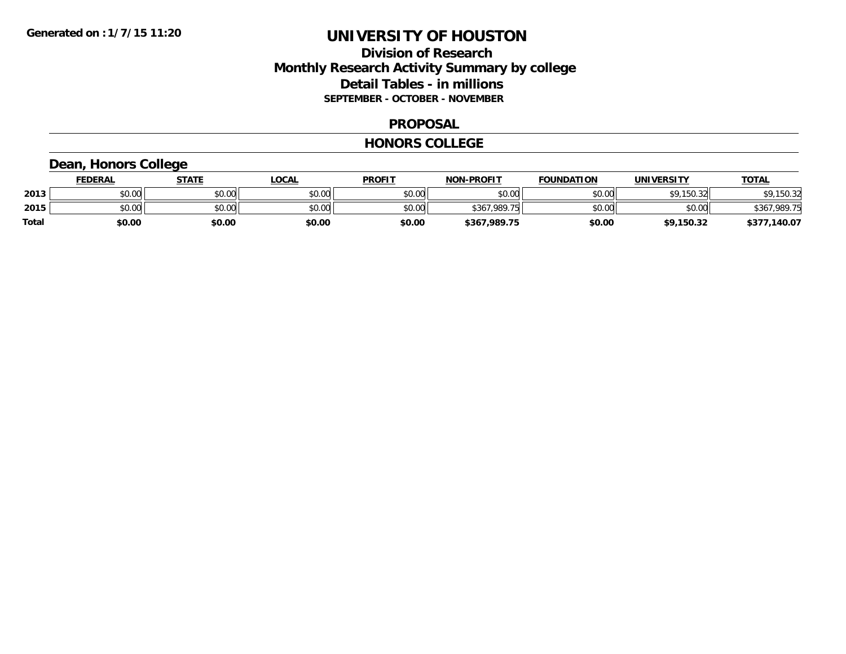### **Division of Research Monthly Research Activity Summary by college Detail Tables - in millions SEPTEMBER - OCTOBER - NOVEMBER**

#### **PROPOSAL**

#### **HONORS COLLEGE**

# **Dean, Honors College**

|       | <b>FEDERAL</b> | STATE  | LOCAL  | <b>PROFIT</b> | <b>NON-PROFIT</b> | <b>FOUNDATION</b> | <b>UNIVERSITY</b> | <u>TOTAL</u> |
|-------|----------------|--------|--------|---------------|-------------------|-------------------|-------------------|--------------|
| 2013  | ሶስ ሰሰ<br>PU.UU | \$0.00 | \$0.00 | \$0.00        | \$0.00            | \$0.00            | \$9<br>.150.32    | \$9,150.32   |
| 2015  | \$0.00         | \$0.00 | \$0.00 | \$0.00        | \$367,989.75      | \$0.00            | \$0.00            | \$367,989.75 |
| Total | \$0.00         | \$0.00 | \$0.00 | \$0.00        | \$367,989.75      | \$0.00            | \$9,150.32        | \$377,140.07 |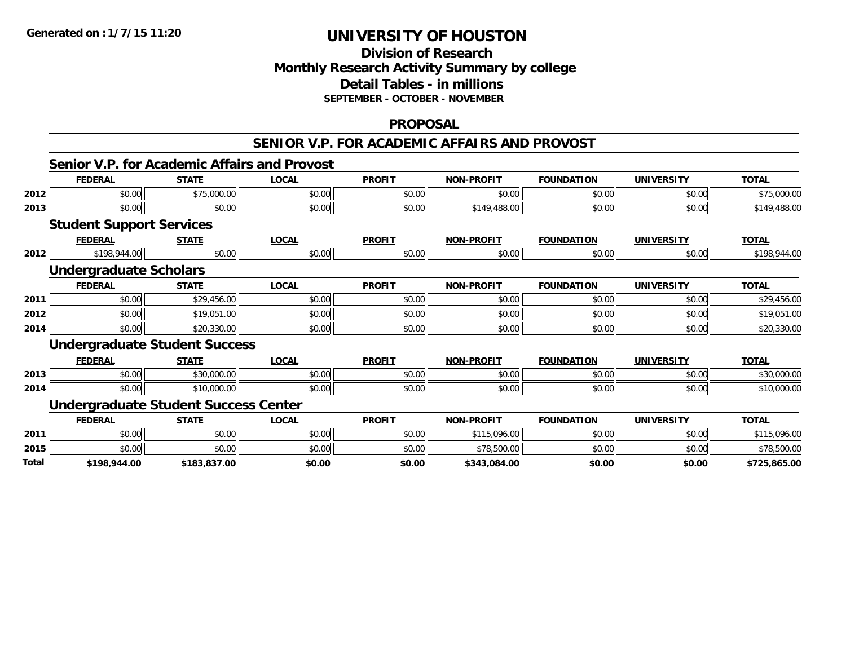# **Division of ResearchMonthly Research Activity Summary by college Detail Tables - in millions SEPTEMBER - OCTOBER - NOVEMBER**

#### **PROPOSAL**

#### **SENIOR V.P. FOR ACADEMIC AFFAIRS AND PROVOST**

|  | Senior V.P. for Academic Affairs and Provost |  |
|--|----------------------------------------------|--|
|  |                                              |  |

|              | <b>FEDERAL</b>                              | <b>STATE</b> | <b>LOCAL</b> | <b>PROFIT</b> | <b>NON-PROFIT</b> | <b>FOUNDATION</b> | <b>UNIVERSITY</b> | <b>TOTAL</b> |
|--------------|---------------------------------------------|--------------|--------------|---------------|-------------------|-------------------|-------------------|--------------|
| 2012         | \$0.00                                      | \$75,000.00  | \$0.00       | \$0.00        | \$0.00            | \$0.00            | \$0.00            | \$75,000.00  |
| 2013         | \$0.00                                      | \$0.00       | \$0.00       | \$0.00        | \$149,488.00      | \$0.00            | \$0.00            | \$149,488.00 |
|              | <b>Student Support Services</b>             |              |              |               |                   |                   |                   |              |
|              | <b>FEDERAL</b>                              | <b>STATE</b> | <b>LOCAL</b> | <b>PROFIT</b> | <b>NON-PROFIT</b> | <b>FOUNDATION</b> | <b>UNIVERSITY</b> | <b>TOTAL</b> |
| 2012         | \$198,944.00                                | \$0.00       | \$0.00       | \$0.00        | \$0.00            | \$0.00            | \$0.00            | \$198,944.00 |
|              | <b>Undergraduate Scholars</b>               |              |              |               |                   |                   |                   |              |
|              | <b>FEDERAL</b>                              | <b>STATE</b> | <b>LOCAL</b> | <b>PROFIT</b> | <b>NON-PROFIT</b> | <b>FOUNDATION</b> | <b>UNIVERSITY</b> | <b>TOTAL</b> |
| 2011         | \$0.00                                      | \$29,456.00  | \$0.00       | \$0.00        | \$0.00            | \$0.00            | \$0.00            | \$29,456.00  |
| 2012         | \$0.00                                      | \$19,051.00  | \$0.00       | \$0.00        | \$0.00            | \$0.00            | \$0.00            | \$19,051.00  |
| 2014         | \$0.00                                      | \$20,330.00  | \$0.00       | \$0.00        | \$0.00            | \$0.00            | \$0.00            | \$20,330.00  |
|              | <b>Undergraduate Student Success</b>        |              |              |               |                   |                   |                   |              |
|              | <b>FEDERAL</b>                              | <b>STATE</b> | <b>LOCAL</b> | <b>PROFIT</b> | <b>NON-PROFIT</b> | <b>FOUNDATION</b> | <b>UNIVERSITY</b> | <b>TOTAL</b> |
| 2013         | \$0.00                                      | \$30,000.00  | \$0.00       | \$0.00        | \$0.00            | \$0.00            | \$0.00            | \$30,000.00  |
| 2014         | \$0.00                                      | \$10,000.00  | \$0.00       | \$0.00        | \$0.00            | \$0.00            | \$0.00            | \$10,000.00  |
|              | <b>Undergraduate Student Success Center</b> |              |              |               |                   |                   |                   |              |
|              | <b>FEDERAL</b>                              | <b>STATE</b> | <b>LOCAL</b> | <b>PROFIT</b> | <b>NON-PROFIT</b> | <b>FOUNDATION</b> | <b>UNIVERSITY</b> | <b>TOTAL</b> |
| 2011         | \$0.00                                      | \$0.00       | \$0.00       | \$0.00        | \$115,096.00      | \$0.00            | \$0.00            | \$115,096.00 |
| 2015         | \$0.00                                      | \$0.00       | \$0.00       | \$0.00        | \$78,500.00       | \$0.00            | \$0.00            | \$78,500.00  |
| <b>Total</b> | \$198,944.00                                | \$183,837.00 | \$0.00       | \$0.00        | \$343,084.00      | \$0.00            | \$0.00            | \$725,865.00 |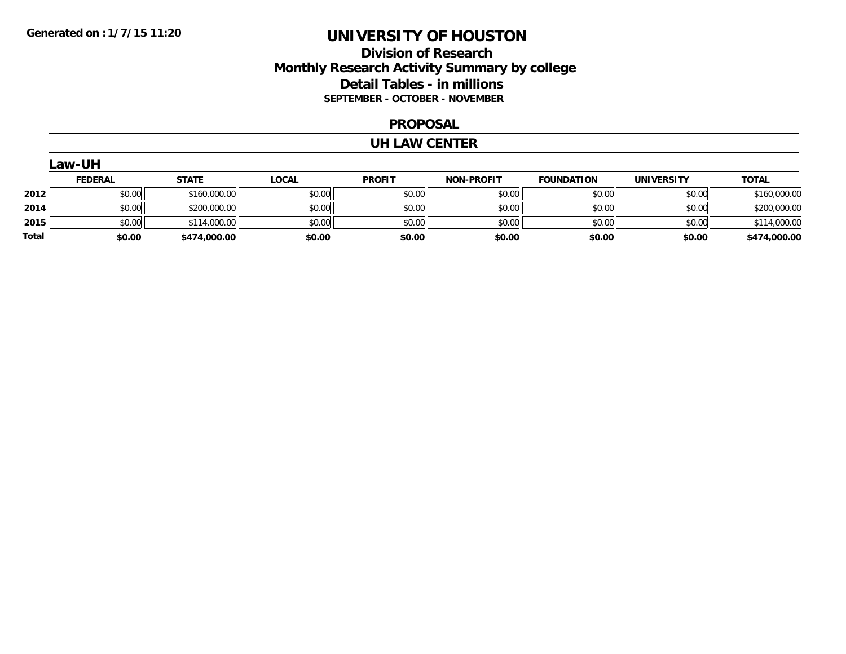### **Division of Research Monthly Research Activity Summary by college Detail Tables - in millions SEPTEMBER - OCTOBER - NOVEMBER**

#### **PROPOSAL**

#### **UH LAW CENTER**

|       | Law-UH         |              |              |               |                   |                   |                   |              |
|-------|----------------|--------------|--------------|---------------|-------------------|-------------------|-------------------|--------------|
|       | <b>FEDERAL</b> | <u>STATE</u> | <b>LOCAL</b> | <b>PROFIT</b> | <b>NON-PROFIT</b> | <b>FOUNDATION</b> | <b>UNIVERSITY</b> | <b>TOTAL</b> |
| 2012  | \$0.00         | \$160,000.00 | \$0.00       | \$0.00        | \$0.00            | \$0.00            | \$0.00            | \$160,000.00 |
| 2014  | \$0.00         | \$200,000.00 | \$0.00       | \$0.00        | \$0.00            | \$0.00            | \$0.00            | \$200,000.00 |
| 2015  | \$0.00         | \$114,000.00 | \$0.00       | \$0.00        | \$0.00            | \$0.00            | \$0.00            | \$114,000.00 |
| Total | \$0.00         | \$474,000.00 | \$0.00       | \$0.00        | \$0.00            | \$0.00            | \$0.00            | \$474,000.00 |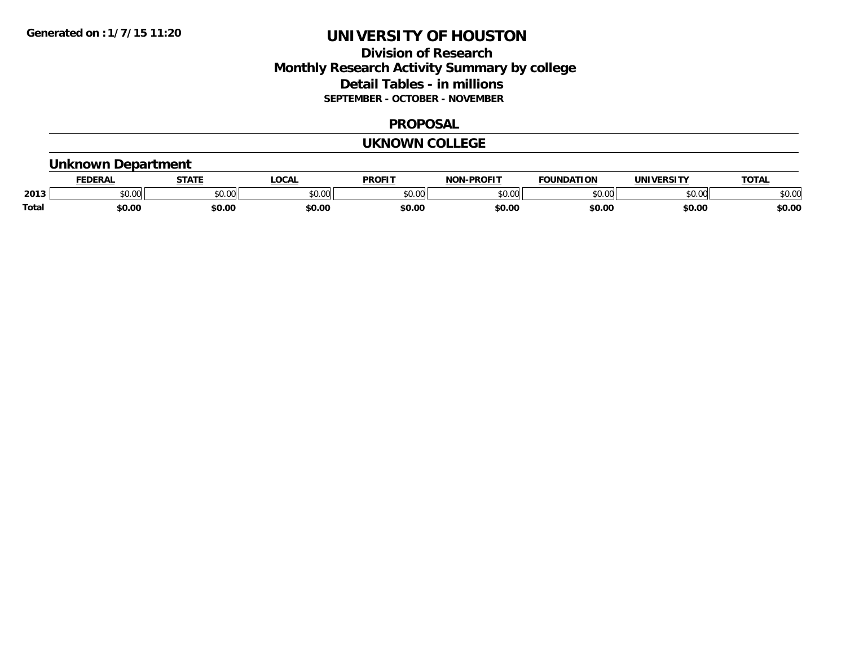### **Division of Research Monthly Research Activity Summary by college Detail Tables - in millions SEPTEMBER - OCTOBER - NOVEMBER**

#### **PROPOSAL**

#### **UKNOWN COLLEGE**

### **Unknown Department**

|       | .<br>- מ     | <b>STATI</b>       | OCA                                                                                    | <b>PROFIT</b> | <b>DDOEL1</b><br><b>BIAB</b> | ΠΟΝ            | <u>urneitv</u><br><b>INIV</b> | TOTA.          |
|-------|--------------|--------------------|----------------------------------------------------------------------------------------|---------------|------------------------------|----------------|-------------------------------|----------------|
| 2013  | 0000<br>u.uu | $\sim$ 0.00<br>υv. | $\begin{array}{c} \hline \text{A} & \text{A} & \text{B} \\ \hline \end{array}$<br>יש.ט | 0000<br>JU.UU | $*$ $\cap$ $\cap$<br>ט.טע    | 0 <sub>n</sub> | \$0.00                        | ልስ ስሰ<br>DU.UU |
| Total | \$0.00       | \$0.00             | \$0.00                                                                                 | ቀስ ሰ<br>Ψv.υ  | \$0.00                       | \$0.00         | \$0.00                        | \$0.00         |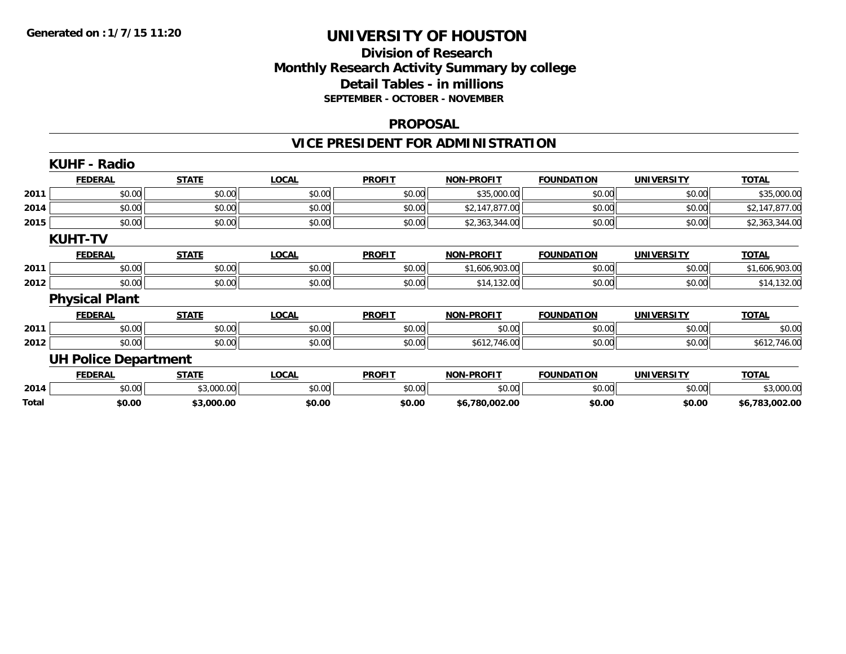# **Division of ResearchMonthly Research Activity Summary by college Detail Tables - in millions SEPTEMBER - OCTOBER - NOVEMBER**

#### **PROPOSAL**

# **VICE PRESIDENT FOR ADMINISTRATION**

|       | <b>KUHF - Radio</b>         |              |              |               |                   |                   |                   |                |
|-------|-----------------------------|--------------|--------------|---------------|-------------------|-------------------|-------------------|----------------|
|       | <b>FEDERAL</b>              | <b>STATE</b> | <b>LOCAL</b> | <b>PROFIT</b> | <b>NON-PROFIT</b> | <b>FOUNDATION</b> | <b>UNIVERSITY</b> | <b>TOTAL</b>   |
| 2011  | \$0.00                      | \$0.00       | \$0.00       | \$0.00        | \$35,000.00       | \$0.00            | \$0.00            | \$35,000.00    |
| 2014  | \$0.00                      | \$0.00       | \$0.00       | \$0.00        | \$2,147,877.00    | \$0.00            | \$0.00            | \$2,147,877.00 |
| 2015  | \$0.00                      | \$0.00       | \$0.00       | \$0.00        | \$2,363,344.00    | \$0.00            | \$0.00            | \$2,363,344.00 |
|       | <b>KUHT-TV</b>              |              |              |               |                   |                   |                   |                |
|       | <b>FEDERAL</b>              | <b>STATE</b> | <b>LOCAL</b> | <b>PROFIT</b> | <b>NON-PROFIT</b> | <b>FOUNDATION</b> | <b>UNIVERSITY</b> | <b>TOTAL</b>   |
| 2011  | \$0.00                      | \$0.00       | \$0.00       | \$0.00        | \$1,606,903.00    | \$0.00            | \$0.00            | \$1,606,903.00 |
| 2012  | \$0.00                      | \$0.00       | \$0.00       | \$0.00        | \$14,132.00       | \$0.00            | \$0.00            | \$14,132.00    |
|       | <b>Physical Plant</b>       |              |              |               |                   |                   |                   |                |
|       | <b>FEDERAL</b>              | <b>STATE</b> | <b>LOCAL</b> | <b>PROFIT</b> | <b>NON-PROFIT</b> | <b>FOUNDATION</b> | <b>UNIVERSITY</b> | <b>TOTAL</b>   |
| 2011  | \$0.00                      | \$0.00       | \$0.00       | \$0.00        | \$0.00            | \$0.00            | \$0.00            | \$0.00         |
| 2012  | \$0.00                      | \$0.00       | \$0.00       | \$0.00        | \$612,746.00      | \$0.00            | \$0.00            | \$612,746.00   |
|       | <b>UH Police Department</b> |              |              |               |                   |                   |                   |                |
|       | <b>FEDERAL</b>              | <b>STATE</b> | <b>LOCAL</b> | <b>PROFIT</b> | <b>NON-PROFIT</b> | <b>FOUNDATION</b> | <b>UNIVERSITY</b> | <b>TOTAL</b>   |
| 2014  | \$0.00                      | \$3,000.00   | \$0.00       | \$0.00        | \$0.00            | \$0.00            | \$0.00            | \$3,000.00     |
| Total | \$0.00                      | \$3,000.00   | \$0.00       | \$0.00        | \$6,780,002.00    | \$0.00            | \$0.00            | \$6,783,002.00 |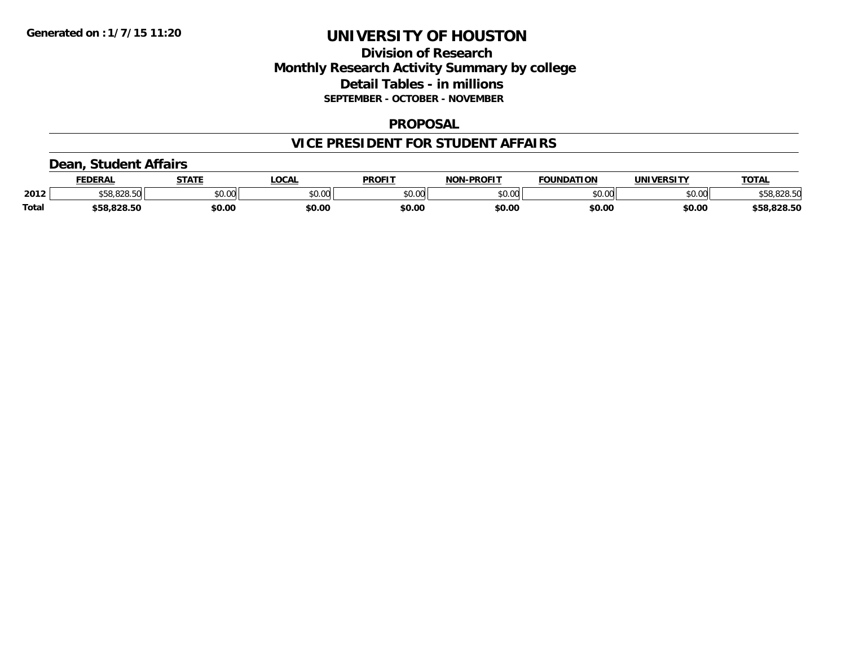### **Division of Research Monthly Research Activity Summary by college Detail Tables - in millions SEPTEMBER - OCTOBER - NOVEMBER**

#### **PROPOSAL**

### **VICE PRESIDENT FOR STUDENT AFFAIRS**

### **Dean, Student Affairs**

|              | <b>FEDERAL</b>        | <b>STATE</b> | .OCAL        | <b>PROFIT</b> | <b>NON-PROFIT</b> | <b>FOUNDATION</b> | <b>UNIVERSITY</b> | TOTA.       |
|--------------|-----------------------|--------------|--------------|---------------|-------------------|-------------------|-------------------|-------------|
| 2012         | 030 EO<br>ა58,828.5ს. | \$0.00       | <b>DU.UU</b> | \$0.00        | \$0.00            | \$0.00            | \$0.00            | \$58,828.50 |
| <b>Total</b> | \$58,828.50           | \$0.00       | \$0.00       | \$0.00        | \$0.00            | \$0.00            | \$0.00            | \$58,828.50 |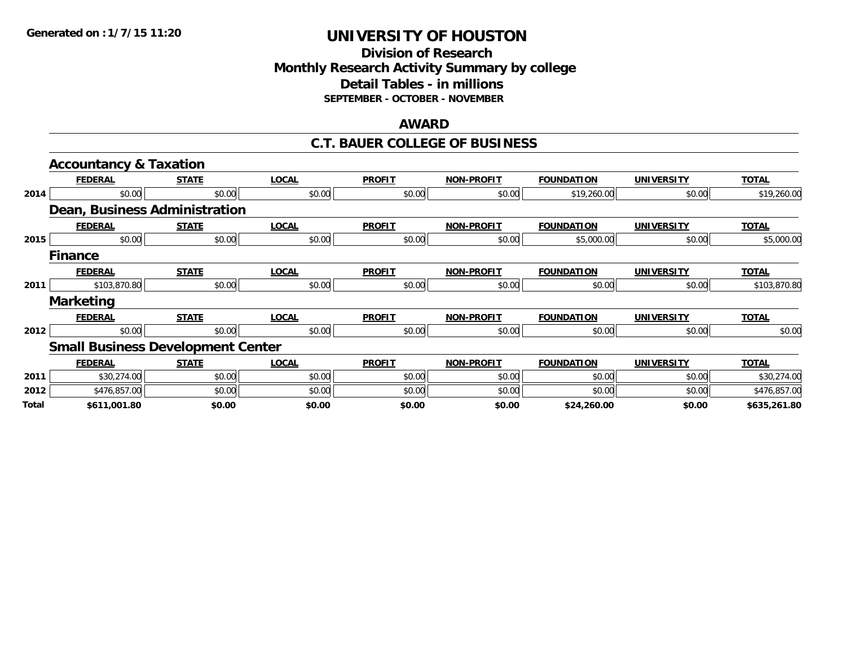### **Division of Research Monthly Research Activity Summary by college Detail Tables - in millions SEPTEMBER - OCTOBER - NOVEMBER**

#### **AWARD**

#### **C.T. BAUER COLLEGE OF BUSINESS**

|       | <b>Accountancy &amp; Taxation</b>        |              |              |               |                   |                   |                   |              |
|-------|------------------------------------------|--------------|--------------|---------------|-------------------|-------------------|-------------------|--------------|
|       | <b>FEDERAL</b>                           | <b>STATE</b> | <b>LOCAL</b> | <b>PROFIT</b> | <b>NON-PROFIT</b> | <b>FOUNDATION</b> | <b>UNIVERSITY</b> | <b>TOTAL</b> |
| 2014  | \$0.00                                   | \$0.00       | \$0.00       | \$0.00        | \$0.00            | \$19,260.00       | \$0.00            | \$19,260.00  |
|       | Dean, Business Administration            |              |              |               |                   |                   |                   |              |
|       | <b>FEDERAL</b>                           | <b>STATE</b> | <b>LOCAL</b> | <b>PROFIT</b> | <b>NON-PROFIT</b> | <b>FOUNDATION</b> | <b>UNIVERSITY</b> | <b>TOTAL</b> |
| 2015  | \$0.00                                   | \$0.00       | \$0.00       | \$0.00        | \$0.00            | \$5,000.00        | \$0.00            | \$5,000.00   |
|       | <b>Finance</b>                           |              |              |               |                   |                   |                   |              |
|       | <b>FEDERAL</b>                           | <b>STATE</b> | <b>LOCAL</b> | <b>PROFIT</b> | <b>NON-PROFIT</b> | <b>FOUNDATION</b> | <b>UNIVERSITY</b> | <b>TOTAL</b> |
| 2011  | \$103,870.80                             | \$0.00       | \$0.00       | \$0.00        | \$0.00            | \$0.00            | \$0.00            | \$103,870.80 |
|       | <b>Marketing</b>                         |              |              |               |                   |                   |                   |              |
|       | <b>FEDERAL</b>                           | <b>STATE</b> | <b>LOCAL</b> | <b>PROFIT</b> | <b>NON-PROFIT</b> | <b>FOUNDATION</b> | <b>UNIVERSITY</b> | <b>TOTAL</b> |
| 2012  | \$0.00                                   | \$0.00       | \$0.00       | \$0.00        | \$0.00            | \$0.00            | \$0.00            | \$0.00       |
|       | <b>Small Business Development Center</b> |              |              |               |                   |                   |                   |              |
|       | <b>FEDERAL</b>                           | <b>STATE</b> | <b>LOCAL</b> | <b>PROFIT</b> | <b>NON-PROFIT</b> | <b>FOUNDATION</b> | <b>UNIVERSITY</b> | <b>TOTAL</b> |
| 2011  | \$30,274.00                              | \$0.00       | \$0.00       | \$0.00        | \$0.00            | \$0.00            | \$0.00            | \$30,274.00  |
| 2012  | \$476,857.00                             | \$0.00       | \$0.00       | \$0.00        | \$0.00            | \$0.00            | \$0.00            | \$476,857.00 |
| Total | \$611,001.80                             | \$0.00       | \$0.00       | \$0.00        | \$0.00            | \$24,260.00       | \$0.00            | \$635,261.80 |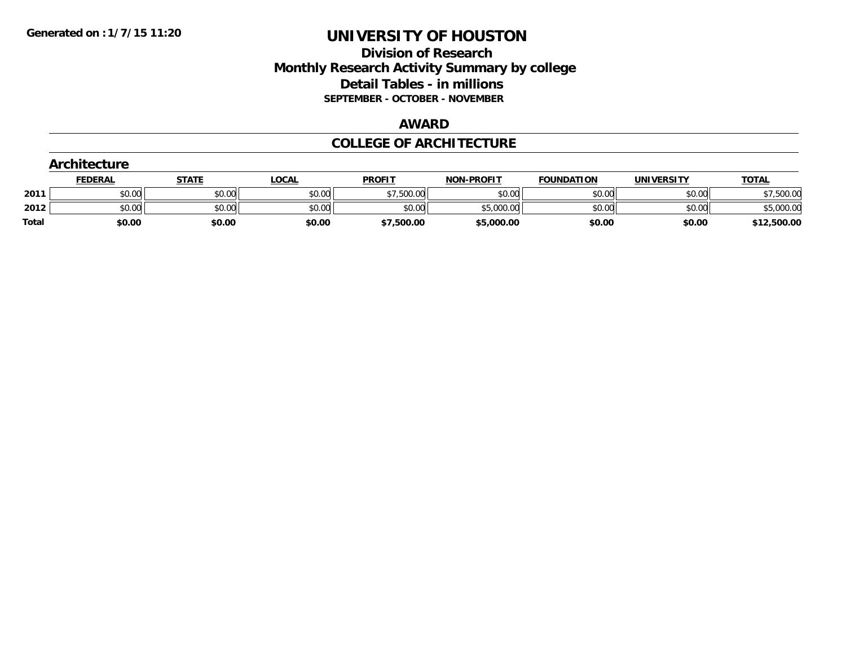### **Division of Research Monthly Research Activity Summary by college Detail Tables - in millions SEPTEMBER - OCTOBER - NOVEMBER**

#### **AWARD**

#### **COLLEGE OF ARCHITECTURE**

|              | Architecture   |              |              |               |                   |                   |                   |              |
|--------------|----------------|--------------|--------------|---------------|-------------------|-------------------|-------------------|--------------|
|              | <b>FEDERAL</b> | <b>STATE</b> | <b>LOCAL</b> | <b>PROFIT</b> | <b>NON-PROFIT</b> | <b>FOUNDATION</b> | <b>UNIVERSITY</b> | <b>TOTAL</b> |
| 2011         | \$0.00         | \$0.00       | \$0.00       | \$7,500.00    | \$0.00            | \$0.00            | \$0.00            | \$7,500.00   |
| 2012         | \$0.00         | \$0.00       | \$0.00       | \$0.00        | \$5,000.00        | \$0.00            | \$0.00            | \$5,000.00   |
| <b>Total</b> | \$0.00         | \$0.00       | \$0.00       | \$7,500.00    | \$5,000.00        | \$0.00            | \$0.00            | \$12,500.00  |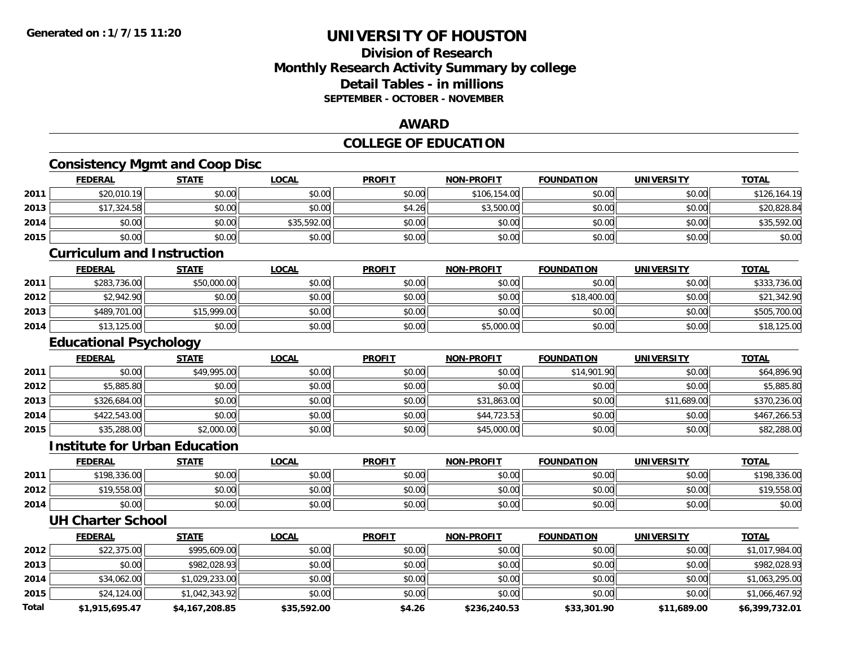### **Division of ResearchMonthly Research Activity Summary by college Detail Tables - in millionsSEPTEMBER - OCTOBER - NOVEMBER**

### **AWARD**

### **COLLEGE OF EDUCATION**

# **Consistency Mgmt and Coop Disc**

|      | <b>FEDERAL</b> | <b>STATE</b> | <b>LOCAL</b> | <b>PROFIT</b> | <b>NON-PROFIT</b> | <b>FOUNDATION</b> | <b>UNIVERSITY</b> | <b>TOTAL</b> |
|------|----------------|--------------|--------------|---------------|-------------------|-------------------|-------------------|--------------|
| 2011 | \$20,010.19    | \$0.00       | \$0.00       | \$0.00        | \$106,154.00      | \$0.00            | \$0.00            | \$126,164.19 |
| 2013 | \$17,324.58    | \$0.00       | \$0.00       | \$4.26        | \$3,500.00        | \$0.00            | \$0.00            | \$20,828.84  |
| 2014 | \$0.00         | \$0.00       | \$35,592.00  | \$0.00        | \$0.00            | \$0.00            | \$0.00            | \$35,592.00  |
| 2015 | \$0.00         | \$0.00       | \$0.00       | \$0.00        | \$0.00            | \$0.00            | \$0.00            | \$0.00       |
|      |                |              |              |               |                   |                   |                   |              |

#### **Curriculum and Instruction**

|      | <b>FEDERAL</b> | <b>STATE</b> | <u>LOCAL</u> | <b>PROFIT</b> | <b>NON-PROFIT</b> | <b>FOUNDATION</b> | <b>UNIVERSITY</b> | <b>TOTAL</b> |
|------|----------------|--------------|--------------|---------------|-------------------|-------------------|-------------------|--------------|
| 2011 | \$283,736.00   | \$50,000.00  | \$0.00       | \$0.00        | \$0.00            | \$0.00            | \$0.00            | \$333,736.00 |
| 2012 | \$2,942.90     | \$0.00       | \$0.00       | \$0.00        | \$0.00            | \$18,400.00       | \$0.00            | \$21,342.90  |
| 2013 | \$489,701.00   | \$15,999.00  | \$0.00       | \$0.00        | \$0.00            | \$0.00            | \$0.00            | \$505,700.00 |
| 2014 | \$13,125.00    | \$0.00       | \$0.00       | \$0.00        | \$5,000.00        | \$0.00            | \$0.00            | \$18,125.00  |

### **Educational Psychology**

|      | <b>FEDERAL</b> | <b>STATE</b> | <b>LOCAL</b> | <b>PROFIT</b> | <b>NON-PROFIT</b> | <b>FOUNDATION</b> | <b>UNIVERSITY</b> | <b>TOTAL</b> |
|------|----------------|--------------|--------------|---------------|-------------------|-------------------|-------------------|--------------|
| 2011 | \$0.00         | \$49,995.00  | \$0.00       | \$0.00        | \$0.00            | \$14,901.90       | \$0.00            | \$64,896.90  |
| 2012 | \$5,885.80     | \$0.00       | \$0.00       | \$0.00        | \$0.00            | \$0.00            | \$0.00            | \$5,885.80   |
| 2013 | \$326,684.00   | \$0.00       | \$0.00       | \$0.00        | \$31,863.00       | \$0.00            | \$11,689.00       | \$370,236.00 |
| 2014 | \$422,543.00   | \$0.00       | \$0.00       | \$0.00        | \$44,723.53       | \$0.00            | \$0.00            | \$467,266.53 |
| 2015 | \$35,288.00    | \$2,000.00   | \$0.00       | \$0.00        | \$45,000.00       | \$0.00            | \$0.00            | \$82,288.00  |

#### **Institute for Urban Education**

|      | <b>FEDERAL</b> | <b>STATE</b> | <u>LOCAL</u> | <b>PROFIT</b> | <b>NON-PROFIT</b> | <b>FOUNDATION</b> | <b>UNIVERSITY</b> | <u>TOTAL</u> |
|------|----------------|--------------|--------------|---------------|-------------------|-------------------|-------------------|--------------|
| 2011 | \$198,336.00   | \$0.00       | \$0.00       | \$0.00        | \$0.00            | \$0.00            | \$0.00            | \$198,336.00 |
| 2012 | \$19,558.00    | \$0.00       | \$0.00       | \$0.00        | \$0.00            | \$0.00            | \$0.00            | \$19,558.00  |
| 2014 | \$0.00         | \$0.00       | \$0.00       | \$0.00        | \$0.00            | \$0.00            | \$0.00            | \$0.00       |

#### **UH Charter School**

|       | <b>FEDERAL</b> | <b>STATE</b>   | <u>LOCAL</u> | <b>PROFIT</b> | <b>NON-PROFIT</b> | <b>FOUNDATION</b> | <b>UNIVERSITY</b> | <b>TOTAL</b>   |
|-------|----------------|----------------|--------------|---------------|-------------------|-------------------|-------------------|----------------|
| 2012  | \$22,375.00    | \$995,609.00   | \$0.00       | \$0.00        | \$0.00            | \$0.00            | \$0.00            | \$1,017,984.00 |
| 2013  | \$0.00         | \$982.028.93   | \$0.00       | \$0.00        | \$0.00            | \$0.00            | \$0.00            | \$982,028.93   |
| 2014  | \$34,062.00    | \$1,029,233.00 | \$0.00       | \$0.00        | \$0.00            | \$0.00            | \$0.00            | \$1,063,295.00 |
| 2015  | \$24,124.00    | \$1,042,343.92 | \$0.00       | \$0.00        | \$0.00            | \$0.00            | \$0.00            | \$1,066,467.92 |
| Total | \$1,915,695.47 | \$4,167,208.85 | \$35,592.00  | \$4.26        | \$236,240.53      | \$33,301.90       | \$11,689.00       | \$6,399,732.01 |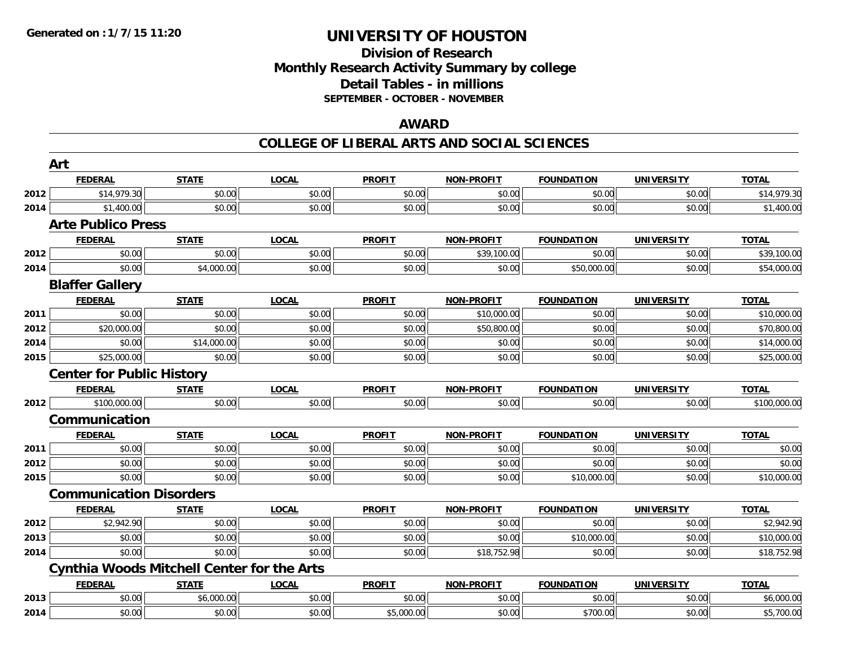### **Division of Research Monthly Research Activity Summary by college Detail Tables - in millions SEPTEMBER - OCTOBER - NOVEMBER**

### **AWARD**

#### **COLLEGE OF LIBERAL ARTS AND SOCIAL SCIENCES**

|      | Art                                               |              |              |               |                   |                   |                   |              |
|------|---------------------------------------------------|--------------|--------------|---------------|-------------------|-------------------|-------------------|--------------|
|      | <b>FEDERAL</b>                                    | <b>STATE</b> | <b>LOCAL</b> | <b>PROFIT</b> | <b>NON-PROFIT</b> | <b>FOUNDATION</b> | <b>UNIVERSITY</b> | <b>TOTAL</b> |
| 2012 | \$14,979.30                                       | \$0.00       | \$0.00       | \$0.00        | \$0.00            | \$0.00            | \$0.00            | \$14,979.30  |
| 2014 | \$1,400.00                                        | \$0.00       | \$0.00       | \$0.00        | \$0.00            | \$0.00            | \$0.00            | \$1,400.00   |
|      | <b>Arte Publico Press</b>                         |              |              |               |                   |                   |                   |              |
|      | <b>FEDERAL</b>                                    | <b>STATE</b> | <b>LOCAL</b> | <b>PROFIT</b> | <b>NON-PROFIT</b> | <b>FOUNDATION</b> | <b>UNIVERSITY</b> | <b>TOTAL</b> |
| 2012 | \$0.00                                            | \$0.00       | \$0.00       | \$0.00        | \$39,100.00       | \$0.00            | \$0.00            | \$39,100.00  |
| 2014 | \$0.00                                            | \$4,000.00   | \$0.00       | \$0.00        | \$0.00            | \$50,000.00       | \$0.00            | \$54,000.00  |
|      | <b>Blaffer Gallery</b>                            |              |              |               |                   |                   |                   |              |
|      | <b>FEDERAL</b>                                    | <b>STATE</b> | <b>LOCAL</b> | <b>PROFIT</b> | <b>NON-PROFIT</b> | <b>FOUNDATION</b> | <b>UNIVERSITY</b> | <b>TOTAL</b> |
| 2011 | \$0.00                                            | \$0.00       | \$0.00       | \$0.00        | \$10,000.00       | \$0.00            | \$0.00            | \$10,000.00  |
| 2012 | \$20,000.00                                       | \$0.00       | \$0.00       | \$0.00        | \$50,800.00       | \$0.00            | \$0.00            | \$70,800.00  |
| 2014 | \$0.00                                            | \$14,000.00  | \$0.00       | \$0.00        | \$0.00            | \$0.00            | \$0.00            | \$14,000.00  |
| 2015 | \$25,000.00                                       | \$0.00       | \$0.00       | \$0.00        | \$0.00            | \$0.00            | \$0.00            | \$25,000.00  |
|      | <b>Center for Public History</b>                  |              |              |               |                   |                   |                   |              |
|      | <b>FEDERAL</b>                                    | <b>STATE</b> | <b>LOCAL</b> | <b>PROFIT</b> | <b>NON-PROFIT</b> | <b>FOUNDATION</b> | <b>UNIVERSITY</b> | <b>TOTAL</b> |
| 2012 | \$100,000.00                                      | \$0.00       | \$0.00       | \$0.00        | \$0.00            | \$0.00            | \$0.00            | \$100,000.00 |
|      | Communication                                     |              |              |               |                   |                   |                   |              |
|      | <b>FEDERAL</b>                                    | <b>STATE</b> | <b>LOCAL</b> | <b>PROFIT</b> | <b>NON-PROFIT</b> | <b>FOUNDATION</b> | <b>UNIVERSITY</b> | <b>TOTAL</b> |
| 2011 | \$0.00                                            | \$0.00       | \$0.00       | \$0.00        | \$0.00            | \$0.00            | \$0.00            | \$0.00       |
| 2012 | \$0.00                                            | \$0.00       | \$0.00       | \$0.00        | \$0.00            | \$0.00            | \$0.00            | \$0.00       |
| 2015 | \$0.00                                            | \$0.00       | \$0.00       | \$0.00        | \$0.00            | \$10,000.00       | \$0.00            | \$10,000.00  |
|      | <b>Communication Disorders</b>                    |              |              |               |                   |                   |                   |              |
|      | <b>FEDERAL</b>                                    | <b>STATE</b> | <b>LOCAL</b> | <b>PROFIT</b> | <b>NON-PROFIT</b> | <b>FOUNDATION</b> | <b>UNIVERSITY</b> | <b>TOTAL</b> |
| 2012 | \$2,942.90                                        | \$0.00       | \$0.00       | \$0.00        | \$0.00            | \$0.00            | \$0.00            | \$2,942.90   |
| 2013 | \$0.00                                            | \$0.00       | \$0.00       | \$0.00        | \$0.00            | \$10,000.00       | \$0.00            | \$10,000.00  |
| 2014 | \$0.00                                            | \$0.00       | \$0.00       | \$0.00        | \$18,752.98       | \$0.00            | \$0.00            | \$18,752.98  |
|      | <b>Cynthia Woods Mitchell Center for the Arts</b> |              |              |               |                   |                   |                   |              |
|      | <b>FEDERAL</b>                                    | <b>STATE</b> | <b>LOCAL</b> | <b>PROFIT</b> | NON-PROFIT        | <b>FOUNDATION</b> | <b>UNIVERSITY</b> | <b>TOTAL</b> |
| 2013 | \$0.00                                            | \$6,000.00   | \$0.00       | \$0.00        | \$0.00            | \$0.00            | \$0.00            | \$6,000.00   |
| 2014 | \$0.00                                            | \$0.00       | \$0.00       | \$5,000.00    | \$0.00            | \$700.00          | \$0.00            | \$5,700.00   |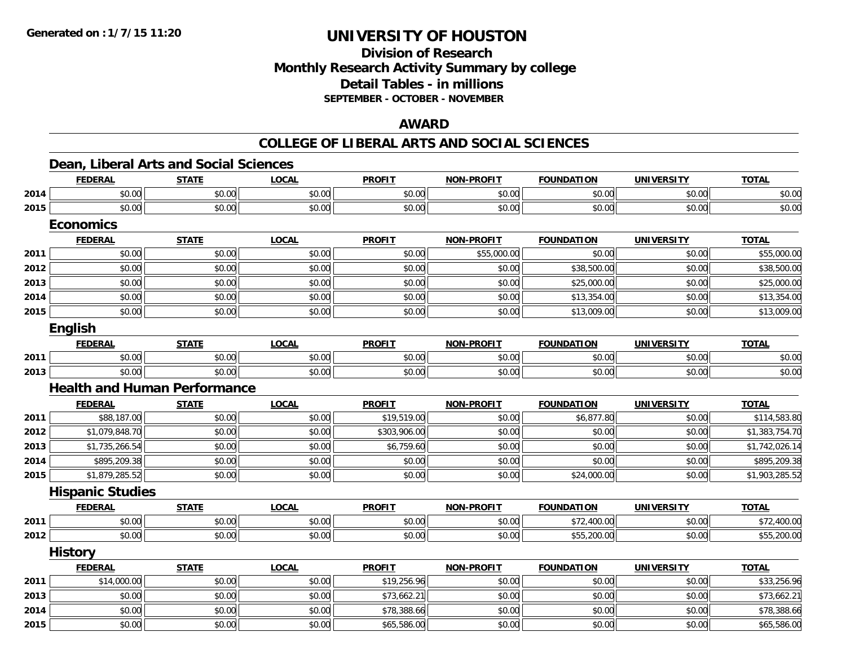# **Division of ResearchMonthly Research Activity Summary by college Detail Tables - in millions SEPTEMBER - OCTOBER - NOVEMBER**

### **AWARD**

#### **COLLEGE OF LIBERAL ARTS AND SOCIAL SCIENCES**

### **Dean, Liberal Arts and Social Sciences**

|      | <b>FEDERAL</b>                      | <b>STATE</b> | <b>LOCAL</b> | <b>PROFIT</b> | <b>NON-PROFIT</b> | <b>FOUNDATION</b> | <b>UNIVERSITY</b> | <b>TOTAL</b>   |
|------|-------------------------------------|--------------|--------------|---------------|-------------------|-------------------|-------------------|----------------|
| 2014 | \$0.00                              | \$0.00       | \$0.00       | \$0.00        | \$0.00            | \$0.00            | \$0.00            | \$0.00         |
| 2015 | \$0.00                              | \$0.00       | \$0.00       | \$0.00        | \$0.00            | \$0.00            | \$0.00            | \$0.00         |
|      | <b>Economics</b>                    |              |              |               |                   |                   |                   |                |
|      | <b>FEDERAL</b>                      | <b>STATE</b> | <b>LOCAL</b> | <b>PROFIT</b> | <b>NON-PROFIT</b> | <b>FOUNDATION</b> | <b>UNIVERSITY</b> | <b>TOTAL</b>   |
| 2011 | \$0.00                              | \$0.00       | \$0.00       | \$0.00        | \$55,000.00       | \$0.00            | \$0.00            | \$55,000.00    |
| 2012 | \$0.00                              | \$0.00       | \$0.00       | \$0.00        | \$0.00            | \$38,500.00       | \$0.00            | \$38,500.00    |
| 2013 | \$0.00                              | \$0.00       | \$0.00       | \$0.00        | \$0.00            | \$25,000.00       | \$0.00            | \$25,000.00    |
| 2014 | \$0.00                              | \$0.00       | \$0.00       | \$0.00        | \$0.00            | \$13,354.00       | \$0.00            | \$13,354.00    |
| 2015 | \$0.00                              | \$0.00       | \$0.00       | \$0.00        | \$0.00            | \$13,009.00       | \$0.00            | \$13,009.00    |
|      | <b>English</b>                      |              |              |               |                   |                   |                   |                |
|      | <b>FEDERAL</b>                      | <b>STATE</b> | <b>LOCAL</b> | <b>PROFIT</b> | <b>NON-PROFIT</b> | <b>FOUNDATION</b> | <b>UNIVERSITY</b> | <b>TOTAL</b>   |
| 2011 | \$0.00                              | \$0.00       | \$0.00       | \$0.00        | \$0.00            | \$0.00            | \$0.00            | \$0.00         |
| 2013 | \$0.00                              | \$0.00       | \$0.00       | \$0.00        | \$0.00            | \$0.00            | \$0.00            | \$0.00         |
|      | <b>Health and Human Performance</b> |              |              |               |                   |                   |                   |                |
|      | <b>FEDERAL</b>                      | <b>STATE</b> | <b>LOCAL</b> | <b>PROFIT</b> | <b>NON-PROFIT</b> | <b>FOUNDATION</b> | <b>UNIVERSITY</b> | <b>TOTAL</b>   |
| 2011 | \$88,187.00                         | \$0.00       | \$0.00       | \$19,519.00   | \$0.00            | \$6,877.80        | \$0.00            | \$114,583.80   |
| 2012 | \$1,079,848.70                      | \$0.00       | \$0.00       | \$303,906.00  | \$0.00            | \$0.00            | \$0.00            | \$1,383,754.70 |
| 2013 | \$1,735,266.54                      | \$0.00       | \$0.00       | \$6,759.60    | \$0.00            | \$0.00            | \$0.00            | \$1,742,026.14 |
| 2014 | \$895,209.38                        | \$0.00       | \$0.00       | \$0.00        | \$0.00            | \$0.00            | \$0.00            | \$895,209.38   |
| 2015 | \$1,879,285.52                      | \$0.00       | \$0.00       | \$0.00        | \$0.00            | \$24,000.00       | \$0.00            | \$1,903,285.52 |
|      | <b>Hispanic Studies</b>             |              |              |               |                   |                   |                   |                |
|      | <b>FEDERAL</b>                      | <b>STATE</b> | <b>LOCAL</b> | <b>PROFIT</b> | <b>NON-PROFIT</b> | <b>FOUNDATION</b> | <b>UNIVERSITY</b> | <b>TOTAL</b>   |
| 2011 | \$0.00                              | \$0.00       | \$0.00       | \$0.00        | \$0.00            | \$72,400.00       | \$0.00            | \$72,400.00    |
| 2012 | \$0.00                              | \$0.00       | \$0.00       | \$0.00        | \$0.00            | \$55,200.00       | \$0.00            | \$55,200.00    |
|      | <b>History</b>                      |              |              |               |                   |                   |                   |                |
|      | <b>FEDERAL</b>                      | <b>STATE</b> | <b>LOCAL</b> | <b>PROFIT</b> | <b>NON-PROFIT</b> | <b>FOUNDATION</b> | <b>UNIVERSITY</b> | <b>TOTAL</b>   |
| 2011 | \$14,000.00                         | \$0.00       | \$0.00       | \$19,256.96   | \$0.00            | \$0.00            | \$0.00            | \$33,256.96    |
| 2013 | \$0.00                              | \$0.00       | \$0.00       | \$73,662.21   | \$0.00            | \$0.00            | \$0.00            | \$73,662.21    |
| 2014 | \$0.00                              | \$0.00       | \$0.00       | \$78,388.66   | \$0.00            | \$0.00            | \$0.00            | \$78,388.66    |
| 2015 | \$0.00                              | \$0.00       | \$0.00       | \$65,586.00   | \$0.00            | \$0.00            | \$0.00            | \$65,586.00    |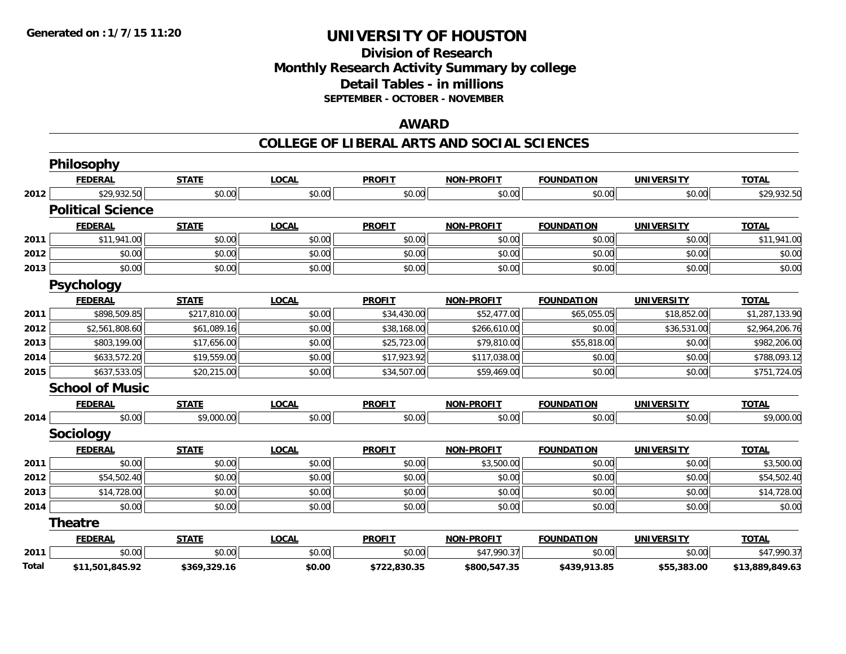### **Division of Research Monthly Research Activity Summary by college Detail Tables - in millions SEPTEMBER - OCTOBER - NOVEMBER**

#### **AWARD**

#### **COLLEGE OF LIBERAL ARTS AND SOCIAL SCIENCES**

|       | Philosophy               |              |              |               |                   |                   |                   |                 |
|-------|--------------------------|--------------|--------------|---------------|-------------------|-------------------|-------------------|-----------------|
|       | <b>FEDERAL</b>           | <b>STATE</b> | <b>LOCAL</b> | <b>PROFIT</b> | <b>NON-PROFIT</b> | <b>FOUNDATION</b> | <b>UNIVERSITY</b> | <b>TOTAL</b>    |
| 2012  | \$29,932.50              | \$0.00       | \$0.00       | \$0.00        | \$0.00            | \$0.00            | \$0.00            | \$29,932.50     |
|       | <b>Political Science</b> |              |              |               |                   |                   |                   |                 |
|       | <b>FEDERAL</b>           | <b>STATE</b> | <b>LOCAL</b> | <b>PROFIT</b> | <b>NON-PROFIT</b> | <b>FOUNDATION</b> | <b>UNIVERSITY</b> | <b>TOTAL</b>    |
| 2011  | \$11,941.00              | \$0.00       | \$0.00       | \$0.00        | \$0.00            | \$0.00            | \$0.00            | \$11,941.00     |
| 2012  | \$0.00                   | \$0.00       | \$0.00       | \$0.00        | \$0.00            | \$0.00            | \$0.00            | \$0.00          |
| 2013  | \$0.00                   | \$0.00       | \$0.00       | \$0.00        | \$0.00            | \$0.00            | \$0.00            | \$0.00          |
|       | <b>Psychology</b>        |              |              |               |                   |                   |                   |                 |
|       | <b>FEDERAL</b>           | <b>STATE</b> | <b>LOCAL</b> | <b>PROFIT</b> | <b>NON-PROFIT</b> | <b>FOUNDATION</b> | <b>UNIVERSITY</b> | <b>TOTAL</b>    |
| 2011  | \$898,509.85             | \$217,810.00 | \$0.00       | \$34,430.00   | \$52,477.00       | \$65,055.05       | \$18,852.00       | \$1,287,133.90  |
| 2012  | \$2,561,808.60           | \$61,089.16  | \$0.00       | \$38,168.00   | \$266,610.00      | \$0.00            | \$36,531.00       | \$2,964,206.76  |
| 2013  | \$803,199.00             | \$17,656.00  | \$0.00       | \$25,723.00   | \$79,810.00       | \$55,818.00       | \$0.00            | \$982,206.00    |
| 2014  | \$633,572.20             | \$19,559.00  | \$0.00       | \$17,923.92   | \$117,038.00      | \$0.00            | \$0.00            | \$788,093.12    |
| 2015  | \$637,533.05             | \$20,215.00  | \$0.00       | \$34,507.00   | \$59,469.00       | \$0.00            | \$0.00            | \$751,724.05    |
|       | <b>School of Music</b>   |              |              |               |                   |                   |                   |                 |
|       | <b>FEDERAL</b>           | <b>STATE</b> | <b>LOCAL</b> | <b>PROFIT</b> | <b>NON-PROFIT</b> | <b>FOUNDATION</b> | <b>UNIVERSITY</b> | <b>TOTAL</b>    |
| 2014  | \$0.00                   | \$9,000.00   | \$0.00       | \$0.00        | \$0.00            | \$0.00            | \$0.00            | \$9,000.00      |
|       | Sociology                |              |              |               |                   |                   |                   |                 |
|       | <b>FEDERAL</b>           | <b>STATE</b> | <b>LOCAL</b> | <b>PROFIT</b> | <b>NON-PROFIT</b> | <b>FOUNDATION</b> | <b>UNIVERSITY</b> | <b>TOTAL</b>    |
| 2011  | \$0.00                   | \$0.00       | \$0.00       | \$0.00        | \$3,500.00        | \$0.00            | \$0.00            | \$3,500.00      |
| 2012  | \$54,502.40              | \$0.00       | \$0.00       | \$0.00        | \$0.00            | \$0.00            | \$0.00            | \$54,502.40     |
| 2013  | \$14,728.00              | \$0.00       | \$0.00       | \$0.00        | \$0.00            | \$0.00            | \$0.00            | \$14,728.00     |
| 2014  | \$0.00                   | \$0.00       | \$0.00       | \$0.00        | \$0.00            | \$0.00            | \$0.00            | \$0.00          |
|       | <b>Theatre</b>           |              |              |               |                   |                   |                   |                 |
|       | <b>FEDERAL</b>           | <b>STATE</b> | <b>LOCAL</b> | <b>PROFIT</b> | <b>NON-PROFIT</b> | <b>FOUNDATION</b> | <b>UNIVERSITY</b> | <b>TOTAL</b>    |
| 2011  | \$0.00                   | \$0.00       | \$0.00       | \$0.00        | \$47,990.37       | \$0.00            | \$0.00            | \$47,990.37     |
| Total | \$11,501,845.92          | \$369,329.16 | \$0.00       | \$722,830.35  | \$800,547.35      | \$439,913.85      | \$55,383.00       | \$13,889,849.63 |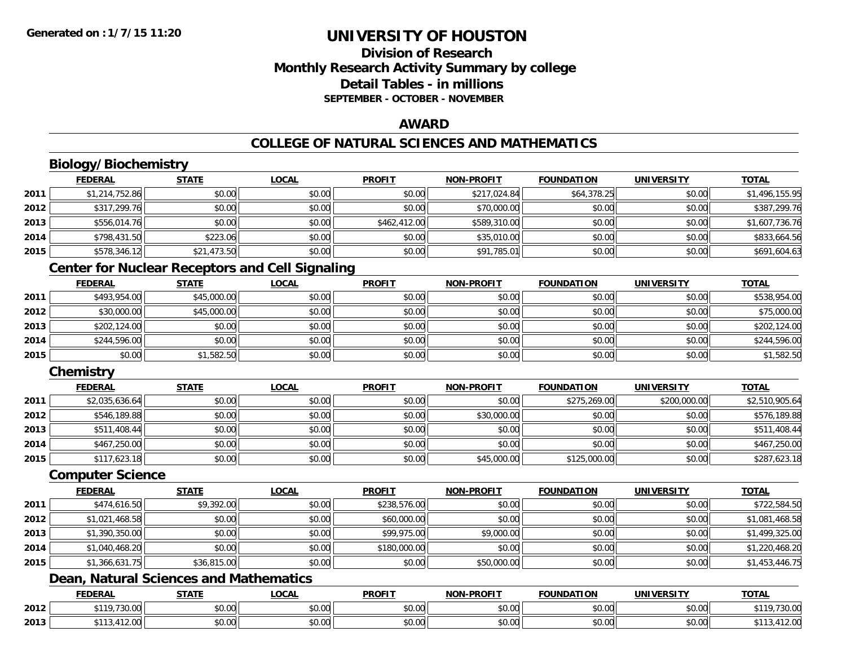# **Division of ResearchMonthly Research Activity Summary by college Detail Tables - in millionsSEPTEMBER - OCTOBER - NOVEMBER**

### **AWARD**

# **COLLEGE OF NATURAL SCIENCES AND MATHEMATICS**

# **Biology/Biochemistry**

|      | <b>FEDERAL</b> | <b>STATE</b> | <u>LOCAL</u> | <b>PROFIT</b> | <b>NON-PROFIT</b> | <b>FOUNDATION</b> | <b>UNIVERSITY</b> | <b>TOTAL</b>   |
|------|----------------|--------------|--------------|---------------|-------------------|-------------------|-------------------|----------------|
| 2011 | \$1,214,752.86 | \$0.00       | \$0.00       | \$0.00        | \$217,024.84      | \$64,378.25       | \$0.00            | \$1,496,155.95 |
| 2012 | \$317,299.76   | \$0.00       | \$0.00       | \$0.00        | \$70,000.00       | \$0.00            | \$0.00            | \$387,299.76   |
| 2013 | \$556,014.76   | \$0.00       | \$0.00       | \$462,412.00  | \$589,310.00      | \$0.00            | \$0.00            | \$1,607,736.76 |
| 2014 | \$798,431.50   | \$223.06     | \$0.00       | \$0.00        | \$35,010.00       | \$0.00            | \$0.00            | \$833,664.56   |
| 2015 | \$578,346.12   | \$21,473.50  | \$0.00       | \$0.00        | \$91,785.01       | \$0.00            | \$0.00            | \$691,604.63   |

### **Center for Nuclear Receptors and Cell Signaling**

|      | <b>FEDERAL</b> | <b>STATE</b> | <u>LOCAL</u> | <b>PROFIT</b> | <b>NON-PROFIT</b> | <b>FOUNDATION</b> | <b>UNIVERSITY</b> | <b>TOTAL</b> |
|------|----------------|--------------|--------------|---------------|-------------------|-------------------|-------------------|--------------|
| 2011 | \$493,954.00   | \$45,000.00  | \$0.00       | \$0.00        | \$0.00            | \$0.00            | \$0.00            | \$538,954.00 |
| 2012 | \$30,000.00    | \$45,000.00  | \$0.00       | \$0.00        | \$0.00            | \$0.00            | \$0.00            | \$75,000.00  |
| 2013 | \$202,124.00   | \$0.00       | \$0.00       | \$0.00        | \$0.00            | \$0.00            | \$0.00            | \$202,124.00 |
| 2014 | \$244,596.00   | \$0.00       | \$0.00       | \$0.00        | \$0.00            | \$0.00            | \$0.00            | \$244,596.00 |
| 2015 | \$0.00         | \$1,582.50   | \$0.00       | \$0.00        | \$0.00            | \$0.00            | \$0.00            | \$1,582.50   |

# **Chemistry**

|      | <b>FEDERAL</b> | STATE  | <b>LOCAL</b> | <b>PROFIT</b> | <b>NON-PROFIT</b> | <b>FOUNDATION</b> | <b>UNIVERSITY</b> | <b>TOTAL</b>   |
|------|----------------|--------|--------------|---------------|-------------------|-------------------|-------------------|----------------|
| 2011 | \$2,035,636.64 | \$0.00 | \$0.00       | \$0.00        | \$0.00            | \$275,269.00      | \$200,000.00      | \$2,510,905.64 |
| 2012 | \$546,189.88   | \$0.00 | \$0.00       | \$0.00        | \$30,000.00       | \$0.00            | \$0.00            | \$576,189.88   |
| 2013 | \$511,408.44   | \$0.00 | \$0.00       | \$0.00        | \$0.00            | \$0.00            | \$0.00            | \$511,408.44   |
| 2014 | \$467,250.00   | \$0.00 | \$0.00       | \$0.00        | \$0.00            | \$0.00            | \$0.00            | \$467,250.00   |
| 2015 | \$117,623.18   | \$0.00 | \$0.00       | \$0.00        | \$45,000.00       | \$125,000.00      | \$0.00            | \$287,623.18   |

#### **Computer Science**

|      | <b>FEDERAL</b> | <b>STATE</b> | <b>LOCAL</b> | <b>PROFIT</b> | <b>NON-PROFIT</b> | <b>FOUNDATION</b> | <b>UNIVERSITY</b> | <b>TOTAL</b>   |
|------|----------------|--------------|--------------|---------------|-------------------|-------------------|-------------------|----------------|
| 2011 | \$474,616.50   | \$9,392.00   | \$0.00       | \$238,576.00  | \$0.00            | \$0.00            | \$0.00            | \$722,584.50   |
| 2012 | \$1,021,468.58 | \$0.00       | \$0.00       | \$60,000.00   | \$0.00            | \$0.00            | \$0.00            | \$1,081,468.58 |
| 2013 | \$1,390,350.00 | \$0.00       | \$0.00       | \$99,975.00   | \$9,000.00        | \$0.00            | \$0.00            | \$1,499,325.00 |
| 2014 | \$1,040,468.20 | \$0.00       | \$0.00       | \$180,000.00  | \$0.00            | \$0.00            | \$0.00            | \$1,220,468.20 |
| 2015 | \$1,366,631.75 | \$36,815.00  | \$0.00       | \$0.00        | \$50,000.00       | \$0.00            | \$0.00            | \$1,453,446.75 |

### **Dean, Natural Sciences and Mathematics**

|      | <b>FEDERAL</b>                         | <b>CTATE</b><br>,,,,,, | LOCAL                     | <b>PROFIT</b>      | J-PROFIT<br><b>NION!</b> | <b>FOUNDATION</b> | <b>UNIVERSITY</b> | <b>TOTAL</b>        |
|------|----------------------------------------|------------------------|---------------------------|--------------------|--------------------------|-------------------|-------------------|---------------------|
| 2012 | 0.110<br>$\sim$ $\sim$ $\sim$<br>JU.UU | \$0.00                 | $\sim$<br>$\sim$<br>JU.UU | ሐሴ ሰሰ<br>งบ.บบ     | 0000<br>JU.UU            | \$0.00            | 0.00<br>\$0.00    | 20.00<br>30.UU      |
| 2013 | A<br>12.UU                             | \$0.00                 | $\sim$ 00<br>vv.vv        | $\sim$ 00<br>JU.UU | 0000<br>PO.OO            | \$0.00            | 0000<br>\$0.00    | 11000<br>12.UU<br>. |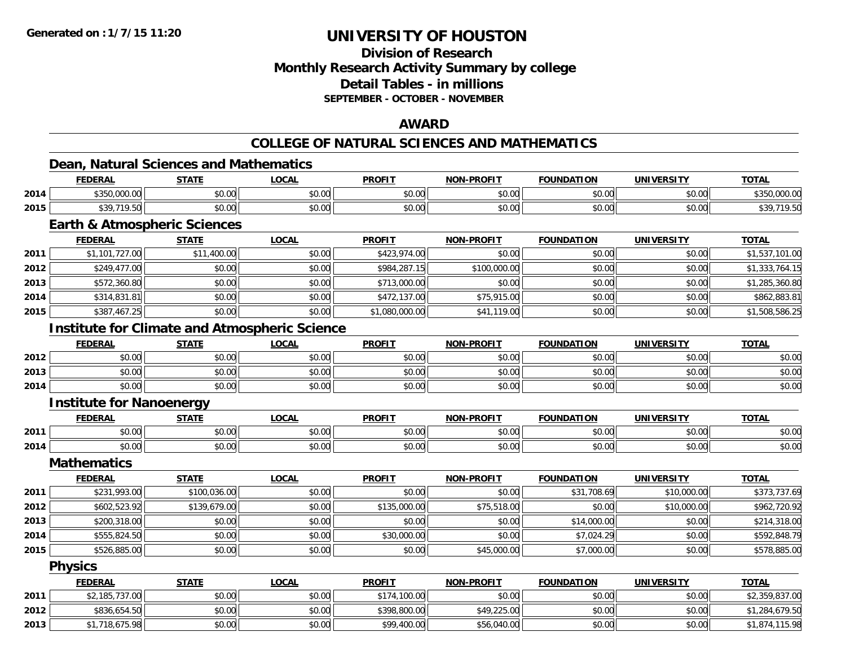### **Division of ResearchMonthly Research Activity Summary by college Detail Tables - in millions SEPTEMBER - OCTOBER - NOVEMBER**

### **AWARD**

# **COLLEGE OF NATURAL SCIENCES AND MATHEMATICS**

# **Dean, Natural Sciences and Mathematics**

|      | <b>FEDERAL</b>                                       | <b>STATE</b> | <b>LOCAL</b> | <b>PROFIT</b>  | <b>NON-PROFIT</b> | <b>FOUNDATION</b> | <b>UNIVERSITY</b> | <b>TOTAL</b>   |
|------|------------------------------------------------------|--------------|--------------|----------------|-------------------|-------------------|-------------------|----------------|
| 2014 | \$350,000.00                                         | \$0.00       | \$0.00       | \$0.00         | \$0.00            | \$0.00            | \$0.00            | \$350,000.00   |
| 2015 | \$39,719.50                                          | \$0.00       | \$0.00       | \$0.00         | \$0.00            | \$0.00            | \$0.00            | \$39,719.50    |
|      | <b>Earth &amp; Atmospheric Sciences</b>              |              |              |                |                   |                   |                   |                |
|      | <b>FEDERAL</b>                                       | <b>STATE</b> | <b>LOCAL</b> | <b>PROFIT</b>  | <b>NON-PROFIT</b> | <b>FOUNDATION</b> | <b>UNIVERSITY</b> | <b>TOTAL</b>   |
| 2011 | \$1,101,727.00                                       | \$11,400.00  | \$0.00       | \$423,974.00   | \$0.00            | \$0.00            | \$0.00            | \$1,537,101.00 |
| 2012 | \$249,477.00                                         | \$0.00       | \$0.00       | \$984,287.15   | \$100,000.00      | \$0.00            | \$0.00            | \$1,333,764.15 |
| 2013 | \$572,360.80                                         | \$0.00       | \$0.00       | \$713,000.00   | \$0.00            | \$0.00            | \$0.00            | \$1,285,360.80 |
| 2014 | \$314,831.81                                         | \$0.00       | \$0.00       | \$472,137.00   | \$75,915.00       | \$0.00            | \$0.00            | \$862,883.81   |
| 2015 | \$387,467.25                                         | \$0.00       | \$0.00       | \$1,080,000.00 | \$41,119.00       | \$0.00            | \$0.00            | \$1,508,586.25 |
|      | <b>Institute for Climate and Atmospheric Science</b> |              |              |                |                   |                   |                   |                |
|      | <b>FEDERAL</b>                                       | <b>STATE</b> | <b>LOCAL</b> | <b>PROFIT</b>  | <b>NON-PROFIT</b> | <b>FOUNDATION</b> | <b>UNIVERSITY</b> | <b>TOTAL</b>   |
| 2012 | \$0.00                                               | \$0.00       | \$0.00       | \$0.00         | \$0.00            | \$0.00            | \$0.00            | \$0.00         |
| 2013 | \$0.00                                               | \$0.00       | \$0.00       | \$0.00         | \$0.00            | \$0.00            | \$0.00            | \$0.00         |
| 2014 | \$0.00                                               | \$0.00       | \$0.00       | \$0.00         | \$0.00            | \$0.00            | \$0.00            | \$0.00         |
|      | <b>Institute for Nanoenergy</b>                      |              |              |                |                   |                   |                   |                |
|      | <b>FEDERAL</b>                                       | <b>STATE</b> | <b>LOCAL</b> | <b>PROFIT</b>  | <b>NON-PROFIT</b> | <b>FOUNDATION</b> | <b>UNIVERSITY</b> | <b>TOTAL</b>   |
| 2011 | \$0.00                                               | \$0.00       | \$0.00       | \$0.00         | \$0.00            | \$0.00            | \$0.00            | \$0.00         |
| 2014 | \$0.00                                               | \$0.00       | \$0.00       | \$0.00         | \$0.00            | \$0.00            | \$0.00            | \$0.00         |
|      | <b>Mathematics</b>                                   |              |              |                |                   |                   |                   |                |
|      | <b>FEDERAL</b>                                       | <b>STATE</b> | <b>LOCAL</b> | <b>PROFIT</b>  | <b>NON-PROFIT</b> | <b>FOUNDATION</b> | <b>UNIVERSITY</b> | <b>TOTAL</b>   |
| 2011 | \$231,993.00                                         | \$100,036.00 | \$0.00       | \$0.00         | \$0.00            | \$31,708.69       | \$10,000.00       | \$373,737.69   |
| 2012 | \$602,523.92                                         | \$139,679.00 | \$0.00       | \$135,000.00   | \$75,518.00       | \$0.00            | \$10,000.00       | \$962,720.92   |
| 2013 | \$200,318.00                                         | \$0.00       | \$0.00       | \$0.00         | \$0.00            | \$14,000.00       | \$0.00            | \$214,318.00   |
| 2014 | \$555,824.50                                         | \$0.00       | \$0.00       | \$30,000.00    | \$0.00            | \$7,024.29        | \$0.00            | \$592,848.79   |
| 2015 | \$526,885.00                                         | \$0.00       | \$0.00       | \$0.00         | \$45,000.00       | \$7,000.00        | \$0.00            | \$578,885.00   |
|      | <b>Physics</b>                                       |              |              |                |                   |                   |                   |                |
|      | <b>FEDERAL</b>                                       | <b>STATE</b> | <b>LOCAL</b> | <b>PROFIT</b>  | <b>NON-PROFIT</b> | <b>FOUNDATION</b> | <b>UNIVERSITY</b> | <b>TOTAL</b>   |
| 2011 | \$2,185,737.00                                       | \$0.00       | \$0.00       | \$174,100.00   | \$0.00            | \$0.00            | \$0.00            | \$2,359,837.00 |
| 2012 | \$836,654.50                                         | \$0.00       | \$0.00       | \$398,800.00   | \$49,225.00       | \$0.00            | \$0.00            | \$1,284,679.50 |
| 2013 | \$1,718,675.98                                       | \$0.00       | \$0.00       | \$99,400.00    | \$56,040.00       | \$0.00            | \$0.00            | \$1,874,115.98 |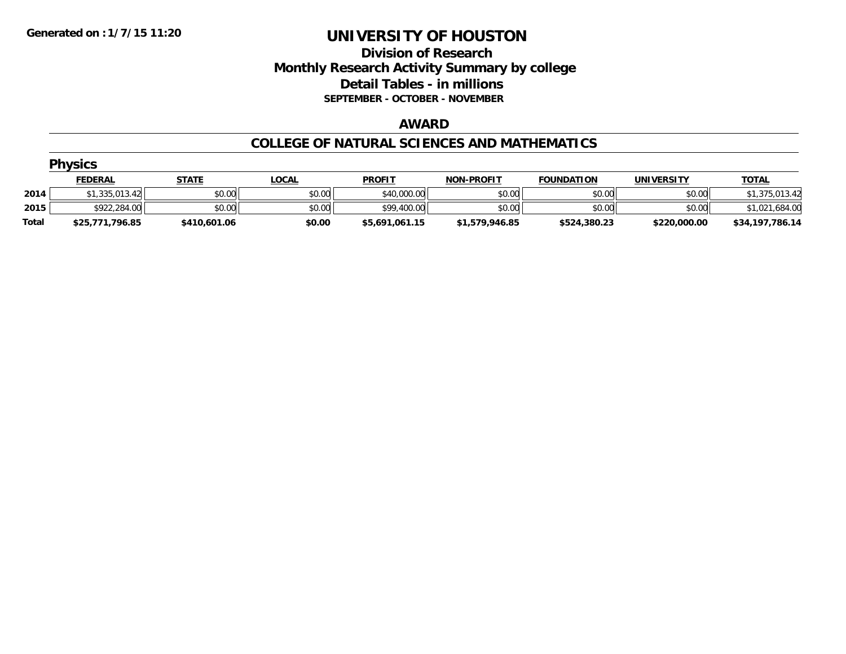### **Division of Research Monthly Research Activity Summary by college Detail Tables - in millions SEPTEMBER - OCTOBER - NOVEMBER**

#### **AWARD**

#### **COLLEGE OF NATURAL SCIENCES AND MATHEMATICS**

|       | <b>Physics</b>  |              |              |                |                   |                   |                   |                 |  |  |  |  |
|-------|-----------------|--------------|--------------|----------------|-------------------|-------------------|-------------------|-----------------|--|--|--|--|
|       | <b>FEDERAL</b>  | <b>STATE</b> | <u>LOCAL</u> | <b>PROFIT</b>  | <b>NON-PROFIT</b> | <b>FOUNDATION</b> | <b>UNIVERSITY</b> | <b>TOTAL</b>    |  |  |  |  |
| 2014  | \$1,335,013.42  | \$0.00       | \$0.00       | \$40,000.00    | \$0.00            | \$0.00            | \$0.00            | \$1,375,013.42  |  |  |  |  |
| 2015  | \$922,284.00    | \$0.00       | \$0.00       | \$99,400.00    | \$0.00            | \$0.00            | \$0.00            | \$1,021,684.00  |  |  |  |  |
| Total | \$25,771,796.85 | \$410,601.06 | \$0.00       | \$5,691,061.15 | \$1,579,946.85    | \$524,380.23      | \$220,000.00      | \$34,197,786.14 |  |  |  |  |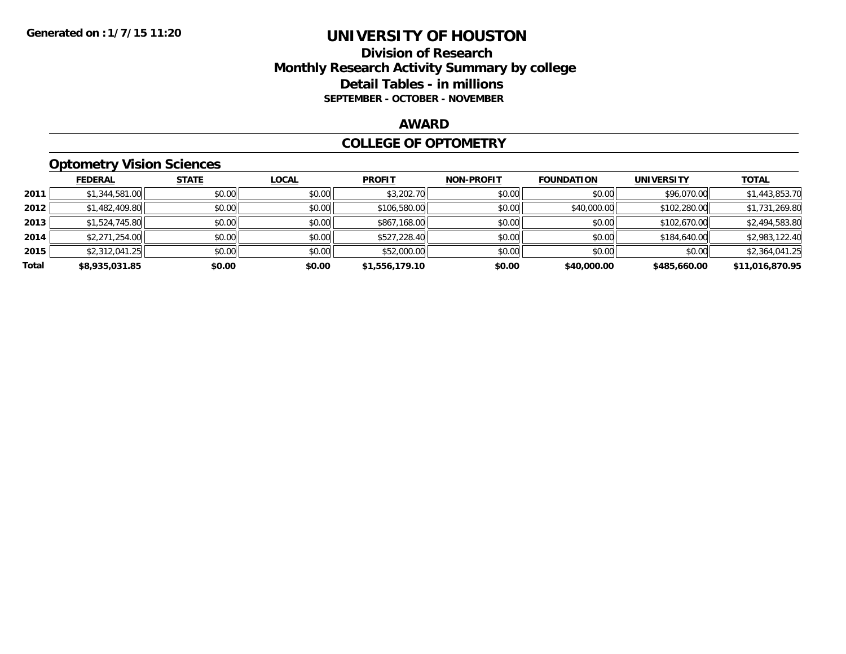### **Division of Research Monthly Research Activity Summary by college Detail Tables - in millions SEPTEMBER - OCTOBER - NOVEMBER**

#### **AWARD**

#### **COLLEGE OF OPTOMETRY**

# **Optometry Vision Sciences**

|       | <b>FEDERAL</b> | <b>STATE</b> | <b>LOCAL</b> | <b>PROFIT</b>  | <b>NON-PROFIT</b> | <b>FOUNDATION</b> | <b>UNIVERSITY</b> | <u>TOTAL</u>    |
|-------|----------------|--------------|--------------|----------------|-------------------|-------------------|-------------------|-----------------|
| 2011  | \$1,344,581.00 | \$0.00       | \$0.00       | \$3,202.70     | \$0.00            | \$0.00            | \$96,070.00       | \$1,443,853.70  |
| 2012  | \$1,482,409.80 | \$0.00       | \$0.00       | \$106,580.00   | \$0.00            | \$40,000.00       | \$102,280.00      | \$1,731,269.80  |
| 2013  | \$1,524,745.80 | \$0.00       | \$0.00       | \$867,168.00   | \$0.00            | \$0.00            | \$102,670.00      | \$2,494,583.80  |
| 2014  | \$2,271,254.00 | \$0.00       | \$0.00       | \$527,228.40   | \$0.00            | \$0.00            | \$184,640.00      | \$2,983,122.40  |
| 2015  | \$2,312,041.25 | \$0.00       | \$0.00       | \$52,000.00    | \$0.00            | \$0.00            | \$0.00            | \$2,364,041.25  |
| Total | \$8,935,031.85 | \$0.00       | \$0.00       | \$1,556,179.10 | \$0.00            | \$40,000.00       | \$485,660.00      | \$11,016,870.95 |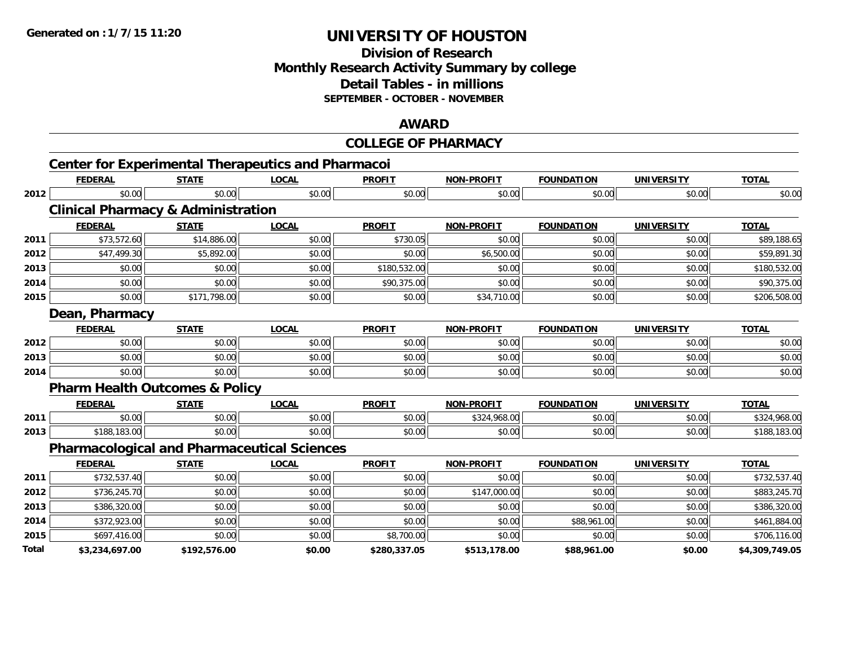### **Division of ResearchMonthly Research Activity Summary by college Detail Tables - in millions SEPTEMBER - OCTOBER - NOVEMBER**

#### **AWARD**

|       |                                                           |              |              | <b>COLLEGE OF PHARMACY</b> |                   |                   |                   |                |
|-------|-----------------------------------------------------------|--------------|--------------|----------------------------|-------------------|-------------------|-------------------|----------------|
|       | <b>Center for Experimental Therapeutics and Pharmacoi</b> |              |              |                            |                   |                   |                   |                |
|       | <b>FEDERAL</b>                                            | <b>STATE</b> | <b>LOCAL</b> | <b>PROFIT</b>              | <b>NON-PROFIT</b> | <b>FOUNDATION</b> | <b>UNIVERSITY</b> | <b>TOTAL</b>   |
| 2012  | \$0.00                                                    | \$0.00       | \$0.00       | \$0.00                     | \$0.00            | \$0.00            | \$0.00            | \$0.00         |
|       | <b>Clinical Pharmacy &amp; Administration</b>             |              |              |                            |                   |                   |                   |                |
|       | <b>FEDERAL</b>                                            | <b>STATE</b> | <b>LOCAL</b> | <b>PROFIT</b>              | <b>NON-PROFIT</b> | <b>FOUNDATION</b> | <b>UNIVERSITY</b> | <b>TOTAL</b>   |
| 2011  | \$73,572.60                                               | \$14,886.00  | \$0.00       | \$730.05                   | \$0.00            | \$0.00            | \$0.00            | \$89,188.65    |
| 2012  | \$47,499.30                                               | \$5,892.00   | \$0.00       | \$0.00                     | \$6,500.00        | \$0.00            | \$0.00            | \$59,891.30    |
| 2013  | \$0.00                                                    | \$0.00       | \$0.00       | \$180,532.00               | \$0.00            | \$0.00            | \$0.00            | \$180,532.00   |
| 2014  | \$0.00                                                    | \$0.00       | \$0.00       | \$90,375.00                | \$0.00            | \$0.00            | \$0.00            | \$90,375.00    |
| 2015  | \$0.00                                                    | \$171,798.00 | \$0.00       | \$0.00                     | \$34,710.00       | \$0.00            | \$0.00            | \$206,508.00   |
|       | Dean, Pharmacy                                            |              |              |                            |                   |                   |                   |                |
|       | <b>FEDERAL</b>                                            | <b>STATE</b> | <b>LOCAL</b> | <b>PROFIT</b>              | <b>NON-PROFIT</b> | <b>FOUNDATION</b> | <b>UNIVERSITY</b> | <b>TOTAL</b>   |
| 2012  | \$0.00                                                    | \$0.00       | \$0.00       | \$0.00                     | \$0.00            | \$0.00            | \$0.00            | \$0.00         |
| 2013  | \$0.00                                                    | \$0.00       | \$0.00       | \$0.00                     | \$0.00            | \$0.00            | \$0.00            | \$0.00         |
| 2014  | \$0.00                                                    | \$0.00       | \$0.00       | \$0.00                     | \$0.00            | \$0.00            | \$0.00            | \$0.00         |
|       | <b>Pharm Health Outcomes &amp; Policy</b>                 |              |              |                            |                   |                   |                   |                |
|       | <b>FEDERAL</b>                                            | <b>STATE</b> | <b>LOCAL</b> | <b>PROFIT</b>              | <b>NON-PROFIT</b> | <b>FOUNDATION</b> | <b>UNIVERSITY</b> | <b>TOTAL</b>   |
| 2011  | \$0.00                                                    | \$0.00       | \$0.00       | \$0.00                     | \$324,968.00      | \$0.00            | \$0.00            | \$324,968.00   |
| 2013  | \$188,183.00                                              | \$0.00       | \$0.00       | \$0.00                     | \$0.00            | \$0.00            | \$0.00            | \$188,183.00   |
|       | <b>Pharmacological and Pharmaceutical Sciences</b>        |              |              |                            |                   |                   |                   |                |
|       | <b>FEDERAL</b>                                            | <b>STATE</b> | <b>LOCAL</b> | <b>PROFIT</b>              | <b>NON-PROFIT</b> | <b>FOUNDATION</b> | <b>UNIVERSITY</b> | <b>TOTAL</b>   |
| 2011  | \$732,537.40                                              | \$0.00       | \$0.00       | \$0.00                     | \$0.00            | \$0.00            | \$0.00            | \$732,537.40   |
| 2012  | \$736,245.70                                              | \$0.00       | \$0.00       | \$0.00                     | \$147,000.00      | \$0.00            | \$0.00            | \$883,245.70   |
| 2013  | \$386,320.00                                              | \$0.00       | \$0.00       | \$0.00                     | \$0.00            | \$0.00            | \$0.00            | \$386,320.00   |
| 2014  | \$372,923.00                                              | \$0.00       | \$0.00       | \$0.00                     | \$0.00            | \$88,961.00       | \$0.00            | \$461,884.00   |
| 2015  | \$697,416.00                                              | \$0.00       | \$0.00       | \$8,700.00                 | \$0.00            | \$0.00            | \$0.00            | \$706,116.00   |
| Total | \$3.234.697.00                                            | \$192.576.00 | \$0.00       | \$280.337.05               | \$513.178.00      | \$88.961.00       | \$0.00            | \$4.309.749.05 |

**\$3,234,697.00 \$192,576.00 \$0.00 \$280,337.05 \$513,178.00 \$88,961.00 \$0.00 \$4,309,749.05**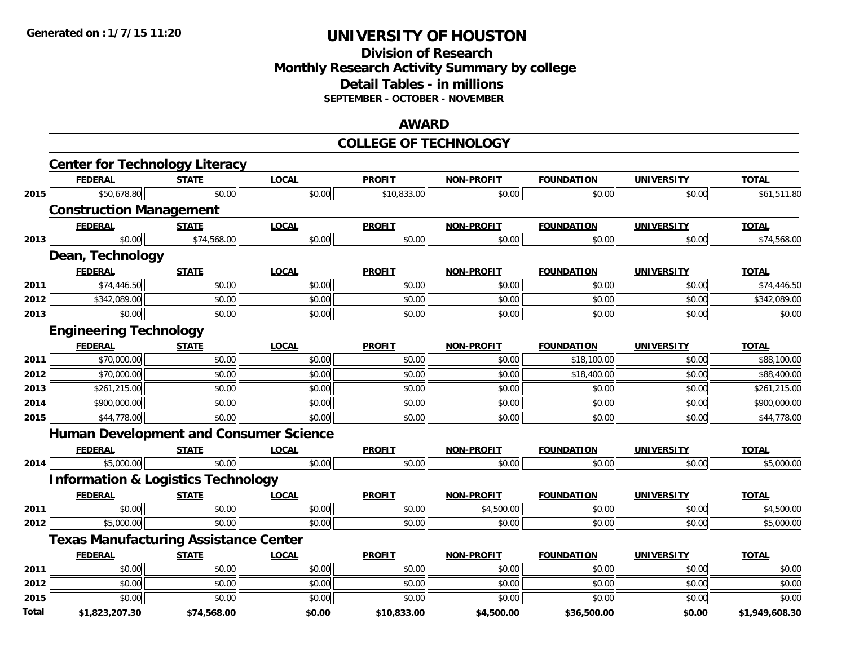### **Division of ResearchMonthly Research Activity Summary by college Detail Tables - in millions SEPTEMBER - OCTOBER - NOVEMBER**

#### **AWARD**

### **COLLEGE OF TECHNOLOGY**

|              | <b>Center for Technology Literacy</b>         |              |              |               |                   |                   |                   |                |
|--------------|-----------------------------------------------|--------------|--------------|---------------|-------------------|-------------------|-------------------|----------------|
|              | <b>FEDERAL</b>                                | <b>STATE</b> | <b>LOCAL</b> | <b>PROFIT</b> | <b>NON-PROFIT</b> | <b>FOUNDATION</b> | <b>UNIVERSITY</b> | <b>TOTAL</b>   |
| 2015         | \$50,678.80                                   | \$0.00       | \$0.00       | \$10,833.00   | \$0.00            | \$0.00            | \$0.00            | \$61,511.80    |
|              | <b>Construction Management</b>                |              |              |               |                   |                   |                   |                |
|              | <b>FEDERAL</b>                                | <b>STATE</b> | <b>LOCAL</b> | <b>PROFIT</b> | <b>NON-PROFIT</b> | <b>FOUNDATION</b> | <b>UNIVERSITY</b> | <b>TOTAL</b>   |
| 2013         | \$0.00                                        | \$74,568.00  | \$0.00       | \$0.00        | \$0.00            | \$0.00            | \$0.00            | \$74,568.00    |
|              | Dean, Technology                              |              |              |               |                   |                   |                   |                |
|              | <b>FEDERAL</b>                                | <b>STATE</b> | <b>LOCAL</b> | <b>PROFIT</b> | <b>NON-PROFIT</b> | <b>FOUNDATION</b> | <b>UNIVERSITY</b> | <b>TOTAL</b>   |
| 2011         | \$74,446.50                                   | \$0.00       | \$0.00       | \$0.00        | \$0.00            | \$0.00            | \$0.00            | \$74,446.50    |
| 2012         | \$342,089.00                                  | \$0.00       | \$0.00       | \$0.00        | \$0.00            | \$0.00            | \$0.00            | \$342,089.00   |
| 2013         | \$0.00                                        | \$0.00       | \$0.00       | \$0.00        | \$0.00            | \$0.00            | \$0.00            | \$0.00         |
|              | <b>Engineering Technology</b>                 |              |              |               |                   |                   |                   |                |
|              | <b>FEDERAL</b>                                | <b>STATE</b> | <b>LOCAL</b> | <b>PROFIT</b> | <b>NON-PROFIT</b> | <b>FOUNDATION</b> | <b>UNIVERSITY</b> | <b>TOTAL</b>   |
| 2011         | \$70,000.00                                   | \$0.00       | \$0.00       | \$0.00        | \$0.00            | \$18,100.00       | \$0.00            | \$88,100.00    |
| 2012         | \$70,000.00                                   | \$0.00       | \$0.00       | \$0.00        | \$0.00            | \$18,400.00       | \$0.00            | \$88,400.00    |
| 2013         | \$261,215.00                                  | \$0.00       | \$0.00       | \$0.00        | \$0.00            | \$0.00            | \$0.00            | \$261,215.00   |
| 2014         | \$900,000.00                                  | \$0.00       | \$0.00       | \$0.00        | \$0.00            | \$0.00            | \$0.00            | \$900,000.00   |
| 2015         | \$44,778.00                                   | \$0.00       | \$0.00       | \$0.00        | \$0.00            | \$0.00            | \$0.00            | \$44,778.00    |
|              | <b>Human Development and Consumer Science</b> |              |              |               |                   |                   |                   |                |
|              | <b>FEDERAL</b>                                | <b>STATE</b> | <b>LOCAL</b> | <b>PROFIT</b> | <b>NON-PROFIT</b> | <b>FOUNDATION</b> | <b>UNIVERSITY</b> | <b>TOTAL</b>   |
| 2014         | \$5,000.00                                    | \$0.00       | \$0.00       | \$0.00        | \$0.00            | \$0.00            | \$0.00            | \$5,000.00     |
|              | <b>Information &amp; Logistics Technology</b> |              |              |               |                   |                   |                   |                |
|              | <b>FEDERAL</b>                                | <b>STATE</b> | <b>LOCAL</b> | <b>PROFIT</b> | <b>NON-PROFIT</b> | <b>FOUNDATION</b> | <b>UNIVERSITY</b> | <b>TOTAL</b>   |
| 2011         | \$0.00                                        | \$0.00       | \$0.00       | \$0.00        | \$4,500.00        | \$0.00            | \$0.00            | \$4,500.00     |
| 2012         | \$5,000.00                                    | \$0.00       | \$0.00       | \$0.00        | \$0.00            | \$0.00            | \$0.00            | \$5,000.00     |
|              | <b>Texas Manufacturing Assistance Center</b>  |              |              |               |                   |                   |                   |                |
|              | <b>FEDERAL</b>                                | <b>STATE</b> | <b>LOCAL</b> | <b>PROFIT</b> | <b>NON-PROFIT</b> | <b>FOUNDATION</b> | <b>UNIVERSITY</b> | <b>TOTAL</b>   |
| 2011         | \$0.00                                        | \$0.00       | \$0.00       | \$0.00        | \$0.00            | \$0.00            | \$0.00            | \$0.00         |
| 2012         | \$0.00                                        | \$0.00       | \$0.00       | \$0.00        | \$0.00            | \$0.00            | \$0.00            | \$0.00         |
| 2015         | \$0.00                                        | \$0.00       | \$0.00       | \$0.00        | \$0.00            | \$0.00            | \$0.00            | \$0.00         |
| <b>Total</b> | \$1,823,207.30                                | \$74,568.00  | \$0.00       | \$10,833.00   | \$4,500.00        | \$36,500.00       | \$0.00            | \$1,949,608.30 |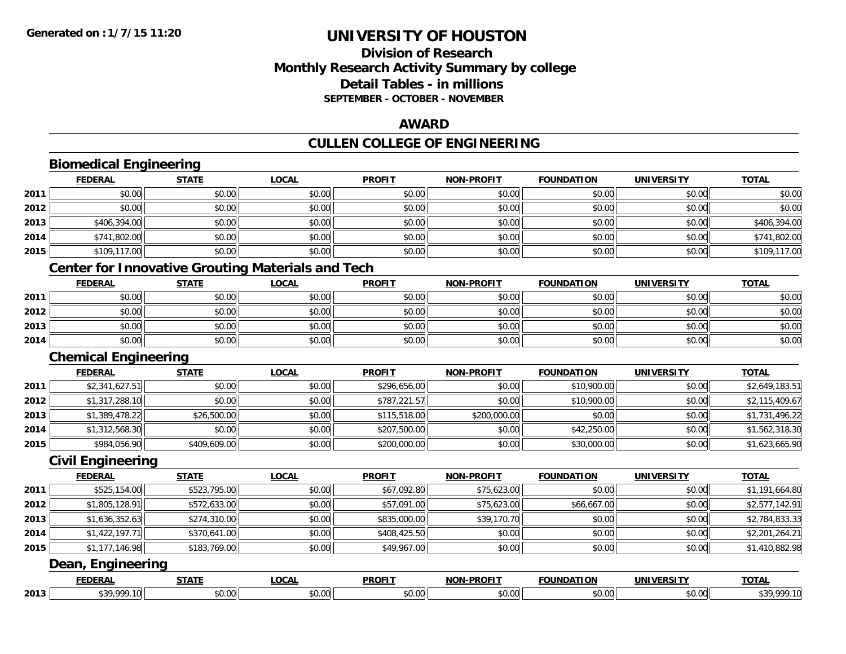### **Division of Research Monthly Research Activity Summary by college Detail Tables - in millions SEPTEMBER - OCTOBER - NOVEMBER**

#### **AWARD**

#### **CULLEN COLLEGE OF ENGINEERING**

|      | <b>Biomedical Engineering</b> |                                                          |              |               |                   |                   |                   |                |
|------|-------------------------------|----------------------------------------------------------|--------------|---------------|-------------------|-------------------|-------------------|----------------|
|      | <b>FEDERAL</b>                | <b>STATE</b>                                             | <b>LOCAL</b> | <b>PROFIT</b> | <b>NON-PROFIT</b> | <b>FOUNDATION</b> | <b>UNIVERSITY</b> | <b>TOTAL</b>   |
| 2011 | \$0.00                        | \$0.00                                                   | \$0.00       | \$0.00        | \$0.00            | \$0.00            | \$0.00            | \$0.00         |
| 2012 | \$0.00                        | \$0.00                                                   | \$0.00       | \$0.00        | \$0.00            | \$0.00            | \$0.00            | \$0.00         |
| 2013 | \$406,394.00                  | \$0.00                                                   | \$0.00       | \$0.00        | \$0.00            | \$0.00            | \$0.00            | \$406,394.00   |
| 2014 | \$741,802.00                  | \$0.00                                                   | \$0.00       | \$0.00        | \$0.00            | \$0.00            | \$0.00            | \$741,802.00   |
| 2015 | \$109,117.00                  | \$0.00                                                   | \$0.00       | \$0.00        | \$0.00            | \$0.00            | \$0.00            | \$109,117.00   |
|      |                               | <b>Center for Innovative Grouting Materials and Tech</b> |              |               |                   |                   |                   |                |
|      | <b>FEDERAL</b>                | <b>STATE</b>                                             | <b>LOCAL</b> | <b>PROFIT</b> | <b>NON-PROFIT</b> | <b>FOUNDATION</b> | <b>UNIVERSITY</b> | <b>TOTAL</b>   |
| 2011 | \$0.00                        | \$0.00                                                   | \$0.00       | \$0.00        | \$0.00            | \$0.00            | \$0.00            | \$0.00         |
| 2012 | \$0.00                        | \$0.00                                                   | \$0.00       | \$0.00        | \$0.00            | \$0.00            | \$0.00            | \$0.00         |
| 2013 | \$0.00                        | \$0.00                                                   | \$0.00       | \$0.00        | \$0.00            | \$0.00            | \$0.00            | \$0.00         |
| 2014 | \$0.00                        | \$0.00                                                   | \$0.00       | \$0.00        | \$0.00            | \$0.00            | \$0.00            | \$0.00         |
|      | <b>Chemical Engineering</b>   |                                                          |              |               |                   |                   |                   |                |
|      | <b>FEDERAL</b>                | <b>STATE</b>                                             | <b>LOCAL</b> | <b>PROFIT</b> | <b>NON-PROFIT</b> | <b>FOUNDATION</b> | <b>UNIVERSITY</b> | <b>TOTAL</b>   |
| 2011 | \$2,341,627.51                | \$0.00                                                   | \$0.00       | \$296,656.00  | \$0.00            | \$10,900.00       | \$0.00            | \$2,649,183.51 |
| 2012 | \$1,317,288.10                | \$0.00                                                   | \$0.00       | \$787,221.57  | \$0.00            | \$10,900.00       | \$0.00            | \$2,115,409.67 |
| 2013 | \$1,389,478.22                | \$26,500.00                                              | \$0.00       | \$115,518.00  | \$200,000.00      | \$0.00            | \$0.00            | \$1,731,496.22 |
| 2014 | \$1,312,568.30                | \$0.00                                                   | \$0.00       | \$207,500.00  | \$0.00            | \$42,250.00       | \$0.00            | \$1,562,318.30 |
| 2015 | \$984,056.90                  | \$409,609.00                                             | \$0.00       | \$200,000.00  | \$0.00            | \$30,000.00       | \$0.00            | \$1,623,665.90 |
|      | <b>Civil Engineering</b>      |                                                          |              |               |                   |                   |                   |                |
|      | <b>FEDERAL</b>                | <b>STATE</b>                                             | <b>LOCAL</b> | <b>PROFIT</b> | <b>NON-PROFIT</b> | <b>FOUNDATION</b> | <b>UNIVERSITY</b> | <b>TOTAL</b>   |
| 2011 | \$525,154.00                  | \$523,795.00                                             | \$0.00       | \$67,092.80   | \$75,623.00       | \$0.00            | \$0.00            | \$1,191,664.80 |
| 2012 | \$1,805,128.91                | \$572,633.00                                             | \$0.00       | \$57,091.00   | \$75,623.00       | \$66,667.00       | \$0.00            | \$2,577,142.91 |
| 2013 | \$1,636,352.63                | \$274,310.00                                             | \$0.00       | \$835,000.00  | \$39,170.70       | \$0.00            | \$0.00            | \$2,784,833.33 |
| 2014 | \$1,422,197.71                | \$370,641.00                                             | \$0.00       | \$408,425.50  | \$0.00            | \$0.00            | \$0.00            | \$2,201,264.21 |
| 2015 | \$1,177,146.98                | \$183,769.00                                             | \$0.00       | \$49,967.00   | \$0.00            | \$0.00            | \$0.00            | \$1,410,882.98 |
|      | Dean, Engineering             |                                                          |              |               |                   |                   |                   |                |
|      | <b>FEDERAL</b>                | <b>STATE</b>                                             | <b>LOCAL</b> | <b>PROFIT</b> | <b>NON-PROFIT</b> | <b>FOUNDATION</b> | <b>UNIVERSITY</b> | <b>TOTAL</b>   |
| 2013 | \$39,999.10                   | \$0.00                                                   | \$0.00       | \$0.00        | \$0.00            | \$0.00            | \$0.00            | \$39,999.10    |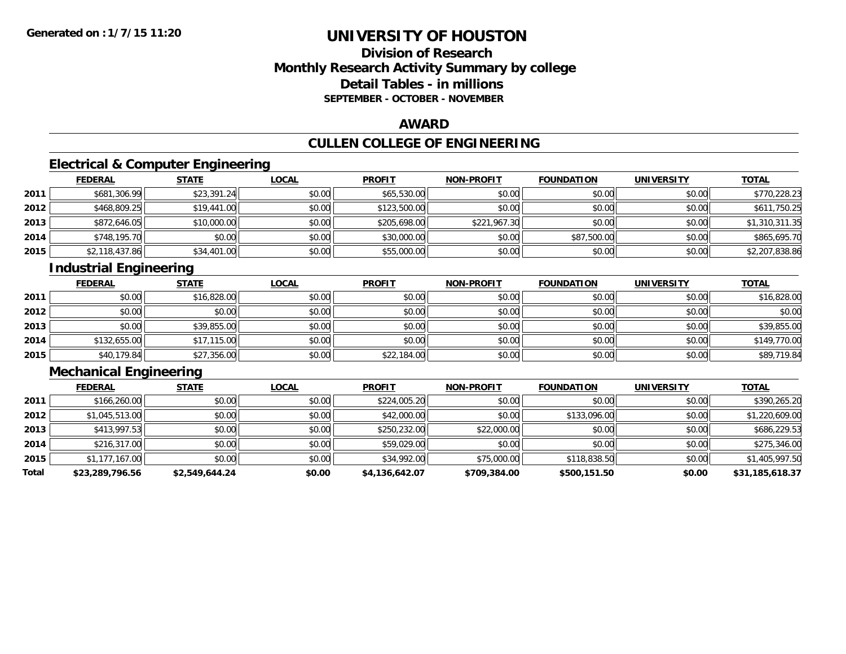### **Division of ResearchMonthly Research Activity Summary by college Detail Tables - in millions SEPTEMBER - OCTOBER - NOVEMBER**

#### **AWARD**

## **CULLEN COLLEGE OF ENGINEERING**

### **Electrical & Computer Engineering**

|      | <b>FEDERAL</b> | <b>STATE</b> | <b>LOCAL</b> | <b>PROFIT</b> | <b>NON-PROFIT</b> | <b>FOUNDATION</b> | <b>UNIVERSITY</b> | <b>TOTAL</b>   |
|------|----------------|--------------|--------------|---------------|-------------------|-------------------|-------------------|----------------|
| 2011 | \$681,306.99   | \$23,391.24  | \$0.00       | \$65,530.00   | \$0.00            | \$0.00            | \$0.00            | \$770,228.23   |
| 2012 | \$468,809.25   | \$19,441.00  | \$0.00       | \$123,500.00  | \$0.00            | \$0.00            | \$0.00            | \$611,750.25   |
| 2013 | \$872,646.05   | \$10,000.00  | \$0.00       | \$205,698.00  | \$221,967.30      | \$0.00            | \$0.00            | \$1,310,311.35 |
| 2014 | \$748,195.70   | \$0.00       | \$0.00       | \$30,000.00   | \$0.00            | \$87,500.00       | \$0.00            | \$865,695.70   |
| 2015 | \$2,118,437.86 | \$34,401.00  | \$0.00       | \$55,000.00   | \$0.00            | \$0.00            | \$0.00            | \$2,207,838.86 |

### **Industrial Engineering**

|      | <b>FEDERAL</b> | <b>STATE</b> | <b>LOCAL</b> | <b>PROFIT</b> | <b>NON-PROFIT</b> | <b>FOUNDATION</b> | <b>UNIVERSITY</b> | <b>TOTAL</b> |
|------|----------------|--------------|--------------|---------------|-------------------|-------------------|-------------------|--------------|
| 2011 | \$0.00         | \$16,828.00  | \$0.00       | \$0.00        | \$0.00            | \$0.00            | \$0.00            | \$16,828.00  |
| 2012 | \$0.00         | \$0.00       | \$0.00       | \$0.00        | \$0.00            | \$0.00            | \$0.00            | \$0.00       |
| 2013 | \$0.00         | \$39,855.00  | \$0.00       | \$0.00        | \$0.00            | \$0.00            | \$0.00            | \$39,855.00  |
| 2014 | \$132,655.00   | \$17,115.00  | \$0.00       | \$0.00        | \$0.00            | \$0.00            | \$0.00            | \$149,770.00 |
| 2015 | \$40,179.84    | \$27,356.00  | \$0.00       | \$22,184.00   | \$0.00            | \$0.00            | \$0.00            | \$89,719.84  |

### **Mechanical Engineering**

|       | <b>FEDERAL</b>  | <b>STATE</b>   | <b>LOCAL</b> | <b>PROFIT</b>  | <b>NON-PROFIT</b> | <b>FOUNDATION</b> | <b>UNIVERSITY</b> | <b>TOTAL</b>    |
|-------|-----------------|----------------|--------------|----------------|-------------------|-------------------|-------------------|-----------------|
| 2011  | \$166,260.00    | \$0.00         | \$0.00       | \$224,005.20   | \$0.00            | \$0.00            | \$0.00            | \$390,265.20    |
| 2012  | \$1,045,513.00  | \$0.00         | \$0.00       | \$42,000.00    | \$0.00            | \$133,096.00      | \$0.00            | \$1,220,609.00  |
| 2013  | \$413,997.53    | \$0.00         | \$0.00       | \$250,232.00   | \$22,000.00       | \$0.00            | \$0.00            | \$686,229.53    |
| 2014  | \$216,317.00    | \$0.00         | \$0.00       | \$59,029.00    | \$0.00            | \$0.00            | \$0.00            | \$275,346.00    |
| 2015  | \$1,177,167.00  | \$0.00         | \$0.00       | \$34,992.00    | \$75,000.00       | \$118,838.50      | \$0.00            | \$1,405,997.50  |
| Total | \$23,289,796.56 | \$2.549.644.24 | \$0.00       | \$4,136,642.07 | \$709,384.00      | \$500,151.50      | \$0.00            | \$31,185,618.37 |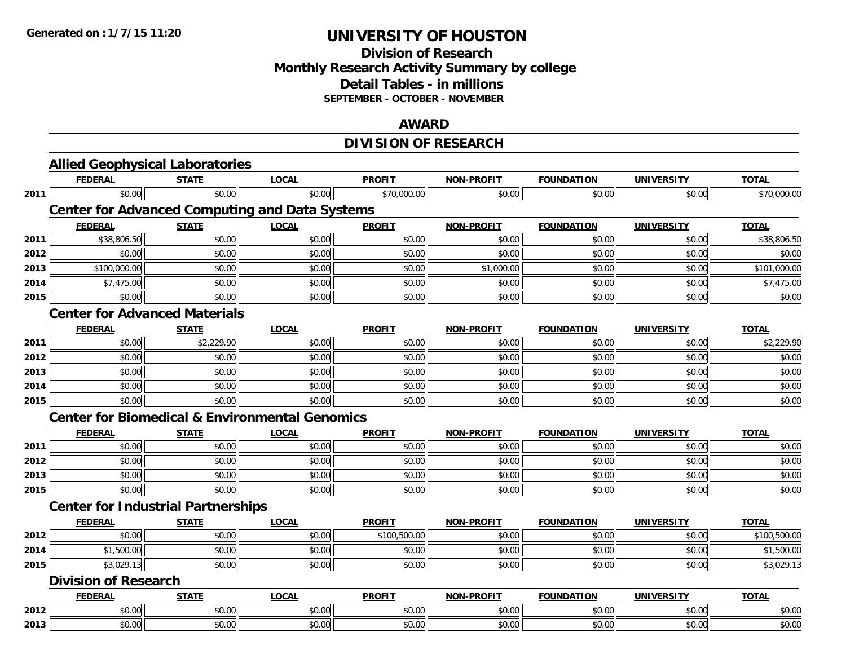### **Division of Research Monthly Research Activity Summary by college Detail Tables - in millions SEPTEMBER - OCTOBER - NOVEMBER**

#### **AWARD**

## **DIVISION OF RESEARCH**

|      | <b>Allied Geophysical Laboratories</b><br><b>FEDERAL</b>  | <b>STATE</b> | <b>LOCAL</b> | <b>PROFIT</b> | <b>NON-PROFIT</b> | <b>FOUNDATION</b> |                   | <b>TOTAL</b> |
|------|-----------------------------------------------------------|--------------|--------------|---------------|-------------------|-------------------|-------------------|--------------|
|      |                                                           |              |              |               |                   |                   | <b>UNIVERSITY</b> |              |
| 2011 | \$0.00                                                    | \$0.00       | \$0.00       | \$70,000.00   | \$0.00            | \$0.00            | \$0.00            | \$70,000.00  |
|      | <b>Center for Advanced Computing and Data Systems</b>     |              |              |               |                   |                   |                   |              |
|      | <b>FEDERAL</b>                                            | <b>STATE</b> | <b>LOCAL</b> | <b>PROFIT</b> | <b>NON-PROFIT</b> | <b>FOUNDATION</b> | <b>UNIVERSITY</b> | <b>TOTAL</b> |
| 2011 | \$38,806.50                                               | \$0.00       | \$0.00       | \$0.00        | \$0.00            | \$0.00            | \$0.00            | \$38,806.50  |
| 2012 | \$0.00                                                    | \$0.00       | \$0.00       | \$0.00        | \$0.00            | \$0.00            | \$0.00            | \$0.00       |
| 2013 | \$100,000.00                                              | \$0.00       | \$0.00       | \$0.00        | \$1,000.00        | \$0.00            | \$0.00            | \$101,000.00 |
| 2014 | \$7,475.00                                                | \$0.00       | \$0.00       | \$0.00        | \$0.00            | \$0.00            | \$0.00            | \$7,475.00   |
| 2015 | \$0.00                                                    | \$0.00       | \$0.00       | \$0.00        | \$0.00            | \$0.00            | \$0.00            | \$0.00       |
|      | <b>Center for Advanced Materials</b>                      |              |              |               |                   |                   |                   |              |
|      | <b>FEDERAL</b>                                            | <b>STATE</b> | <b>LOCAL</b> | <b>PROFIT</b> | <b>NON-PROFIT</b> | <b>FOUNDATION</b> | <b>UNIVERSITY</b> | <b>TOTAL</b> |
| 2011 | \$0.00                                                    | \$2,229.90   | \$0.00       | \$0.00        | \$0.00            | \$0.00            | \$0.00            | \$2,229.90   |
| 2012 | \$0.00                                                    | \$0.00       | \$0.00       | \$0.00        | \$0.00            | \$0.00            | \$0.00            | \$0.00       |
| 2013 | \$0.00                                                    | \$0.00       | \$0.00       | \$0.00        | \$0.00            | \$0.00            | \$0.00            | \$0.00       |
| 2014 | \$0.00                                                    | \$0.00       | \$0.00       | \$0.00        | \$0.00            | \$0.00            | \$0.00            | \$0.00       |
| 2015 | \$0.00                                                    | \$0.00       | \$0.00       | \$0.00        | \$0.00            | \$0.00            | \$0.00            | \$0.00       |
|      | <b>Center for Biomedical &amp; Environmental Genomics</b> |              |              |               |                   |                   |                   |              |
|      | <b>FEDERAL</b>                                            | <b>STATE</b> | <b>LOCAL</b> | <b>PROFIT</b> | <b>NON-PROFIT</b> | <b>FOUNDATION</b> | <b>UNIVERSITY</b> | <b>TOTAL</b> |
| 2011 | \$0.00                                                    | \$0.00       | \$0.00       | \$0.00        | \$0.00            | \$0.00            | \$0.00            | \$0.00       |
| 2012 | \$0.00                                                    | \$0.00       | \$0.00       | \$0.00        | \$0.00            | \$0.00            | \$0.00            | \$0.00       |
| 2013 | \$0.00                                                    | \$0.00       | \$0.00       | \$0.00        | \$0.00            | \$0.00            | \$0.00            | \$0.00       |
| 2015 | \$0.00                                                    | \$0.00       | \$0.00       | \$0.00        | \$0.00            | \$0.00            | \$0.00            | \$0.00       |
|      | <b>Center for Industrial Partnerships</b>                 |              |              |               |                   |                   |                   |              |
|      | <b>FEDERAL</b>                                            | <b>STATE</b> | <b>LOCAL</b> | <b>PROFIT</b> | NON-PROFIT        | <b>FOUNDATION</b> | <b>UNIVERSITY</b> | <b>TOTAL</b> |
| 2012 | \$0.00                                                    | \$0.00       | \$0.00       | \$100,500.00  | \$0.00            | \$0.00            | \$0.00            | \$100,500.00 |
| 2014 | \$1,500.00                                                | \$0.00       | \$0.00       | \$0.00        | \$0.00            | \$0.00            | \$0.00            | \$1,500.00   |
| 2015 | \$3,029.13                                                | \$0.00       | \$0.00       | \$0.00        | \$0.00            | \$0.00            | \$0.00            | \$3,029.13   |
|      | <b>Division of Research</b>                               |              |              |               |                   |                   |                   |              |
|      | <b>FEDERAL</b>                                            | <b>STATE</b> | <b>LOCAL</b> | <b>PROFIT</b> | <b>NON-PROFIT</b> | <b>FOUNDATION</b> | <b>UNIVERSITY</b> | <b>TOTAL</b> |
| 2012 | \$0.00                                                    | \$0.00       | \$0.00       | \$0.00        | \$0.00            | \$0.00            | \$0.00            | \$0.00       |
| 2013 | \$0.00                                                    | \$0.00       | \$0.00       | \$0.00        | \$0.00            | \$0.00            | \$0.00            | \$0.00       |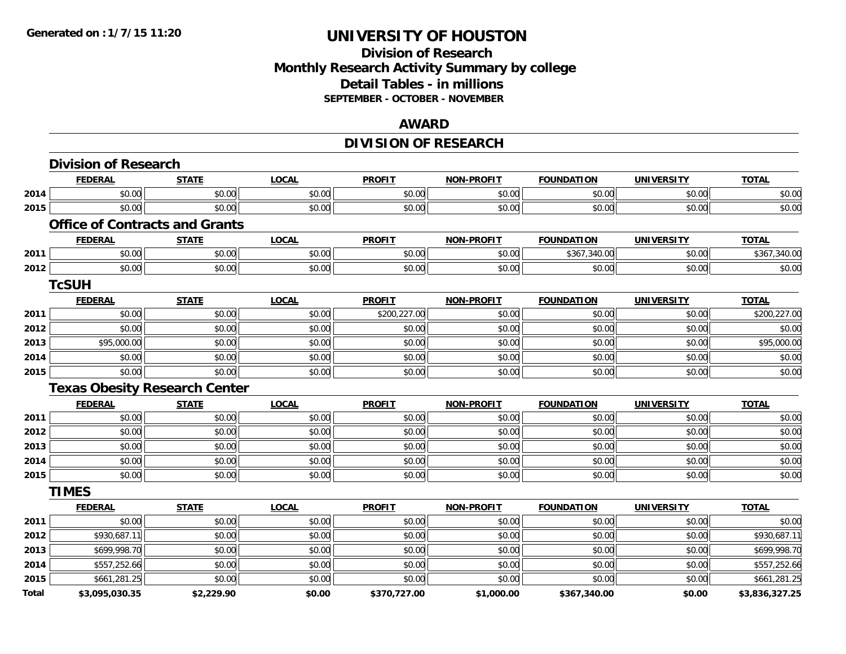#### **Division of Research Monthly Research Activity Summary by college Detail Tables - in millions SEPTEMBER - OCTOBER - NOVEMBER**

#### **AWARD**

## **DIVISION OF RESEARCH**

|       | <b>Division of Research</b>           |              |              |               |                   |                   |                   |                |
|-------|---------------------------------------|--------------|--------------|---------------|-------------------|-------------------|-------------------|----------------|
|       | <b>FEDERAL</b>                        | <b>STATE</b> | <b>LOCAL</b> | <b>PROFIT</b> | <b>NON-PROFIT</b> | <b>FOUNDATION</b> | <b>UNIVERSITY</b> | <b>TOTAL</b>   |
| 2014  | \$0.00                                | \$0.00       | \$0.00       | \$0.00        | \$0.00            | \$0.00            | \$0.00            | \$0.00         |
| 2015  | \$0.00                                | \$0.00       | \$0.00       | \$0.00        | \$0.00            | \$0.00            | \$0.00            | \$0.00         |
|       | <b>Office of Contracts and Grants</b> |              |              |               |                   |                   |                   |                |
|       | <b>FEDERAL</b>                        | <b>STATE</b> | <b>LOCAL</b> | <b>PROFIT</b> | <b>NON-PROFIT</b> | <b>FOUNDATION</b> | <b>UNIVERSITY</b> | <b>TOTAL</b>   |
| 2011  | \$0.00                                | \$0.00       | \$0.00       | \$0.00        | \$0.00            | \$367,340.00      | \$0.00            | \$367,340.00   |
| 2012  | \$0.00                                | \$0.00       | \$0.00       | \$0.00        | \$0.00            | \$0.00            | \$0.00            | \$0.00         |
|       | <b>TcSUH</b>                          |              |              |               |                   |                   |                   |                |
|       | <b>FEDERAL</b>                        | <b>STATE</b> | <b>LOCAL</b> | <b>PROFIT</b> | <b>NON-PROFIT</b> | <b>FOUNDATION</b> | <b>UNIVERSITY</b> | <b>TOTAL</b>   |
| 2011  | \$0.00                                | \$0.00       | \$0.00       | \$200,227.00  | \$0.00            | \$0.00            | \$0.00            | \$200,227.00   |
| 2012  | \$0.00                                | \$0.00       | \$0.00       | \$0.00        | \$0.00            | \$0.00            | \$0.00            | \$0.00         |
| 2013  | \$95,000.00                           | \$0.00       | \$0.00       | \$0.00        | \$0.00            | \$0.00            | \$0.00            | \$95,000.00    |
| 2014  | \$0.00                                | \$0.00       | \$0.00       | \$0.00        | \$0.00            | \$0.00            | \$0.00            | \$0.00         |
| 2015  | \$0.00                                | \$0.00       | \$0.00       | \$0.00        | \$0.00            | \$0.00            | \$0.00            | \$0.00         |
|       | <b>Texas Obesity Research Center</b>  |              |              |               |                   |                   |                   |                |
|       | <b>FEDERAL</b>                        | <b>STATE</b> | <b>LOCAL</b> | <b>PROFIT</b> | <b>NON-PROFIT</b> | <b>FOUNDATION</b> | <b>UNIVERSITY</b> | <b>TOTAL</b>   |
| 2011  | \$0.00                                | \$0.00       | \$0.00       | \$0.00        | \$0.00            | \$0.00            | \$0.00            | \$0.00         |
| 2012  | \$0.00                                | \$0.00       | \$0.00       | \$0.00        | \$0.00            | \$0.00            | \$0.00            | \$0.00         |
| 2013  | \$0.00                                | \$0.00       | \$0.00       | \$0.00        | \$0.00            | \$0.00            | \$0.00            | \$0.00         |
| 2014  | \$0.00                                | \$0.00       | \$0.00       | \$0.00        | \$0.00            | \$0.00            | \$0.00            | \$0.00         |
| 2015  | \$0.00                                | \$0.00       | \$0.00       | \$0.00        | \$0.00            | \$0.00            | \$0.00            | \$0.00         |
|       | <b>TIMES</b>                          |              |              |               |                   |                   |                   |                |
|       | <b>FEDERAL</b>                        | <b>STATE</b> | <b>LOCAL</b> | <b>PROFIT</b> | <b>NON-PROFIT</b> | <b>FOUNDATION</b> | <b>UNIVERSITY</b> | <b>TOTAL</b>   |
| 2011  | \$0.00                                | \$0.00       | \$0.00       | \$0.00        | \$0.00            | \$0.00            | \$0.00            | \$0.00         |
| 2012  | \$930,687.11                          | \$0.00       | \$0.00       | \$0.00        | \$0.00            | \$0.00            | \$0.00            | \$930,687.11   |
| 2013  | \$699,998.70                          | \$0.00       | \$0.00       | \$0.00        | \$0.00            | \$0.00            | \$0.00            | \$699,998.70   |
| 2014  | \$557,252.66                          | \$0.00       | \$0.00       | \$0.00        | \$0.00            | \$0.00            | \$0.00            | \$557,252.66   |
| 2015  | \$661,281.25                          | \$0.00       | \$0.00       | \$0.00        | \$0.00            | \$0.00            | \$0.00            | \$661,281.25   |
| Total | \$3,095,030.35                        | \$2,229.90   | \$0.00       | \$370,727.00  | \$1,000.00        | \$367,340.00      | \$0.00            | \$3,836,327.25 |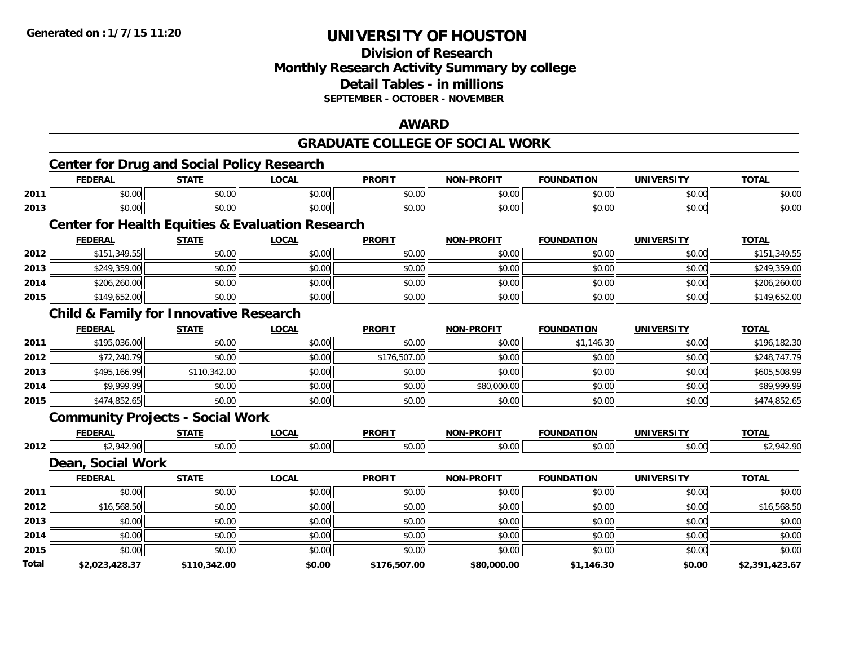#### **Division of Research Monthly Research Activity Summary by college Detail Tables - in millions SEPTEMBER - OCTOBER - NOVEMBER**

#### **AWARD**

#### **GRADUATE COLLEGE OF SOCIAL WORK**

|       |                   | Center for Drug and Social Policy Research        |                                                             |               |                   |                   |                   |                |
|-------|-------------------|---------------------------------------------------|-------------------------------------------------------------|---------------|-------------------|-------------------|-------------------|----------------|
|       | <b>FEDERAL</b>    | <b>STATE</b>                                      | <b>LOCAL</b>                                                | <b>PROFIT</b> | <b>NON-PROFIT</b> | <b>FOUNDATION</b> | <b>UNIVERSITY</b> | <b>TOTAL</b>   |
| 2011  | \$0.00            | \$0.00                                            | \$0.00                                                      | \$0.00        | \$0.00            | \$0.00            | \$0.00            | \$0.00         |
| 2013  | \$0.00            | \$0.00                                            | \$0.00                                                      | \$0.00        | \$0.00            | \$0.00            | \$0.00            | \$0.00         |
|       |                   |                                                   | <b>Center for Health Equities &amp; Evaluation Research</b> |               |                   |                   |                   |                |
|       | <b>FEDERAL</b>    | <b>STATE</b>                                      | <b>LOCAL</b>                                                | <b>PROFIT</b> | <b>NON-PROFIT</b> | <b>FOUNDATION</b> | <b>UNIVERSITY</b> | <b>TOTAL</b>   |
| 2012  | \$151,349.55      | \$0.00                                            | \$0.00                                                      | \$0.00        | \$0.00            | \$0.00            | \$0.00            | \$151,349.55   |
| 2013  | \$249,359.00      | \$0.00                                            | \$0.00                                                      | \$0.00        | \$0.00            | \$0.00            | \$0.00            | \$249,359.00   |
| 2014  | \$206,260.00      | \$0.00                                            | \$0.00                                                      | \$0.00        | \$0.00            | \$0.00            | \$0.00            | \$206,260.00   |
| 2015  | \$149,652.00      | \$0.00                                            | \$0.00                                                      | \$0.00        | \$0.00            | \$0.00            | \$0.00            | \$149,652.00   |
|       |                   | <b>Child &amp; Family for Innovative Research</b> |                                                             |               |                   |                   |                   |                |
|       | <b>FEDERAL</b>    | <b>STATE</b>                                      | <b>LOCAL</b>                                                | <b>PROFIT</b> | <b>NON-PROFIT</b> | <b>FOUNDATION</b> | <b>UNIVERSITY</b> | <b>TOTAL</b>   |
| 2011  | \$195,036.00      | \$0.00                                            | \$0.00                                                      | \$0.00        | \$0.00            | \$1,146.30        | \$0.00            | \$196,182.30   |
| 2012  | \$72,240.79       | \$0.00                                            | \$0.00                                                      | \$176,507.00  | \$0.00            | \$0.00            | \$0.00            | \$248,747.79   |
| 2013  | \$495,166.99      | \$110,342.00                                      | \$0.00                                                      | \$0.00        | \$0.00            | \$0.00            | \$0.00            | \$605,508.99   |
| 2014  | \$9,999.99        | \$0.00                                            | \$0.00                                                      | \$0.00        | \$80,000.00       | \$0.00            | \$0.00            | \$89,999.99    |
| 2015  | \$474,852.65      | \$0.00                                            | \$0.00                                                      | \$0.00        | \$0.00            | \$0.00            | \$0.00            | \$474,852.65   |
|       |                   | <b>Community Projects - Social Work</b>           |                                                             |               |                   |                   |                   |                |
|       | <b>FEDERAL</b>    | <b>STATE</b>                                      | <b>LOCAL</b>                                                | <b>PROFIT</b> | <b>NON-PROFIT</b> | <b>FOUNDATION</b> | <b>UNIVERSITY</b> | <b>TOTAL</b>   |
| 2012  | \$2,942.90        | \$0.00                                            | \$0.00                                                      | \$0.00        | \$0.00            | \$0.00            | \$0.00            | \$2,942.90     |
|       | Dean, Social Work |                                                   |                                                             |               |                   |                   |                   |                |
|       | <b>FEDERAL</b>    | <b>STATE</b>                                      | <b>LOCAL</b>                                                | <b>PROFIT</b> | <b>NON-PROFIT</b> | <b>FOUNDATION</b> | <b>UNIVERSITY</b> | <b>TOTAL</b>   |
| 2011  | \$0.00            | \$0.00                                            | \$0.00                                                      | \$0.00        | \$0.00            | \$0.00            | \$0.00            | \$0.00         |
| 2012  | \$16,568.50       | \$0.00                                            | \$0.00                                                      | \$0.00        | \$0.00            | \$0.00            | \$0.00            | \$16,568.50    |
| 2013  | \$0.00            | \$0.00                                            | \$0.00                                                      | \$0.00        | \$0.00            | \$0.00            | \$0.00            | \$0.00         |
| 2014  | \$0.00            | \$0.00                                            | \$0.00                                                      | \$0.00        | \$0.00            | \$0.00            | \$0.00            | \$0.00         |
| 2015  | \$0.00            | \$0.00                                            | \$0.00                                                      | \$0.00        | \$0.00            | \$0.00            | \$0.00            | \$0.00         |
| Total | \$2,023,428.37    | \$110,342.00                                      | \$0.00                                                      | \$176,507.00  | \$80,000.00       | \$1,146.30        | \$0.00            | \$2,391,423.67 |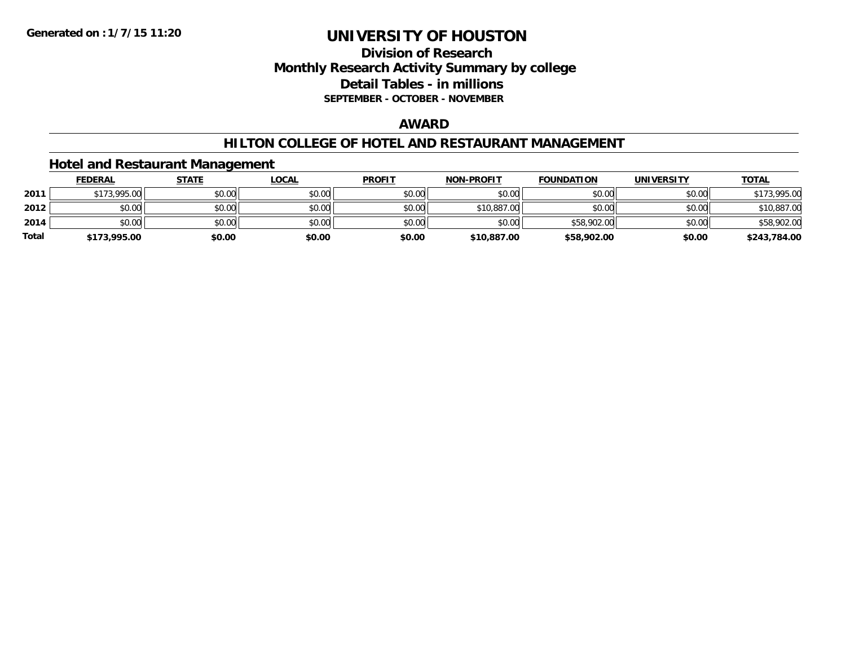### **Division of Research Monthly Research Activity Summary by college Detail Tables - in millions SEPTEMBER - OCTOBER - NOVEMBER**

#### **AWARD**

#### **HILTON COLLEGE OF HOTEL AND RESTAURANT MANAGEMENT**

#### **Hotel and Restaurant Management**

|              | <b>FEDERAL</b> | <b>STATE</b> | <u>LOCAL</u> | <b>PROFIT</b> | <b>NON-PROFIT</b> | <b>FOUNDATION</b> | <b>UNIVERSITY</b> | <b>TOTAL</b> |
|--------------|----------------|--------------|--------------|---------------|-------------------|-------------------|-------------------|--------------|
| 2011         | \$173,995.00   | \$0.00       | \$0.00       | \$0.00        | \$0.00            | \$0.00            | \$0.00            | \$173,995.00 |
| 2012         | \$0.00         | \$0.00       | \$0.00       | \$0.00        | \$10,887.00       | \$0.00            | \$0.00            | \$10,887.00  |
| 2014         | \$0.00         | \$0.00       | \$0.00       | \$0.00        | \$0.00            | \$58,902.00       | \$0.00            | \$58,902.00  |
| <b>Total</b> | \$173,995.00   | \$0.00       | \$0.00       | \$0.00        | \$10,887.00       | \$58,902.00       | \$0.00            | \$243,784.00 |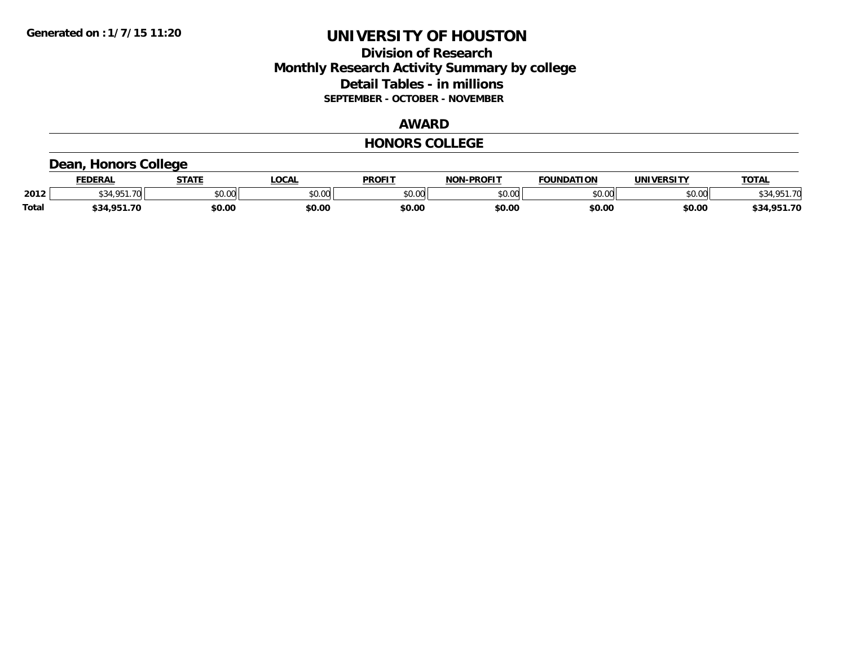### **Division of Research Monthly Research Activity Summary by college Detail Tables - in millions SEPTEMBER - OCTOBER - NOVEMBER**

#### **AWARD**

#### **HONORS COLLEGE**

# **Dean, Honors College**

|              | <b>FEDERAL</b>           | <b>STATE</b> | <b>OCAL</b>        | <b>PROFIT</b> | <b>JN-PROFIT</b><br>NON | <b>FOUNDATION</b> | UNIVERSITY | <b>TOTAL</b>    |
|--------------|--------------------------|--------------|--------------------|---------------|-------------------------|-------------------|------------|-----------------|
| 2012         | $\overline{\phantom{a}}$ | \$0.00       | $\sim$ 00<br>vv.vv | \$0.00        | nn no<br>DU.UU          | \$0.00            | \$0.00     | <b>¢24 OF1</b>  |
| <b>Total</b> | \$34.951.70              | \$0.00       | \$0.00             | \$0.00        | \$0.00                  | \$0.00            | \$0.00     | .951.70<br>\$34 |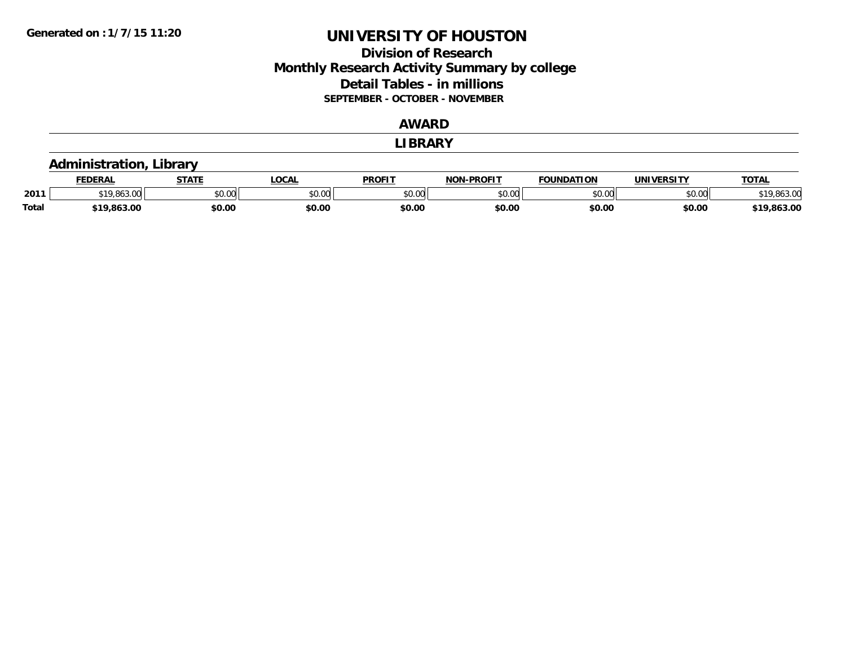### **Division of Research Monthly Research Activity Summary by college Detail Tables - in millions SEPTEMBER - OCTOBER - NOVEMBER**

#### **AWARD**

#### **LIBRARY**

#### **Administration, Library**

|              | <b>FEDERAL</b>  | <b>СТАТЕ</b> | LOCAL  | <b>PROFIT</b> | <b>NON-PROFIT</b> | <b>FOUNDATION</b> | UNIVERSITY | <b>TOTAL</b>     |
|--------------|-----------------|--------------|--------|---------------|-------------------|-------------------|------------|------------------|
| 2011         | $\sim$<br>טט.טע | \$0.00       | \$0.00 | \$0.00        | 0000<br>PU.UU     | \$0.00            | \$0.00     | \$19,863.00      |
| <b>Total</b> | \$19,863.00     | \$0.00       | \$0.00 | \$0.00        | \$0.OC            | \$0.00            | \$0.00     | .863.00<br>0 1 C |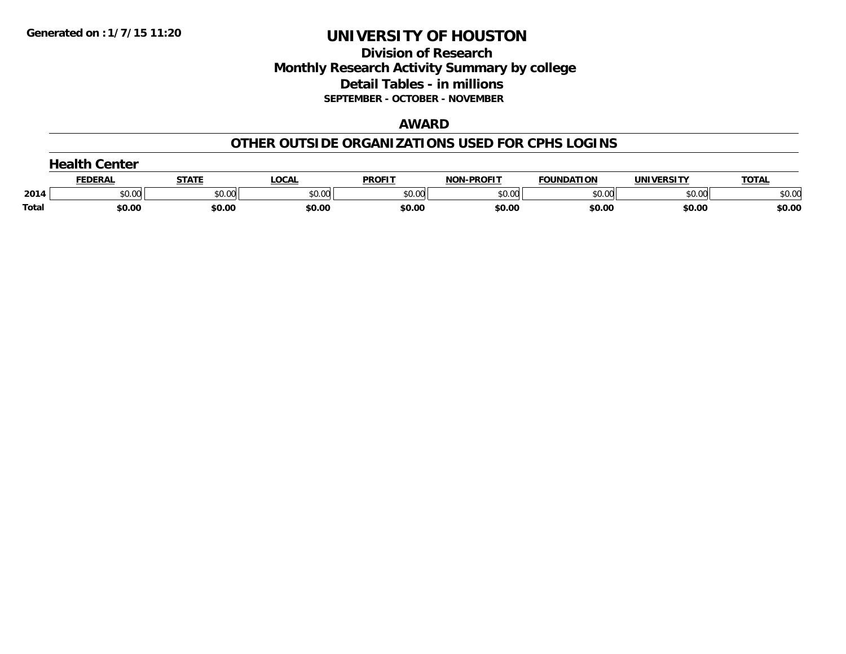### **Division of Research Monthly Research Activity Summary by college Detail Tables - in millions SEPTEMBER - OCTOBER - NOVEMBER**

#### **AWARD**

#### **OTHER OUTSIDE ORGANIZATIONS USED FOR CPHS LOGINS**

|       | <b>iealth</b><br>Center |        |              |               |                   |                   |                   |              |  |  |  |
|-------|-------------------------|--------|--------------|---------------|-------------------|-------------------|-------------------|--------------|--|--|--|
|       | FEDERAL                 | STATE  | <b>LOCAL</b> | <b>PROFIT</b> | <b>NON-PROFIT</b> | <b>FOUNDATION</b> | <b>UNIVERSITY</b> | <b>TOTAL</b> |  |  |  |
| 2014  | \$0.00                  | \$0.00 | \$0.00       | \$0.00        | \$0.00            | \$0.00            | \$0.00            | \$0.00       |  |  |  |
| Total | \$0.00                  | \$0.00 | \$0.00       | \$0.00        | \$0.00            | \$0.00            | \$0.00            | \$0.00       |  |  |  |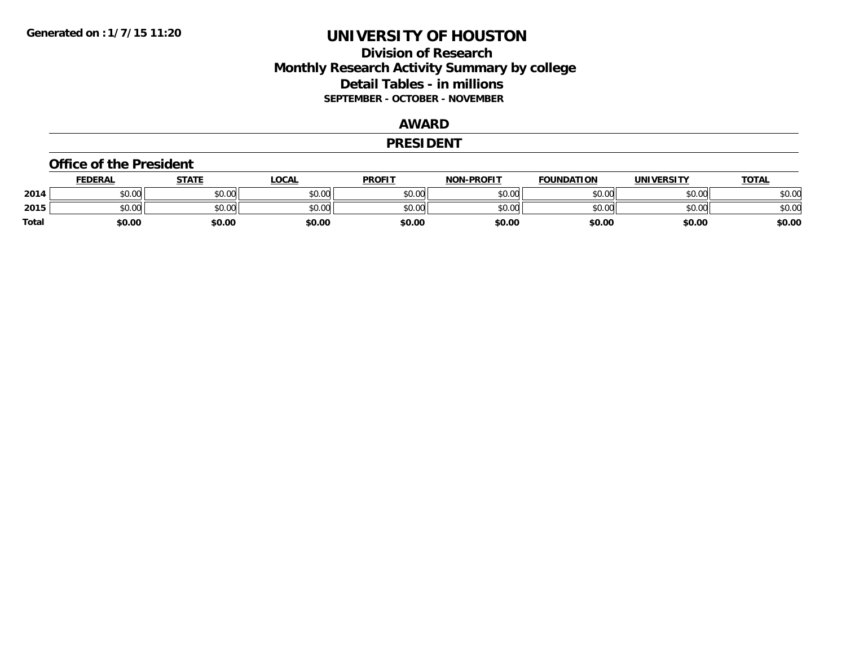### **Division of Research Monthly Research Activity Summary by college Detail Tables - in millions SEPTEMBER - OCTOBER - NOVEMBER**

#### **AWARD**

#### **PRESIDENT**

#### **Office of the President**

|       | <b>FEDERAL</b> | STATE  | LOCAL  | <b>PROFIT</b> | <b>NON-PROFIT</b> | <b>FOUNDATION</b> | <b>UNIVERSITY</b> | <b>TOTAL</b> |
|-------|----------------|--------|--------|---------------|-------------------|-------------------|-------------------|--------------|
| 2014  | \$0.00         | \$0.00 | \$0.00 | \$0.00        | \$0.00            | \$0.00            | \$0.00            | \$0.00       |
| 2015  | \$0.00         | \$0.00 | \$0.00 | \$0.00        | \$0.00            | \$0.00            | \$0.00            | \$0.00       |
| Total | \$0.00         | \$0.00 | \$0.00 | \$0.00        | \$0.00            | \$0.00            | \$0.00            | \$0.00       |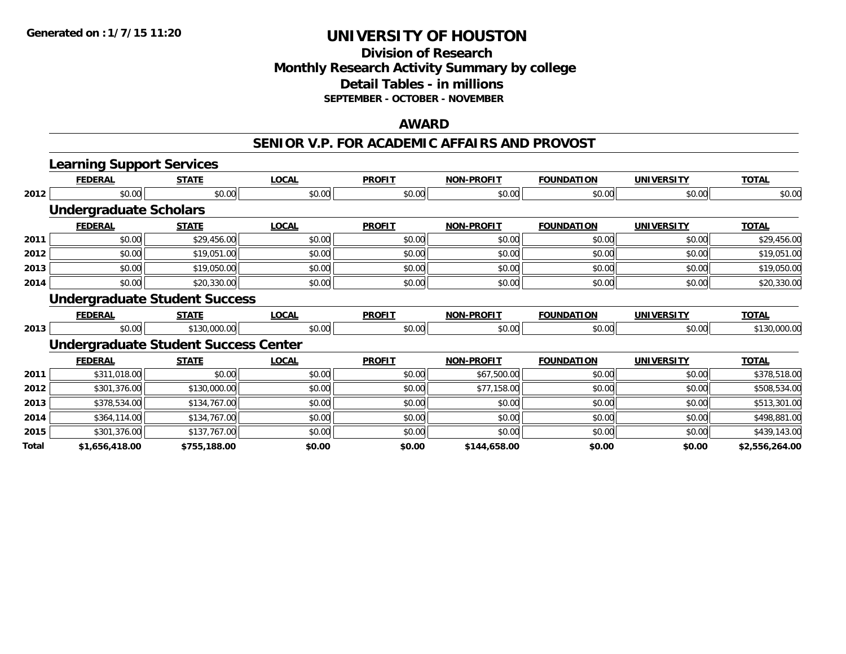#### **Division of Research Monthly Research Activity Summary by college Detail Tables - in millions SEPTEMBER - OCTOBER - NOVEMBER**

#### **AWARD**

#### **SENIOR V.P. FOR ACADEMIC AFFAIRS AND PROVOST**

|      | <b>Learning Support Services</b> |                                             |              |               |                   |                   |                   |              |
|------|----------------------------------|---------------------------------------------|--------------|---------------|-------------------|-------------------|-------------------|--------------|
|      | <b>FEDERAL</b>                   | <b>STATE</b>                                | <b>LOCAL</b> | <b>PROFIT</b> | <b>NON-PROFIT</b> | <b>FOUNDATION</b> | <b>UNIVERSITY</b> | <b>TOTAL</b> |
| 2012 | \$0.00                           | \$0.00                                      | \$0.00       | \$0.00        | \$0.00            | \$0.00            | \$0.00            | \$0.00       |
|      | <b>Undergraduate Scholars</b>    |                                             |              |               |                   |                   |                   |              |
|      | <b>FEDERAL</b>                   | <b>STATE</b>                                | <b>LOCAL</b> | <b>PROFIT</b> | <b>NON-PROFIT</b> | <b>FOUNDATION</b> | <b>UNIVERSITY</b> | <b>TOTAL</b> |
| 2011 | \$0.00                           | \$29,456.00                                 | \$0.00       | \$0.00        | \$0.00            | \$0.00            | \$0.00            | \$29,456.00  |
| 2012 | \$0.00                           | \$19,051.00                                 | \$0.00       | \$0.00        | \$0.00            | \$0.00            | \$0.00            | \$19,051.00  |
| 2013 | \$0.00                           | \$19,050.00                                 | \$0.00       | \$0.00        | \$0.00            | \$0.00            | \$0.00            | \$19,050.00  |
| 2014 | \$0.00                           | \$20,330.00                                 | \$0.00       | \$0.00        | \$0.00            | \$0.00            | \$0.00            | \$20,330.00  |
|      |                                  | <b>Undergraduate Student Success</b>        |              |               |                   |                   |                   |              |
|      | <b>FEDERAL</b>                   | <b>STATE</b>                                | <b>LOCAL</b> | <b>PROFIT</b> | <b>NON-PROFIT</b> | <b>FOUNDATION</b> | <b>UNIVERSITY</b> | <b>TOTAL</b> |
| 2013 | \$0.00                           | \$130,000.00                                | \$0.00       | \$0.00        | \$0.00            | \$0.00            | \$0.00            | \$130,000.00 |
|      |                                  | <b>Undergraduate Student Success Center</b> |              |               |                   |                   |                   |              |
|      | <b>FEDERAL</b>                   | <b>STATE</b>                                | <b>LOCAL</b> | <b>PROFIT</b> | <b>NON-PROFIT</b> | <b>FOUNDATION</b> | <b>UNIVERSITY</b> | <b>TOTAL</b> |
| 2011 | \$311,018.00                     | \$0.00                                      | \$0.00       | \$0.00        | \$67,500.00       | \$0.00            | \$0.00            | \$378,518.00 |
|      |                                  |                                             |              |               |                   |                   |                   |              |
| 2012 | \$301,376.00                     | \$130,000.00                                | \$0.00       | \$0.00        | \$77,158.00       | \$0.00            | \$0.00            | \$508,534.00 |
| 2013 | \$378,534.00                     | \$134,767.00                                | \$0.00       | \$0.00        | \$0.00            | \$0.00            | \$0.00            | \$513,301.00 |
| 2014 | \$364,114.00                     | \$134,767.00                                | \$0.00       | \$0.00        | \$0.00            | \$0.00            | \$0.00            | \$498,881.00 |
| 2015 | \$301,376.00                     | \$137,767.00                                | \$0.00       | \$0.00        | \$0.00            | \$0.00            | \$0.00            | \$439,143.00 |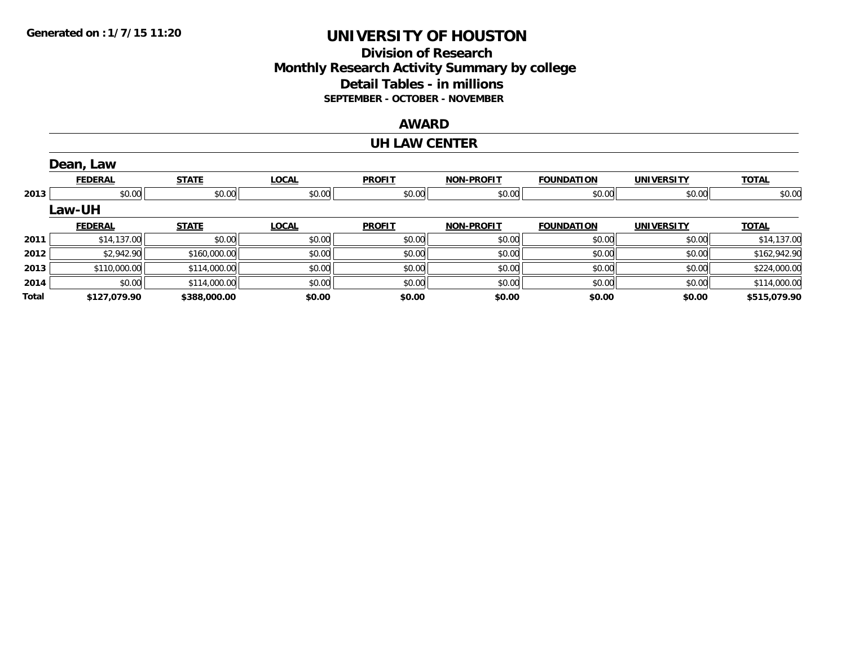### **Division of Research Monthly Research Activity Summary by college Detail Tables - in millions SEPTEMBER - OCTOBER - NOVEMBER**

#### **AWARD**

#### **UH LAW CENTER**

|       | Dean, Law      |              |              |               |                   |                   |                   |              |
|-------|----------------|--------------|--------------|---------------|-------------------|-------------------|-------------------|--------------|
|       | <b>FEDERAL</b> | <b>STATE</b> | <b>LOCAL</b> | <b>PROFIT</b> | <b>NON-PROFIT</b> | <b>FOUNDATION</b> | <b>UNIVERSITY</b> | <b>TOTAL</b> |
| 2013  | \$0.00         | \$0.00       | \$0.00       | \$0.00        | \$0.00            | \$0.00            | \$0.00            | \$0.00       |
|       | Law-UH         |              |              |               |                   |                   |                   |              |
|       | <b>FEDERAL</b> | <b>STATE</b> | <b>LOCAL</b> | <b>PROFIT</b> | <b>NON-PROFIT</b> | <b>FOUNDATION</b> | <b>UNIVERSITY</b> | <b>TOTAL</b> |
| 2011  | \$14,137.00    | \$0.00       | \$0.00       | \$0.00        | \$0.00            | \$0.00            | \$0.00            | \$14,137.00  |
| 2012  | \$2,942.90     | \$160,000.00 | \$0.00       | \$0.00        | \$0.00            | \$0.00            | \$0.00            | \$162,942.90 |
| 2013  | \$110,000.00   | \$114,000.00 | \$0.00       | \$0.00        | \$0.00            | \$0.00            | \$0.00            | \$224,000.00 |
| 2014  | \$0.00         | \$114,000.00 | \$0.00       | \$0.00        | \$0.00            | \$0.00            | \$0.00            | \$114,000.00 |
| Total | \$127,079.90   | \$388,000.00 | \$0.00       | \$0.00        | \$0.00            | \$0.00            | \$0.00            | \$515,079.90 |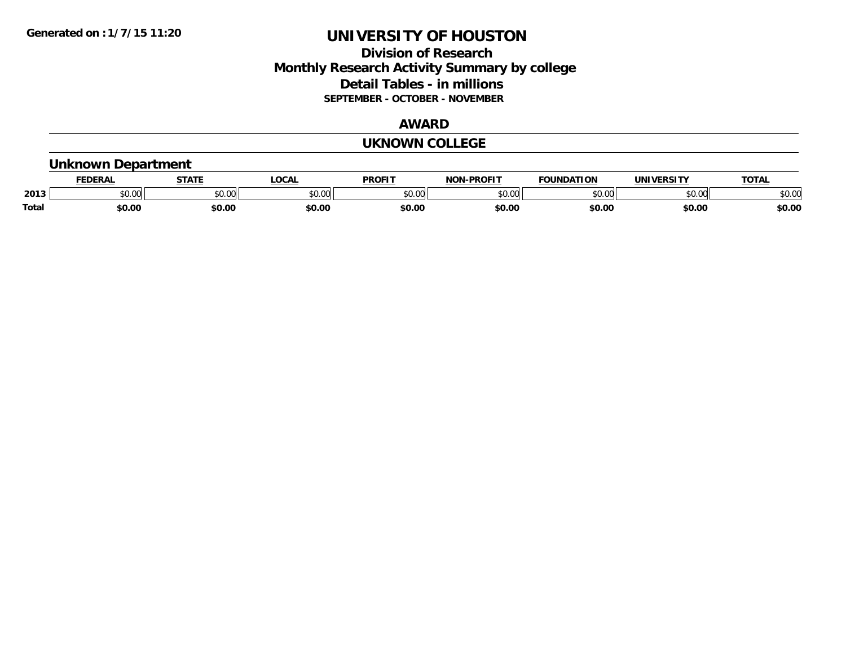### **Division of Research Monthly Research Activity Summary by college Detail Tables - in millions SEPTEMBER - OCTOBER - NOVEMBER**

#### **AWARD**

#### **UKNOWN COLLEGE**

#### **Unknown Department**

|              | <b>JERAI</b> | <b>STATE</b> | <b>LOCAL</b>      | <b>PROFIT</b>       | <b>DDACIT</b><br><b>BIAB</b> | ΙΑΤΙΩΝ | JNI)<br><b>IEDCITY</b> | TOTA.  |
|--------------|--------------|--------------|-------------------|---------------------|------------------------------|--------|------------------------|--------|
| 2013         | \$0.00       | JU.          | $\sim$ 00<br>ט.טע | 0000<br>JU.UU       | ስ ለሰ<br>ט.טע                 | 0000   | \$0.00                 | \$0.00 |
| <b>Total</b> | 60.00        | \$0.00       | \$0.00            | <b>¢∩ ∩</b><br>DU.U | \$0.00                       | \$0.00 | \$0.00                 | \$0.00 |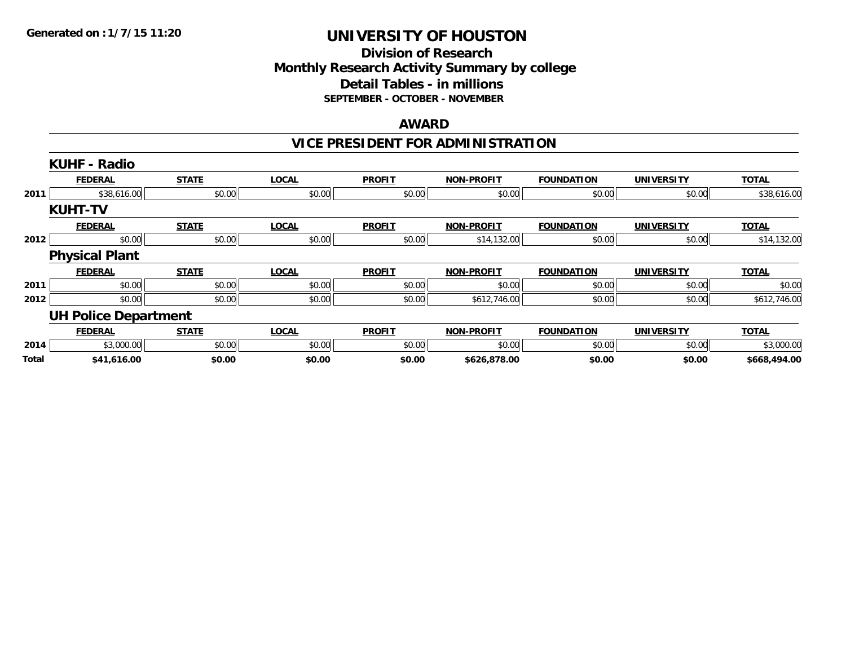#### **Division of Research Monthly Research Activity Summary by college Detail Tables - in millions SEPTEMBER - OCTOBER - NOVEMBER**

#### **AWARD**

## **VICE PRESIDENT FOR ADMINISTRATION**

|       | <b>KUHF - Radio</b>         |              |              |               |                   |                   |                   |              |
|-------|-----------------------------|--------------|--------------|---------------|-------------------|-------------------|-------------------|--------------|
|       | <b>FEDERAL</b>              | <b>STATE</b> | <b>LOCAL</b> | <b>PROFIT</b> | <b>NON-PROFIT</b> | <b>FOUNDATION</b> | <b>UNIVERSITY</b> | <b>TOTAL</b> |
| 2011  | \$38,616.00                 | \$0.00       | \$0.00       | \$0.00        | \$0.00            | \$0.00            | \$0.00            | \$38,616.00  |
|       | <b>KUHT-TV</b>              |              |              |               |                   |                   |                   |              |
|       | <b>FEDERAL</b>              | <b>STATE</b> | <b>LOCAL</b> | <b>PROFIT</b> | <b>NON-PROFIT</b> | <b>FOUNDATION</b> | <b>UNIVERSITY</b> | <b>TOTAL</b> |
| 2012  | \$0.00                      | \$0.00       | \$0.00       | \$0.00        | \$14,132.00       | \$0.00            | \$0.00            | \$14,132.00  |
|       | <b>Physical Plant</b>       |              |              |               |                   |                   |                   |              |
|       | <b>FEDERAL</b>              | <b>STATE</b> | <b>LOCAL</b> | <b>PROFIT</b> | <b>NON-PROFIT</b> | <b>FOUNDATION</b> | <b>UNIVERSITY</b> | <b>TOTAL</b> |
| 2011  | \$0.00                      | \$0.00       | \$0.00       | \$0.00        | \$0.00            | \$0.00            | \$0.00            | \$0.00       |
| 2012  | \$0.00                      | \$0.00       | \$0.00       | \$0.00        | \$612,746.00      | \$0.00            | \$0.00            | \$612,746.00 |
|       | <b>UH Police Department</b> |              |              |               |                   |                   |                   |              |
|       | <b>FEDERAL</b>              | <b>STATE</b> | <b>LOCAL</b> | <b>PROFIT</b> | <b>NON-PROFIT</b> | <b>FOUNDATION</b> | <b>UNIVERSITY</b> | <b>TOTAL</b> |
| 2014  | \$3,000.00                  | \$0.00       | \$0.00       | \$0.00        | \$0.00            | \$0.00            | \$0.00            | \$3,000.00   |
| Total | \$41,616.00                 | \$0.00       | \$0.00       | \$0.00        | \$626,878.00      | \$0.00            | \$0.00            | \$668,494.00 |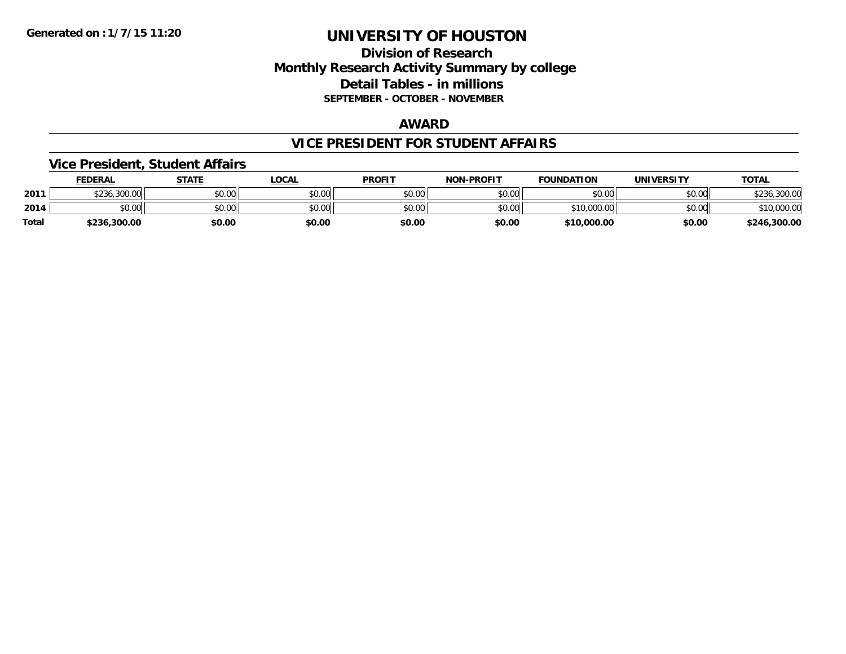### **Division of Research Monthly Research Activity Summary by college Detail Tables - in millions SEPTEMBER - OCTOBER - NOVEMBER**

#### **AWARD**

#### **VICE PRESIDENT FOR STUDENT AFFAIRS**

#### **Vice President, Student Affairs**

|              | <b>FEDERAL</b> | STATE  | LOCAL  | <b>PROFIT</b> | <b>NON-PROFIT</b> | <b>FOUNDATION</b> | <b>UNIVERSITY</b> | <u>TOTAL</u> |
|--------------|----------------|--------|--------|---------------|-------------------|-------------------|-------------------|--------------|
| 2011         | \$236,300.00   | \$0.00 | \$0.00 | \$0.00        | \$0.00            | \$0.00            | \$0.00            | 300.00,      |
| 2014         | \$0.00         | \$0.00 | \$0.00 | \$0.00        | \$0.00            | \$10,000.00       | \$0.00            | \$10,000.00  |
| <b>Total</b> | \$236,300.00   | \$0.00 | \$0.00 | \$0.00        | \$0.00            | \$10,000.00       | \$0.00            | \$246,300.00 |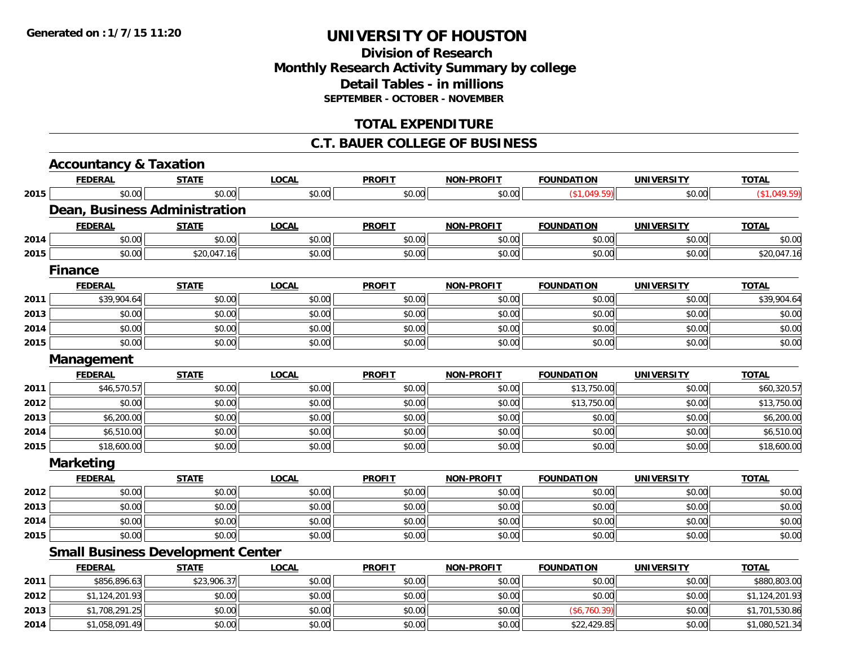### **Division of ResearchMonthly Research Activity Summary by college Detail Tables - in millions SEPTEMBER - OCTOBER - NOVEMBER**

### **TOTAL EXPENDITURE**

#### **C.T. BAUER COLLEGE OF BUSINESS**

|      | <b>Accountancy &amp; Taxation</b>        |              |              |               |                   |                   |                   |                |
|------|------------------------------------------|--------------|--------------|---------------|-------------------|-------------------|-------------------|----------------|
|      | <b>FEDERAL</b>                           | <b>STATE</b> | <b>LOCAL</b> | <b>PROFIT</b> | <b>NON-PROFIT</b> | <b>FOUNDATION</b> | <b>UNIVERSITY</b> | <b>TOTAL</b>   |
| 2015 | \$0.00                                   | \$0.00       | \$0.00       | \$0.00        | \$0.00            | (\$1,049.59)      | \$0.00            | (\$1,049.59)   |
|      | Dean, Business Administration            |              |              |               |                   |                   |                   |                |
|      | <b>FEDERAL</b>                           | <b>STATE</b> | <b>LOCAL</b> | <b>PROFIT</b> | <b>NON-PROFIT</b> | <b>FOUNDATION</b> | <b>UNIVERSITY</b> | <b>TOTAL</b>   |
| 2014 | \$0.00                                   | \$0.00       | \$0.00       | \$0.00        | \$0.00            | \$0.00            | \$0.00            | \$0.00         |
| 2015 | \$0.00                                   | \$20,047.16  | \$0.00       | \$0.00        | \$0.00            | \$0.00            | \$0.00            | \$20,047.16    |
|      | <b>Finance</b>                           |              |              |               |                   |                   |                   |                |
|      | <b>FEDERAL</b>                           | <b>STATE</b> | <b>LOCAL</b> | <b>PROFIT</b> | <b>NON-PROFIT</b> | <b>FOUNDATION</b> | <b>UNIVERSITY</b> | <b>TOTAL</b>   |
| 2011 | \$39,904.64                              | \$0.00       | \$0.00       | \$0.00        | \$0.00            | \$0.00            | \$0.00            | \$39,904.64    |
| 2013 | \$0.00                                   | \$0.00       | \$0.00       | \$0.00        | \$0.00            | \$0.00            | \$0.00            | \$0.00         |
| 2014 | \$0.00                                   | \$0.00       | \$0.00       | \$0.00        | \$0.00            | \$0.00            | \$0.00            | \$0.00         |
| 2015 | \$0.00                                   | \$0.00       | \$0.00       | \$0.00        | \$0.00            | \$0.00            | \$0.00            | \$0.00         |
|      | Management                               |              |              |               |                   |                   |                   |                |
|      | <b>FEDERAL</b>                           | <b>STATE</b> | <b>LOCAL</b> | <b>PROFIT</b> | <b>NON-PROFIT</b> | <b>FOUNDATION</b> | <b>UNIVERSITY</b> | <b>TOTAL</b>   |
| 2011 | \$46,570.57                              | \$0.00       | \$0.00       | \$0.00        | \$0.00            | \$13,750.00       | \$0.00            | \$60,320.57    |
| 2012 | \$0.00                                   | \$0.00       | \$0.00       | \$0.00        | \$0.00            | \$13,750.00       | \$0.00            | \$13,750.00    |
| 2013 | \$6,200.00                               | \$0.00       | \$0.00       | \$0.00        | \$0.00            | \$0.00            | \$0.00            | \$6,200.00     |
| 2014 | \$6,510.00                               | \$0.00       | \$0.00       | \$0.00        | \$0.00            | \$0.00            | \$0.00            | \$6,510.00     |
| 2015 | \$18,600.00                              | \$0.00       | \$0.00       | \$0.00        | \$0.00            | \$0.00            | \$0.00            | \$18,600.00    |
|      | <b>Marketing</b>                         |              |              |               |                   |                   |                   |                |
|      | <b>FEDERAL</b>                           | <b>STATE</b> | <b>LOCAL</b> | <b>PROFIT</b> | <b>NON-PROFIT</b> | <b>FOUNDATION</b> | <b>UNIVERSITY</b> | <b>TOTAL</b>   |
| 2012 | \$0.00                                   | \$0.00       | \$0.00       | \$0.00        | \$0.00            | \$0.00            | \$0.00            | \$0.00         |
| 2013 | \$0.00                                   | \$0.00       | \$0.00       | \$0.00        | \$0.00            | \$0.00            | \$0.00            | \$0.00         |
| 2014 | \$0.00                                   | \$0.00       | \$0.00       | \$0.00        | \$0.00            | \$0.00            | \$0.00            | \$0.00         |
| 2015 | \$0.00                                   | \$0.00       | \$0.00       | \$0.00        | \$0.00            | \$0.00            | \$0.00            | \$0.00         |
|      | <b>Small Business Development Center</b> |              |              |               |                   |                   |                   |                |
|      | <b>FEDERAL</b>                           | <b>STATE</b> | <b>LOCAL</b> | <b>PROFIT</b> | <b>NON-PROFIT</b> | <b>FOUNDATION</b> | <b>UNIVERSITY</b> | <b>TOTAL</b>   |
| 2011 | \$856,896.63                             | \$23,906.37  | \$0.00       | \$0.00        | \$0.00            | \$0.00            | \$0.00            | \$880,803.00   |
| 2012 | \$1,124,201.93                           | \$0.00       | \$0.00       | \$0.00        | \$0.00            | \$0.00            | \$0.00            | \$1,124,201.93 |
| 2013 | \$1,708,291.25                           | \$0.00       | \$0.00       | \$0.00        | \$0.00            | (\$6,760.39)      | \$0.00            | \$1,701,530.86 |
| 2014 | \$1,058,091.49                           | \$0.00       | \$0.00       | \$0.00        | \$0.00            | \$22,429.85       | \$0.00            | \$1,080,521.34 |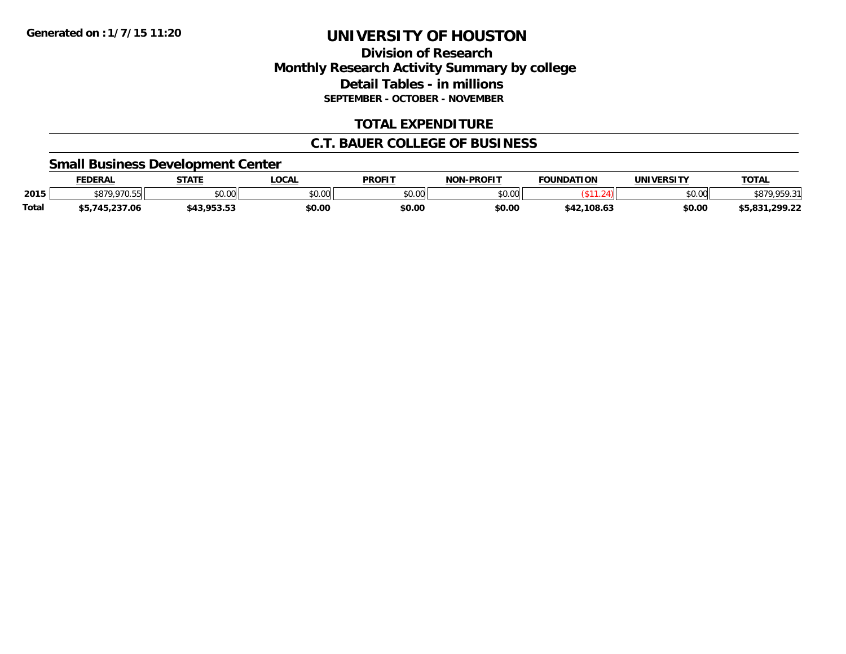### **Division of Research Monthly Research Activity Summary by college Detail Tables - in millions SEPTEMBER - OCTOBER - NOVEMBER**

### **TOTAL EXPENDITURE**

#### **C.T. BAUER COLLEGE OF BUSINESS**

#### **Small Business Development Center**

|              | <b>FEDERAL</b>                   | <b>STATE</b> | LOCAI         | <b>PROFIT</b> | -PROFIT<br>וחרא | <b>FOUNDATION</b> | <b>UNIVERSITY</b> | <b>TOTAL</b>                     |
|--------------|----------------------------------|--------------|---------------|---------------|-----------------|-------------------|-------------------|----------------------------------|
| 2015         | <b>¢970</b><br>070E<br>، ەر<br>. | \$0.00       | 0000<br>vv.vv | \$0.00        | \$0.00          |                   | \$0.00            | <b>050.21</b> د<br>D ( ) /       |
| <b>Total</b> | .5.237.06                        | 799.99       | \$0.00        | \$0.00        | \$0.00          | .108.63           | \$0.00            | <b>CE 021</b><br>,299.22<br>,,,, |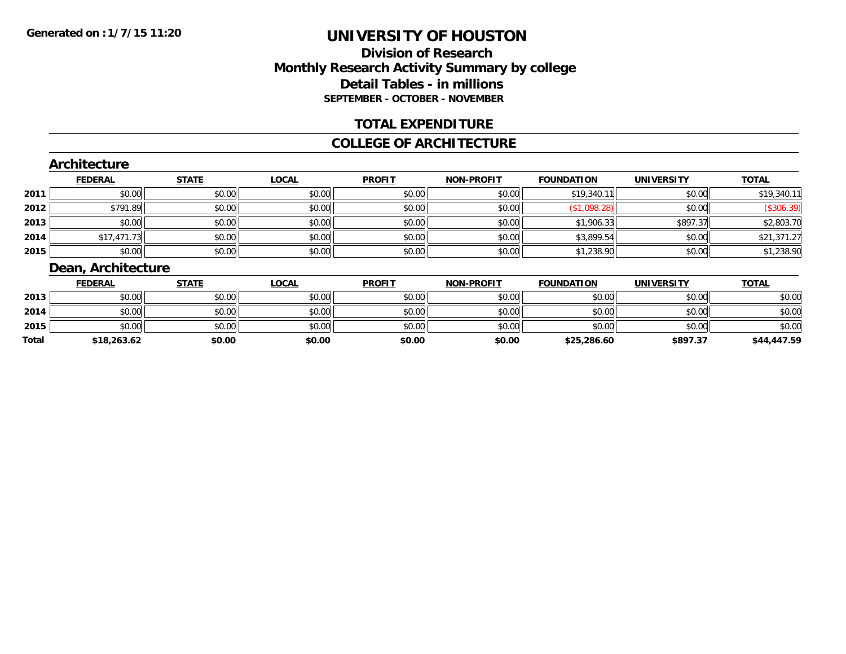### **Division of ResearchMonthly Research Activity Summary by college Detail Tables - in millions SEPTEMBER - OCTOBER - NOVEMBER**

#### **TOTAL EXPENDITURE**

#### **COLLEGE OF ARCHITECTURE**

#### **Architecture**

|      | <b>FEDERAL</b> | <b>STATE</b> | <b>LOCAL</b> | <b>PROFIT</b> | <b>NON-PROFIT</b> | <b>FOUNDATION</b> | <b>UNIVERSITY</b> | <b>TOTAL</b> |
|------|----------------|--------------|--------------|---------------|-------------------|-------------------|-------------------|--------------|
| 2011 | \$0.00         | \$0.00       | \$0.00       | \$0.00        | \$0.00            | \$19,340.11       | \$0.00            | \$19,340.11  |
| 2012 | \$791.89       | \$0.00       | \$0.00       | \$0.00        | \$0.00            | \$1,098.28        | \$0.00            | (\$306.39)   |
| 2013 | \$0.00         | \$0.00       | \$0.00       | \$0.00        | \$0.00            | \$1,906.33        | \$897.37          | \$2,803.70   |
| 2014 | \$17,471.73    | \$0.00       | \$0.00       | \$0.00        | \$0.00            | \$3,899.54        | \$0.00            | \$21,371.27  |
| 2015 | \$0.00         | \$0.00       | \$0.00       | \$0.00        | \$0.00            | \$1,238.90        | \$0.00            | \$1,238.90   |

### **Dean, Architecture**

|       | <b>FEDERAL</b> | <u>STATE</u> | <u>LOCAL</u> | <b>PROFIT</b> | <b>NON-PROFIT</b> | <b>FOUNDATION</b> | <b>UNIVERSITY</b> | <b>TOTAL</b> |
|-------|----------------|--------------|--------------|---------------|-------------------|-------------------|-------------------|--------------|
| 2013  | \$0.00         | \$0.00       | \$0.00       | \$0.00        | \$0.00            | \$0.00            | \$0.00            | \$0.00       |
| 2014  | \$0.00         | \$0.00       | \$0.00       | \$0.00        | \$0.00            | \$0.00            | \$0.00            | \$0.00       |
| 2015  | \$0.00         | \$0.00       | \$0.00       | \$0.00        | \$0.00            | \$0.00            | \$0.00            | \$0.00       |
| Total | \$18,263.62    | \$0.00       | \$0.00       | \$0.00        | \$0.00            | \$25,286.60       | \$897.37          | \$44,447.59  |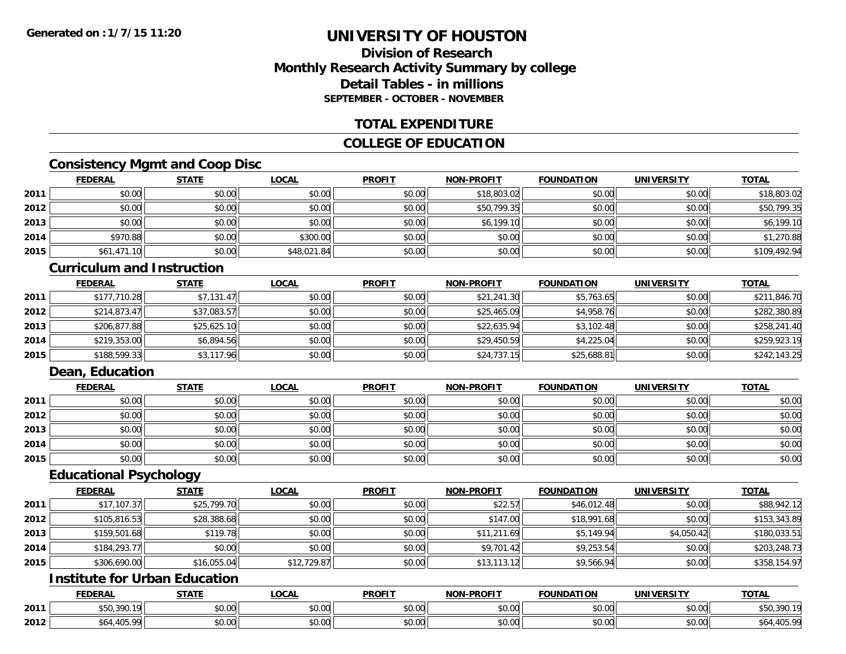### **Division of ResearchMonthly Research Activity Summary by college Detail Tables - in millionsSEPTEMBER - OCTOBER - NOVEMBER**

#### **TOTAL EXPENDITURE**

### **COLLEGE OF EDUCATION**

### **Consistency Mgmt and Coop Disc**

|      | <b>FEDERAL</b> | <b>STATE</b> | <b>LOCAL</b> | <b>PROFIT</b> | <b>NON-PROFIT</b> | <b>FOUNDATION</b> | <b>UNIVERSITY</b> | <b>TOTAL</b> |
|------|----------------|--------------|--------------|---------------|-------------------|-------------------|-------------------|--------------|
| 2011 | \$0.00         | \$0.00       | \$0.00       | \$0.00        | \$18,803.02       | \$0.00            | \$0.00            | \$18,803.02  |
| 2012 | \$0.00         | \$0.00       | \$0.00       | \$0.00        | \$50,799.35       | \$0.00            | \$0.00            | \$50,799.35  |
| 2013 | \$0.00         | \$0.00       | \$0.00       | \$0.00        | \$6,199.10        | \$0.00            | \$0.00            | \$6,199.10   |
| 2014 | \$970.88       | \$0.00       | \$300.00     | \$0.00        | \$0.00            | \$0.00            | \$0.00            | \$1,270.88   |
| 2015 | \$61,471.10    | \$0.00       | \$48,021.84  | \$0.00        | \$0.00            | \$0.00            | \$0.00            | \$109,492.94 |

#### **Curriculum and Instruction**

|      | <b>FEDERAL</b> | <b>STATE</b> | <b>LOCAL</b> | <b>PROFIT</b> | <b>NON-PROFIT</b> | <b>FOUNDATION</b> | <b>UNIVERSITY</b> | <b>TOTAL</b> |
|------|----------------|--------------|--------------|---------------|-------------------|-------------------|-------------------|--------------|
| 2011 | \$177,710.28   | \$7,131.47   | \$0.00       | \$0.00        | \$21,241.30       | \$5,763.65        | \$0.00            | \$211,846.70 |
| 2012 | \$214.873.47   | \$37,083.57  | \$0.00       | \$0.00        | \$25,465.09       | \$4,958.76        | \$0.00            | \$282,380.89 |
| 2013 | \$206.877.88   | \$25,625.10  | \$0.00       | \$0.00        | \$22,635.94       | \$3,102.48        | \$0.00            | \$258,241.40 |
| 2014 | \$219,353.00   | \$6,894.56   | \$0.00       | \$0.00        | \$29,450.59       | \$4,225.04        | \$0.00            | \$259,923.19 |
| 2015 | \$188,599.33   | \$3,117.96   | \$0.00       | \$0.00        | \$24,737.15       | \$25,688.81       | \$0.00            | \$242,143.25 |

### **Dean, Education**

|      | <b>FEDERAL</b> | <b>STATE</b> | <u>LOCAL</u> | <b>PROFIT</b> | <b>NON-PROFIT</b> | <b>FOUNDATION</b> | <b>UNIVERSITY</b> | <b>TOTAL</b> |
|------|----------------|--------------|--------------|---------------|-------------------|-------------------|-------------------|--------------|
| 2011 | \$0.00         | \$0.00       | \$0.00       | \$0.00        | \$0.00            | \$0.00            | \$0.00            | \$0.00       |
| 2012 | \$0.00         | \$0.00       | \$0.00       | \$0.00        | \$0.00            | \$0.00            | \$0.00            | \$0.00       |
| 2013 | \$0.00         | \$0.00       | \$0.00       | \$0.00        | \$0.00            | \$0.00            | \$0.00            | \$0.00       |
| 2014 | \$0.00         | \$0.00       | \$0.00       | \$0.00        | \$0.00            | \$0.00            | \$0.00            | \$0.00       |
| 2015 | \$0.00         | \$0.00       | \$0.00       | \$0.00        | \$0.00            | \$0.00            | \$0.00            | \$0.00       |

#### **Educational Psychology**

|      | <b>FEDERAL</b> | <b>STATE</b> | <u>LOCAL</u> | <b>PROFIT</b> | <b>NON-PROFIT</b> | <b>FOUNDATION</b> | <b>UNIVERSITY</b> | <b>TOTAL</b> |
|------|----------------|--------------|--------------|---------------|-------------------|-------------------|-------------------|--------------|
| 2011 | \$17,107.37    | \$25,799.70  | \$0.00       | \$0.00        | \$22.57           | \$46,012.48       | \$0.00            | \$88,942.12  |
| 2012 | \$105,816.53   | \$28,388.68  | \$0.00       | \$0.00        | \$147.00          | \$18,991.68       | \$0.00            | \$153,343.89 |
| 2013 | \$159,501.68   | \$119.78     | \$0.00       | \$0.00        | \$11,211.69       | \$5,149.94        | \$4,050.42        | \$180,033.51 |
| 2014 | \$184,293.77   | \$0.00       | \$0.00       | \$0.00        | \$9,701.42        | \$9,253.54        | \$0.00            | \$203,248.73 |
| 2015 | \$306,690.00   | \$16,055.04  | \$12,729.87  | \$0.00        | \$13,113.12       | \$9,566.94        | \$0.00            | \$358,154.97 |

## **Institute for Urban Education**

|      | <b>FEDERAL</b>                    | <b>STATE</b> | <b>LOCAL</b>              | <b>PROFIT</b> | <b>NON-PROFIT</b>                          | <b>FOUNDATION</b> | UNIVERSITY                | <b>TOTAL</b>       |
|------|-----------------------------------|--------------|---------------------------|---------------|--------------------------------------------|-------------------|---------------------------|--------------------|
| 2011 | $\sim$ $\sim$ $\sim$<br>JJU,J7U.I | \$0.00       | $\sim$<br>$\sim$<br>vv.vv | 0000<br>DU.UU | $\theta$ $\theta$ $\theta$<br>DU.UU        | \$0.00            | $\sim$ 00<br><b>JU.UU</b> | - 1 ດ<br>\$50,390. |
| 2012 | 10T<br>ററ                         | \$0.00       | ሖ ∩<br>$\sim$<br>vu.uu    | 0000<br>JU.UU | $\theta$ $\theta$ $\theta$<br><b>DU.UU</b> | \$0.00            | $\sim$ 00<br><b>JU.UU</b> | J04<br>ັບ ບ.       |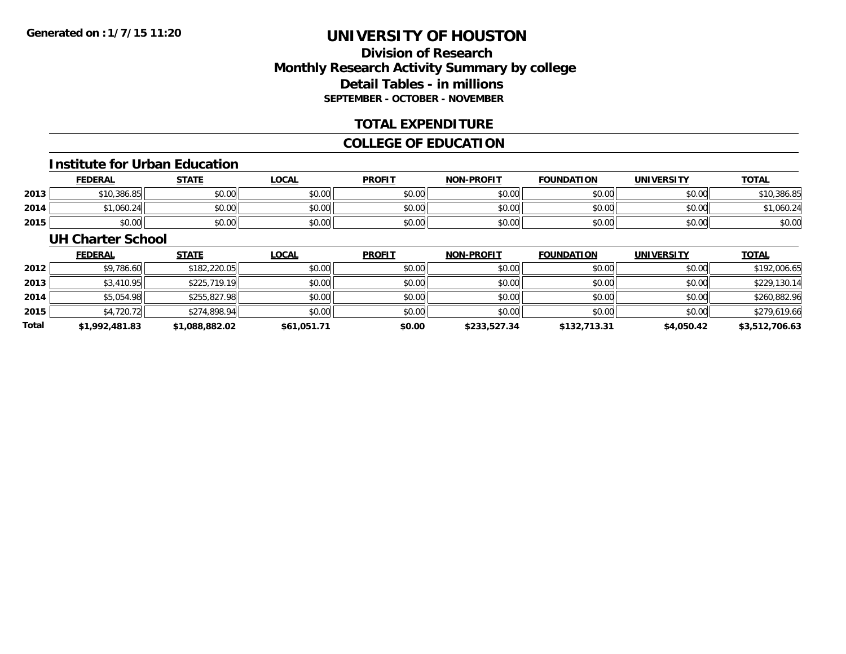### **Division of ResearchMonthly Research Activity Summary by college Detail Tables - in millions SEPTEMBER - OCTOBER - NOVEMBER**

#### **TOTAL EXPENDITURE**

### **COLLEGE OF EDUCATION**

#### **Institute for Urban Education**

|      | <b>FEDERAL</b> | STATE  | LOCAL  | <b>PROFIT</b> | <b>NON-PROFIT</b> | <b>FOUNDATION</b> | <b>UNIVERSITY</b> | <b>TOTAL</b> |
|------|----------------|--------|--------|---------------|-------------------|-------------------|-------------------|--------------|
| 2013 | \$10,386.85    | \$0.00 | \$0.00 | \$0.00        | \$0.00            | \$0.00            | \$0.00            | \$10,386.85  |
| 2014 | .060.24        | \$0.00 | \$0.00 | \$0.00        | \$0.00            | \$0.00            | \$0.00 l          | ,060.24      |
| 2015 | \$0.00         | \$0.00 | \$0.00 | \$0.00        | \$0.00            | \$0.00            | \$0.00            | \$0.00       |

#### **UH Charter School**

|       | <b>FEDERAL</b> | <b>STATE</b>   | <b>LOCAL</b> | <b>PROFIT</b> | <b>NON-PROFIT</b> | <b>FOUNDATION</b> | <b>UNIVERSITY</b> | <b>TOTAL</b>   |
|-------|----------------|----------------|--------------|---------------|-------------------|-------------------|-------------------|----------------|
| 2012  | \$9,786.60     | \$182,220.05   | \$0.00       | \$0.00        | \$0.00            | \$0.00            | \$0.00            | \$192,006.65   |
| 2013  | \$3,410.95     | \$225,719.19   | \$0.00       | \$0.00        | \$0.00            | \$0.00            | \$0.00            | \$229,130.14   |
| 2014  | \$5,054.98     | \$255,827.98   | \$0.00       | \$0.00        | \$0.00            | \$0.00            | \$0.00            | \$260,882.96   |
| 2015  | \$4,720.72     | \$274,898.94   | \$0.00       | \$0.00        | \$0.00            | \$0.00            | \$0.00            | \$279,619.66   |
| Total | \$1,992,481.83 | \$1,088,882.02 | \$61,051.71  | \$0.00        | \$233,527.34      | \$132,713.31      | \$4,050.42        | \$3,512,706.63 |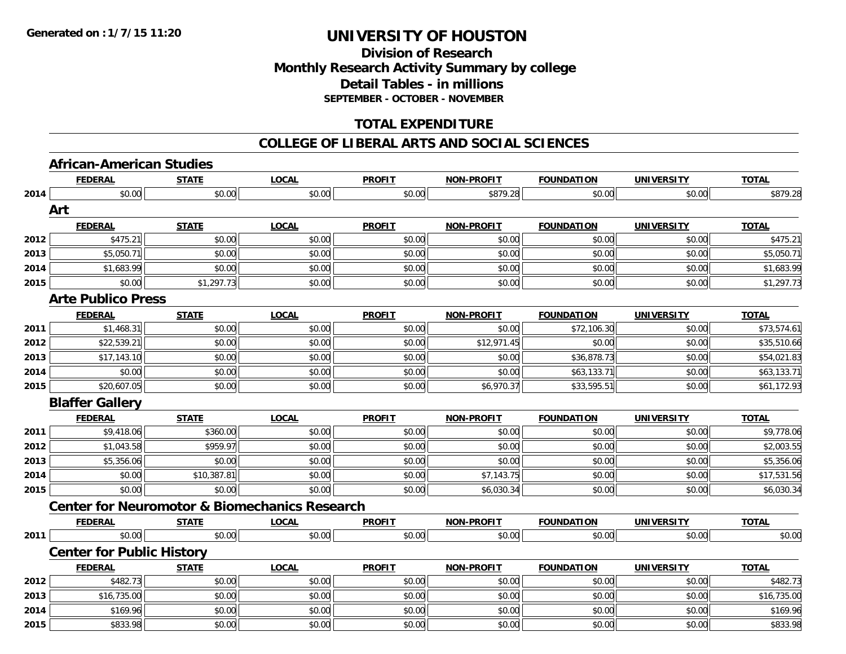### **Division of Research Monthly Research Activity Summary by college Detail Tables - in millions SEPTEMBER - OCTOBER - NOVEMBER**

### **TOTAL EXPENDITURE**

#### **COLLEGE OF LIBERAL ARTS AND SOCIAL SCIENCES**

### **African-American Studies**

|      | <b>FEDERAL</b>                                           | <b>STATE</b> | <b>LOCAL</b> | <b>PROFIT</b> | NON-PROFIT        | <b>FOUNDATION</b> | <b>UNIVERSITY</b> | <b>TOTAL</b> |
|------|----------------------------------------------------------|--------------|--------------|---------------|-------------------|-------------------|-------------------|--------------|
| 2014 | \$0.00                                                   | \$0.00       | \$0.00       | \$0.00        | \$879.28          | \$0.00            | \$0.00            | \$879.28     |
|      | Art                                                      |              |              |               |                   |                   |                   |              |
|      | <b>FEDERAL</b>                                           | <b>STATE</b> | <b>LOCAL</b> | <b>PROFIT</b> | <b>NON-PROFIT</b> | <b>FOUNDATION</b> | <b>UNIVERSITY</b> | <b>TOTAL</b> |
| 2012 | \$475.21                                                 | \$0.00       | \$0.00       | \$0.00        | \$0.00            | \$0.00            | \$0.00            | \$475.21     |
| 2013 | \$5,050.71                                               | \$0.00       | \$0.00       | \$0.00        | \$0.00            | \$0.00            | \$0.00            | \$5,050.71   |
| 2014 | \$1,683.99                                               | \$0.00       | \$0.00       | \$0.00        | \$0.00            | \$0.00            | \$0.00            | \$1,683.99   |
| 2015 | \$0.00                                                   | \$1,297.73   | \$0.00       | \$0.00        | \$0.00            | \$0.00            | \$0.00            | \$1,297.73   |
|      | <b>Arte Publico Press</b>                                |              |              |               |                   |                   |                   |              |
|      | <b>FEDERAL</b>                                           | <b>STATE</b> | <b>LOCAL</b> | <b>PROFIT</b> | <b>NON-PROFIT</b> | <b>FOUNDATION</b> | <b>UNIVERSITY</b> | <b>TOTAL</b> |
| 2011 | \$1,468.31                                               | \$0.00       | \$0.00       | \$0.00        | \$0.00            | \$72,106.30       | \$0.00            | \$73,574.61  |
| 2012 | \$22,539.21                                              | \$0.00       | \$0.00       | \$0.00        | \$12,971.45       | \$0.00            | \$0.00            | \$35,510.66  |
| 2013 | \$17,143.10                                              | \$0.00       | \$0.00       | \$0.00        | \$0.00            | \$36,878.73       | \$0.00            | \$54,021.83  |
| 2014 | \$0.00                                                   | \$0.00       | \$0.00       | \$0.00        | \$0.00            | \$63,133.71       | \$0.00            | \$63,133.71  |
| 2015 | \$20,607.05                                              | \$0.00       | \$0.00       | \$0.00        | \$6,970.37        | \$33,595.51       | \$0.00            | \$61,172.93  |
|      | <b>Blaffer Gallery</b>                                   |              |              |               |                   |                   |                   |              |
|      | <b>FEDERAL</b>                                           | <b>STATE</b> | <b>LOCAL</b> | <b>PROFIT</b> | <b>NON-PROFIT</b> | <b>FOUNDATION</b> | <b>UNIVERSITY</b> | <b>TOTAL</b> |
| 2011 | \$9,418.06                                               | \$360.00     | \$0.00       | \$0.00        | \$0.00            | \$0.00            | \$0.00            | \$9,778.06   |
| 2012 | \$1,043.58                                               | \$959.97     | \$0.00       | \$0.00        | \$0.00            | \$0.00            | \$0.00            | \$2,003.55   |
| 2013 | \$5,356.06                                               | \$0.00       | \$0.00       | \$0.00        | \$0.00            | \$0.00            | \$0.00            | \$5,356.06   |
| 2014 | \$0.00                                                   | \$10,387.81  | \$0.00       | \$0.00        | \$7,143.75        | \$0.00            | \$0.00            | \$17,531.56  |
| 2015 | \$0.00                                                   | \$0.00       | \$0.00       | \$0.00        | \$6,030.34        | \$0.00            | \$0.00            | \$6,030.34   |
|      | <b>Center for Neuromotor &amp; Biomechanics Research</b> |              |              |               |                   |                   |                   |              |
|      | <b>FEDERAL</b>                                           | <b>STATE</b> | <b>LOCAL</b> | <b>PROFIT</b> | <b>NON-PROFIT</b> | <b>FOUNDATION</b> | <b>UNIVERSITY</b> | <b>TOTAL</b> |
| 2011 | \$0.00                                                   | \$0.00       | \$0.00       | \$0.00        | \$0.00            | \$0.00            | \$0.00            | \$0.00       |
|      | <b>Center for Public History</b>                         |              |              |               |                   |                   |                   |              |
|      |                                                          |              |              |               |                   |                   |                   | <b>TOTAL</b> |
|      | <b>FEDERAL</b>                                           | <b>STATE</b> | <b>LOCAL</b> | <b>PROFIT</b> | <b>NON-PROFIT</b> | <b>FOUNDATION</b> | <b>UNIVERSITY</b> |              |
| 2012 | \$482.73                                                 | \$0.00       | \$0.00       | \$0.00        | \$0.00            | \$0.00            | \$0.00            | \$482.73     |
| 2013 | \$16,735.00                                              | \$0.00       | \$0.00       | \$0.00        | \$0.00            | \$0.00            | \$0.00            | \$16,735.00  |
| 2014 | \$169.96                                                 | \$0.00       | \$0.00       | \$0.00        | \$0.00            | \$0.00            | \$0.00            | \$169.96     |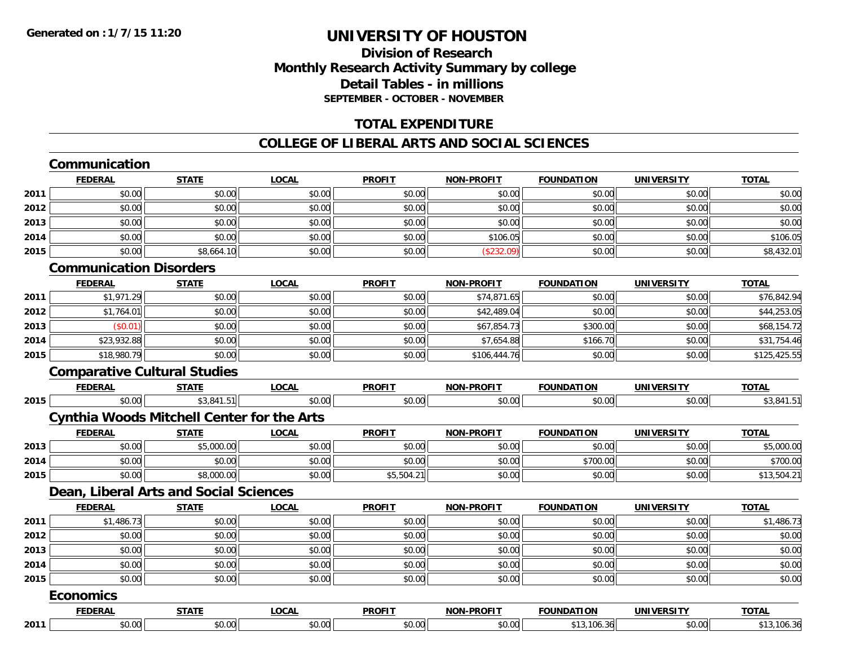### **Division of ResearchMonthly Research Activity Summary by college Detail Tables - in millionsSEPTEMBER - OCTOBER - NOVEMBER**

#### **TOTAL EXPENDITURE**

#### **COLLEGE OF LIBERAL ARTS AND SOCIAL SCIENCES**

#### **CommunicationFEDERAL STATE LOCAL PROFIT NON-PROFIT FOUNDATION UNIVERSITY TOTALTOTAL 2011** \$0.00 \$0.00 \$0.00 \$0.00 \$0.00 \$0.00 \$0.00 \$0.00 **2012**2 | \$0.00 \$0.00 \$0.00 \$0.00 \$0.00 \$0.00 \$0.00 \$0.00 \$0.00 \$0.00 \$0.00 \$0.00 \$0.00 \$0.00 \$0.00 \$0.00 \$0.00 **2013** \$0.00 \$0.00 \$0.00 \$0.00 \$0.00 \$0.00 \$0.00 \$0.00 **2014**4 \$0.00 \$0.00 \$0.00 \$0.00 \$0.00 \$0.00 \$0.00 \$0.00 \$106.05 \$106.05 \$106.05 \$0.00 \$0.00 \$0.00 \$106.05 **2015**5 | \$0.00| \$8,664.10| \$0.00| \$0.00| \$0.00| \$8,432.01 **Communication DisordersFEDERAL STATE LOCAL PROFIT NON-PROFIT FOUNDATION UNIVERSITY TOTAL2011** \$1,971.29 \$0.00 \$0.00 \$0.00 \$74,871.65 \$0.00 \$0.00 \$76,842.94 **2012**2 | \$1,764.01|| \$0.00|| \$0.00|| \$0.00|| \$0.00|| \$42,489.04|| \$0.00|| \$0.00|| \$44,253.05| **2013** $\textbf{3} \hspace{12mm} |\hspace{12mm} \text{($0.01)} |\hspace{12mm}| \hspace{12mm} \text{($0.01)} |\hspace{12mm} \text{($0.01)} |\hspace{12mm} \text{($0.02)} |\hspace{12mm} \text{($0.03)} |\hspace{12mm} \text{($0.04)} |\hspace{12mm} \text{($0.05)} |\hspace{12mm} \text{($0.05)} |\hspace{12mm} \text{($0.06)} |\hspace{12mm} \text{($0.07)} |\hspace{12mm} \text{($0.08)} |\hspace{12mm} \text{($ **2014**4 \$23,932.88 \$0.00 \$0.00 \$0.00 \$0.00 \$0.00 \$0.00 \$0.00 \$7,654.88 \$166.70 \$166.70 \$0.00 \$31,754.46 **2015** \$18,980.79 \$0.00 \$0.00 \$0.00 \$106,444.76 \$0.00 \$0.00 \$125,425.55 **Comparative Cultural Studies FEDERAL STATE LOCAL PROFIT NON-PROFIT FOUNDATION UNIVERSITY TOTAL2015** \$0.00 \$3,841.51 \$0.00 \$0.00 \$0.00 \$0.00 \$0.00 \$3,841.51 **Cynthia Woods Mitchell Center for the Arts FEDERAL STATE LOCAL PROFIT NON-PROFIT FOUNDATION UNIVERSITY TOTALTOTAL 2013** \$0.00 \$5,000.00 \$0.00 \$0.00 \$0.00 \$0.00 \$0.00 \$5,000.00 **2014**4 \$0.00 \$0.00 \$0.00 \$0.00 \$0.00 \$0.00 \$0.00 \$0.00 \$0.00 \$0.00 \$700.00 \$700.00 \$0.00 \$0.00 \$700.00 **2015** \$0.00 \$8,000.00 \$0.00 \$5,504.21 \$0.00 \$0.00 \$0.00 \$13,504.21 **Dean, Liberal Arts and Social Sciences FEDERAL STATE LOCAL PROFIT NON-PROFIT FOUNDATION UNIVERSITY TOTALTOTAL 2011** \$1,486.73 \$0.00 \$0.00 \$0.00 \$0.00 \$0.00 \$0.00 \$1,486.73 **2012**2 | \$0.00 \$0.00 \$0.00 \$0.00 \$0.00 \$0.00 \$0.00 \$0.00 \$0.00 \$0.00 \$0.00 \$0.00 \$0.00 \$0.00 \$0.00 \$0.00 \$0.00 **2013** \$0.00 \$0.00 \$0.00 \$0.00 \$0.00 \$0.00 \$0.00 \$0.00 **2014**4 \$0.00 \$0.00 \$0.00 \$0.00 \$0.00 \$0.00 \$0.00 \$0.00 \$0.00 \$0.00 \$0.00 \$0.00 \$0.00 \$0.00 \$0.00 \$0.00 \$0.00 **2015** \$0.00 \$0.00 \$0.00 \$0.00 \$0.00 \$0.00 \$0.00 \$0.00 **EconomicsFEDERAL STATE LOCAL PROFIT NON-PROFIT FOUNDATION UNIVERSITY TOTAL2011**\$0.00 \$0.00 \$0.00 \$0.00 \$0.00 \$13,106.36 \$0.00 \$13,106.36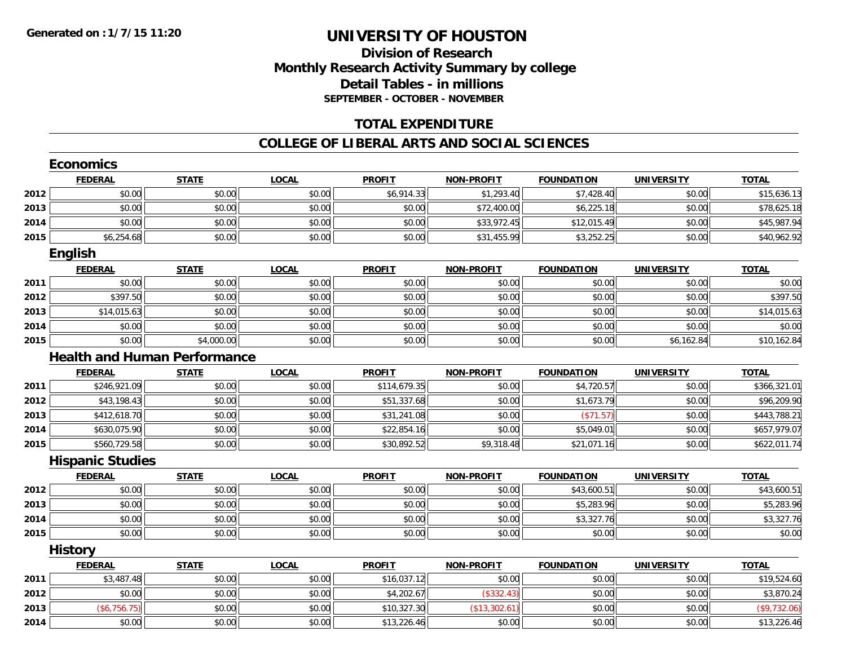### **Division of ResearchMonthly Research Activity Summary by college Detail Tables - in millions SEPTEMBER - OCTOBER - NOVEMBER**

#### **TOTAL EXPENDITURE**

#### **COLLEGE OF LIBERAL ARTS AND SOCIAL SCIENCES**

|      | <b>Economics</b>                    |              |              |               |                   |                   |                   |              |
|------|-------------------------------------|--------------|--------------|---------------|-------------------|-------------------|-------------------|--------------|
|      | <b>FEDERAL</b>                      | <b>STATE</b> | <b>LOCAL</b> | <b>PROFIT</b> | <b>NON-PROFIT</b> | <b>FOUNDATION</b> | <b>UNIVERSITY</b> | <b>TOTAL</b> |
| 2012 | \$0.00                              | \$0.00       | \$0.00       | \$6,914.33    | \$1,293.40        | \$7,428.40        | \$0.00            | \$15,636.13  |
| 2013 | \$0.00                              | \$0.00       | \$0.00       | \$0.00        | \$72,400.00       | \$6,225.18        | \$0.00            | \$78,625.18  |
| 2014 | \$0.00                              | \$0.00       | \$0.00       | \$0.00        | \$33,972.45       | \$12,015.49       | \$0.00            | \$45,987.94  |
| 2015 | \$6,254.68                          | \$0.00       | \$0.00       | \$0.00        | \$31,455.99       | \$3,252.25        | \$0.00            | \$40,962.92  |
|      | <b>English</b>                      |              |              |               |                   |                   |                   |              |
|      | <b>FEDERAL</b>                      | <b>STATE</b> | <b>LOCAL</b> | <b>PROFIT</b> | <b>NON-PROFIT</b> | <b>FOUNDATION</b> | <b>UNIVERSITY</b> | <b>TOTAL</b> |
| 2011 | \$0.00                              | \$0.00       | \$0.00       | \$0.00        | \$0.00            | \$0.00            | \$0.00            | \$0.00       |
| 2012 | \$397.50                            | \$0.00       | \$0.00       | \$0.00        | \$0.00            | \$0.00            | \$0.00            | \$397.50     |
| 2013 | \$14,015.63                         | \$0.00       | \$0.00       | \$0.00        | \$0.00            | \$0.00            | \$0.00            | \$14,015.63  |
| 2014 | \$0.00                              | \$0.00       | \$0.00       | \$0.00        | \$0.00            | \$0.00            | \$0.00            | \$0.00       |
| 2015 | \$0.00                              | \$4,000.00   | \$0.00       | \$0.00        | \$0.00            | \$0.00            | \$6,162.84        | \$10,162.84  |
|      | <b>Health and Human Performance</b> |              |              |               |                   |                   |                   |              |
|      | <b>FEDERAL</b>                      | <b>STATE</b> | <b>LOCAL</b> | <b>PROFIT</b> | <b>NON-PROFIT</b> | <b>FOUNDATION</b> | <b>UNIVERSITY</b> | <b>TOTAL</b> |
| 2011 | \$246,921.09                        | \$0.00       | \$0.00       | \$114,679.35  | \$0.00            | \$4,720.57        | \$0.00            | \$366,321.01 |
| 2012 | \$43,198.43                         | \$0.00       | \$0.00       | \$51,337.68   | \$0.00            | \$1,673.79        | \$0.00            | \$96,209.90  |
| 2013 | \$412,618.70                        | \$0.00       | \$0.00       | \$31,241.08   | \$0.00            | (\$71.57)         | \$0.00            | \$443,788.21 |
| 2014 | \$630,075.90                        | \$0.00       | \$0.00       | \$22,854.16   | \$0.00            | \$5,049.01        | \$0.00            | \$657,979.07 |
| 2015 | \$560,729.58                        | \$0.00       | \$0.00       | \$30,892.52   | \$9,318.48        | \$21,071.16       | \$0.00            | \$622,011.74 |
|      | <b>Hispanic Studies</b>             |              |              |               |                   |                   |                   |              |
|      | <b>FEDERAL</b>                      | <b>STATE</b> | <b>LOCAL</b> | <b>PROFIT</b> | <b>NON-PROFIT</b> | <b>FOUNDATION</b> | <b>UNIVERSITY</b> | <b>TOTAL</b> |
| 2012 | \$0.00                              | \$0.00       | \$0.00       | \$0.00        | \$0.00            | \$43,600.51       | \$0.00            | \$43,600.51  |
| 2013 | \$0.00                              | \$0.00       | \$0.00       | \$0.00        | \$0.00            | \$5,283.96        | \$0.00            | \$5,283.96   |
| 2014 | \$0.00                              | \$0.00       | \$0.00       | \$0.00        | \$0.00            | \$3,327.76        | \$0.00            | \$3,327.76   |
| 2015 | \$0.00                              | \$0.00       | \$0.00       | \$0.00        | \$0.00            | \$0.00            | \$0.00            | \$0.00       |
|      | <b>History</b>                      |              |              |               |                   |                   |                   |              |
|      | <b>FEDERAL</b>                      | <b>STATE</b> | <b>LOCAL</b> | <b>PROFIT</b> | <b>NON-PROFIT</b> | <b>FOUNDATION</b> | <b>UNIVERSITY</b> | <b>TOTAL</b> |
| 2011 | \$3,487.48                          | \$0.00       | \$0.00       | \$16,037.12   | \$0.00            | \$0.00            | \$0.00            | \$19,524.60  |
| 2012 | \$0.00                              | \$0.00       | \$0.00       | \$4,202.67    | (\$332.43)        | \$0.00            | \$0.00            | \$3,870.24   |
| 2013 | (\$6,756.75)                        | \$0.00       | \$0.00       | \$10,327.30   | (\$13,302.61)     | \$0.00            | \$0.00            | (\$9,732.06) |
| 2014 | \$0.00                              | \$0.00       | \$0.00       | \$13,226.46   | \$0.00            | \$0.00            | \$0.00            | \$13,226.46  |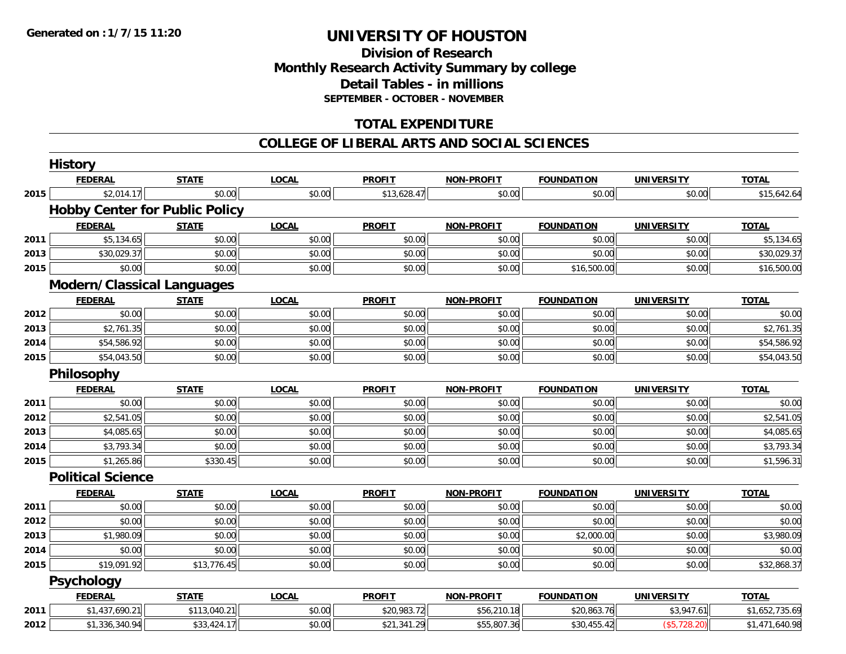### **Division of Research Monthly Research Activity Summary by college Detail Tables - in millions SEPTEMBER - OCTOBER - NOVEMBER**

### **TOTAL EXPENDITURE**

#### **COLLEGE OF LIBERAL ARTS AND SOCIAL SCIENCES**

|      | <b>History</b>                        |              |              |               |                   |                   |                   |                |
|------|---------------------------------------|--------------|--------------|---------------|-------------------|-------------------|-------------------|----------------|
|      | <b>FEDERAL</b>                        | <b>STATE</b> | <b>LOCAL</b> | <b>PROFIT</b> | <b>NON-PROFIT</b> | <b>FOUNDATION</b> | <b>UNIVERSITY</b> | <b>TOTAL</b>   |
| 2015 | \$2,014.17                            | \$0.00       | \$0.00       | \$13,628.47   | \$0.00            | \$0.00            | \$0.00            | \$15,642.64    |
|      | <b>Hobby Center for Public Policy</b> |              |              |               |                   |                   |                   |                |
|      | <b>FEDERAL</b>                        | <b>STATE</b> | <b>LOCAL</b> | <b>PROFIT</b> | <b>NON-PROFIT</b> | <b>FOUNDATION</b> | <b>UNIVERSITY</b> | <b>TOTAL</b>   |
| 2011 | \$5,134.65                            | \$0.00       | \$0.00       | \$0.00        | \$0.00            | \$0.00            | \$0.00            | \$5,134.65     |
| 2013 | \$30,029.37                           | \$0.00       | \$0.00       | \$0.00        | \$0.00            | \$0.00            | \$0.00            | \$30,029.37    |
| 2015 | \$0.00                                | \$0.00       | \$0.00       | \$0.00        | \$0.00            | \$16,500.00       | \$0.00            | \$16,500.00    |
|      | <b>Modern/Classical Languages</b>     |              |              |               |                   |                   |                   |                |
|      | <b>FEDERAL</b>                        | <b>STATE</b> | <b>LOCAL</b> | <b>PROFIT</b> | <b>NON-PROFIT</b> | <b>FOUNDATION</b> | <b>UNIVERSITY</b> | <b>TOTAL</b>   |
| 2012 | \$0.00                                | \$0.00       | \$0.00       | \$0.00        | \$0.00            | \$0.00            | \$0.00            | \$0.00         |
| 2013 | \$2,761.35                            | \$0.00       | \$0.00       | \$0.00        | \$0.00            | \$0.00            | \$0.00            | \$2,761.35     |
| 2014 | \$54,586.92                           | \$0.00       | \$0.00       | \$0.00        | \$0.00            | \$0.00            | \$0.00            | \$54,586.92    |
| 2015 | \$54,043.50                           | \$0.00       | \$0.00       | \$0.00        | \$0.00            | \$0.00            | \$0.00            | \$54,043.50    |
|      | Philosophy                            |              |              |               |                   |                   |                   |                |
|      | <b>FEDERAL</b>                        | <b>STATE</b> | <b>LOCAL</b> | <b>PROFIT</b> | <b>NON-PROFIT</b> | <b>FOUNDATION</b> | <b>UNIVERSITY</b> | <b>TOTAL</b>   |
| 2011 | \$0.00                                | \$0.00       | \$0.00       | \$0.00        | \$0.00            | \$0.00            | \$0.00            | \$0.00         |
| 2012 | \$2,541.05                            | \$0.00       | \$0.00       | \$0.00        | \$0.00            | \$0.00            | \$0.00            | \$2,541.05     |
| 2013 | \$4,085.65                            | \$0.00       | \$0.00       | \$0.00        | \$0.00            | \$0.00            | \$0.00            | \$4,085.65     |
| 2014 | \$3,793.34                            | \$0.00       | \$0.00       | \$0.00        | \$0.00            | \$0.00            | \$0.00            | \$3,793.34     |
| 2015 | \$1,265.86                            | \$330.45     | \$0.00       | \$0.00        | \$0.00            | \$0.00            | \$0.00            | \$1,596.31     |
|      | <b>Political Science</b>              |              |              |               |                   |                   |                   |                |
|      | <b>FEDERAL</b>                        | <b>STATE</b> | <b>LOCAL</b> | <b>PROFIT</b> | <b>NON-PROFIT</b> | <b>FOUNDATION</b> | <b>UNIVERSITY</b> | <b>TOTAL</b>   |
| 2011 | \$0.00                                | \$0.00       | \$0.00       | \$0.00        | \$0.00            | \$0.00            | \$0.00            | \$0.00         |
| 2012 | \$0.00                                | \$0.00       | \$0.00       | \$0.00        | \$0.00            | \$0.00            | \$0.00            | \$0.00         |
| 2013 | \$1,980.09                            | \$0.00       | \$0.00       | \$0.00        | \$0.00            | \$2,000.00        | \$0.00            | \$3,980.09     |
| 2014 | \$0.00                                | \$0.00       | \$0.00       | \$0.00        | \$0.00            | \$0.00            | \$0.00            | \$0.00         |
| 2015 | \$19,091.92                           | \$13,776.45  | \$0.00       | \$0.00        | \$0.00            | \$0.00            | \$0.00            | \$32,868.37    |
|      | <b>Psychology</b>                     |              |              |               |                   |                   |                   |                |
|      | <b>FEDERAL</b>                        | <b>STATE</b> | <b>LOCAL</b> | <b>PROFIT</b> | <b>NON-PROFIT</b> | <b>FOUNDATION</b> | <b>UNIVERSITY</b> | <b>TOTAL</b>   |
| 2011 | \$1,437,690.21                        | \$113,040.21 | \$0.00       | \$20,983.72   | \$56,210.18       | \$20,863.76       | \$3,947.61        | \$1,652,735.69 |
| 2012 | \$1,336,340.94                        | \$33,424.17  | \$0.00       | \$21,341.29   | \$55,807.36       | \$30,455.42       | (\$5,728.20)      | \$1,471,640.98 |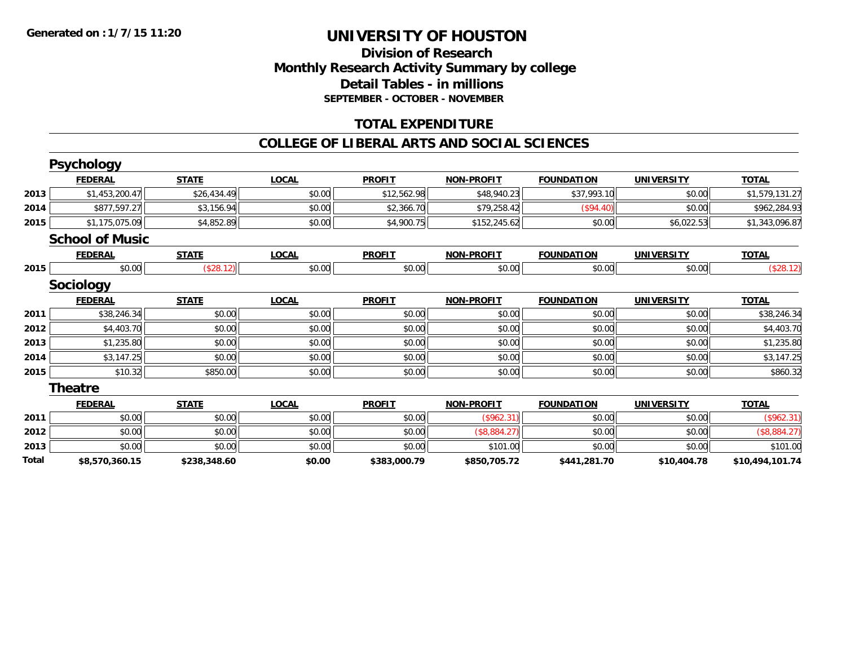### **Division of Research Monthly Research Activity Summary by college Detail Tables - in millions SEPTEMBER - OCTOBER - NOVEMBER**

#### **TOTAL EXPENDITURE**

#### **COLLEGE OF LIBERAL ARTS AND SOCIAL SCIENCES**

|       | <b>Psychology</b>      |              |              |               |                   |                   |                   |                 |
|-------|------------------------|--------------|--------------|---------------|-------------------|-------------------|-------------------|-----------------|
|       | <b>FEDERAL</b>         | <b>STATE</b> | <b>LOCAL</b> | <b>PROFIT</b> | <b>NON-PROFIT</b> | <b>FOUNDATION</b> | <b>UNIVERSITY</b> | <b>TOTAL</b>    |
| 2013  | \$1,453,200.47         | \$26,434.49  | \$0.00       | \$12,562.98   | \$48,940.23       | \$37,993.10       | \$0.00            | \$1,579,131.27  |
| 2014  | \$877,597.27           | \$3,156.94   | \$0.00       | \$2,366.70    | \$79,258.42       | (\$94.40)         | \$0.00            | \$962,284.93    |
| 2015  | \$1,175,075.09         | \$4,852.89   | \$0.00       | \$4,900.75    | \$152,245.62      | \$0.00            | \$6,022.53        | \$1,343,096.87  |
|       | <b>School of Music</b> |              |              |               |                   |                   |                   |                 |
|       | <b>FEDERAL</b>         | <b>STATE</b> | <b>LOCAL</b> | <b>PROFIT</b> | <b>NON-PROFIT</b> | <b>FOUNDATION</b> | <b>UNIVERSITY</b> | <b>TOTAL</b>    |
| 2015  | \$0.00                 | (\$28.12)    | \$0.00       | \$0.00        | \$0.00            | \$0.00            | \$0.00            | (\$28.12)       |
|       | <b>Sociology</b>       |              |              |               |                   |                   |                   |                 |
|       | <b>FEDERAL</b>         | <b>STATE</b> | <b>LOCAL</b> | <b>PROFIT</b> | <b>NON-PROFIT</b> | <b>FOUNDATION</b> | <b>UNIVERSITY</b> | <b>TOTAL</b>    |
| 2011  | \$38,246.34            | \$0.00       | \$0.00       | \$0.00        | \$0.00            | \$0.00            | \$0.00            | \$38,246.34     |
| 2012  | \$4,403.70             | \$0.00       | \$0.00       | \$0.00        | \$0.00            | \$0.00            | \$0.00            | \$4,403.70      |
| 2013  | \$1,235.80             | \$0.00       | \$0.00       | \$0.00        | \$0.00            | \$0.00            | \$0.00            | \$1,235.80      |
| 2014  | \$3,147.25             | \$0.00       | \$0.00       | \$0.00        | \$0.00            | \$0.00            | \$0.00            | \$3,147.25      |
| 2015  | \$10.32                | \$850.00     | \$0.00       | \$0.00        | \$0.00            | \$0.00            | \$0.00            | \$860.32        |
|       | <b>Theatre</b>         |              |              |               |                   |                   |                   |                 |
|       | <b>FEDERAL</b>         | <b>STATE</b> | <b>LOCAL</b> | <b>PROFIT</b> | <b>NON-PROFIT</b> | <b>FOUNDATION</b> | <b>UNIVERSITY</b> | <b>TOTAL</b>    |
| 2011  | \$0.00                 | \$0.00       | \$0.00       | \$0.00        | (\$962.31)        | \$0.00            | \$0.00            | (\$962.31)      |
| 2012  | \$0.00                 | \$0.00       | \$0.00       | \$0.00        | (\$8,884.27)      | \$0.00            | \$0.00            | (\$8,884.27)    |
| 2013  | \$0.00                 | \$0.00       | \$0.00       | \$0.00        | \$101.00          | \$0.00            | \$0.00            | \$101.00        |
| Total | \$8,570,360.15         | \$238,348.60 | \$0.00       | \$383,000.79  | \$850,705.72      | \$441,281.70      | \$10,404.78       | \$10,494,101.74 |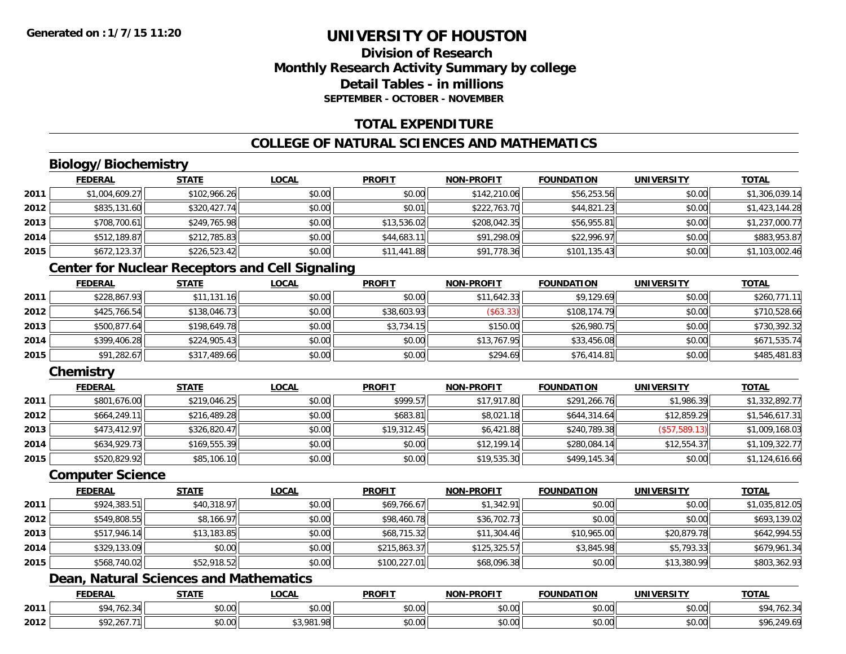### **Division of ResearchMonthly Research Activity Summary by college Detail Tables - in millionsSEPTEMBER - OCTOBER - NOVEMBER**

### **TOTAL EXPENDITURE**

### **COLLEGE OF NATURAL SCIENCES AND MATHEMATICS**

## **Biology/Biochemistry**

|      | <b>FEDERAL</b> | <b>STATE</b> | <u>LOCAL</u> | <b>PROFIT</b> | <b>NON-PROFIT</b> | <b>FOUNDATION</b> | <b>UNIVERSITY</b> | <b>TOTAL</b>   |
|------|----------------|--------------|--------------|---------------|-------------------|-------------------|-------------------|----------------|
| 2011 | \$1,004,609.27 | \$102,966.26 | \$0.00       | \$0.00        | \$142,210.06      | \$56,253.56       | \$0.00            | \$1,306,039.14 |
| 2012 | \$835,131.60   | \$320,427.74 | \$0.00       | \$0.01        | \$222,763.70      | \$44,821.23       | \$0.00            | \$1,423,144.28 |
| 2013 | \$708,700.61   | \$249,765.98 | \$0.00       | \$13,536.02   | \$208,042.35      | \$56,955.81       | \$0.00            | \$1,237,000.77 |
| 2014 | \$512,189.87   | \$212,785.83 | \$0.00       | \$44,683.11   | \$91,298.09       | \$22,996.97       | \$0.00            | \$883,953.87   |
| 2015 | \$672,123.37   | \$226,523.42 | \$0.00       | \$11,441.88   | \$91,778.36       | \$101,135.43      | \$0.00            | \$1,103,002.46 |

#### **Center for Nuclear Receptors and Cell Signaling**

|      | <b>FEDERAL</b> | <u>STATE</u> | <b>LOCAL</b> | <b>PROFIT</b> | <b>NON-PROFIT</b>        | <b>FOUNDATION</b> | <b>UNIVERSITY</b> | <b>TOTAL</b> |
|------|----------------|--------------|--------------|---------------|--------------------------|-------------------|-------------------|--------------|
| 2011 | \$228,867.93   | \$11,131.16  | \$0.00       | \$0.00        | \$11,642.33              | \$9,129.69        | \$0.00            | \$260,771.11 |
| 2012 | \$425,766.54   | \$138,046.73 | \$0.00       | \$38,603.93   | $($ \$63.33) $\parallel$ | \$108,174.79      | \$0.00            | \$710,528.66 |
| 2013 | \$500,877.64   | \$198,649.78 | \$0.00       | \$3,734.15    | \$150.00                 | \$26,980.75       | \$0.00            | \$730,392.32 |
| 2014 | \$399,406.28   | \$224,905.43 | \$0.00       | \$0.00        | \$13,767.95              | \$33,456.08       | \$0.00            | \$671,535.74 |
| 2015 | \$91,282.67    | \$317,489.66 | \$0.00       | \$0.00        | \$294.69                 | \$76,414.81       | \$0.00            | \$485,481.83 |

### **Chemistry**

|      | <b>FEDERAL</b> | <u>STATE</u> | <b>LOCAL</b> | <b>PROFIT</b> | <b>NON-PROFIT</b> | <b>FOUNDATION</b> | <b>UNIVERSITY</b> | <b>TOTAL</b>   |
|------|----------------|--------------|--------------|---------------|-------------------|-------------------|-------------------|----------------|
| 2011 | \$801,676.00   | \$219,046.25 | \$0.00       | \$999.57      | \$17,917.80       | \$291,266.76      | \$1,986.39        | \$1,332,892.77 |
| 2012 | \$664,249.11   | \$216,489.28 | \$0.00       | \$683.81      | \$8,021.18        | \$644,314.64      | \$12,859.29       | \$1,546,617.31 |
| 2013 | \$473,412.97   | \$326,820.47 | \$0.00       | \$19,312.45   | \$6,421.88        | \$240,789.38      | (\$57,589.13)     | \$1,009,168.03 |
| 2014 | \$634,929.73   | \$169,555.39 | \$0.00       | \$0.00        | \$12,199.14       | \$280,084.14      | \$12,554.37       | \$1,109,322.77 |
| 2015 | \$520,829.92   | \$85,106.10  | \$0.00       | \$0.00        | \$19,535.30       | \$499,145.34      | \$0.00            | \$1,124,616.66 |

#### **Computer Science**

|      | <b>FEDERAL</b> | <b>STATE</b> | <b>LOCAL</b> | <b>PROFIT</b> | <b>NON-PROFIT</b> | <b>FOUNDATION</b> | <b>UNIVERSITY</b> | <b>TOTAL</b>   |
|------|----------------|--------------|--------------|---------------|-------------------|-------------------|-------------------|----------------|
| 2011 | \$924,383.51   | \$40,318.97  | \$0.00       | \$69,766.67   | \$1,342.91        | \$0.00            | \$0.00            | \$1,035,812.05 |
| 2012 | \$549,808.55   | \$8,166.97   | \$0.00       | \$98,460.78   | \$36,702.73       | \$0.00            | \$0.00            | \$693,139.02   |
| 2013 | \$517,946.14   | \$13,183.85  | \$0.00       | \$68,715.32   | \$11,304.46       | \$10,965.00       | \$20,879.78       | \$642,994.55   |
| 2014 | \$329,133.09   | \$0.00       | \$0.00       | \$215,863.37  | \$125,325.57      | \$3,845.98        | \$5,793.33        | \$679,961.34   |
| 2015 | \$568,740.02   | \$52,918.52  | \$0.00       | \$100,227.01  | \$68,096.38       | \$0.00            | \$13,380.99       | \$803,362.93   |

### **Dean, Natural Sciences and Mathematics**

|      | <b>FEDERAL</b>                        | <b>STATE</b>  | <b>_OCAL</b>        | <b>PROFIT</b> | <b>NON-PROFIT</b> | <b>FOUNDATION</b> | <b>UNIVERSITY</b>         | <b>TOTAL</b>                               |
|------|---------------------------------------|---------------|---------------------|---------------|-------------------|-------------------|---------------------------|--------------------------------------------|
| 2011 | 7.0<br>\$94<br>$\sim$ 41<br>.,702.34° | ሖ ^<br>JU.UU  | $\sim$ 00<br>JU.UU  | 0000<br>JU.UU | 0.00<br>DU.UU     | \$0.00            | $\sim$ 00<br><b>JU.UU</b> | $+$ $\Omega$ $\Lambda$<br>≀o∠.ა<br>$1 - 1$ |
| 2012 | 242.267.7<br>TH                       | 0000<br>JU.UU | <b>¢2.001</b><br>ΩO | 0000<br>JU.UU | 0.00<br>JU.UU     | \$0.00            | $\sim$ 00<br><b>DU.UG</b> | $\sqrt{2}$<br>.7.09                        |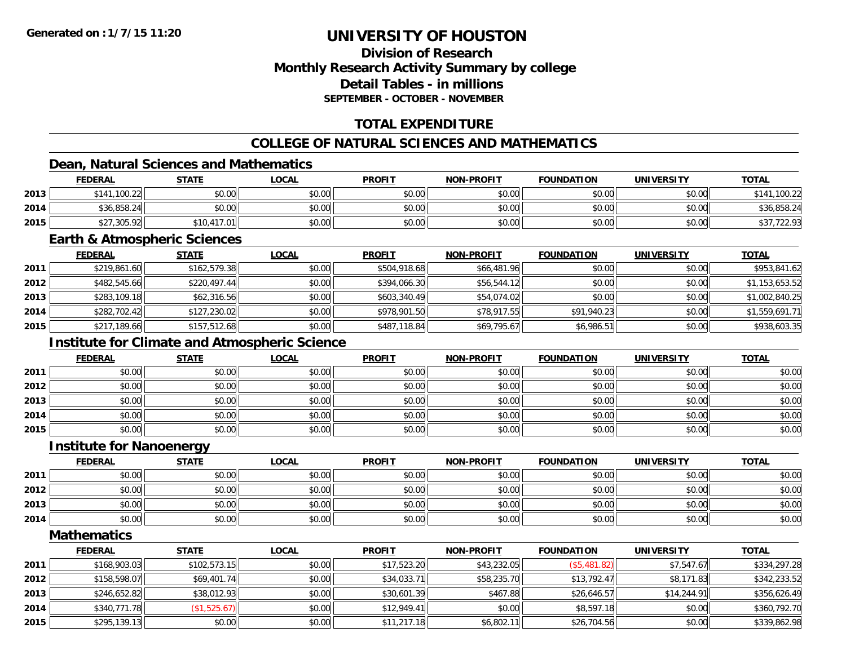### **Division of ResearchMonthly Research Activity Summary by college Detail Tables - in millionsSEPTEMBER - OCTOBER - NOVEMBER**

### **TOTAL EXPENDITURE**

### **COLLEGE OF NATURAL SCIENCES AND MATHEMATICS**

### **Dean, Natural Sciences and Mathematics**

|      | <b>FEDERAL</b> | <b>STATE</b> | <u>LOCAL</u> | <b>PROFIT</b> | <b>NON-PROFIT</b> | <b>FOUNDATION</b> | <b>UNIVERSITY</b> | <b>TOTAL</b> |
|------|----------------|--------------|--------------|---------------|-------------------|-------------------|-------------------|--------------|
| 2013 | \$141,100.22   | \$0.00       | \$0.00       | \$0.00        | \$0.00            | \$0.00            | \$0.00            | .100.22      |
| 2014 | \$36,858.24    | \$0.00       | \$0.00       | \$0.00        | \$0.00            | \$0.00            | \$0.00            | \$36,858.24  |
| 2015 | \$27,305.92    | 117.01       | \$0.00       | \$0.00        | \$0.00            | \$0.00            | \$0.00            | \$37,722.93  |

#### **Earth & Atmospheric Sciences**

|      | <u>FEDERAL</u> | <u>STATE</u> | <b>LOCAL</b> | <b>PROFIT</b> | <b>NON-PROFIT</b> | <b>FOUNDATION</b> | <b>UNIVERSITY</b> | <b>TOTAL</b>   |
|------|----------------|--------------|--------------|---------------|-------------------|-------------------|-------------------|----------------|
| 2011 | \$219,861.60   | \$162,579.38 | \$0.00       | \$504,918.68  | \$66,481.96       | \$0.00            | \$0.00            | \$953,841.62   |
| 2012 | \$482,545.66   | \$220.497.44 | \$0.00       | \$394,066.30  | \$56,544.12       | \$0.00            | \$0.00            | \$1,153,653.52 |
| 2013 | \$283,109.18   | \$62,316.56  | \$0.00       | \$603,340.49  | \$54,074.02       | \$0.00            | \$0.00            | \$1,002,840.25 |
| 2014 | \$282,702.42   | \$127,230.02 | \$0.00       | \$978,901.50  | \$78,917.55       | \$91,940.23       | \$0.00            | \$1,559,691.71 |
| 2015 | \$217,189.66   | \$157,512.68 | \$0.00       | \$487,118.84  | \$69,795.67       | \$6,986.51        | \$0.00            | \$938,603.35   |

### **Institute for Climate and Atmospheric Science**

|      | <u>FEDERAL</u> | <b>STATE</b> | <u>LOCAL</u> | <b>PROFIT</b> | <b>NON-PROFIT</b> | <b>FOUNDATION</b> | <b>UNIVERSITY</b> | <b>TOTAL</b> |
|------|----------------|--------------|--------------|---------------|-------------------|-------------------|-------------------|--------------|
| 2011 | \$0.00         | \$0.00       | \$0.00       | \$0.00        | \$0.00            | \$0.00            | \$0.00            | \$0.00       |
| 2012 | \$0.00         | \$0.00       | \$0.00       | \$0.00        | \$0.00            | \$0.00            | \$0.00            | \$0.00       |
| 2013 | \$0.00         | \$0.00       | \$0.00       | \$0.00        | \$0.00            | \$0.00            | \$0.00            | \$0.00       |
| 2014 | \$0.00         | \$0.00       | \$0.00       | \$0.00        | \$0.00            | \$0.00            | \$0.00            | \$0.00       |
| 2015 | \$0.00         | \$0.00       | \$0.00       | \$0.00        | \$0.00            | \$0.00            | \$0.00            | \$0.00       |

#### **Institute for Nanoenergy**

|      | <b>FEDERAL</b> | <b>STATE</b> | <u>LOCAL</u> | <b>PROFIT</b> | <b>NON-PROFIT</b> | <b>FOUNDATION</b> | <b>UNIVERSITY</b> | <b>TOTAL</b> |
|------|----------------|--------------|--------------|---------------|-------------------|-------------------|-------------------|--------------|
| 2011 | \$0.00         | \$0.00       | \$0.00       | \$0.00        | \$0.00            | \$0.00            | \$0.00            | \$0.00       |
| 2012 | \$0.00         | \$0.00       | \$0.00       | \$0.00        | \$0.00            | \$0.00            | \$0.00            | \$0.00       |
| 2013 | \$0.00         | \$0.00       | \$0.00       | \$0.00        | \$0.00            | \$0.00            | \$0.00            | \$0.00       |
| 2014 | \$0.00         | \$0.00       | \$0.00       | \$0.00        | \$0.00            | \$0.00            | \$0.00            | \$0.00       |

<u> 1980 - Johann Barbara, martxa alemaniar amerikan basar da a</u>

**Mathematics**

|      | <b>FEDERAL</b> | <b>STATE</b> | <b>LOCAL</b> | <b>PROFIT</b> | <b>NON-PROFIT</b> | <b>FOUNDATION</b> | <b>UNIVERSITY</b> | <b>TOTAL</b> |
|------|----------------|--------------|--------------|---------------|-------------------|-------------------|-------------------|--------------|
| 2011 | \$168,903.03   | \$102,573.15 | \$0.00       | \$17,523.20   | \$43,232.05       | (\$5,481.82)      | \$7,547.67        | \$334,297.28 |
| 2012 | \$158,598.07   | \$69,401.74  | \$0.00       | \$34,033.71   | \$58,235.70       | \$13.792.47       | \$8,171.83        | \$342,233.52 |
| 2013 | \$246,652.82   | \$38,012.93  | \$0.00       | \$30,601.39   | \$467.88          | \$26,646.57       | \$14,244.91       | \$356,626.49 |
| 2014 | \$340,771.78   | (\$1,525.67) | \$0.00       | \$12,949.41   | \$0.00            | \$8,597.18        | \$0.00            | \$360,792.70 |
| 2015 | \$295,139.13   | \$0.00       | \$0.00       | \$11,217.18   | \$6,802.11        | \$26,704.56       | \$0.00            | \$339,862.98 |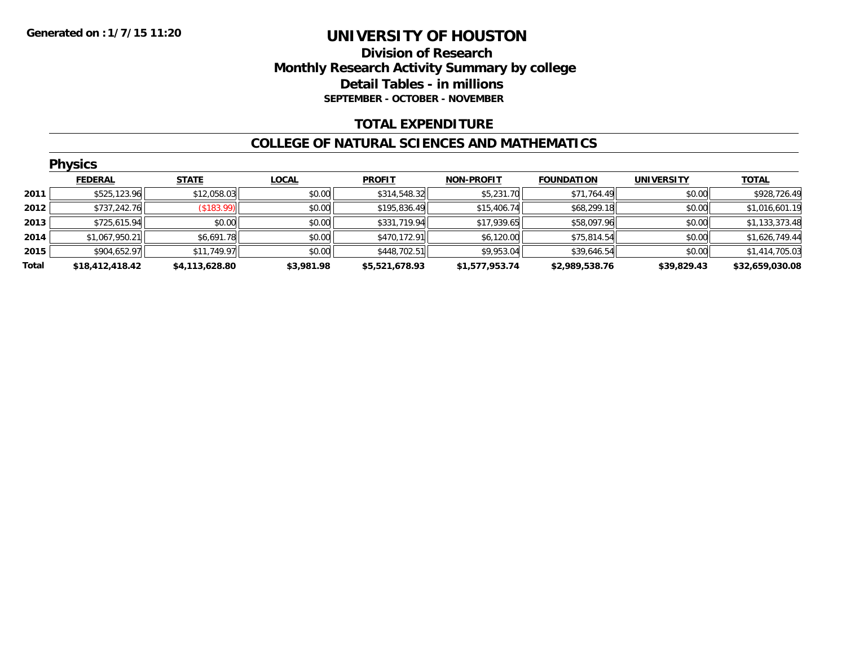### **Division of Research Monthly Research Activity Summary by college Detail Tables - in millions SEPTEMBER - OCTOBER - NOVEMBER**

#### **TOTAL EXPENDITURE**

#### **COLLEGE OF NATURAL SCIENCES AND MATHEMATICS**

|       | <b>Physics</b>  |                |              |                |                   |                   |                   |                 |  |  |  |  |
|-------|-----------------|----------------|--------------|----------------|-------------------|-------------------|-------------------|-----------------|--|--|--|--|
|       | <b>FEDERAL</b>  | <b>STATE</b>   | <b>LOCAL</b> | <b>PROFIT</b>  | <b>NON-PROFIT</b> | <b>FOUNDATION</b> | <b>UNIVERSITY</b> | <b>TOTAL</b>    |  |  |  |  |
| 2011  | \$525,123.96    | \$12,058.03    | \$0.00       | \$314,548.32   | \$5,231.70        | \$71,764.49       | \$0.00            | \$928,726.49    |  |  |  |  |
| 2012  | \$737,242.76    | (S183.99)      | \$0.00       | \$195,836.49   | \$15,406.74       | \$68,299.18       | \$0.00            | \$1,016,601.19  |  |  |  |  |
| 2013  | \$725,615.94    | \$0.00         | \$0.00       | \$331,719.94   | \$17,939.65       | \$58,097.96       | \$0.00            | \$1,133,373.48  |  |  |  |  |
| 2014  | \$1,067,950.21  | \$6,691.78     | \$0.00       | \$470,172.91   | \$6,120.00        | \$75,814.54       | \$0.00            | \$1,626,749.44  |  |  |  |  |
| 2015  | \$904,652.97    | \$11,749.97    | \$0.00       | \$448,702.51   | \$9,953.04        | \$39,646.54       | \$0.00            | \$1,414,705.03  |  |  |  |  |
| Total | \$18,412,418.42 | \$4,113,628.80 | \$3,981.98   | \$5,521,678.93 | \$1,577,953.74    | \$2,989,538.76    | \$39,829.43       | \$32,659,030.08 |  |  |  |  |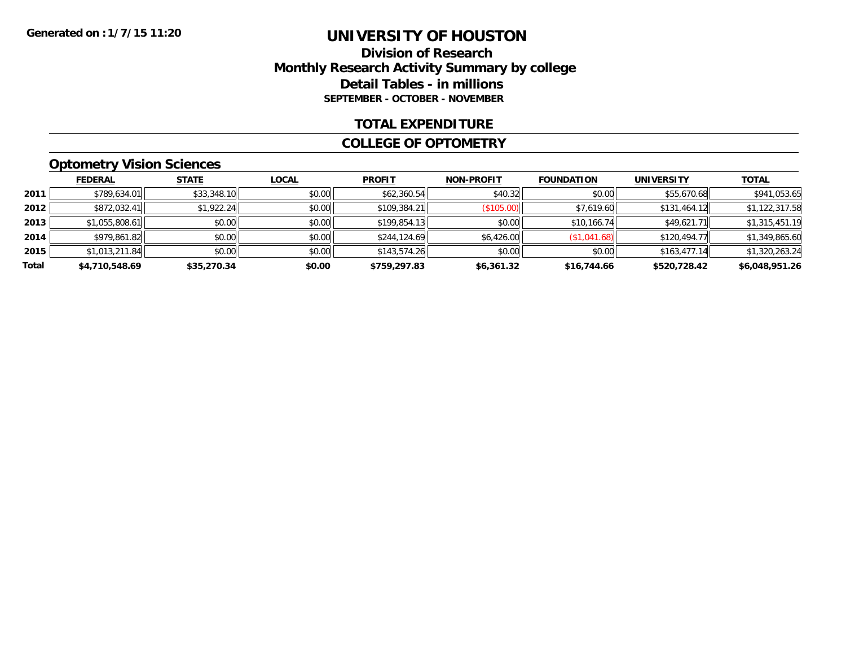#### **Division of Research Monthly Research Activity Summary by college Detail Tables - in millions SEPTEMBER - OCTOBER - NOVEMBER**

#### **TOTAL EXPENDITURE**

#### **COLLEGE OF OPTOMETRY**

### **Optometry Vision Sciences**

|       | <b>FEDERAL</b> | <b>STATE</b> | <b>LOCAL</b> | <b>PROFIT</b> | <b>NON-PROFIT</b> | <b>FOUNDATION</b> | <b>UNIVERSITY</b> | <b>TOTAL</b>   |
|-------|----------------|--------------|--------------|---------------|-------------------|-------------------|-------------------|----------------|
| 2011  | \$789,634.01   | \$33,348.10  | \$0.00       | \$62,360.54   | \$40.32           | \$0.00            | \$55,670.68       | \$941,053.65   |
| 2012  | \$872,032.41   | \$1,922.24   | \$0.00       | \$109,384.21  | (\$105.00)        | \$7,619.60        | \$131,464.12      | \$1,122,317.58 |
| 2013  | \$1,055,808.61 | \$0.00       | \$0.00       | \$199,854.13  | \$0.00            | \$10,166.74       | \$49.621.71       | \$1,315,451.19 |
| 2014  | \$979,861.82   | \$0.00       | \$0.00       | \$244,124.69  | \$6,426.00        | (\$1,041.68)      | \$120,494.77      | \$1,349,865.60 |
| 2015  | \$1,013,211.84 | \$0.00       | \$0.00       | \$143,574.26  | \$0.00            | \$0.00            | \$163,477.14      | \$1,320,263.24 |
| Total | \$4,710,548.69 | \$35,270.34  | \$0.00       | \$759,297.83  | \$6,361.32        | \$16,744.66       | \$520,728.42      | \$6,048,951.26 |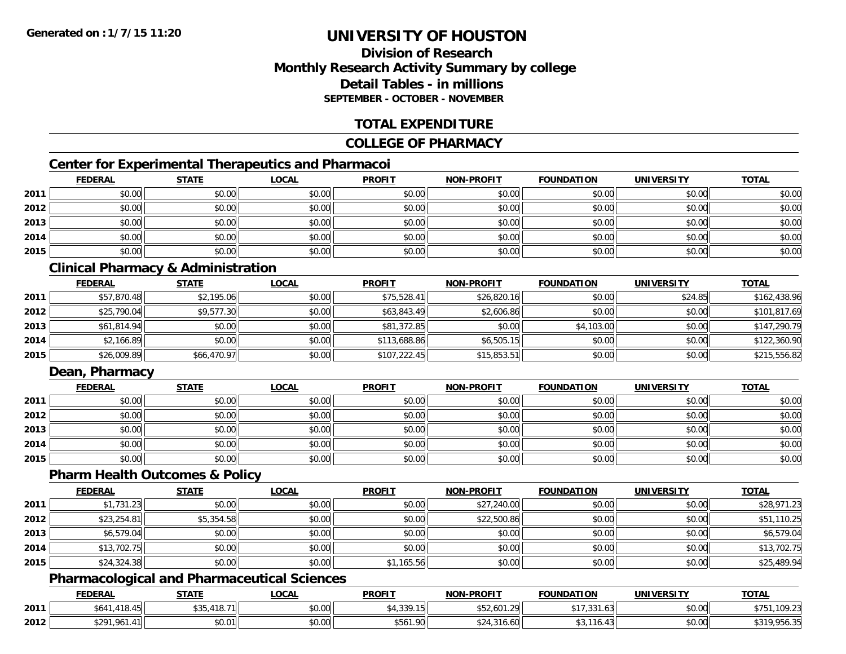### **Division of ResearchMonthly Research Activity Summary by college Detail Tables - in millionsSEPTEMBER - OCTOBER - NOVEMBER**

### **TOTAL EXPENDITURE**

#### **COLLEGE OF PHARMACY**

### **Center for Experimental Therapeutics and Pharmacoi**

|      | <b>FEDERAL</b> | <b>STATE</b> | <b>LOCAL</b> | <b>PROFIT</b> | <b>NON-PROFIT</b> | <b>FOUNDATION</b> | <b>UNIVERSITY</b> | <b>TOTAL</b> |
|------|----------------|--------------|--------------|---------------|-------------------|-------------------|-------------------|--------------|
| 2011 | \$0.00         | \$0.00       | \$0.00       | \$0.00        | \$0.00            | \$0.00            | \$0.00            | \$0.00       |
| 2012 | \$0.00         | \$0.00       | \$0.00       | \$0.00        | \$0.00            | \$0.00            | \$0.00            | \$0.00       |
| 2013 | \$0.00         | \$0.00       | \$0.00       | \$0.00        | \$0.00            | \$0.00            | \$0.00            | \$0.00       |
| 2014 | \$0.00         | \$0.00       | \$0.00       | \$0.00        | \$0.00            | \$0.00            | \$0.00            | \$0.00       |
| 2015 | \$0.00         | \$0.00       | \$0.00       | \$0.00        | \$0.00            | \$0.00            | \$0.00            | \$0.00       |

### **Clinical Pharmacy & Administration**

|      | <b>FEDERAL</b> | <b>STATE</b> | <u>LOCAL</u> | <b>PROFIT</b> | <b>NON-PROFIT</b> | <b>FOUNDATION</b> | <b>UNIVERSITY</b> | <b>TOTAL</b> |
|------|----------------|--------------|--------------|---------------|-------------------|-------------------|-------------------|--------------|
| 2011 | \$57,870.48    | \$2,195.06   | \$0.00       | \$75,528.41   | \$26,820.16       | \$0.00            | \$24.85           | \$162,438.96 |
| 2012 | \$25,790.04    | \$9,577.30   | \$0.00       | \$63,843.49   | \$2,606.86        | \$0.00            | \$0.00            | \$101,817.69 |
| 2013 | \$61,814.94    | \$0.00       | \$0.00       | \$81,372.85   | \$0.00            | \$4,103.00        | \$0.00            | \$147,290.79 |
| 2014 | \$2,166.89     | \$0.00       | \$0.00       | \$113,688.86  | \$6,505.15        | \$0.00            | \$0.00            | \$122,360.90 |
| 2015 | \$26,009.89    | \$66,470.97  | \$0.00       | \$107,222.45  | \$15,853.51       | \$0.00            | \$0.00            | \$215,556.82 |

### **Dean, Pharmacy**

|      | <b>FEDERAL</b> | <b>STATE</b> | <b>LOCAL</b> | <b>PROFIT</b> | <b>NON-PROFIT</b> | <b>FOUNDATION</b> | <b>UNIVERSITY</b> | <b>TOTAL</b> |
|------|----------------|--------------|--------------|---------------|-------------------|-------------------|-------------------|--------------|
| 2011 | \$0.00         | \$0.00       | \$0.00       | \$0.00        | \$0.00            | \$0.00            | \$0.00            | \$0.00       |
| 2012 | \$0.00         | \$0.00       | \$0.00       | \$0.00        | \$0.00            | \$0.00            | \$0.00            | \$0.00       |
| 2013 | \$0.00         | \$0.00       | \$0.00       | \$0.00        | \$0.00            | \$0.00            | \$0.00            | \$0.00       |
| 2014 | \$0.00         | \$0.00       | \$0.00       | \$0.00        | \$0.00            | \$0.00            | \$0.00            | \$0.00       |
| 2015 | \$0.00         | \$0.00       | \$0.00       | \$0.00        | \$0.00            | \$0.00            | \$0.00            | \$0.00       |

#### **Pharm Health Outcomes & Policy**

|      | <b>FEDERAL</b> | <b>STATE</b> | <b>LOCAL</b> | <b>PROFIT</b> | <b>NON-PROFIT</b> | <b>FOUNDATION</b> | <b>UNIVERSITY</b> | <b>TOTAL</b> |
|------|----------------|--------------|--------------|---------------|-------------------|-------------------|-------------------|--------------|
| 2011 | \$1,731.23     | \$0.00       | \$0.00       | \$0.00        | \$27,240.00       | \$0.00            | \$0.00            | \$28,971.23  |
| 2012 | \$23,254.81    | \$5,354.58   | \$0.00       | \$0.00        | \$22,500.86       | \$0.00            | \$0.00            | \$51,110.25  |
| 2013 | \$6,579.04     | \$0.00       | \$0.00       | \$0.00        | \$0.00            | \$0.00            | \$0.00            | \$6,579.04   |
| 2014 | \$13,702.75    | \$0.00       | \$0.00       | \$0.00        | \$0.00            | \$0.00            | \$0.00            | \$13,702.75  |
| 2015 | \$24,324.38    | \$0.00       | \$0.00       | \$1,165.56    | \$0.00            | \$0.00            | \$0.00            | \$25,489.94  |

### **Pharmacological and Pharmaceutical Sciences**

|      | <b>FEDERAL</b>            | <b>STATE</b>                                  | LOCAL              | <b>PROFIT</b>                                             | <b>NON-PROFIT</b>   | <b>FOUNDATION</b>         | UNIVERSITY | <b>TOTAL</b>                                                     |
|------|---------------------------|-----------------------------------------------|--------------------|-----------------------------------------------------------|---------------------|---------------------------|------------|------------------------------------------------------------------|
| 2011 | A1R<br>\$641<br>18.45     | $\uparrow$ $\uparrow$<br>---<br>، .18 I J J J | 0.00<br>pu.uu      | $\sim$ $\sim$ $\sim$<br>$\overline{\phantom{a}}$<br>.,JJ. | 601 29<br>402,001.2 | 331<br>$\sim$<br>531.03 ا | \$0.00     | .100.22<br>יו '<br>IUY.Z3<br>ັບ                                  |
| 2012 | 041<br>\$291.<br>$\cdots$ | <b>ደበ በ1</b><br>\$U.U II                      | $\sim$ 00<br>PU.UU | <b>CE41 ON</b><br>150 L                                   |                     | $\sqrt{2}$                | \$0.00     | $\mathbf{A} \mathbf{A} \mathbf{A} \mathbf{A}$<br>0.000<br>700.OC |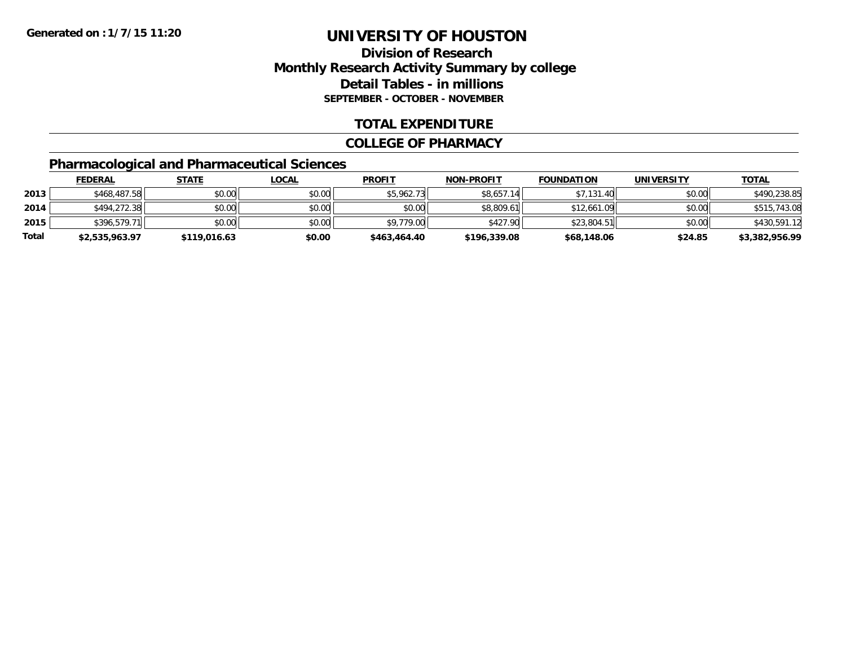### **Division of Research Monthly Research Activity Summary by college Detail Tables - in millions SEPTEMBER - OCTOBER - NOVEMBER**

#### **TOTAL EXPENDITURE**

#### **COLLEGE OF PHARMACY**

### **Pharmacological and Pharmaceutical Sciences**

|       | <b>FEDERAL</b> | <u>STATE</u> | <u>LOCAL</u> | <b>PROFIT</b> | <b>NON-PROFIT</b> | <b>FOUNDATION</b> | UNIVERSITY | <u>TOTAL</u>   |
|-------|----------------|--------------|--------------|---------------|-------------------|-------------------|------------|----------------|
| 2013  | \$468,487.58   | \$0.00       | \$0.00       | \$5,962.73    | \$8,657.14        | \$7,131.40        | \$0.00     | \$490,238.85   |
| 2014  | \$494,272.38   | \$0.00       | \$0.00       | \$0.00        | \$8,809.61        | \$12,661.09       | \$0.00     | \$515,743.08   |
| 2015  | \$396,579.71   | \$0.00       | \$0.00       | \$9,779.00    | \$427.90          | \$23,804.51       | \$0.00     | \$430,591.12   |
| Total | \$2,535,963.97 | \$119,016.63 | \$0.00       | \$463,464.40  | \$196,339.08      | \$68,148.06       | \$24.85    | \$3,382,956.99 |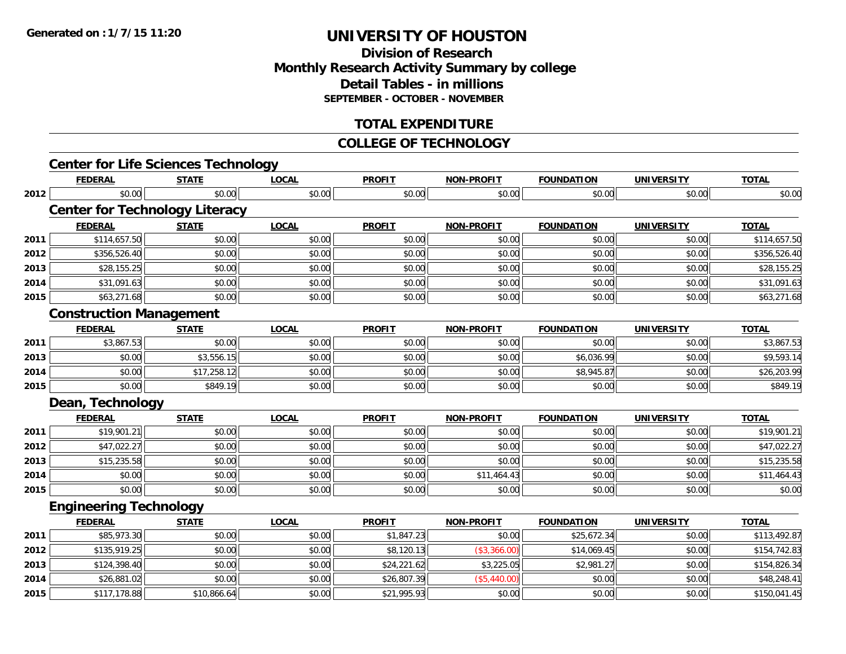### **Division of ResearchMonthly Research Activity Summary by college Detail Tables - in millions SEPTEMBER - OCTOBER - NOVEMBER**

### **TOTAL EXPENDITURE**

#### **COLLEGE OF TECHNOLOGY**

|      | <b>Center for Life Sciences Technology</b> |              |              |               |                   |                   |                   |              |
|------|--------------------------------------------|--------------|--------------|---------------|-------------------|-------------------|-------------------|--------------|
|      | <b>FEDERAL</b>                             | <b>STATE</b> | <b>LOCAL</b> | <b>PROFIT</b> | <b>NON-PROFIT</b> | <b>FOUNDATION</b> | <b>UNIVERSITY</b> | <b>TOTAL</b> |
| 2012 | \$0.00                                     | \$0.00       | \$0.00       | \$0.00        | \$0.00            | \$0.00            | \$0.00            | \$0.00       |
|      | <b>Center for Technology Literacy</b>      |              |              |               |                   |                   |                   |              |
|      | <b>FEDERAL</b>                             | <b>STATE</b> | <b>LOCAL</b> | <b>PROFIT</b> | <b>NON-PROFIT</b> | <b>FOUNDATION</b> | <b>UNIVERSITY</b> | <b>TOTAL</b> |
| 2011 | \$114,657.50                               | \$0.00       | \$0.00       | \$0.00        | \$0.00            | \$0.00            | \$0.00            | \$114,657.50 |
| 2012 | \$356,526.40                               | \$0.00       | \$0.00       | \$0.00        | \$0.00            | \$0.00            | \$0.00            | \$356,526.40 |
| 2013 | \$28,155.25                                | \$0.00       | \$0.00       | \$0.00        | \$0.00            | \$0.00            | \$0.00            | \$28,155.25  |
| 2014 | \$31,091.63                                | \$0.00       | \$0.00       | \$0.00        | \$0.00            | \$0.00            | \$0.00            | \$31,091.63  |
| 2015 | \$63,271.68                                | \$0.00       | \$0.00       | \$0.00        | \$0.00            | \$0.00            | \$0.00            | \$63,271.68  |
|      | <b>Construction Management</b>             |              |              |               |                   |                   |                   |              |
|      | <b>FEDERAL</b>                             | <b>STATE</b> | <b>LOCAL</b> | <b>PROFIT</b> | <b>NON-PROFIT</b> | <b>FOUNDATION</b> | <b>UNIVERSITY</b> | <b>TOTAL</b> |
| 2011 | \$3,867.53                                 | \$0.00       | \$0.00       | \$0.00        | \$0.00            | \$0.00            | \$0.00            | \$3,867.53   |
| 2013 | \$0.00                                     | \$3,556.15   | \$0.00       | \$0.00        | \$0.00            | \$6,036.99        | \$0.00            | \$9,593.14   |
| 2014 | \$0.00                                     | \$17,258.12  | \$0.00       | \$0.00        | \$0.00            | \$8,945.87        | \$0.00            | \$26,203.99  |
| 2015 | \$0.00                                     | \$849.19     | \$0.00       | \$0.00        | \$0.00            | \$0.00            | \$0.00            | \$849.19     |
|      | Dean, Technology                           |              |              |               |                   |                   |                   |              |
|      | <b>FEDERAL</b>                             | <b>STATE</b> | <b>LOCAL</b> | <b>PROFIT</b> | <b>NON-PROFIT</b> | <b>FOUNDATION</b> | <b>UNIVERSITY</b> | <b>TOTAL</b> |
| 2011 | \$19,901.21                                | \$0.00       | \$0.00       | \$0.00        | \$0.00            | \$0.00            | \$0.00            | \$19,901.21  |
| 2012 | \$47,022.27                                | \$0.00       | \$0.00       | \$0.00        | \$0.00            | \$0.00            | \$0.00            | \$47,022.27  |
| 2013 | \$15,235.58                                | \$0.00       | \$0.00       | \$0.00        | \$0.00            | \$0.00            | \$0.00            | \$15,235.58  |
| 2014 | \$0.00                                     | \$0.00       | \$0.00       | \$0.00        | \$11,464.43       | \$0.00            | \$0.00            | \$11,464.43  |
| 2015 | \$0.00                                     | \$0.00       | \$0.00       | \$0.00        | \$0.00            | \$0.00            | \$0.00            | \$0.00       |
|      | <b>Engineering Technology</b>              |              |              |               |                   |                   |                   |              |
|      | <b>FEDERAL</b>                             | <b>STATE</b> | <b>LOCAL</b> | <b>PROFIT</b> | <b>NON-PROFIT</b> | <b>FOUNDATION</b> | <b>UNIVERSITY</b> | <b>TOTAL</b> |
| 2011 | \$85,973.30                                | \$0.00       | \$0.00       | \$1,847.23    | \$0.00            | \$25,672.34       | \$0.00            | \$113,492.87 |
| 2012 | \$135,919.25                               | \$0.00       | \$0.00       | \$8,120.13    | (\$3,366.00)      | \$14,069.45       | \$0.00            | \$154,742.83 |
| 2013 | \$124,398.40                               | \$0.00       | \$0.00       | \$24,221.62   | \$3,225.05        | \$2,981.27        | \$0.00            | \$154,826.34 |
| 2014 | \$26,881.02                                | \$0.00       | \$0.00       | \$26,807.39   | (\$5,440.00)      | \$0.00            | \$0.00            | \$48,248.41  |
| 2015 | \$117,178.88                               | \$10,866.64  | \$0.00       | \$21,995.93   | \$0.00            | \$0.00            | \$0.00            | \$150,041.45 |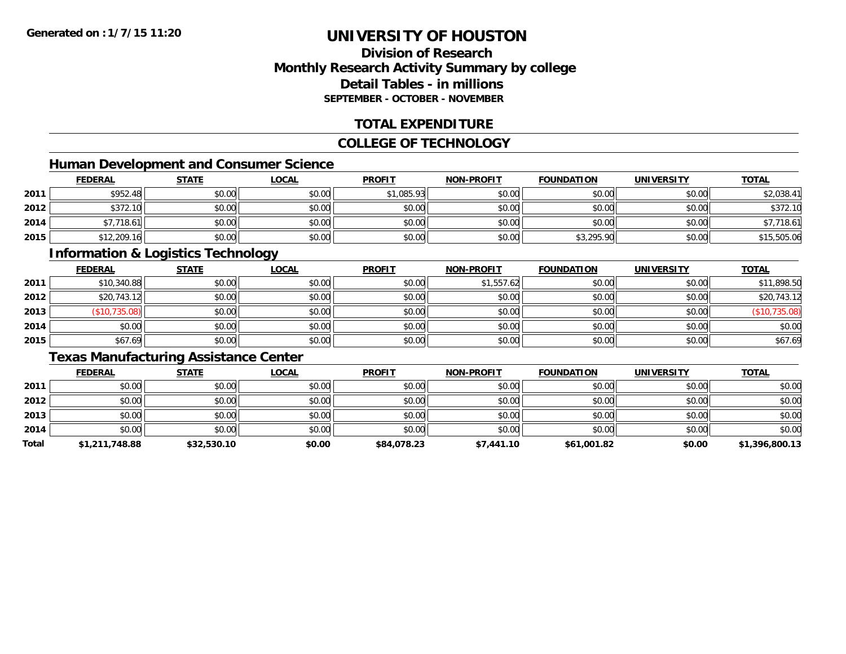### **Division of ResearchMonthly Research Activity Summary by college Detail Tables - in millionsSEPTEMBER - OCTOBER - NOVEMBER**

### **TOTAL EXPENDITURE**

#### **COLLEGE OF TECHNOLOGY**

### **Human Development and Consumer Science**

|      | <b>FEDERAL</b> | <b>STATE</b> | <u>LOCAL</u> | <b>PROFIT</b> | <b>NON-PROFIT</b> | <b>FOUNDATION</b> | <b>UNIVERSITY</b> | <b>TOTAL</b> |
|------|----------------|--------------|--------------|---------------|-------------------|-------------------|-------------------|--------------|
| 2011 | \$952.48       | \$0.00       | \$0.00       | \$1,085.93    | \$0.00            | \$0.00            | \$0.00            | \$2,038.41   |
| 2012 | \$372.10       | \$0.00       | \$0.00       | \$0.00        | \$0.00            | \$0.00            | \$0.00            | \$372.10     |
| 2014 | \$7,718.61     | \$0.00       | \$0.00       | \$0.00        | \$0.00            | \$0.00            | \$0.00            | \$7,718.61   |
| 2015 | \$12,209.16    | \$0.00       | \$0.00       | \$0.00        | \$0.00            | \$3,295.90        | \$0.00            | \$15,505.06  |

#### **Information & Logistics Technology**

|      | <b>FEDERAL</b> | <b>STATE</b> | <u>LOCAL</u> | <b>PROFIT</b> | <b>NON-PROFIT</b> | <b>FOUNDATION</b> | <b>UNIVERSITY</b> | <b>TOTAL</b>  |
|------|----------------|--------------|--------------|---------------|-------------------|-------------------|-------------------|---------------|
| 2011 | \$10,340.88    | \$0.00       | \$0.00       | \$0.00        | \$1,557.62        | \$0.00            | \$0.00            | \$11,898.50   |
| 2012 | \$20,743.12    | \$0.00       | \$0.00       | \$0.00        | \$0.00            | \$0.00            | \$0.00            | \$20,743.12   |
| 2013 | \$10,735.08    | \$0.00       | \$0.00       | \$0.00        | \$0.00            | \$0.00            | \$0.00            | (\$10,735.08) |
| 2014 | \$0.00         | \$0.00       | \$0.00       | \$0.00        | \$0.00            | \$0.00            | \$0.00            | \$0.00        |
| 2015 | \$67.69        | \$0.00       | \$0.00       | \$0.00        | \$0.00            | \$0.00            | \$0.00            | \$67.69       |

### **Texas Manufacturing Assistance Center**

|       | <b>FEDERAL</b> | <b>STATE</b> | <b>LOCAL</b> | <b>PROFIT</b> | <b>NON-PROFIT</b> | <b>FOUNDATION</b> | <b>UNIVERSITY</b> | <b>TOTAL</b>   |
|-------|----------------|--------------|--------------|---------------|-------------------|-------------------|-------------------|----------------|
| 2011  | \$0.00         | \$0.00       | \$0.00       | \$0.00        | \$0.00            | \$0.00            | \$0.00            | \$0.00         |
| 2012  | \$0.00         | \$0.00       | \$0.00       | \$0.00        | \$0.00            | \$0.00            | \$0.00            | \$0.00         |
| 2013  | \$0.00         | \$0.00       | \$0.00       | \$0.00        | \$0.00            | \$0.00            | \$0.00            | \$0.00         |
| 2014  | \$0.00         | \$0.00       | \$0.00       | \$0.00        | \$0.00            | \$0.00            | \$0.00            | \$0.00         |
| Total | \$1,211,748.88 | \$32,530.10  | \$0.00       | \$84,078.23   | \$7,441.10        | \$61,001.82       | \$0.00            | \$1,396,800.13 |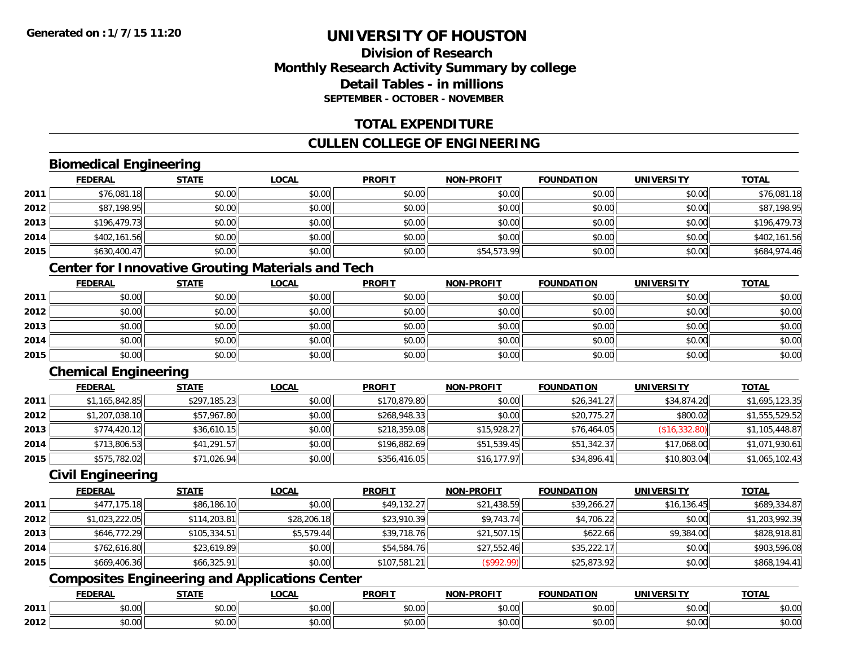### **Division of ResearchMonthly Research Activity Summary by college Detail Tables - in millionsSEPTEMBER - OCTOBER - NOVEMBER**

#### **TOTAL EXPENDITURE**

### **CULLEN COLLEGE OF ENGINEERING**

### **Biomedical Engineering**

|      | <b>FEDERAL</b> | <b>STATE</b> | <b>LOCAL</b> | <b>PROFIT</b> | <b>NON-PROFIT</b> | <b>FOUNDATION</b> | <b>UNIVERSITY</b> | <b>TOTAL</b> |
|------|----------------|--------------|--------------|---------------|-------------------|-------------------|-------------------|--------------|
| 2011 | \$76,081.18    | \$0.00       | \$0.00       | \$0.00        | \$0.00            | \$0.00            | \$0.00            | \$76,081.18  |
| 2012 | \$87,198.95    | \$0.00       | \$0.00       | \$0.00        | \$0.00            | \$0.00            | \$0.00            | \$87,198.95  |
| 2013 | \$196,479.73   | \$0.00       | \$0.00       | \$0.00        | \$0.00            | \$0.00            | \$0.00            | \$196,479.73 |
| 2014 | \$402,161.56   | \$0.00       | \$0.00       | \$0.00        | \$0.00            | \$0.00            | \$0.00            | \$402,161.56 |
| 2015 | \$630,400.47   | \$0.00       | \$0.00       | \$0.00        | \$54,573.99       | \$0.00            | \$0.00            | \$684,974.46 |

### **Center for Innovative Grouting Materials and Tech**

|      | <b>FEDERAL</b> | <b>STATE</b> | <u>LOCAL</u> | <b>PROFIT</b> | <b>NON-PROFIT</b> | <b>FOUNDATION</b> | <b>UNIVERSITY</b> | <b>TOTAL</b> |
|------|----------------|--------------|--------------|---------------|-------------------|-------------------|-------------------|--------------|
| 2011 | \$0.00         | \$0.00       | \$0.00       | \$0.00        | \$0.00            | \$0.00            | \$0.00            | \$0.00       |
| 2012 | \$0.00         | \$0.00       | \$0.00       | \$0.00        | \$0.00            | \$0.00            | \$0.00            | \$0.00       |
| 2013 | \$0.00         | \$0.00       | \$0.00       | \$0.00        | \$0.00            | \$0.00            | \$0.00            | \$0.00       |
| 2014 | \$0.00         | \$0.00       | \$0.00       | \$0.00        | \$0.00            | \$0.00            | \$0.00            | \$0.00       |
| 2015 | \$0.00         | \$0.00       | \$0.00       | \$0.00        | \$0.00            | \$0.00            | \$0.00            | \$0.00       |

### **Chemical Engineering**

|      | <b>FEDERAL</b> | <u>STATE</u> | <b>LOCAL</b> | <b>PROFIT</b> | <b>NON-PROFIT</b> | <b>FOUNDATION</b> | <b>UNIVERSITY</b> | <b>TOTAL</b>   |
|------|----------------|--------------|--------------|---------------|-------------------|-------------------|-------------------|----------------|
| 2011 | \$1,165,842.85 | \$297,185.23 | \$0.00       | \$170,879.80  | \$0.00            | \$26,341.27       | \$34,874.20       | \$1,695,123.35 |
| 2012 | \$1,207,038.10 | \$57,967.80  | \$0.00       | \$268,948.33  | \$0.00            | \$20,775.27       | \$800.02          | \$1,555,529.52 |
| 2013 | \$774,420.12   | \$36,610.15  | \$0.00       | \$218,359.08  | \$15,928.27       | \$76,464.05       | (\$16,332.80)     | \$1,105,448.87 |
| 2014 | \$713,806.53   | \$41,291.57  | \$0.00       | \$196,882.69  | \$51.539.45       | \$51,342.37       | \$17,068.00       | \$1,071,930.61 |
| 2015 | \$575,782.02   | \$71,026.94  | \$0.00       | \$356,416.05  | \$16, 177.97      | \$34,896.41       | \$10,803.04       | \$1,065,102.43 |

#### **Civil Engineering**

|      | <b>FEDERAL</b> | <u>STATE</u> | <u>LOCAL</u> | <b>PROFIT</b> | <b>NON-PROFIT</b> | <b>FOUNDATION</b> | <b>UNIVERSITY</b> | <b>TOTAL</b>   |
|------|----------------|--------------|--------------|---------------|-------------------|-------------------|-------------------|----------------|
| 2011 | \$477,175.18   | \$86,186.10  | \$0.00       | \$49,132.27   | \$21,438.59       | \$39,266.27       | \$16, 136.45      | \$689,334.87   |
| 2012 | \$1,023,222.05 | \$114,203.81 | \$28,206.18  | \$23,910.39   | \$9,743.74        | \$4,706.22        | \$0.00            | \$1,203,992.39 |
| 2013 | \$646,772.29   | \$105,334.51 | \$5,579.44   | \$39,718.76   | \$21,507.15       | \$622.66          | \$9,384.00        | \$828,918.81   |
| 2014 | \$762,616.80   | \$23,619.89  | \$0.00       | \$54,584.76   | \$27,552.46       | \$35,222.17       | \$0.00            | \$903,596.08   |
| 2015 | \$669,406.36   | \$66,325.91  | \$0.00       | \$107,581.21  | (\$992.99)        | \$25,873.92       | \$0.00            | \$868,194.41   |

## **Composites Engineering and Applications Center**

|      | <b>FEBERS</b><br>-11 | $\sim$ $\sim$ $\sim$ $\sim$ | $\sim$<br>.UUA     | <b>PROFIT</b>                                | $$ DDOF!<br>.        | .<br><b>'INDL</b>       | ™MIV⊨.             | <b>TOTAL</b> |
|------|----------------------|-----------------------------|--------------------|----------------------------------------------|----------------------|-------------------------|--------------------|--------------|
| 2011 | $\sim$ 00<br>vv.vv   | $\sim$ 00<br>90. UU         | 0000<br>vv.vv      | 0000<br><b>DU.UU</b>                         | 0.00<br>vu.vu        | 0000<br>JU.UU           | $\sim$ 00<br>vo.oo | JU.UU        |
| 2012 | vu.uu                | $\sim$ 00<br>יש.ט           | $\sim$ 00<br>vu.vu | $\mathsf{A} \cap \mathsf{A} \cap$<br>⊩ ⊮∪.∪ب | 0.00<br><b>JU.UU</b> | $\mathbb{R}^n$<br>PO.OO | امہ مہ<br>vv.vv    | JU.UL        |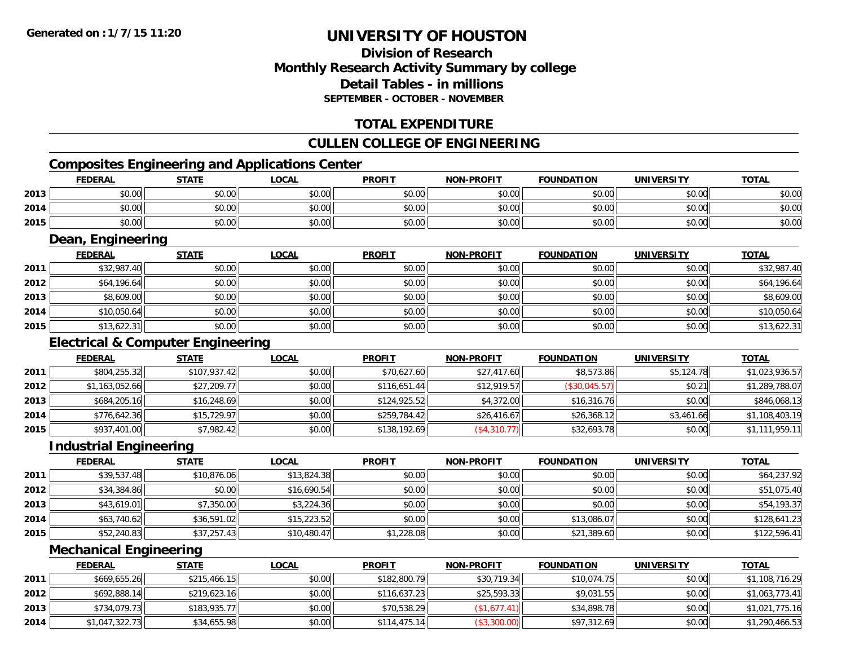# **Division of ResearchMonthly Research Activity Summary by college Detail Tables - in millionsSEPTEMBER - OCTOBER - NOVEMBER**

# **TOTAL EXPENDITURE**

# **CULLEN COLLEGE OF ENGINEERING**

# **Composites Engineering and Applications Center**

|      | <b>FEDERAL</b>    | <b>STATE</b> | <u>LOCAL</u> | <b>PROFIT</b> | <b>NON-PROFIT</b> | <b>FOUNDATION</b> | <b>UNIVERSITY</b> | <b>TOTAL</b> |
|------|-------------------|--------------|--------------|---------------|-------------------|-------------------|-------------------|--------------|
| 2013 | \$0.00            | \$0.00       | \$0.00       | \$0.00        | \$0.00            | \$0.00            | \$0.00            | \$0.00       |
| 2014 | \$0.00            | \$0.00       | \$0.00       | \$0.00        | \$0.00            | \$0.00            | \$0.00            | \$0.00       |
| 2015 | \$0.00            | \$0.00       | \$0.00       | \$0.00        | \$0.00            | \$0.00            | \$0.00            | \$0.00       |
|      | Dean, Engineering |              |              |               |                   |                   |                   |              |
|      | <b>FEDERAL</b>    | <b>STATE</b> | LOCAL        | <b>PROFIT</b> | <b>NON-PROFIT</b> | <b>FOUNDATION</b> | UNIVERSITY        | <b>TOTAL</b> |

|      | <b>FEDERAL</b> | <u>SIAIL</u> | <u>LUCAL</u> | <u>PRUFII</u> | <b>NON-PROFIL</b> | <b>FOUNDATION</b> | UNIVERSITY | <u>IUIAL</u> |
|------|----------------|--------------|--------------|---------------|-------------------|-------------------|------------|--------------|
| 2011 | \$32,987.40    | \$0.00       | \$0.00       | \$0.00        | \$0.00            | \$0.00            | \$0.00     | \$32,987.40  |
| 2012 | \$64,196.64    | \$0.00       | \$0.00       | \$0.00        | \$0.00            | \$0.00            | \$0.00     | \$64,196.64  |
| 2013 | \$8,609.00     | \$0.00       | \$0.00       | \$0.00        | \$0.00            | \$0.00            | \$0.00     | \$8,609.00   |
| 2014 | \$10,050.64    | \$0.00       | \$0.00       | \$0.00        | \$0.00            | \$0.00            | \$0.00     | \$10,050.64  |
| 2015 | \$13,622.31    | \$0.00       | \$0.00       | \$0.00        | \$0.00            | \$0.00            | \$0.00     | \$13,622.31  |

# **Electrical & Computer Engineering**

|      | <b>FEDERAL</b> | <u>STATE</u> | <b>LOCAL</b> | <b>PROFIT</b> | <b>NON-PROFIT</b> | <b>FOUNDATION</b> | <b>UNIVERSITY</b> | <b>TOTAL</b>   |
|------|----------------|--------------|--------------|---------------|-------------------|-------------------|-------------------|----------------|
| 2011 | \$804,255.32   | \$107,937.42 | \$0.00       | \$70,627.60   | \$27,417.60       | \$8,573.86        | \$5,124.78        | \$1,023,936.57 |
| 2012 | \$1,163,052.66 | \$27,209.77  | \$0.00       | \$116,651.44  | \$12,919.57       | (\$30,045.57)     | \$0.21            | \$1,289,788.07 |
| 2013 | \$684,205.16   | \$16,248.69  | \$0.00       | \$124.925.52  | \$4,372.00        | \$16,316.76       | \$0.00            | \$846,068.13   |
| 2014 | \$776,642.36   | \$15,729.97  | \$0.00       | \$259,784.42  | \$26,416.67       | \$26,368.12       | \$3,461.66        | \$1,108,403.19 |
| 2015 | \$937,401.00   | \$7,982.42   | \$0.00       | \$138,192.69  | (\$4,310.77)      | \$32,693.78       | \$0.00            | \$1,111,959.11 |

#### **Industrial Engineering**

|      | <b>FEDERAL</b> | <u>STATE</u> | <u>LOCAL</u> | <b>PROFIT</b> | <b>NON-PROFIT</b> | <b>FOUNDATION</b> | <b>UNIVERSITY</b> | <b>TOTAL</b> |
|------|----------------|--------------|--------------|---------------|-------------------|-------------------|-------------------|--------------|
| 2011 | \$39,537.48    | \$10,876.06  | \$13,824.38  | \$0.00        | \$0.00            | \$0.00            | \$0.00            | \$64,237.92  |
| 2012 | \$34,384.86    | \$0.00       | \$16,690.54  | \$0.00        | \$0.00            | \$0.00            | \$0.00            | \$51,075.40  |
| 2013 | \$43,619.01    | \$7,350.00   | \$3,224.36   | \$0.00        | \$0.00            | \$0.00            | \$0.00            | \$54,193.37  |
| 2014 | \$63,740.62    | \$36,591.02  | \$15,223.52  | \$0.00        | \$0.00            | \$13,086.07       | \$0.00            | \$128,641.23 |
| 2015 | \$52,240.83    | \$37,257.43  | \$10,480.47  | \$1,228.08    | \$0.00            | \$21,389.60       | \$0.00            | \$122,596.41 |

# **Mechanical Engineering**

|      | <b>FEDERAL</b> | <b>STATE</b> | <u>LOCAL</u> | <b>PROFIT</b> | <b>NON-PROFIT</b> | <b>FOUNDATION</b> | <b>UNIVERSITY</b> | <b>TOTAL</b>   |
|------|----------------|--------------|--------------|---------------|-------------------|-------------------|-------------------|----------------|
| 2011 | \$669,655.26   | \$215,466.15 | \$0.00       | \$182,800.79  | \$30,719.34       | \$10,074.75       | \$0.00            | \$1,108,716.29 |
| 2012 | \$692,888.14   | \$219,623.16 | \$0.00       | \$116.637.23  | \$25,593.33       | \$9,031.55        | \$0.00            | \$1,063,773.41 |
| 2013 | \$734,079.73   | \$183,935.77 | \$0.00       | \$70,538.29   | (\$1,677.41)      | \$34,898.78       | \$0.00            | \$1,021,775.16 |
| 2014 | \$1,047,322.73 | \$34,655.98  | \$0.00       | \$114,475.14  | (\$3,300.00)      | \$97,312.69       | \$0.00            | \$1,290,466.53 |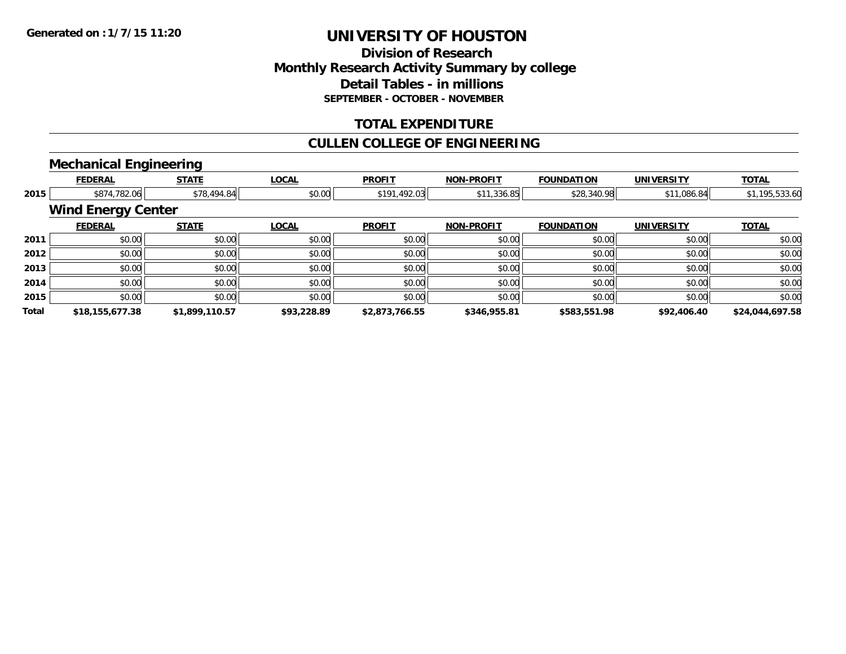# **Division of ResearchMonthly Research Activity Summary by college Detail Tables - in millions SEPTEMBER - OCTOBER - NOVEMBER**

# **TOTAL EXPENDITURE**

## **CULLEN COLLEGE OF ENGINEERING**

### **Mechanical Engineering**

|              | <b>FEDERAL</b>            | <b>STATE</b>   | <b>LOCAL</b> | <b>PROFIT</b>  | <b>NON-PROFIT</b> | <b>FOUNDATION</b> | <b>UNIVERSITY</b> | <b>TOTAL</b>    |
|--------------|---------------------------|----------------|--------------|----------------|-------------------|-------------------|-------------------|-----------------|
| 2015         | \$874,782.06              | \$78,494.84    | \$0.00       | \$191,492.03   | \$11,336.85       | \$28,340.98       | \$11,086.84       | \$1,195,533.60  |
|              | <b>Wind Energy Center</b> |                |              |                |                   |                   |                   |                 |
|              | <b>FEDERAL</b>            | <b>STATE</b>   | <b>LOCAL</b> | <b>PROFIT</b>  | <b>NON-PROFIT</b> | <b>FOUNDATION</b> | <b>UNIVERSITY</b> | <b>TOTAL</b>    |
| 2011         | \$0.00                    | \$0.00         | \$0.00       | \$0.00         | \$0.00            | \$0.00            | \$0.00            | \$0.00          |
| 2012         | \$0.00                    | \$0.00         | \$0.00       | \$0.00         | \$0.00            | \$0.00            | \$0.00            | \$0.00          |
| 2013         | \$0.00                    | \$0.00         | \$0.00       | \$0.00         | \$0.00            | \$0.00            | \$0.00            | \$0.00          |
| 2014         | \$0.00                    | \$0.00         | \$0.00       | \$0.00         | \$0.00            | \$0.00            | \$0.00            | \$0.00          |
| 2015         | \$0.00                    | \$0.00         | \$0.00       | \$0.00         | \$0.00            | \$0.00            | \$0.00            | \$0.00          |
| <b>Total</b> | \$18,155,677.38           | \$1,899,110.57 | \$93,228.89  | \$2,873,766.55 | \$346,955.81      | \$583,551.98      | \$92,406.40       | \$24,044,697.58 |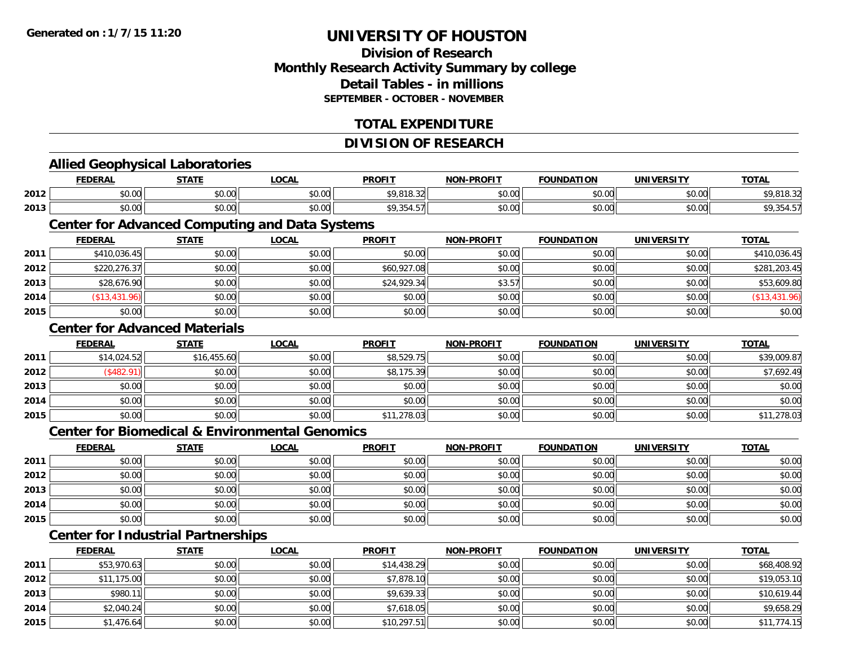**2013**

**2014**

**2015**

# **UNIVERSITY OF HOUSTON**

# **Division of ResearchMonthly Research Activity Summary by college Detail Tables - in millionsSEPTEMBER - OCTOBER - NOVEMBER**

# **TOTAL EXPENDITURE**

#### **DIVISION OF RESEARCHAllied Geophysical Laboratories FEDERAL STATE LOCAL PROFIT NON-PROFIT FOUNDATION UNIVERSITY TOTALTOTAL 2012**2 \$0.00 \$0.00 \$0.00 \$0.00 \$0.00 \$0.00 \$0.00 \$9,818.32 \$9,818.32 \$0.00 \$0.00 \$9,818.32 \$0.00 \$9,818.32 **2013** \$0.00 \$0.00 \$0.00 \$9,354.57 \$0.00 \$0.00 \$0.00 \$9,354.57 **Center for Advanced Computing and Data Systems FEDERAL STATE LOCAL PROFIT NON-PROFIT FOUNDATION UNIVERSITY TOTAL2011** \$410,036.45 \$0.00 \$0.00 \$0.00 \$0.00 \$0.00 \$0.00 \$410,036.45 **2012** \$220,276.37 \$0.00 \$0.00 \$60,927.08 \$0.00 \$0.00 \$0.00 \$281,203.45 **2013** $\bf{3} \quad \rm{3} \quad \rm{5} \quad \rm{5} \quad \rm{5} \quad \rm{5} \quad \rm{6} \quad \rm{9} \quad \rm{1} \quad \rm{1} \quad \rm{5} \quad \rm{5} \quad \rm{5} \quad \rm{5} \quad \rm{5} \quad \rm{5} \quad \rm{5} \quad \rm{5} \quad \rm{5} \quad \rm{5} \quad \rm{5} \quad \rm{5} \quad \rm{5} \quad \rm{5} \quad \rm{5} \quad \rm{5} \quad \rm{5} \quad \rm{5} \quad \rm{5} \quad \rm{5} \quad \rm{5} \quad \rm{$ **2014** (\$13,431.96) \$0.00 \$0.00 \$0.00 \$0.00 \$0.00 \$0.00 (\$13,431.96) **2015**5 | \$0.00 \$0.00 \$0.00 \$0.00 \$0.00 \$0.00 \$0.00 \$0.00 \$0.00 \$0.00 \$0.00 \$0.00 \$0.00 \$0.00 \$0.00 \$0.00 \$0.00 \$0.00 **Center for Advanced MaterialsFEDERAL STATE LOCAL PROFIT NON-PROFIT FOUNDATION UNIVERSITY TOTAL2011** \$14,024.52 \$16,455.60 \$0.00 \$8,529.75 \$0.00 \$0.00 \$0.00 \$39,009.87 **2012**2 │ (\$482.91)│ \$0.00│ \$0.00│ \$8,175.39│ \$0.00│ \$0.00│ \$7,692.49 **2013** $\textbf{3} \mid \textbf{3} \mid \textbf{5} \mid \textbf{5} \mid \textbf{6} \mid \textbf{7} \mid \textbf{8} \mid \textbf{1} \mid \textbf{1} \mid \textbf{1} \mid \textbf{1} \mid \textbf{1} \mid \textbf{1} \mid \textbf{1} \mid \textbf{1} \mid \textbf{1} \mid \textbf{1} \mid \textbf{1} \mid \textbf{1} \mid \textbf{1} \mid \textbf{1} \mid \textbf{1} \mid \textbf{1} \mid \textbf{1} \mid \textbf{1} \mid \textbf{1} \mid \textbf{1} \mid \textbf{$ **2014**4 \$0.00 \$0.00 \$0.00 \$0.00 \$0.00 \$0.00 \$0.00 \$0.00 \$0.00 \$0.00 \$0.00 \$0.00 \$0.00 \$0.00 \$0.00 \$0.00 \$0.00 \$0.00 **2015** \$0.00 \$0.00 \$0.00 \$11,278.03 \$0.00 \$0.00 \$0.00 \$11,278.03 **Center for Biomedical & Environmental GenomicsFEDERAL STATE LOCAL PROFIT NON-PROFIT FOUNDATION UNIVERSITY TOTALTOTAL 2011** \$0.00 \$0.00 \$0.00 \$0.00 \$0.00 \$0.00 \$0.00 \$0.00 **2012**2 | \$0.00 \$0.00 \$0.00 \$0.00 \$0.00 \$0.00 \$0.00 \$0.00 \$0.00 \$0.00 \$0.00 \$0.00 \$0.00 \$0.00 \$0.00 \$0.00 \$0.00 \$0.0 **2013** $\textbf{3} \mid \textbf{3} \mid \textbf{5} \mid \textbf{5} \mid \textbf{6} \mid \textbf{7} \mid \textbf{8} \mid \textbf{1} \mid \textbf{1} \mid \textbf{1} \mid \textbf{1} \mid \textbf{1} \mid \textbf{1} \mid \textbf{1} \mid \textbf{1} \mid \textbf{1} \mid \textbf{1} \mid \textbf{1} \mid \textbf{1} \mid \textbf{1} \mid \textbf{1} \mid \textbf{1} \mid \textbf{1} \mid \textbf{1} \mid \textbf{1} \mid \textbf{1} \mid \textbf{1} \mid \textbf{$ **2014**4 \$0.00 \$0.00 \$0.00 \$0.00 \$0.00 \$0.00 \$0.00 \$0.00 \$0.00 \$0.00 \$0.00 \$0.00 \$0.00 \$0.00 \$0.00 \$0.00 \$0.00 \$0.00 **2015** \$0.00 \$0.00 \$0.00 \$0.00 \$0.00 \$0.00 \$0.00 \$0.00 **Center for Industrial Partnerships FEDERAL STATE LOCAL PROFIT NON-PROFIT FOUNDATION UNIVERSITY TOTAL2011** \$53,970.63 \$0.00 \$0.00 \$14,438.29 \$0.00 \$0.00 \$0.00 \$68,408.92 **2012**2 | \$11,175.00| \$0.00| \$0.00| \$0.00| \$0.00| \$7,878.10| \$0.00| \$0.00| \$0.00| \$0.00| \$19,053.10

\$980.11 \$0.00 \$0.00 \$9,639.33 \$0.00 \$0.00 \$0.00 \$10,619.44

4 \$2,040.24 \$0.00 \$0.00 \$0.00 \$0.00 \$0.00 \$1,618.05 \$7,618.05 \$0.00 \$0.00 \$0.00 \$0.00 \$0.00 \$9,658.29

\$1,476.64 \$0.00 \$0.00 \$10,297.51 \$0.00 \$0.00 \$0.00 \$11,774.15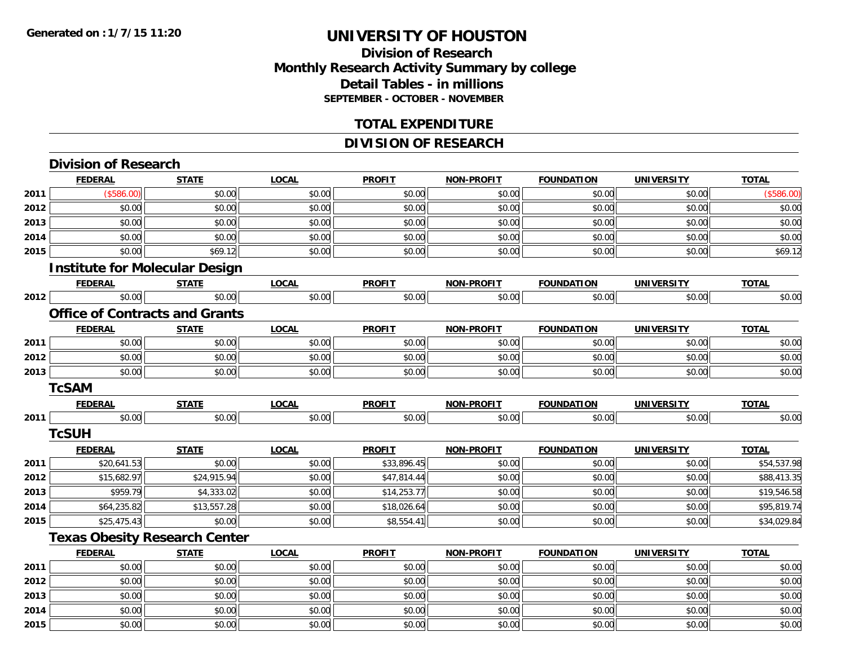**2013**

**2014**

**2015**

# **UNIVERSITY OF HOUSTON**

# **Division of ResearchMonthly Research Activity Summary by college Detail Tables - in millions SEPTEMBER - OCTOBER - NOVEMBER**

#### **TOTAL EXPENDITURE**

# **DIVISION OF RESEARCH**

|      | <b>Division of Research</b>           |              |              |               |                   |                   |                   |              |
|------|---------------------------------------|--------------|--------------|---------------|-------------------|-------------------|-------------------|--------------|
|      | <b>FEDERAL</b>                        | <b>STATE</b> | <b>LOCAL</b> | <b>PROFIT</b> | <b>NON-PROFIT</b> | <b>FOUNDATION</b> | <b>UNIVERSITY</b> | <b>TOTAL</b> |
| 2011 | (\$586.00)                            | \$0.00       | \$0.00       | \$0.00        | \$0.00            | \$0.00            | \$0.00            | (\$586.00)   |
| 2012 | \$0.00                                | \$0.00       | \$0.00       | \$0.00        | \$0.00            | \$0.00            | \$0.00            | \$0.00       |
| 2013 | \$0.00                                | \$0.00       | \$0.00       | \$0.00        | \$0.00            | \$0.00            | \$0.00            | \$0.00       |
| 2014 | \$0.00                                | \$0.00       | \$0.00       | \$0.00        | \$0.00            | \$0.00            | \$0.00            | \$0.00       |
| 2015 | \$0.00                                | \$69.12      | \$0.00       | \$0.00        | \$0.00            | \$0.00            | \$0.00            | \$69.12      |
|      | <b>Institute for Molecular Design</b> |              |              |               |                   |                   |                   |              |
|      | <b>FEDERAL</b>                        | <b>STATE</b> | <b>LOCAL</b> | <b>PROFIT</b> | <b>NON-PROFIT</b> | <b>FOUNDATION</b> | <b>UNIVERSITY</b> | <b>TOTAL</b> |
| 2012 | \$0.00                                | \$0.00       | \$0.00       | \$0.00        | \$0.00            | \$0.00            | \$0.00            | \$0.00       |
|      | <b>Office of Contracts and Grants</b> |              |              |               |                   |                   |                   |              |
|      | <b>FEDERAL</b>                        | <b>STATE</b> | <b>LOCAL</b> | <b>PROFIT</b> | <b>NON-PROFIT</b> | <b>FOUNDATION</b> | <b>UNIVERSITY</b> | <b>TOTAL</b> |
| 2011 | \$0.00                                | \$0.00       | \$0.00       | \$0.00        | \$0.00            | \$0.00            | \$0.00            | \$0.00       |
| 2012 | \$0.00                                | \$0.00       | \$0.00       | \$0.00        | \$0.00            | \$0.00            | \$0.00            | \$0.00       |
| 2013 | \$0.00                                | \$0.00       | \$0.00       | \$0.00        | \$0.00            | \$0.00            | \$0.00            | \$0.00       |
|      | <b>TcSAM</b>                          |              |              |               |                   |                   |                   |              |
|      | <b>FEDERAL</b>                        | <b>STATE</b> | <b>LOCAL</b> | <b>PROFIT</b> | <b>NON-PROFIT</b> | <b>FOUNDATION</b> | <b>UNIVERSITY</b> | <b>TOTAL</b> |
| 2011 | \$0.00                                | \$0.00       | \$0.00       | \$0.00        | \$0.00            | \$0.00            | \$0.00            | \$0.00       |
|      | <b>TcSUH</b>                          |              |              |               |                   |                   |                   |              |
|      | <b>FEDERAL</b>                        | <b>STATE</b> | <b>LOCAL</b> | <b>PROFIT</b> | NON-PROFIT        | <b>FOUNDATION</b> | <b>UNIVERSITY</b> | <b>TOTAL</b> |
| 2011 | \$20,641.53                           | \$0.00       | \$0.00       | \$33,896.45   | \$0.00            | \$0.00            | \$0.00            | \$54,537.98  |
| 2012 | \$15,682.97                           | \$24,915.94  | \$0.00       | \$47,814.44   | \$0.00            | \$0.00            | \$0.00            | \$88,413.35  |
| 2013 | \$959.79                              | \$4,333.02   | \$0.00       | \$14,253.77   | \$0.00            | \$0.00            | \$0.00            | \$19,546.58  |
| 2014 | \$64,235.82                           | \$13,557.28  | \$0.00       | \$18,026.64   | \$0.00            | \$0.00            | \$0.00            | \$95,819.74  |
| 2015 | \$25,475.43                           | \$0.00       | \$0.00       | \$8,554.41    | \$0.00            | \$0.00            | \$0.00            | \$34,029.84  |
|      | <b>Texas Obesity Research Center</b>  |              |              |               |                   |                   |                   |              |
|      | <b>FEDERAL</b>                        | <b>STATE</b> | <b>LOCAL</b> | <b>PROFIT</b> | <b>NON-PROFIT</b> | <b>FOUNDATION</b> | <b>UNIVERSITY</b> | <b>TOTAL</b> |
| 2011 | \$0.00                                | \$0.00       | \$0.00       | \$0.00        | \$0.00            | \$0.00            | \$0.00            | \$0.00       |
| 2012 | \$0.00                                | \$0.00       | \$0.00       | \$0.00        | \$0.00            | \$0.00            | \$0.00            | \$0.00       |

 $\textbf{3} \mid \textbf{3} \mid \textbf{5} \mid \textbf{5} \mid \textbf{6} \mid \textbf{7} \mid \textbf{8} \mid \textbf{1} \mid \textbf{1} \mid \textbf{1} \mid \textbf{1} \mid \textbf{1} \mid \textbf{1} \mid \textbf{1} \mid \textbf{1} \mid \textbf{1} \mid \textbf{1} \mid \textbf{1} \mid \textbf{1} \mid \textbf{1} \mid \textbf{1} \mid \textbf{1} \mid \textbf{1} \mid \textbf{1} \mid \textbf{1} \mid \textbf{1} \mid \textbf{1} \mid \textbf{$ 

4 \$0.00 \$0.00 \$0.00 \$0.00 \$0.00 \$0.00 \$0.00 \$0.00 \$0.00 \$0.00 \$0.00 \$0.00 \$0.00 \$0.00 \$0.00 \$0.00 \$0.00 \$0.00

\$0.00 \$0.00 \$0.00 \$0.00 \$0.00 \$0.00 \$0.00 \$0.00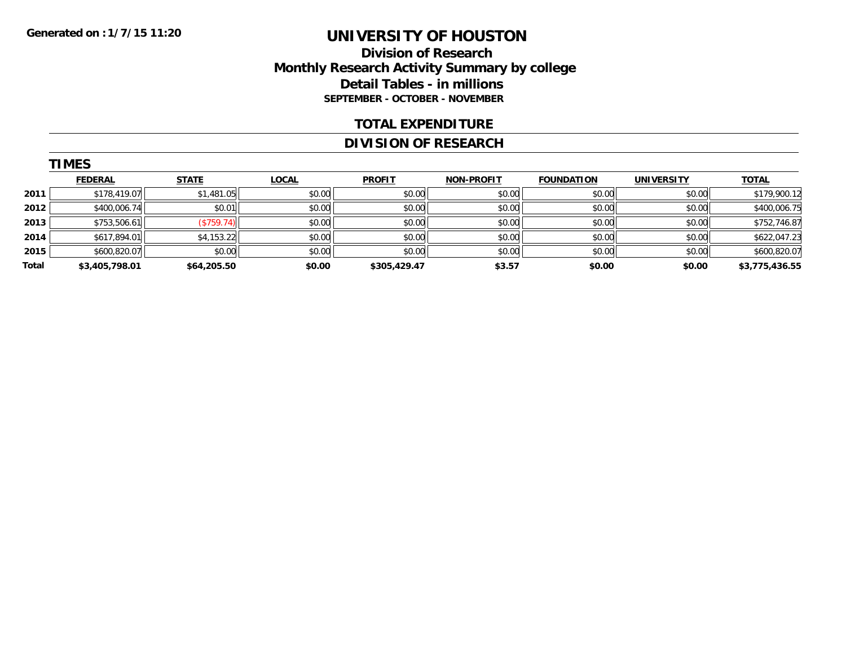**TIMES** 

# **UNIVERSITY OF HOUSTON**

## **Division of Research Monthly Research Activity Summary by college Detail Tables - in millions SEPTEMBER - OCTOBER - NOVEMBER**

#### **TOTAL EXPENDITURE**

#### **DIVISION OF RESEARCH**

|       | <b>IMES</b>    |              |              |               |                   |                   |                   |                |
|-------|----------------|--------------|--------------|---------------|-------------------|-------------------|-------------------|----------------|
|       | <b>FEDERAL</b> | <b>STATE</b> | <u>LOCAL</u> | <b>PROFIT</b> | <b>NON-PROFIT</b> | <b>FOUNDATION</b> | <b>UNIVERSITY</b> | <b>TOTAL</b>   |
| 2011  | \$178,419.07   | \$1,481.05   | \$0.00       | \$0.00        | \$0.00            | \$0.00            | \$0.00            | \$179,900.12   |
| 2012  | \$400,006.74   | \$0.01       | \$0.00       | \$0.00        | \$0.00            | \$0.00            | \$0.00            | \$400,006.75   |
| 2013  | \$753,506.61   | (\$759.74)   | \$0.00       | \$0.00        | \$0.00            | \$0.00            | \$0.00            | \$752,746.87   |
| 2014  | \$617,894.01   | \$4,153.22   | \$0.00       | \$0.00        | \$0.00            | \$0.00            | \$0.00            | \$622,047.23   |
| 2015  | \$600,820.07   | \$0.00       | \$0.00       | \$0.00        | \$0.00            | \$0.00            | \$0.00            | \$600,820.07   |
| Total | \$3,405,798.01 | \$64,205.50  | \$0.00       | \$305,429.47  | \$3.57            | \$0.00            | \$0.00            | \$3,775,436.55 |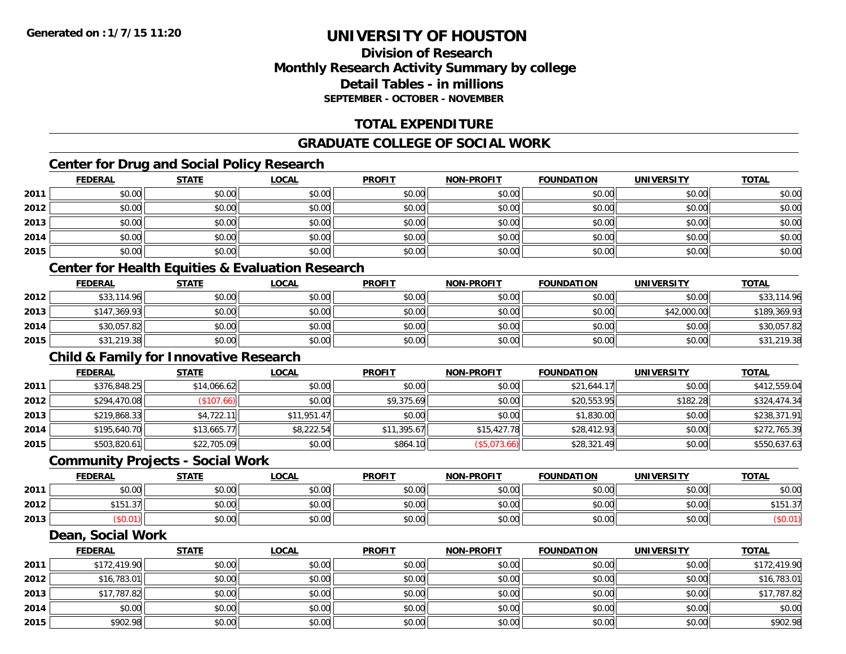**2012**

**2013**

**2014**

**2015**

# **UNIVERSITY OF HOUSTON**

# **Division of ResearchMonthly Research Activity Summary by college Detail Tables - in millionsSEPTEMBER - OCTOBER - NOVEMBER**

# **TOTAL EXPENDITURE**

# **GRADUATE COLLEGE OF SOCIAL WORK**

# **Center for Drug and Social Policy Research**

|      | <b>FEDERAL</b>                                              | <b>STATE</b> | <b>LOCAL</b> | <b>PROFIT</b> | <b>NON-PROFIT</b> | <b>FOUNDATION</b> | <b>UNIVERSITY</b> | <b>TOTAL</b> |
|------|-------------------------------------------------------------|--------------|--------------|---------------|-------------------|-------------------|-------------------|--------------|
| 2011 | \$0.00                                                      | \$0.00       | \$0.00       | \$0.00        | \$0.00            | \$0.00            | \$0.00            | \$0.00       |
| 2012 | \$0.00                                                      | \$0.00       | \$0.00       | \$0.00        | \$0.00            | \$0.00            | \$0.00            | \$0.00       |
| 2013 | \$0.00                                                      | \$0.00       | \$0.00       | \$0.00        | \$0.00            | \$0.00            | \$0.00            | \$0.00       |
| 2014 | \$0.00                                                      | \$0.00       | \$0.00       | \$0.00        | \$0.00            | \$0.00            | \$0.00            | \$0.00       |
| 2015 | \$0.00                                                      | \$0.00       | \$0.00       | \$0.00        | \$0.00            | \$0.00            | \$0.00            | \$0.00       |
|      | <b>Center for Health Equities &amp; Evaluation Research</b> |              |              |               |                   |                   |                   |              |
|      | <b>FEDERAL</b>                                              | <b>STATE</b> | <b>LOCAL</b> | <b>PROFIT</b> | <b>NON-PROFIT</b> | <b>FOUNDATION</b> | <b>UNIVERSITY</b> | <b>TOTAL</b> |
| 2012 | \$33,114.96                                                 | \$0.00       | \$0.00       | \$0.00        | \$0.00            | \$0.00            | \$0.00            | \$33,114.96  |
| 2013 | \$147,369.93                                                | \$0.00       | \$0.00       | \$0.00        | \$0.00            | \$0.00            | \$42,000.00       | \$189,369.93 |
| 2014 | \$30,057.82                                                 | \$0.00       | \$0.00       | \$0.00        | \$0.00            | \$0.00            | \$0.00            | \$30,057.82  |
| 2015 | \$31,219.38                                                 | \$0.00       | \$0.00       | \$0.00        | \$0.00            | \$0.00            | \$0.00            | \$31,219.38  |
|      | <b>Child &amp; Family for Innovative Research</b>           |              |              |               |                   |                   |                   |              |
|      | <b>FEDERAL</b>                                              | <b>STATE</b> | <b>LOCAL</b> | <b>PROFIT</b> | <b>NON-PROFIT</b> | <b>FOUNDATION</b> | <b>UNIVERSITY</b> | <b>TOTAL</b> |
| 2011 | \$376,848.25                                                | \$14,066.62  | \$0.00       | \$0.00        | \$0.00            | \$21,644.17       | \$0.00            | \$412,559.04 |
| 2012 | \$294,470.08                                                | (\$107.66)   | \$0.00       | \$9,375.69    | \$0.00            | \$20,553.95       | \$182.28          | \$324,474.34 |
| 2013 | \$219,868.33                                                | \$4,722.11   | \$11,951.47  | \$0.00        | \$0.00            | \$1,830.00        | \$0.00            | \$238,371.91 |
| 2014 | \$195,640.70                                                | \$13,665.77  | \$8,222.54   | \$11,395.67   | \$15,427.78       | \$28,412.93       | \$0.00            | \$272,765.39 |
| 2015 | \$503,820.61                                                | \$22,705.09  | \$0.00       | \$864.10      | (\$5,073.66)      | \$28,321.49       | \$0.00            | \$550,637.63 |
|      | <b>Community Projects - Social Work</b>                     |              |              |               |                   |                   |                   |              |
|      | <b>FEDERAL</b>                                              | <b>STATE</b> | <b>LOCAL</b> | <b>PROFIT</b> | <b>NON-PROFIT</b> | <b>FOUNDATION</b> | <b>UNIVERSITY</b> | <b>TOTAL</b> |
| 2011 | \$0.00                                                      | \$0.00       | \$0.00       | \$0.00        | \$0.00            | \$0.00            | \$0.00            | \$0.00       |
| 2012 | \$151.37                                                    | \$0.00       | \$0.00       | \$0.00        | \$0.00            | \$0.00            | \$0.00            | \$151.37     |
| 2013 | (\$0.01)                                                    | \$0.00       | \$0.00       | \$0.00        | \$0.00            | \$0.00            | \$0.00            | (\$0.01)     |
|      | Dean, Social Work                                           |              |              |               |                   |                   |                   |              |
|      | <b>FEDERAL</b>                                              | <b>STATE</b> | <b>LOCAL</b> | <b>PROFIT</b> | <b>NON-PROFIT</b> | <b>FOUNDATION</b> | <b>UNIVERSITY</b> | <b>TOTAL</b> |
| 2011 | \$172,419.90                                                | \$0.00       | \$0.00       | \$0.00        | \$0.00            | \$0.00            | \$0.00            | \$172,419.90 |

2 \$16,783.01 \$0.00 \$0.00 \$0.00 \$0.00 \$0.00 \$0.00 \$0.00 \$0.00 \$0.00 \$0.00 \$0.00 \$16,783.01

\$17,787.82 \$0.00 \$0.00 \$0.00 \$0.00 \$0.00 \$0.00 \$17,787.82

4 \$0.00 \$0.00 \$0.00 \$0.00 \$0.00 \$0.00 \$0.00 \$0.00 \$0.00 \$0.00 \$0.00 \$0.00 \$0.00 \$0.00 \$0.00 \$0.00 \$0.00

\$902.98 \$0.00 \$0.00 \$0.00 \$0.00 \$0.00 \$0.00 \$902.98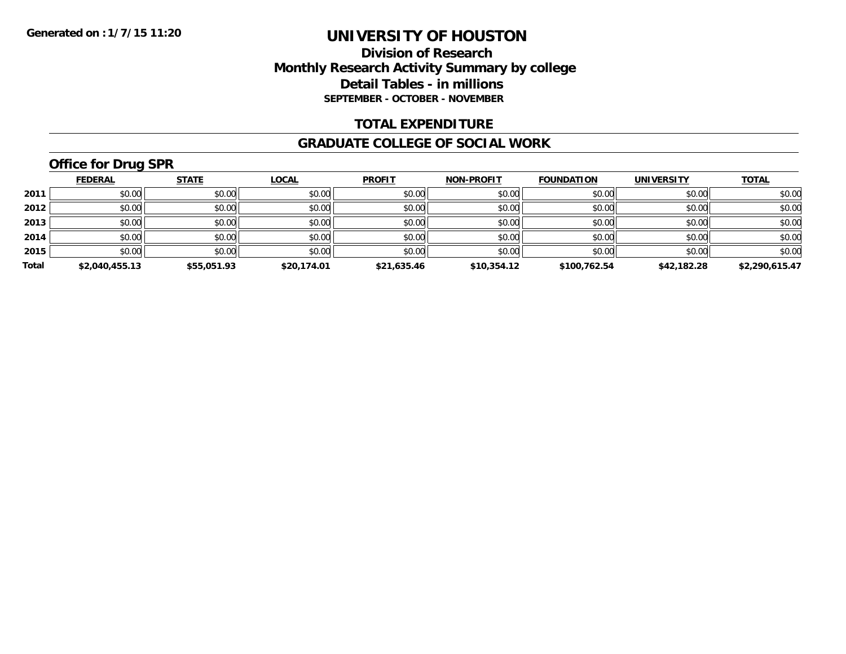# **Division of Research Monthly Research Activity Summary by college Detail Tables - in millions SEPTEMBER - OCTOBER - NOVEMBER**

#### **TOTAL EXPENDITURE**

#### **GRADUATE COLLEGE OF SOCIAL WORK**

# **Office for Drug SPR**

|       | <b>FEDERAL</b> | <b>STATE</b> | <b>LOCAL</b> | <b>PROFIT</b> | <b>NON-PROFIT</b> | <b>FOUNDATION</b> | <b>UNIVERSITY</b> | <b>TOTAL</b>   |
|-------|----------------|--------------|--------------|---------------|-------------------|-------------------|-------------------|----------------|
| 2011  | \$0.00         | \$0.00       | \$0.00       | \$0.00        | \$0.00            | \$0.00            | \$0.00            | \$0.00         |
| 2012  | \$0.00         | \$0.00       | \$0.00       | \$0.00        | \$0.00            | \$0.00            | \$0.00            | \$0.00         |
| 2013  | \$0.00         | \$0.00       | \$0.00       | \$0.00        | \$0.00            | \$0.00            | \$0.00            | \$0.00         |
| 2014  | \$0.00         | \$0.00       | \$0.00       | \$0.00        | \$0.00            | \$0.00            | \$0.00            | \$0.00         |
| 2015  | \$0.00         | \$0.00       | \$0.00       | \$0.00        | \$0.00            | \$0.00            | \$0.00            | \$0.00         |
| Total | \$2,040,455.13 | \$55,051.93  | \$20,174.01  | \$21,635.46   | \$10,354.12       | \$100,762.54      | \$42,182.28       | \$2,290,615.47 |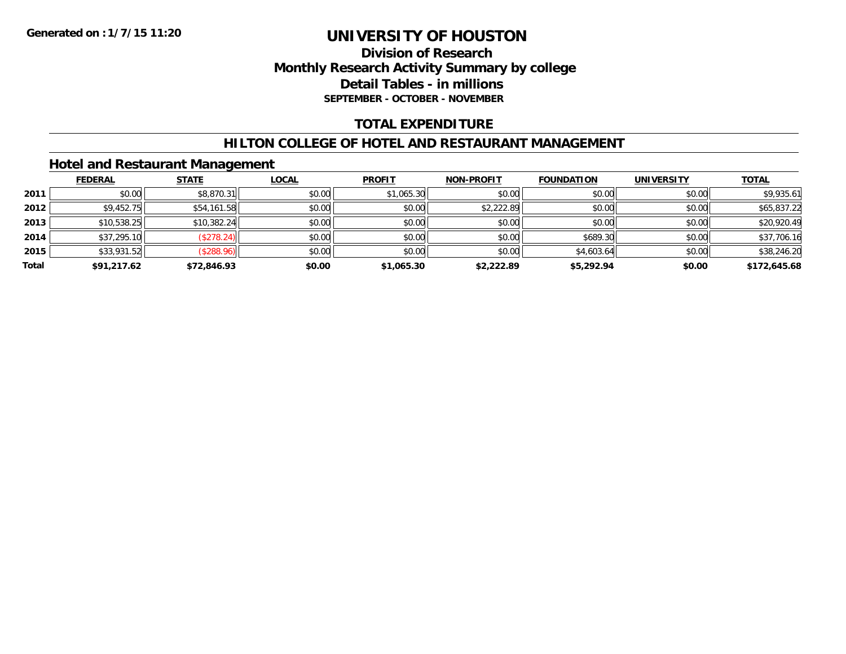# **Division of Research Monthly Research Activity Summary by college Detail Tables - in millions SEPTEMBER - OCTOBER - NOVEMBER**

### **TOTAL EXPENDITURE**

#### **HILTON COLLEGE OF HOTEL AND RESTAURANT MANAGEMENT**

### **Hotel and Restaurant Management**

|       | <b>FEDERAL</b> | <b>STATE</b> | <u>LOCAL</u> | <b>PROFIT</b> | <b>NON-PROFIT</b> | <b>FOUNDATION</b> | <b>UNIVERSITY</b> | <b>TOTAL</b> |
|-------|----------------|--------------|--------------|---------------|-------------------|-------------------|-------------------|--------------|
| 2011  | \$0.00         | \$8,870.31   | \$0.00       | \$1,065.30    | \$0.00            | \$0.00            | \$0.00            | \$9,935.61   |
| 2012  | \$9,452.75     | \$54,161.58  | \$0.00       | \$0.00        | \$2,222.89        | \$0.00            | \$0.00            | \$65,837.22  |
| 2013  | \$10,538.25    | \$10,382.24  | \$0.00       | \$0.00        | \$0.00            | \$0.00            | \$0.00            | \$20,920.49  |
| 2014  | \$37,295.10    | (\$278.24)   | \$0.00       | \$0.00        | \$0.00            | \$689.30          | \$0.00            | \$37,706.16  |
| 2015  | \$33,931.52    | (\$288.96)   | \$0.00       | \$0.00        | \$0.00            | \$4,603.64        | \$0.00            | \$38,246.20  |
| Total | \$91,217.62    | \$72,846.93  | \$0.00       | \$1,065.30    | \$2,222.89        | \$5,292.94        | \$0.00            | \$172,645.68 |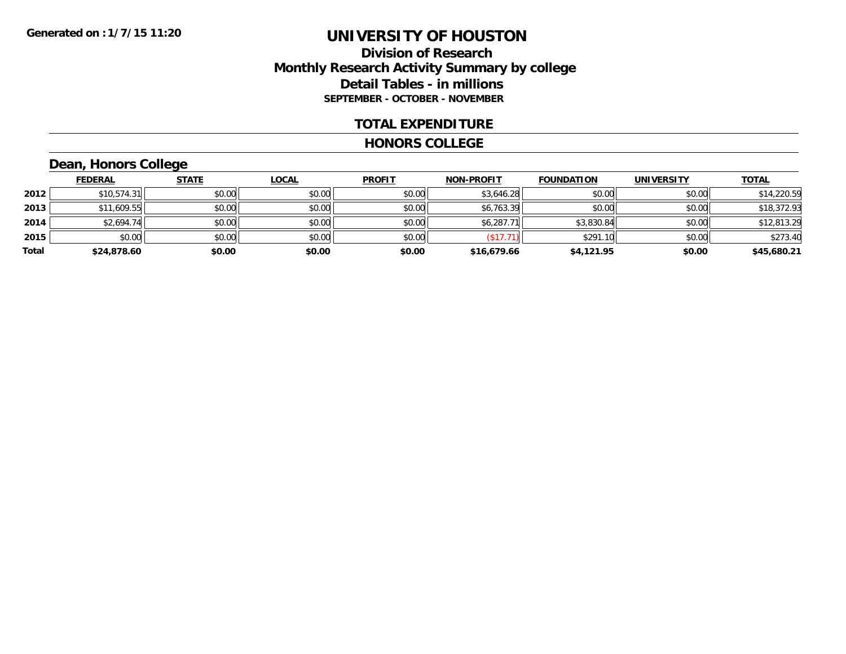# **Division of Research Monthly Research Activity Summary by college Detail Tables - in millions SEPTEMBER - OCTOBER - NOVEMBER**

#### **TOTAL EXPENDITURE**

#### **HONORS COLLEGE**

# **Dean, Honors College**

|       | <b>FEDERAL</b> | <b>STATE</b> | <u>LOCAL</u> | <b>PROFIT</b> | <b>NON-PROFIT</b> | <b>FOUNDATION</b> | <b>UNIVERSITY</b> | <b>TOTAL</b> |
|-------|----------------|--------------|--------------|---------------|-------------------|-------------------|-------------------|--------------|
| 2012  | \$10,574.31    | \$0.00       | \$0.00       | \$0.00        | \$3,646.28        | \$0.00            | \$0.00            | \$14,220.59  |
| 2013  | \$11,609.55    | \$0.00       | \$0.00       | \$0.00        | \$6,763.39        | \$0.00            | \$0.00            | \$18,372.93  |
| 2014  | \$2,694.74     | \$0.00       | \$0.00       | \$0.00        | \$6,287.71        | \$3,830.84        | \$0.00            | \$12,813.29  |
| 2015  | \$0.00         | \$0.00       | \$0.00       | \$0.00        | $(S17.7^{\circ})$ | \$291.10          | \$0.00            | \$273.40     |
| Total | \$24,878.60    | \$0.00       | \$0.00       | \$0.00        | \$16,679.66       | \$4,121.95        | \$0.00            | \$45,680.21  |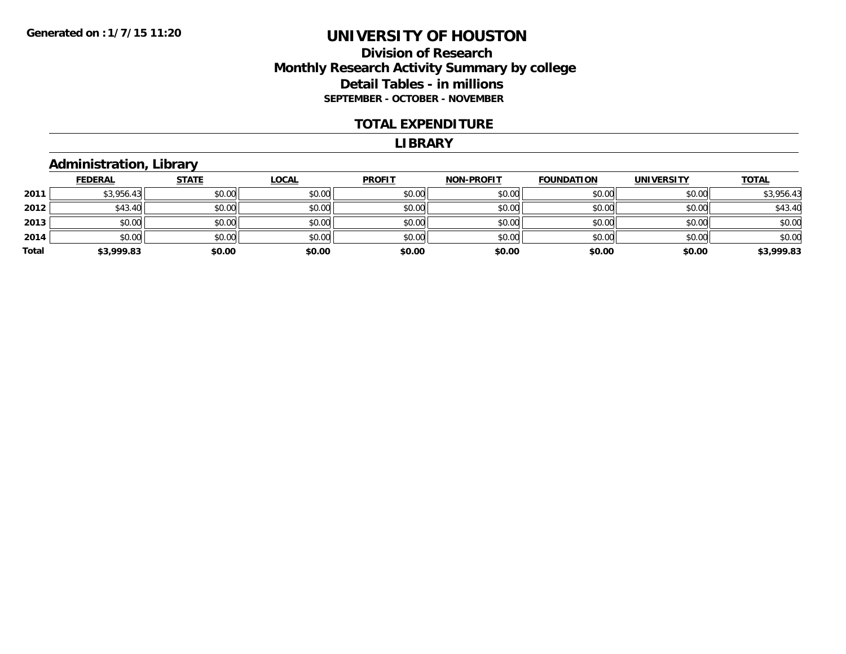## **Division of Research Monthly Research Activity Summary by college Detail Tables - in millions SEPTEMBER - OCTOBER - NOVEMBER**

#### **TOTAL EXPENDITURE**

#### **LIBRARY**

### **Administration, Library**

|       | <b>FEDERAL</b> | <b>STATE</b> | <b>LOCAL</b> | <b>PROFIT</b> | <b>NON-PROFIT</b> | <b>FOUNDATION</b> | <b>UNIVERSITY</b> | <b>TOTAL</b> |
|-------|----------------|--------------|--------------|---------------|-------------------|-------------------|-------------------|--------------|
| 2011  | \$3,956.43     | \$0.00       | \$0.00       | \$0.00        | \$0.00            | \$0.00            | \$0.00            | \$3,956.43   |
| 2012  | \$43.40        | \$0.00       | \$0.00       | \$0.00        | \$0.00            | \$0.00            | \$0.00            | \$43.40      |
| 2013  | \$0.00         | \$0.00       | \$0.00       | \$0.00        | \$0.00            | \$0.00            | \$0.00            | \$0.00       |
| 2014  | \$0.00         | \$0.00       | \$0.00       | \$0.00        | \$0.00            | \$0.00            | \$0.00            | \$0.00       |
| Total | \$3,999.83     | \$0.00       | \$0.00       | \$0.00        | \$0.00            | \$0.00            | \$0.00            | \$3,999.83   |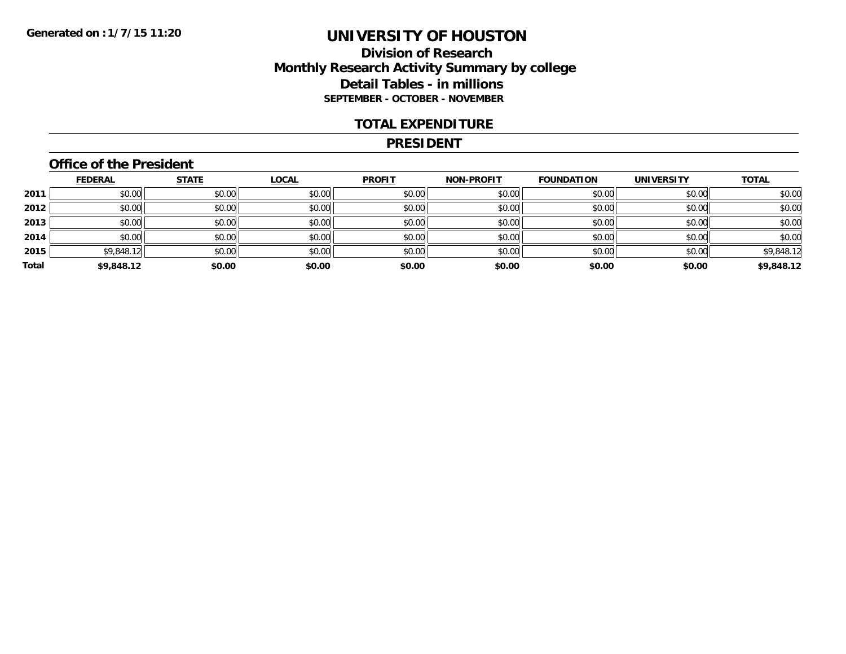# **Division of Research Monthly Research Activity Summary by college Detail Tables - in millions SEPTEMBER - OCTOBER - NOVEMBER**

#### **TOTAL EXPENDITURE**

#### **PRESIDENT**

### **Office of the President**

|       | <b>FEDERAL</b> | <b>STATE</b> | <b>LOCAL</b> | <b>PROFIT</b> | NON-PROFIT | <b>FOUNDATION</b> | <b>UNIVERSITY</b> | <b>TOTAL</b> |
|-------|----------------|--------------|--------------|---------------|------------|-------------------|-------------------|--------------|
| 2011  | \$0.00         | \$0.00       | \$0.00       | \$0.00        | \$0.00     | \$0.00            | \$0.00            | \$0.00       |
| 2012  | \$0.00         | \$0.00       | \$0.00       | \$0.00        | \$0.00     | \$0.00            | \$0.00            | \$0.00       |
| 2013  | \$0.00         | \$0.00       | \$0.00       | \$0.00        | \$0.00     | \$0.00            | \$0.00            | \$0.00       |
| 2014  | \$0.00         | \$0.00       | \$0.00       | \$0.00        | \$0.00     | \$0.00            | \$0.00            | \$0.00       |
| 2015  | \$9,848.12     | \$0.00       | \$0.00       | \$0.00        | \$0.00     | \$0.00            | \$0.00            | \$9,848.12   |
| Total | \$9,848.12     | \$0.00       | \$0.00       | \$0.00        | \$0.00     | \$0.00            | \$0.00            | \$9,848.12   |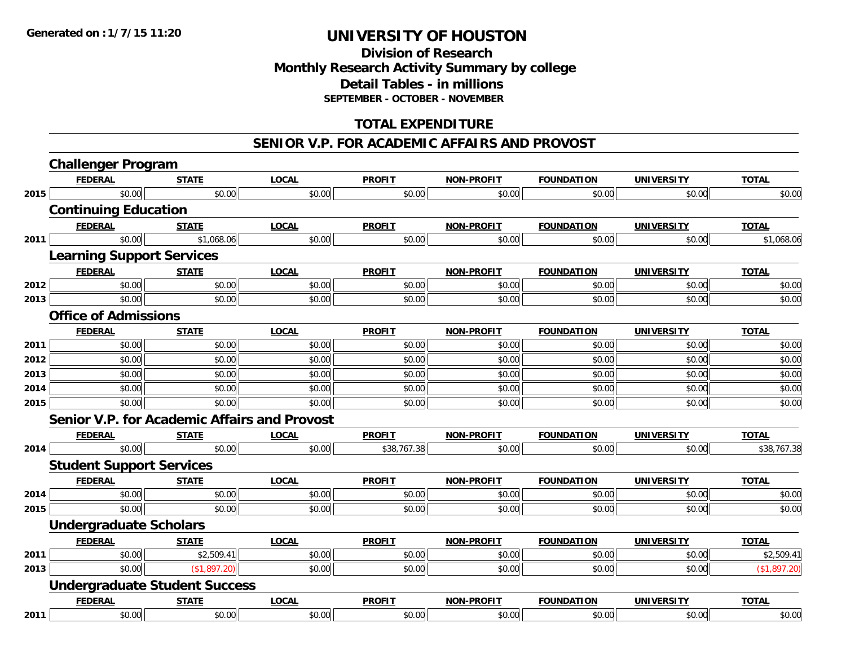# **Division of Research Monthly Research Activity Summary by college Detail Tables - in millions SEPTEMBER - OCTOBER - NOVEMBER**

# **TOTAL EXPENDITURE**

#### **SENIOR V.P. FOR ACADEMIC AFFAIRS AND PROVOST**

|      | <b>Challenger Program</b>        |                                      |                                                     |               |                   |                   |                   |              |
|------|----------------------------------|--------------------------------------|-----------------------------------------------------|---------------|-------------------|-------------------|-------------------|--------------|
|      | <b>FEDERAL</b>                   | <b>STATE</b>                         | <b>LOCAL</b>                                        | <b>PROFIT</b> | <b>NON-PROFIT</b> | <b>FOUNDATION</b> | <b>UNIVERSITY</b> | <b>TOTAL</b> |
| 2015 | \$0.00                           | \$0.00                               | \$0.00                                              | \$0.00        | \$0.00            | \$0.00            | \$0.00            | \$0.00       |
|      | <b>Continuing Education</b>      |                                      |                                                     |               |                   |                   |                   |              |
|      | <b>FEDERAL</b>                   | <b>STATE</b>                         | <b>LOCAL</b>                                        | <b>PROFIT</b> | <b>NON-PROFIT</b> | <b>FOUNDATION</b> | <b>UNIVERSITY</b> | <b>TOTAL</b> |
| 2011 | \$0.00                           | \$1,068.06                           | \$0.00                                              | \$0.00        | \$0.00            | \$0.00            | \$0.00            | \$1,068.06   |
|      | <b>Learning Support Services</b> |                                      |                                                     |               |                   |                   |                   |              |
|      | <b>FEDERAL</b>                   | <b>STATE</b>                         | <b>LOCAL</b>                                        | <b>PROFIT</b> | <b>NON-PROFIT</b> | <b>FOUNDATION</b> | <b>UNIVERSITY</b> | <b>TOTAL</b> |
| 2012 | \$0.00                           | \$0.00                               | \$0.00                                              | \$0.00        | \$0.00            | \$0.00            | \$0.00            | \$0.00       |
| 2013 | \$0.00                           | \$0.00                               | \$0.00                                              | \$0.00        | \$0.00            | \$0.00            | \$0.00            | \$0.00       |
|      | <b>Office of Admissions</b>      |                                      |                                                     |               |                   |                   |                   |              |
|      | <b>FEDERAL</b>                   | <b>STATE</b>                         | <b>LOCAL</b>                                        | <b>PROFIT</b> | <b>NON-PROFIT</b> | <b>FOUNDATION</b> | <b>UNIVERSITY</b> | <b>TOTAL</b> |
| 2011 | \$0.00                           | \$0.00                               | \$0.00                                              | \$0.00        | \$0.00            | \$0.00            | \$0.00            | \$0.00       |
| 2012 | \$0.00                           | \$0.00                               | \$0.00                                              | \$0.00        | \$0.00            | \$0.00            | \$0.00            | \$0.00       |
| 2013 | \$0.00                           | \$0.00                               | \$0.00                                              | \$0.00        | \$0.00            | \$0.00            | \$0.00            | \$0.00       |
| 2014 | \$0.00                           | \$0.00                               | \$0.00                                              | \$0.00        | \$0.00            | \$0.00            | \$0.00            | \$0.00       |
| 2015 | \$0.00                           | \$0.00                               | \$0.00                                              | \$0.00        | \$0.00            | \$0.00            | \$0.00            | \$0.00       |
|      |                                  |                                      | <b>Senior V.P. for Academic Affairs and Provost</b> |               |                   |                   |                   |              |
|      | <b>FEDERAL</b>                   | <b>STATE</b>                         | <b>LOCAL</b>                                        | <b>PROFIT</b> | <b>NON-PROFIT</b> | <b>FOUNDATION</b> | <b>UNIVERSITY</b> | <b>TOTAL</b> |
| 2014 | \$0.00                           | \$0.00                               | \$0.00                                              | \$38,767.38   | \$0.00            | \$0.00            | \$0.00            | \$38,767.38  |
|      | <b>Student Support Services</b>  |                                      |                                                     |               |                   |                   |                   |              |
|      | <b>FEDERAL</b>                   | <b>STATE</b>                         | <b>LOCAL</b>                                        | <b>PROFIT</b> | <b>NON-PROFIT</b> | <b>FOUNDATION</b> | <b>UNIVERSITY</b> | <b>TOTAL</b> |
| 2014 | \$0.00                           | \$0.00                               | \$0.00                                              | \$0.00        | \$0.00            | \$0.00            | \$0.00            | \$0.00       |
| 2015 | \$0.00                           | \$0.00                               | \$0.00                                              | \$0.00        | \$0.00            | \$0.00            | \$0.00            | \$0.00       |
|      | <b>Undergraduate Scholars</b>    |                                      |                                                     |               |                   |                   |                   |              |
|      | <b>FEDERAL</b>                   | <b>STATE</b>                         | <b>LOCAL</b>                                        | <b>PROFIT</b> | <b>NON-PROFIT</b> | <b>FOUNDATION</b> | <b>UNIVERSITY</b> | <b>TOTAL</b> |
| 2011 | \$0.00                           | \$2,509.41                           | \$0.00                                              | \$0.00        | \$0.00            | \$0.00            | \$0.00            | \$2,509.41   |
| 2013 | \$0.00                           | (\$1,897.20)                         | \$0.00                                              | \$0.00        | \$0.00            | \$0.00            | \$0.00            | (\$1,897.20) |
|      |                                  | <b>Undergraduate Student Success</b> |                                                     |               |                   |                   |                   |              |
|      | <b>FEDERAL</b>                   | <b>STATE</b>                         | <b>LOCAL</b>                                        | <b>PROFIT</b> | <b>NON-PROFIT</b> | <b>FOUNDATION</b> | <b>UNIVERSITY</b> | <b>TOTAL</b> |
| 2011 | \$0.00                           | \$0.00                               | \$0.00                                              | \$0.00        | \$0.00            | \$0.00            | \$0.00            | \$0.00       |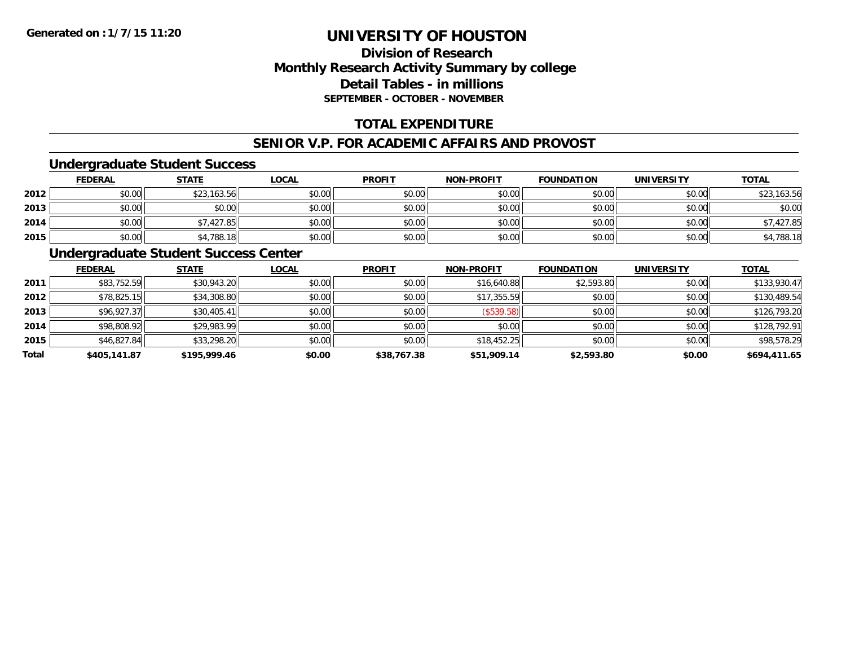# **Division of ResearchMonthly Research Activity Summary by college Detail Tables - in millions SEPTEMBER - OCTOBER - NOVEMBER**

# **TOTAL EXPENDITURE**

#### **SENIOR V.P. FOR ACADEMIC AFFAIRS AND PROVOST**

#### **Undergraduate Student Success**

|      | <b>FEDERAL</b> | <b>STATE</b> | <u>LOCAL</u> | <b>PROFIT</b> | <b>NON-PROFIT</b> | <b>FOUNDATION</b> | <b>UNIVERSITY</b> | <b>TOTAL</b> |
|------|----------------|--------------|--------------|---------------|-------------------|-------------------|-------------------|--------------|
| 2012 | \$0.00         | \$23,163.56  | \$0.00       | \$0.00        | \$0.00            | \$0.00            | \$0.00            | \$23,163.56  |
| 2013 | \$0.00         | \$0.00       | \$0.00       | \$0.00        | \$0.00            | \$0.00            | \$0.00            | \$0.00       |
| 2014 | \$0.00         | \$7,427.85   | \$0.00       | \$0.00        | \$0.00            | \$0.00            | \$0.00            | 7.427.85     |
| 2015 | \$0.00         | \$4,788.18   | \$0.00       | \$0.00        | \$0.00            | \$0.00            | \$0.00            | \$4,788.18   |

### **Undergraduate Student Success Center**

|       | <b>FEDERAL</b> | <b>STATE</b> | <b>LOCAL</b> | <b>PROFIT</b> | <b>NON-PROFIT</b> | <b>FOUNDATION</b> | <b>UNIVERSITY</b> | <b>TOTAL</b> |
|-------|----------------|--------------|--------------|---------------|-------------------|-------------------|-------------------|--------------|
| 2011  | \$83,752.59    | \$30,943.20  | \$0.00       | \$0.00        | \$16,640.88       | \$2,593.80        | \$0.00            | \$133,930.47 |
| 2012  | \$78,825.15    | \$34,308.80  | \$0.00       | \$0.00        | \$17,355.59       | \$0.00            | \$0.00            | \$130,489.54 |
| 2013  | \$96,927.37    | \$30,405.41  | \$0.00       | \$0.00        | (\$539.58)        | \$0.00            | \$0.00            | \$126,793.20 |
| 2014  | \$98,808.92    | \$29,983.99  | \$0.00       | \$0.00        | \$0.00            | \$0.00            | \$0.00            | \$128,792.91 |
| 2015  | \$46,827.84    | \$33,298.20  | \$0.00       | \$0.00        | \$18,452.25       | \$0.00            | \$0.00            | \$98,578.29  |
| Total | \$405,141.87   | \$195,999.46 | \$0.00       | \$38,767.38   | \$51,909.14       | \$2,593.80        | \$0.00            | \$694,411.65 |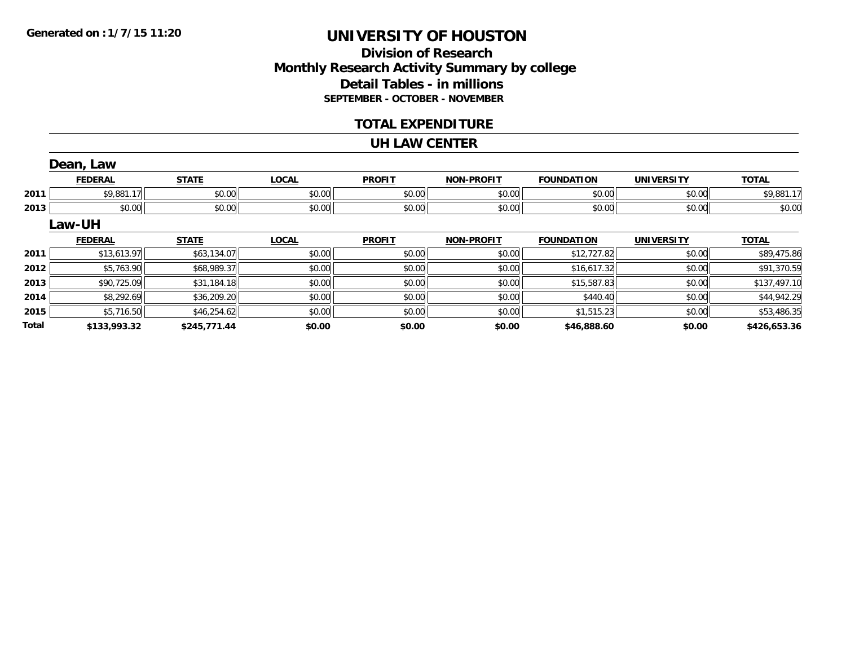**Total**

# **UNIVERSITY OF HOUSTON**

## **Division of Research Monthly Research Activity Summary by college Detail Tables - in millions SEPTEMBER - OCTOBER - NOVEMBER**

### **TOTAL EXPENDITURE**

#### **UH LAW CENTER**

|      | Dean, Law      |              |              |               |                   |                   |                   |              |
|------|----------------|--------------|--------------|---------------|-------------------|-------------------|-------------------|--------------|
|      | <b>FEDERAL</b> | <b>STATE</b> | <b>LOCAL</b> | <b>PROFIT</b> | <b>NON-PROFIT</b> | <b>FOUNDATION</b> | <b>UNIVERSITY</b> | <b>TOTAL</b> |
| 2011 | \$9,881.17     | \$0.00       | \$0.00       | \$0.00        | \$0.00            | \$0.00            | \$0.00            | \$9,881.17   |
| 2013 | \$0.00         | \$0.00       | \$0.00       | \$0.00        | \$0.00            | \$0.00            | \$0.00            | \$0.00       |
|      | <b>Law-UH</b>  |              |              |               |                   |                   |                   |              |
|      | <b>FEDERAL</b> | <b>STATE</b> | <b>LOCAL</b> | <b>PROFIT</b> | <b>NON-PROFIT</b> | <b>FOUNDATION</b> | <b>UNIVERSITY</b> | <b>TOTAL</b> |
| 2011 | \$13,613.97    | \$63,134.07  | \$0.00       | \$0.00        | \$0.00            | \$12,727.82       | \$0.00            | \$89,475.86  |
| 2012 | \$5,763.90     | \$68,989.37  | \$0.00       | \$0.00        | \$0.00            | \$16,617.32       | \$0.00            | \$91,370.59  |
| 2013 | \$90,725.09    | \$31,184.18  | \$0.00       | \$0.00        | \$0.00            | \$15,587.83       | \$0.00            | \$137,497.10 |
| 2014 | \$8,292.69     | \$36,209.20  | \$0.00       | \$0.00        | \$0.00            | \$440.40          | \$0.00            | \$44,942.29  |
| 2015 | \$5,716.50     | \$46,254.62  | \$0.00       | \$0.00        | \$0.00            | \$1,515.23        | \$0.00            | \$53,486.35  |

**\$133,993.32 \$245,771.44 \$0.00 \$0.00 \$0.00 \$46,888.60 \$0.00 \$426,653.36**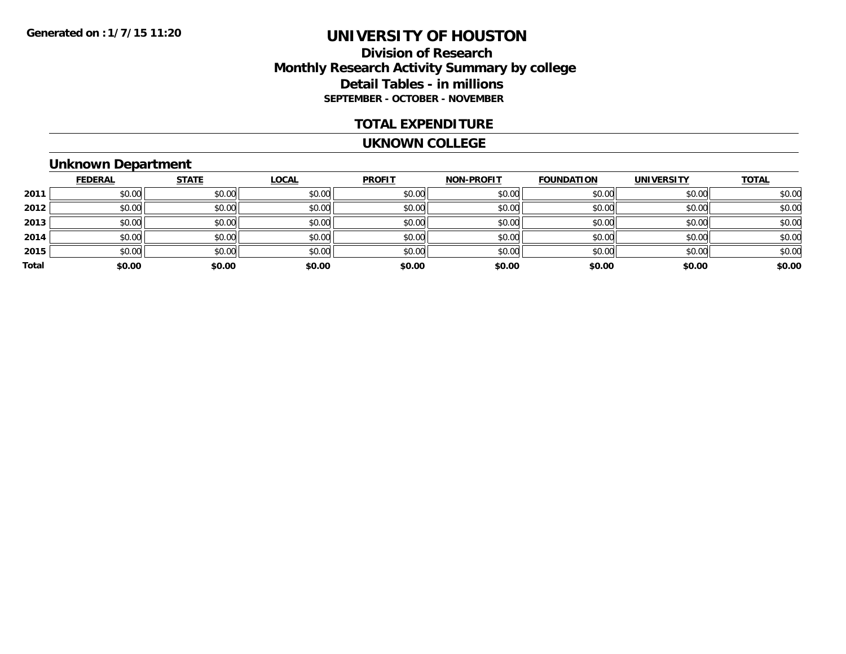## **Division of Research Monthly Research Activity Summary by college Detail Tables - in millions SEPTEMBER - OCTOBER - NOVEMBER**

#### **TOTAL EXPENDITURE**

#### **UKNOWN COLLEGE**

# **Unknown Department**

|       | <b>FEDERAL</b> | <b>STATE</b> | <u>LOCAL</u> | <b>PROFIT</b> | <b>NON-PROFIT</b> | <b>FOUNDATION</b> | <b>UNIVERSITY</b> | <b>TOTAL</b> |
|-------|----------------|--------------|--------------|---------------|-------------------|-------------------|-------------------|--------------|
| 2011  | \$0.00         | \$0.00       | \$0.00       | \$0.00        | \$0.00            | \$0.00            | \$0.00            | \$0.00       |
| 2012  | \$0.00         | \$0.00       | \$0.00       | \$0.00        | \$0.00            | \$0.00            | \$0.00            | \$0.00       |
| 2013  | \$0.00         | \$0.00       | \$0.00       | \$0.00        | \$0.00            | \$0.00            | \$0.00            | \$0.00       |
| 2014  | \$0.00         | \$0.00       | \$0.00       | \$0.00        | \$0.00            | \$0.00            | \$0.00            | \$0.00       |
| 2015  | \$0.00         | \$0.00       | \$0.00       | \$0.00        | \$0.00            | \$0.00            | \$0.00            | \$0.00       |
| Total | \$0.00         | \$0.00       | \$0.00       | \$0.00        | \$0.00            | \$0.00            | \$0.00            | \$0.00       |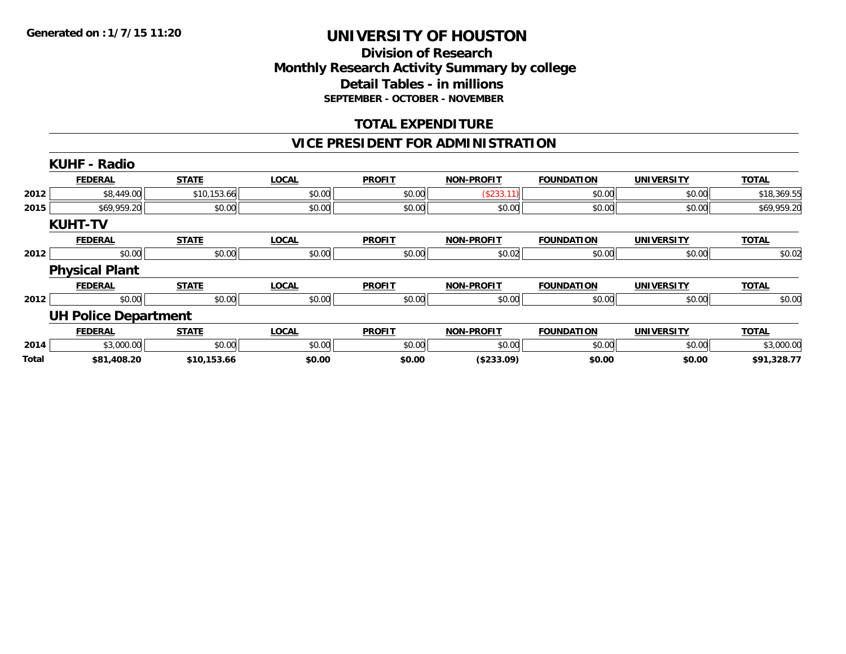### **Division of Research Monthly Research Activity Summary by college Detail Tables - in millions SEPTEMBER - OCTOBER - NOVEMBER**

# **TOTAL EXPENDITURE**

### **VICE PRESIDENT FOR ADMINISTRATION**

|       | <b>KUHF - Radio</b>         |              |              |               |                   |                   |                   |              |
|-------|-----------------------------|--------------|--------------|---------------|-------------------|-------------------|-------------------|--------------|
|       | <b>FEDERAL</b>              | <b>STATE</b> | <b>LOCAL</b> | <b>PROFIT</b> | <b>NON-PROFIT</b> | <b>FOUNDATION</b> | <b>UNIVERSITY</b> | <b>TOTAL</b> |
| 2012  | \$8,449.00                  | \$10,153.66  | \$0.00       | \$0.00        | (\$233.11)        | \$0.00            | \$0.00            | \$18,369.55  |
| 2015  | \$69,959.20                 | \$0.00       | \$0.00       | \$0.00        | \$0.00            | \$0.00            | \$0.00            | \$69,959.20  |
|       | <b>KUHT-TV</b>              |              |              |               |                   |                   |                   |              |
|       | <b>FEDERAL</b>              | <b>STATE</b> | <b>LOCAL</b> | <b>PROFIT</b> | <b>NON-PROFIT</b> | <b>FOUNDATION</b> | <b>UNIVERSITY</b> | <b>TOTAL</b> |
| 2012  | \$0.00                      | \$0.00       | \$0.00       | \$0.00        | \$0.02            | \$0.00            | \$0.00            | \$0.02       |
|       | <b>Physical Plant</b>       |              |              |               |                   |                   |                   |              |
|       | <b>FEDERAL</b>              | <b>STATE</b> | <b>LOCAL</b> | <b>PROFIT</b> | <b>NON-PROFIT</b> | <b>FOUNDATION</b> | <b>UNIVERSITY</b> | <b>TOTAL</b> |
| 2012  | \$0.00                      | \$0.00       | \$0.00       | \$0.00        | \$0.00            | \$0.00            | \$0.00            | \$0.00       |
|       | <b>UH Police Department</b> |              |              |               |                   |                   |                   |              |
|       | <b>FEDERAL</b>              | <b>STATE</b> | <b>LOCAL</b> | <b>PROFIT</b> | <b>NON-PROFIT</b> | <b>FOUNDATION</b> | <b>UNIVERSITY</b> | <b>TOTAL</b> |
| 2014  | \$3,000.00                  | \$0.00       | \$0.00       | \$0.00        | \$0.00            | \$0.00            | \$0.00            | \$3,000.00   |
| Total | \$81,408.20                 | \$10,153.66  | \$0.00       | \$0.00        | (\$233.09)        | \$0.00            | \$0.00            | \$91,328.77  |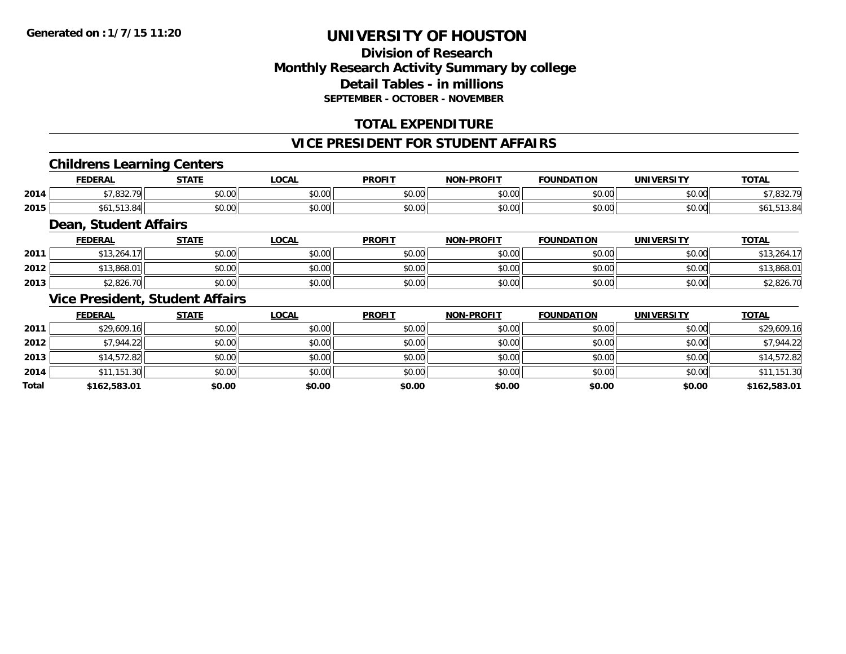# **Division of ResearchMonthly Research Activity Summary by college Detail Tables - in millions SEPTEMBER - OCTOBER - NOVEMBER**

# **TOTAL EXPENDITURE**

#### **VICE PRESIDENT FOR STUDENT AFFAIRS**

### **Childrens Learning Centers**

|      | <b>FEDERAL</b>           | <b>CTATE</b>  | <b>OCAL</b>   | <b>PROFIT</b>          | <b>NON-PROFIT</b> | <b>TOUNDATI.</b><br>ΠΟΝ | UNIVERSITY<br>RJI | <b>TOTAL</b>              |
|------|--------------------------|---------------|---------------|------------------------|-------------------|-------------------------|-------------------|---------------------------|
| 2014 | $+7.022.70$<br>. . ب ۲ ب | 0000<br>DU.UG | 0.00<br>J∪.∪u | $\sim$ $\sim$<br>vu.vu | 0000<br>PO.OO     | $n \cap \neg$<br>pu.uu  | 0.00<br>pu.uu     | 0.0072<br>۰۰ ـ ۲ بان او د |
| 2015 | 1 J.U                    | 0000<br>DU.UG | 0.00<br>JU.UU | $\sim$ $\sim$<br>JU.UU | 0000<br>ง∪.∪บ     | 0000<br>,u.uu           | 0.001<br>DU.UG    |                           |

### **Dean, Student Affairs**

|      | <b>FEDERAL</b> | <b>STATE</b> | <u>LOCAL</u> | <b>PROFIT</b> | <b>NON-PROFIT</b> | <b>FOUNDATION</b> | UNIVERSITY | <b>TOTAL</b> |
|------|----------------|--------------|--------------|---------------|-------------------|-------------------|------------|--------------|
| 2011 | 3.264.7        | \$0.00       | \$0.00       | \$0.00        | \$0.00            | \$0.00            | \$0.00     | 13,264.17    |
| 2012 | .3,868.01      | \$0.00       | \$0.00       | \$0.00        | \$0.00            | \$0.00            | \$0.00     | \$13,868.01  |
| 2013 | \$2,826.70     | \$0.00       | \$0.00       | \$0.00        | \$0.00            | \$0.00            | \$0.00     | \$2,826.70   |

### **Vice President, Student Affairs**

|       | <u>FEDERAL</u> | <b>STATE</b> | <b>LOCAL</b> | <b>PROFIT</b> | <b>NON-PROFIT</b> | <b>FOUNDATION</b> | <b>UNIVERSITY</b> | <b>TOTAL</b> |
|-------|----------------|--------------|--------------|---------------|-------------------|-------------------|-------------------|--------------|
| 2011  | \$29,609.16    | \$0.00       | \$0.00       | \$0.00        | \$0.00            | \$0.00            | \$0.00            | \$29,609.16  |
| 2012  | \$7,944.22     | \$0.00       | \$0.00       | \$0.00        | \$0.00            | \$0.00            | \$0.00            | \$7,944.22   |
| 2013  | \$14,572.82    | \$0.00       | \$0.00       | \$0.00        | \$0.00            | \$0.00            | \$0.00            | \$14,572.82  |
| 2014  | \$11,151.30    | \$0.00       | \$0.00       | \$0.00        | \$0.00            | \$0.00            | \$0.00            | \$11,151.30  |
| Total | \$162,583.01   | \$0.00       | \$0.00       | \$0.00        | \$0.00            | \$0.00            | \$0.00            | \$162,583.01 |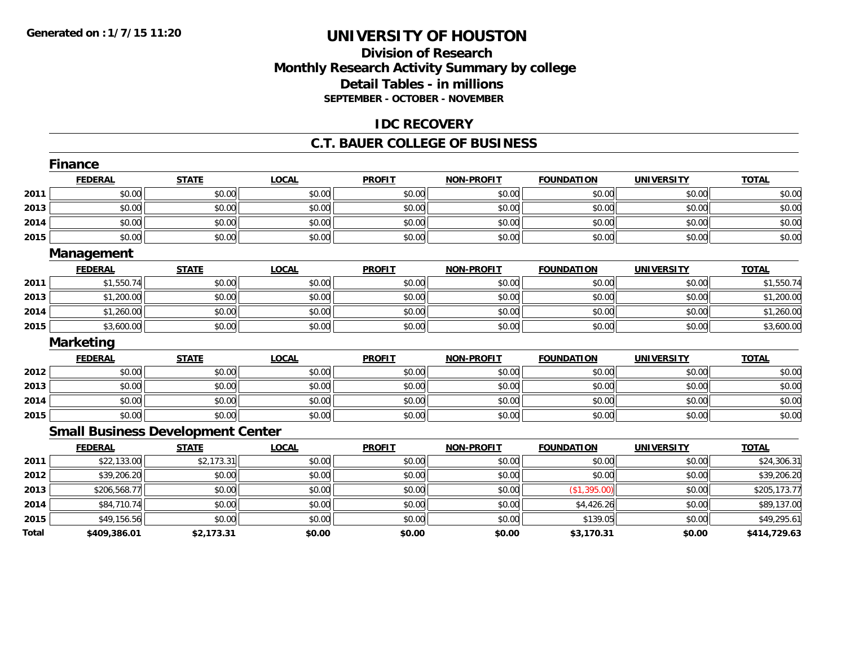# **Division of ResearchMonthly Research Activity Summary by college Detail Tables - in millions SEPTEMBER - OCTOBER - NOVEMBER**

### **IDC RECOVERY**

#### **C.T. BAUER COLLEGE OF BUSINESS**

|       | <b>Finance</b>    |                                          |              |               |                   |                   |                   |              |
|-------|-------------------|------------------------------------------|--------------|---------------|-------------------|-------------------|-------------------|--------------|
|       | <b>FEDERAL</b>    | <b>STATE</b>                             | <b>LOCAL</b> | <b>PROFIT</b> | <b>NON-PROFIT</b> | <b>FOUNDATION</b> | <b>UNIVERSITY</b> | <b>TOTAL</b> |
| 2011  | \$0.00            | \$0.00                                   | \$0.00       | \$0.00        | \$0.00            | \$0.00            | \$0.00            | \$0.00       |
| 2013  | \$0.00            | \$0.00                                   | \$0.00       | \$0.00        | \$0.00            | \$0.00            | \$0.00            | \$0.00       |
| 2014  | \$0.00            | \$0.00                                   | \$0.00       | \$0.00        | \$0.00            | \$0.00            | \$0.00            | \$0.00       |
| 2015  | \$0.00            | \$0.00                                   | \$0.00       | \$0.00        | \$0.00            | \$0.00            | \$0.00            | \$0.00       |
|       | <b>Management</b> |                                          |              |               |                   |                   |                   |              |
|       | <b>FEDERAL</b>    | <b>STATE</b>                             | <b>LOCAL</b> | <b>PROFIT</b> | <b>NON-PROFIT</b> | <b>FOUNDATION</b> | <b>UNIVERSITY</b> | <b>TOTAL</b> |
| 2011  | \$1,550.74        | \$0.00                                   | \$0.00       | \$0.00        | \$0.00            | \$0.00            | \$0.00            | \$1,550.74   |
| 2013  | \$1,200.00        | \$0.00                                   | \$0.00       | \$0.00        | \$0.00            | \$0.00            | \$0.00            | \$1,200.00   |
| 2014  | \$1,260.00        | \$0.00                                   | \$0.00       | \$0.00        | \$0.00            | \$0.00            | \$0.00            | \$1,260.00   |
| 2015  | \$3,600.00        | \$0.00                                   | \$0.00       | \$0.00        | \$0.00            | \$0.00            | \$0.00            | \$3,600.00   |
|       | <b>Marketing</b>  |                                          |              |               |                   |                   |                   |              |
|       | <b>FEDERAL</b>    | <b>STATE</b>                             | <b>LOCAL</b> | <b>PROFIT</b> | <b>NON-PROFIT</b> | <b>FOUNDATION</b> | <b>UNIVERSITY</b> | <b>TOTAL</b> |
| 2012  | \$0.00            | \$0.00                                   | \$0.00       | \$0.00        | \$0.00            | \$0.00            | \$0.00            | \$0.00       |
| 2013  | \$0.00            | \$0.00                                   | \$0.00       | \$0.00        | \$0.00            | \$0.00            | \$0.00            | \$0.00       |
| 2014  | \$0.00            | \$0.00                                   | \$0.00       | \$0.00        | \$0.00            | \$0.00            | \$0.00            | \$0.00       |
| 2015  | \$0.00            | \$0.00                                   | \$0.00       | \$0.00        | \$0.00            | \$0.00            | \$0.00            | \$0.00       |
|       |                   | <b>Small Business Development Center</b> |              |               |                   |                   |                   |              |
|       | <b>FEDERAL</b>    | <b>STATE</b>                             | <b>LOCAL</b> | <b>PROFIT</b> | <b>NON-PROFIT</b> | <b>FOUNDATION</b> | <b>UNIVERSITY</b> | <b>TOTAL</b> |
| 2011  | \$22,133.00       | \$2,173.31                               | \$0.00       | \$0.00        | \$0.00            | \$0.00            | \$0.00            | \$24,306.31  |
| 2012  | \$39,206.20       | \$0.00                                   | \$0.00       | \$0.00        | \$0.00            | \$0.00            | \$0.00            | \$39,206.20  |
| 2013  | \$206,568.77      | \$0.00                                   | \$0.00       | \$0.00        | \$0.00            | (\$1,395.00)      | \$0.00            | \$205,173.77 |
| 2014  | \$84,710.74       | \$0.00                                   | \$0.00       | \$0.00        | \$0.00            | \$4,426.26        | \$0.00            | \$89,137.00  |
| 2015  | \$49,156.56       | \$0.00                                   | \$0.00       | \$0.00        | \$0.00            | \$139.05          | \$0.00            | \$49,295.61  |
| Total | \$409,386.01      | \$2,173.31                               | \$0.00       | \$0.00        | \$0.00            | \$3,170.31        | \$0.00            | \$414,729.63 |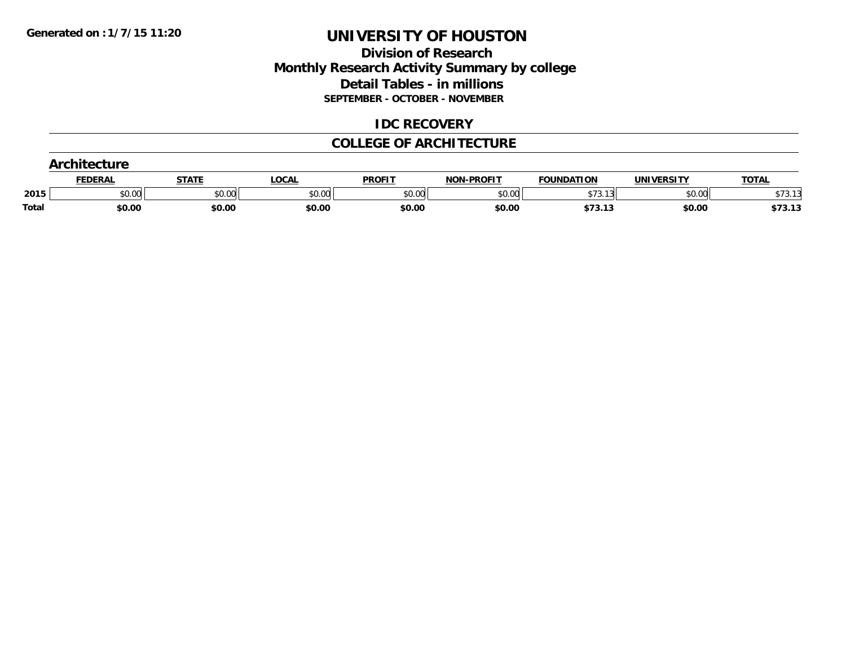# **Division of Research Monthly Research Activity Summary by college Detail Tables - in millions SEPTEMBER - OCTOBER - NOVEMBER**

### **IDC RECOVERY**

### **COLLEGE OF ARCHITECTURE**

|       | <b>CENEDA</b><br>EDERA. | STAT   | <u>LOCAI</u> | <b>PROFIT</b> | <b>NON-PROFIT</b> | <b>FOUNDATION</b>     | UNIVERSITY | <b>TOTAL</b>              |
|-------|-------------------------|--------|--------------|---------------|-------------------|-----------------------|------------|---------------------------|
| 2015  | \$0.00                  | \$0.00 | \$0.00       | \$0.00        | \$0.00            | $+72.42$<br>٠.        | \$0.00     | $+70.40$<br><b>JIJ.IJ</b> |
| Total | \$0.00                  | \$0.00 | \$0.00       | \$0.00        | \$0.00            | <b>¢7212</b><br>73.13 | \$0.00     | \$73.13                   |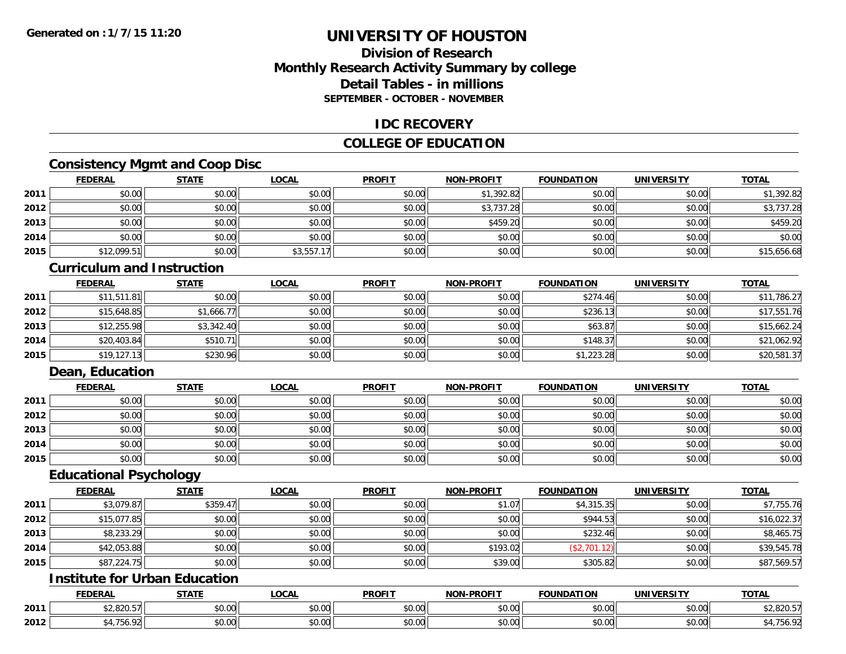# **Division of ResearchMonthly Research Activity Summary by college Detail Tables - in millionsSEPTEMBER - OCTOBER - NOVEMBER**

#### **IDC RECOVERY**

# **COLLEGE OF EDUCATION**

# **Consistency Mgmt and Coop Disc**

|      | <b>FEDERAL</b> | <b>STATE</b> | <b>LOCAL</b> | <b>PROFIT</b> | <b>NON-PROFIT</b> | <b>FOUNDATION</b> | <b>UNIVERSITY</b> | <b>TOTAL</b> |
|------|----------------|--------------|--------------|---------------|-------------------|-------------------|-------------------|--------------|
| 2011 | \$0.00         | \$0.00       | \$0.00       | \$0.00        | \$1,392.82        | \$0.00            | \$0.00            | \$1,392.82   |
| 2012 | \$0.00         | \$0.00       | \$0.00       | \$0.00        | \$3,737.28        | \$0.00            | \$0.00            | \$3,737.28   |
| 2013 | \$0.00         | \$0.00       | \$0.00       | \$0.00        | \$459.20          | \$0.00            | \$0.00            | \$459.20     |
| 2014 | \$0.00         | \$0.00       | \$0.00       | \$0.00        | \$0.00            | \$0.00            | \$0.00            | \$0.00       |
| 2015 | \$12,099.51    | \$0.00       | \$3,557.17   | \$0.00        | \$0.00            | \$0.00            | \$0.00            | \$15,656.68  |

#### **Curriculum and Instruction**

|      | <b>FEDERAL</b> | <b>STATE</b> | <b>LOCAL</b> | <b>PROFIT</b> | <b>NON-PROFIT</b> | <b>FOUNDATION</b> | <b>UNIVERSITY</b> | <b>TOTAL</b> |
|------|----------------|--------------|--------------|---------------|-------------------|-------------------|-------------------|--------------|
| 2011 | \$11,511.81    | \$0.00       | \$0.00       | \$0.00        | \$0.00            | \$274.46          | \$0.00            | \$11,786.27  |
| 2012 | \$15,648.85    | \$1,666.77   | \$0.00       | \$0.00        | \$0.00            | \$236.13          | \$0.00            | \$17,551.76  |
| 2013 | \$12,255.98    | \$3,342.40   | \$0.00       | \$0.00        | \$0.00            | \$63.87           | \$0.00            | \$15,662.24  |
| 2014 | \$20,403.84    | \$510.71     | \$0.00       | \$0.00        | \$0.00            | \$148.37          | \$0.00            | \$21,062.92  |
| 2015 | \$19,127.13    | \$230.96     | \$0.00       | \$0.00        | \$0.00            | \$1,223.28        | \$0.00            | \$20,581.37  |

# **Dean, Education**

|      | <b>FEDERAL</b> | <b>STATE</b> | <u>LOCAL</u> | <b>PROFIT</b> | <b>NON-PROFIT</b> | <b>FOUNDATION</b> | <b>UNIVERSITY</b> | <b>TOTAL</b> |
|------|----------------|--------------|--------------|---------------|-------------------|-------------------|-------------------|--------------|
| 2011 | \$0.00         | \$0.00       | \$0.00       | \$0.00        | \$0.00            | \$0.00            | \$0.00            | \$0.00       |
| 2012 | \$0.00         | \$0.00       | \$0.00       | \$0.00        | \$0.00            | \$0.00            | \$0.00            | \$0.00       |
| 2013 | \$0.00         | \$0.00       | \$0.00       | \$0.00        | \$0.00            | \$0.00            | \$0.00            | \$0.00       |
| 2014 | \$0.00         | \$0.00       | \$0.00       | \$0.00        | \$0.00            | \$0.00            | \$0.00            | \$0.00       |
| 2015 | \$0.00         | \$0.00       | \$0.00       | \$0.00        | \$0.00            | \$0.00            | \$0.00            | \$0.00       |

### **Educational Psychology**

|      | <b>FEDERAL</b> | <b>STATE</b> | <b>LOCAL</b> | <b>PROFIT</b> | <b>NON-PROFIT</b> | <b>FOUNDATION</b> | <b>UNIVERSITY</b> | <b>TOTAL</b> |
|------|----------------|--------------|--------------|---------------|-------------------|-------------------|-------------------|--------------|
| 2011 | \$3,079.87     | \$359.47     | \$0.00       | \$0.00        | \$1.07            | \$4,315.35        | \$0.00            | \$7,755.76   |
| 2012 | \$15,077.85    | \$0.00       | \$0.00       | \$0.00        | \$0.00            | \$944.53          | \$0.00            | \$16,022.37  |
| 2013 | \$8,233.29     | \$0.00       | \$0.00       | \$0.00        | \$0.00            | \$232.46          | \$0.00            | \$8,465.75   |
| 2014 | \$42,053.88    | \$0.00       | \$0.00       | \$0.00        | \$193.02          | (\$2,701.12)      | \$0.00            | \$39,545.78  |
| 2015 | \$87,224.75    | \$0.00       | \$0.00       | \$0.00        | \$39.00           | \$305.82          | \$0.00            | \$87,569.57  |

# **Institute for Urban Education**

|      | <b>FEDERAL</b>                                                                                                                                                                                                                                                                                                                                                                                                                      | <b>CTATE</b><br>9 I A I I           | <b>_OCAL</b>           | <b>PROFIT</b> | MON_DDOEIT<br>$\sim$ $\sim$ $\sim$ $\sim$ $\sim$ | <b>FOUNDATION</b>                                 | <b>UNIVERSITY</b>                            | <b>TOTAL</b> |
|------|-------------------------------------------------------------------------------------------------------------------------------------------------------------------------------------------------------------------------------------------------------------------------------------------------------------------------------------------------------------------------------------------------------------------------------------|-------------------------------------|------------------------|---------------|--------------------------------------------------|---------------------------------------------------|----------------------------------------------|--------------|
| 2011 | $\uparrow$ $\uparrow$ $\uparrow$ $\uparrow$ $\uparrow$ $\uparrow$ $\uparrow$ $\uparrow$ $\uparrow$ $\uparrow$ $\uparrow$ $\uparrow$ $\uparrow$ $\uparrow$ $\uparrow$ $\uparrow$ $\uparrow$ $\uparrow$ $\uparrow$ $\uparrow$ $\uparrow$ $\uparrow$ $\uparrow$ $\uparrow$ $\uparrow$ $\uparrow$ $\uparrow$ $\uparrow$ $\uparrow$ $\uparrow$ $\uparrow$ $\uparrow$ $\uparrow$ $\uparrow$ $\uparrow$ $\uparrow$ $\uparrow$<br>72,820.57 | 0000<br>JU.UU                       | ტი იი<br>vv.vv         | 0000<br>JU.UU | 0.00<br>PO.OO                                    | $\mathsf{A}\cap\mathsf{A}\cap\mathsf{A}$<br>wu.uu | $\triangle$ $\triangle$ $\triangle$<br>QU.UU | 32.820.57    |
| 2012 |                                                                                                                                                                                                                                                                                                                                                                                                                                     | $\theta$ $\theta$ $\theta$<br>JU.UU | ሖ ∩<br>$\sim$<br>ง∪.∪บ | 0000<br>PO.OO | 0.00<br>JU.UU                                    | $\mathsf{A}\cap\mathsf{A}\cap\mathsf{A}$<br>JU.UU | 0.001<br>PO.OO                               |              |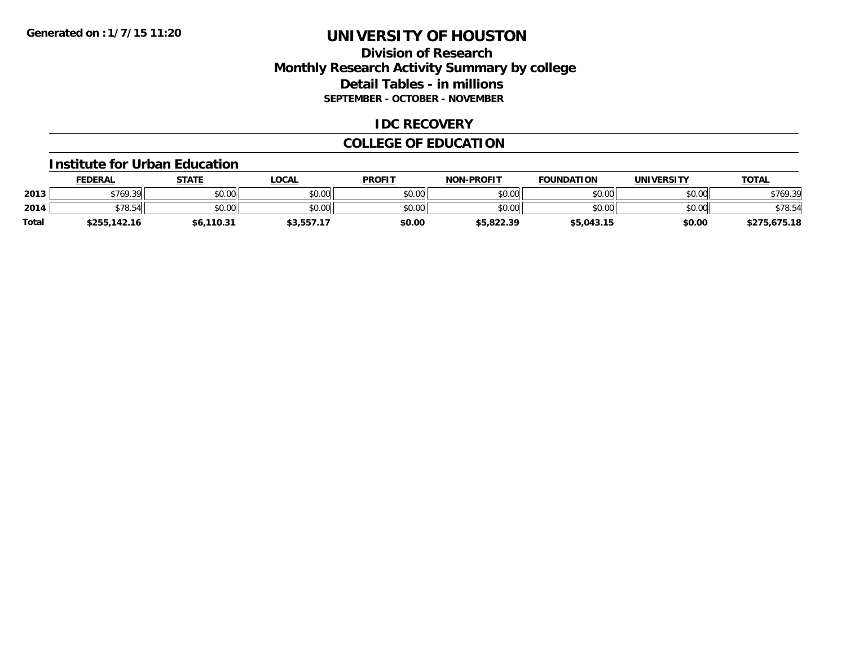# **Division of Research Monthly Research Activity Summary by college Detail Tables - in millions SEPTEMBER - OCTOBER - NOVEMBER**

### **IDC RECOVERY**

# **COLLEGE OF EDUCATION**

#### **Institute for Urban Education**

|       | <b>FEDERAL</b> | STATE      | LOCAL      | <b>PROFIT</b> | <b>NON-PROFIT</b> | <b>FOUNDATION</b> | <b>UNIVERSITY</b> | <u>TOTAL</u> |
|-------|----------------|------------|------------|---------------|-------------------|-------------------|-------------------|--------------|
| 2013  | \$769.39       | \$0.00     | \$0.00     | \$0.00        | \$0.00            | \$0.00            | \$0.00            | \$769.39     |
| 2014  | \$78.54        | \$0.00     | \$0.00     | \$0.00        | \$0.00            | \$0.00            | \$0.00            | \$78.54      |
| Total | \$255,142.16   | \$6,110.31 | \$3,557.17 | \$0.00        | \$5,822.39        | \$5,043.15        | \$0.00            | \$275,675.18 |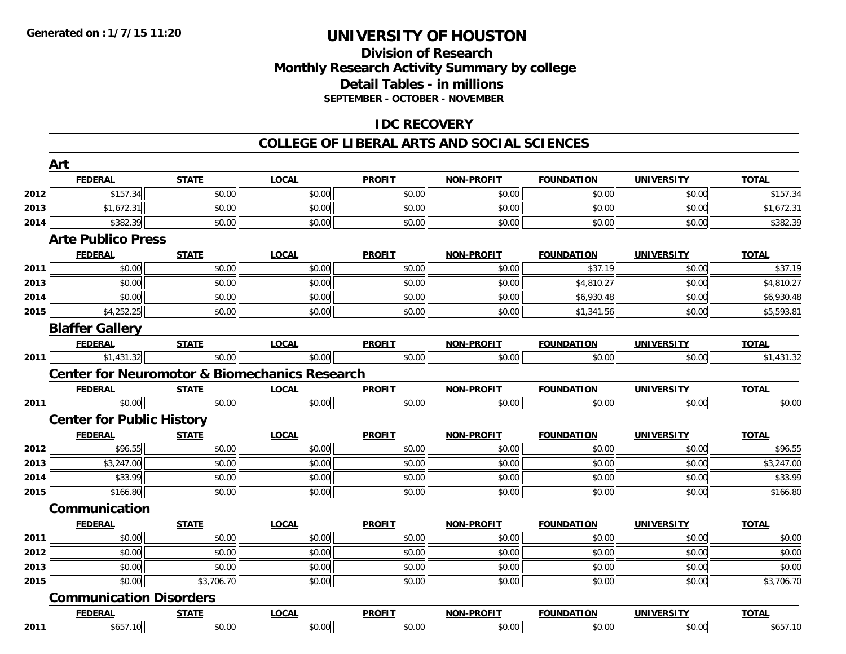# **Division of Research Monthly Research Activity Summary by college Detail Tables - in millions SEPTEMBER - OCTOBER - NOVEMBER**

# **IDC RECOVERY**

#### **COLLEGE OF LIBERAL ARTS AND SOCIAL SCIENCES**

|      | Art                                                      |              |              |               |                   |                   |                   |              |
|------|----------------------------------------------------------|--------------|--------------|---------------|-------------------|-------------------|-------------------|--------------|
|      | <b>FEDERAL</b>                                           | <b>STATE</b> | <b>LOCAL</b> | <b>PROFIT</b> | <b>NON-PROFIT</b> | <b>FOUNDATION</b> | <b>UNIVERSITY</b> | <b>TOTAL</b> |
| 2012 | \$157.34                                                 | \$0.00       | \$0.00       | \$0.00        | \$0.00            | \$0.00            | \$0.00            | \$157.34     |
| 2013 | \$1,672.31                                               | \$0.00       | \$0.00       | \$0.00        | \$0.00            | \$0.00            | \$0.00            | \$1,672.31   |
| 2014 | \$382.39                                                 | \$0.00       | \$0.00       | \$0.00        | \$0.00            | \$0.00            | \$0.00            | \$382.39     |
|      | <b>Arte Publico Press</b>                                |              |              |               |                   |                   |                   |              |
|      | <b>FEDERAL</b>                                           | <b>STATE</b> | <b>LOCAL</b> | <b>PROFIT</b> | <b>NON-PROFIT</b> | <b>FOUNDATION</b> | <b>UNIVERSITY</b> | <b>TOTAL</b> |
| 2011 | \$0.00                                                   | \$0.00       | \$0.00       | \$0.00        | \$0.00            | \$37.19           | \$0.00            | \$37.19      |
| 2013 | \$0.00                                                   | \$0.00       | \$0.00       | \$0.00        | \$0.00            | \$4,810.27        | \$0.00            | \$4,810.27   |
| 2014 | \$0.00                                                   | \$0.00       | \$0.00       | \$0.00        | \$0.00            | \$6,930.48        | \$0.00            | \$6,930.48   |
| 2015 | \$4,252.25                                               | \$0.00       | \$0.00       | \$0.00        | \$0.00            | \$1,341.56        | \$0.00            | \$5,593.81   |
|      | <b>Blaffer Gallery</b>                                   |              |              |               |                   |                   |                   |              |
|      | <b>FEDERAL</b>                                           | <b>STATE</b> | <b>LOCAL</b> | <b>PROFIT</b> | <b>NON-PROFIT</b> | <b>FOUNDATION</b> | <b>UNIVERSITY</b> | <b>TOTAL</b> |
| 2011 | $$1,431.\overline{32}]$                                  | \$0.00       | \$0.00       | \$0.00        | \$0.00            | \$0.00            | \$0.00            | \$1,431.32   |
|      | <b>Center for Neuromotor &amp; Biomechanics Research</b> |              |              |               |                   |                   |                   |              |
|      | <b>FEDERAL</b>                                           | <b>STATE</b> | <b>LOCAL</b> | <b>PROFIT</b> | <b>NON-PROFIT</b> | <b>FOUNDATION</b> | <b>UNIVERSITY</b> | <b>TOTAL</b> |
| 2011 | \$0.00                                                   | \$0.00       | \$0.00       | \$0.00        | \$0.00            | \$0.00            | \$0.00            | \$0.00       |
|      | <b>Center for Public History</b>                         |              |              |               |                   |                   |                   |              |
|      | <b>FEDERAL</b>                                           | <b>STATE</b> | <b>LOCAL</b> | <b>PROFIT</b> | <b>NON-PROFIT</b> | <b>FOUNDATION</b> | <b>UNIVERSITY</b> | <b>TOTAL</b> |
| 2012 | \$96.55                                                  | \$0.00       | \$0.00       | \$0.00        | \$0.00            | \$0.00            | \$0.00            | \$96.55      |
| 2013 | \$3,247.00                                               | \$0.00       | \$0.00       | \$0.00        | \$0.00            | \$0.00            | \$0.00            | \$3,247.00   |
| 2014 | \$33.99                                                  | \$0.00       | \$0.00       | \$0.00        | \$0.00            | \$0.00            | \$0.00            | \$33.99      |
| 2015 | \$166.80                                                 | \$0.00       | \$0.00       | \$0.00        | \$0.00            | \$0.00            | \$0.00            | \$166.80     |
|      | Communication                                            |              |              |               |                   |                   |                   |              |
|      | <b>FEDERAL</b>                                           | <b>STATE</b> | <b>LOCAL</b> | <b>PROFIT</b> | <b>NON-PROFIT</b> | <b>FOUNDATION</b> | <b>UNIVERSITY</b> | <b>TOTAL</b> |
| 2011 | \$0.00                                                   | \$0.00       | \$0.00       | \$0.00        | \$0.00            | \$0.00            | \$0.00            | \$0.00       |
| 2012 | \$0.00                                                   | \$0.00       | \$0.00       | \$0.00        | \$0.00            | \$0.00            | \$0.00            | \$0.00       |
| 2013 | \$0.00                                                   | \$0.00       | \$0.00       | \$0.00        | \$0.00            | \$0.00            | \$0.00            | \$0.00       |
| 2015 | \$0.00                                                   | \$3,706.70   | \$0.00       | \$0.00        | \$0.00            | \$0.00            | \$0.00            | \$3,706.70   |
|      | <b>Communication Disorders</b>                           |              |              |               |                   |                   |                   |              |
|      | <b>FEDERAL</b>                                           | <b>STATE</b> | <b>LOCAL</b> | <b>PROFIT</b> | <b>NON-PROFIT</b> | <b>FOUNDATION</b> | <b>UNIVERSITY</b> | <b>TOTAL</b> |
| 2011 | \$657.10                                                 | \$0.00       | \$0.00       | \$0.00        | \$0.00            | \$0.00            | \$0.00            | \$657.10     |
|      |                                                          |              |              |               |                   |                   |                   |              |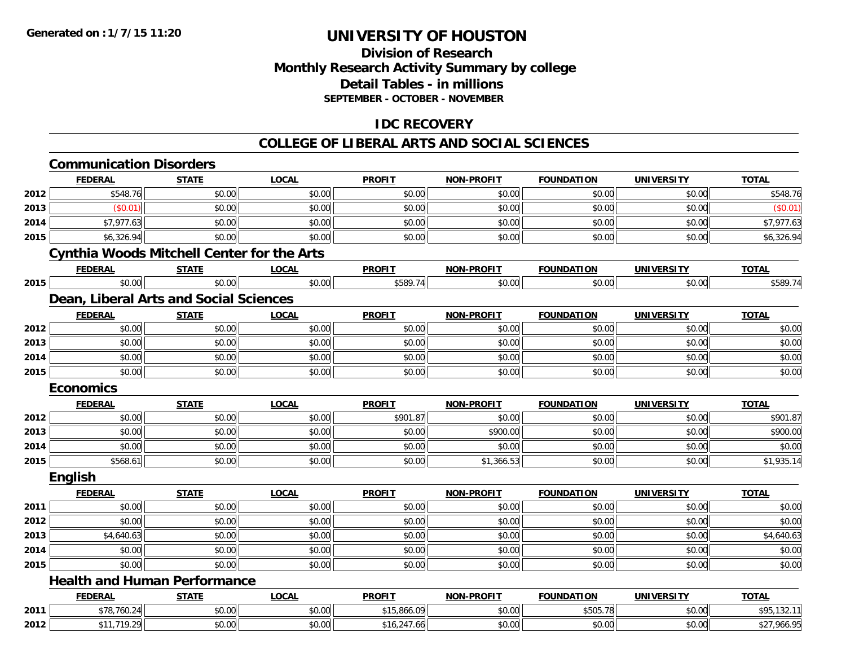# **Division of Research Monthly Research Activity Summary by college Detail Tables - in millions SEPTEMBER - OCTOBER - NOVEMBER**

# **IDC RECOVERY**

#### **COLLEGE OF LIBERAL ARTS AND SOCIAL SCIENCES**

|              | <b>FEDERAL</b>                                    | <b>STATE</b> | <b>LOCAL</b> | <b>PROFIT</b> | <b>NON-PROFIT</b> | <b>FOUNDATION</b> | <b>UNIVERSITY</b> | <b>TOTAL</b>                                                       |
|--------------|---------------------------------------------------|--------------|--------------|---------------|-------------------|-------------------|-------------------|--------------------------------------------------------------------|
| 2012         | \$548.76                                          | \$0.00       | \$0.00       | \$0.00        | \$0.00            | \$0.00            | \$0.00            | \$548.76                                                           |
| 2013         | (S0.01)                                           | \$0.00       | \$0.00       | \$0.00        | \$0.00            | \$0.00            | \$0.00            | (\$0.01)                                                           |
| 2014         | \$7,977.63                                        | \$0.00       | \$0.00       | \$0.00        | \$0.00            | \$0.00            | \$0.00            | \$7,977.63                                                         |
| 2015         | \$6,326.94                                        | \$0.00       | \$0.00       | \$0.00        | \$0.00            | \$0.00            | \$0.00            | \$6,326.94                                                         |
|              | <b>Cynthia Woods Mitchell Center for the Arts</b> |              |              |               |                   |                   |                   |                                                                    |
|              | <b>FEDERAL</b>                                    | <b>STATE</b> | <b>LOCAL</b> | <b>PROFIT</b> | <b>NON-PROFIT</b> | <b>FOUNDATION</b> | <b>UNIVERSITY</b> | <b>TOTAL</b>                                                       |
| 2015         | \$0.00                                            | \$0.00       | \$0.00       | \$589.74      | \$0.00            | \$0.00            | \$0.00            | \$589.74                                                           |
|              | Dean, Liberal Arts and Social Sciences            |              |              |               |                   |                   |                   |                                                                    |
|              | <b>FEDERAL</b>                                    | <b>STATE</b> | <b>LOCAL</b> | <b>PROFIT</b> | <b>NON-PROFIT</b> | <b>FOUNDATION</b> | <b>UNIVERSITY</b> | <b>TOTAL</b>                                                       |
| 2012         | \$0.00                                            | \$0.00       | \$0.00       | \$0.00        | \$0.00            | \$0.00            | \$0.00            | \$0.00                                                             |
| 2013         | \$0.00                                            | \$0.00       | \$0.00       | \$0.00        | \$0.00            | \$0.00            | \$0.00            | \$0.00                                                             |
| 2014         | \$0.00                                            | \$0.00       | \$0.00       | \$0.00        | \$0.00            | \$0.00            | \$0.00            | \$0.00                                                             |
| 2015         | \$0.00                                            | \$0.00       | \$0.00       | \$0.00        | \$0.00            | \$0.00            | \$0.00            | \$0.00                                                             |
|              | <b>Economics</b>                                  |              |              |               |                   |                   |                   |                                                                    |
|              | <b>FEDERAL</b>                                    | <b>STATE</b> | <b>LOCAL</b> | <b>PROFIT</b> | <b>NON-PROFIT</b> | <b>FOUNDATION</b> | <b>UNIVERSITY</b> | <b>TOTAL</b>                                                       |
| 2012         | \$0.00                                            | \$0.00       | \$0.00       | \$901.87      | \$0.00            | \$0.00            | \$0.00            | \$901.87                                                           |
| 2013         | \$0.00                                            | \$0.00       | \$0.00       | \$0.00        | \$900.00          | \$0.00            | \$0.00            | \$900.00                                                           |
| 2014         | \$0.00                                            | \$0.00       | \$0.00       | \$0.00        | \$0.00            | \$0.00            | \$0.00            | \$0.00                                                             |
| 2015         | \$568.61                                          | \$0.00       | \$0.00       | \$0.00        | \$1,366.53        | \$0.00            | \$0.00            | \$1,935.14                                                         |
|              | <b>English</b>                                    |              |              |               |                   |                   |                   |                                                                    |
|              |                                                   |              |              |               |                   | <b>FOUNDATION</b> | <b>UNIVERSITY</b> | <b>TOTAL</b>                                                       |
|              | <b>FEDERAL</b>                                    | <b>STATE</b> | <b>LOCAL</b> | <b>PROFIT</b> | <b>NON-PROFIT</b> |                   |                   |                                                                    |
| 2011         | \$0.00                                            | \$0.00       | \$0.00       | \$0.00        | \$0.00            | \$0.00            | \$0.00            |                                                                    |
| 2012         | \$0.00                                            | \$0.00       | \$0.00       | \$0.00        | \$0.00            | \$0.00            | \$0.00            |                                                                    |
| 2013         | \$4,640.63                                        | \$0.00       | \$0.00       | \$0.00        | \$0.00            | \$0.00            | \$0.00            |                                                                    |
|              | \$0.00                                            | \$0.00       | \$0.00       | \$0.00        | \$0.00            | \$0.00            | \$0.00            |                                                                    |
|              | \$0.00                                            | \$0.00       | \$0.00       | \$0.00        | \$0.00            | \$0.00            | \$0.00            |                                                                    |
| 2014<br>2015 | <b>Health and Human Performance</b>               |              |              |               |                   |                   |                   |                                                                    |
|              | <b>FEDERAL</b>                                    | <b>STATE</b> | <b>LOCAL</b> | <b>PROFIT</b> | <b>NON-PROFIT</b> | <b>FOUNDATION</b> | <b>UNIVERSITY</b> | \$0.00<br>\$0.00<br>\$4,640.63<br>\$0.00<br>\$0.00<br><b>TOTAL</b> |
| 2011         | \$78,760.24                                       | \$0.00       | \$0.00       | \$15,866.09   | \$0.00            | \$505.78          | \$0.00            | \$95,132.11                                                        |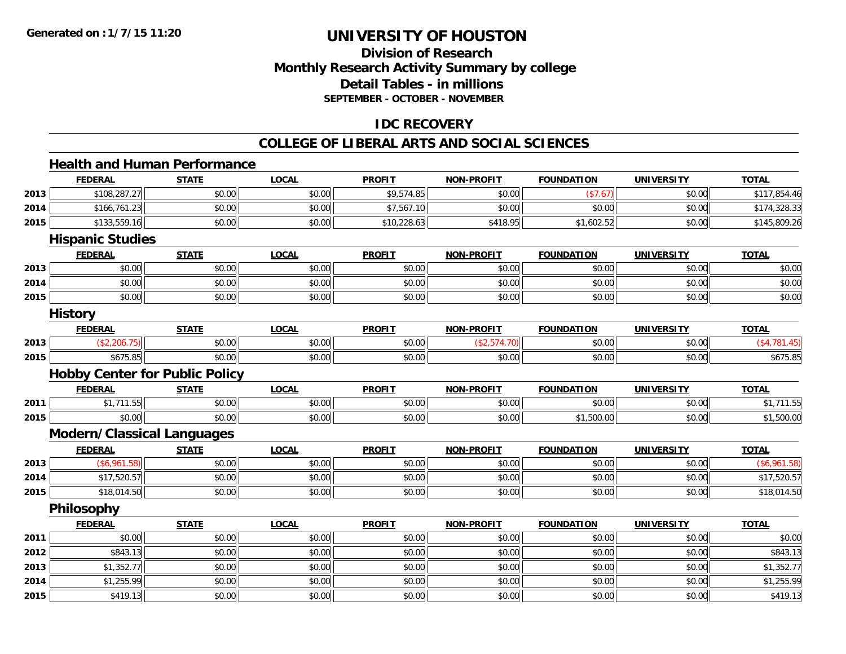**2015**

# **UNIVERSITY OF HOUSTON**

# **Division of ResearchMonthly Research Activity Summary by college Detail Tables - in millionsSEPTEMBER - OCTOBER - NOVEMBER**

# **IDC RECOVERY**

#### **COLLEGE OF LIBERAL ARTS AND SOCIAL SCIENCES**

#### **Health and Human PerformanceFEDERAL STATE LOCAL PROFIT NON-PROFIT FOUNDATION UNIVERSITY TOTALTOTAL 2013** $\textbf{3} \hspace{12mm} |\hspace{12mm} \text{\$108,287.27$} |\hspace{12mm} \text{\$0.00$}|\hspace{12mm} \text{\$50.00$} |\hspace{12mm} \text{\$0.00$} |\hspace{12mm} \text{\$117,854.46$}$ **2014** \$166,761.23 \$0.00 \$0.00 \$7,567.10 \$0.00 \$0.00 \$0.00 \$174,328.33 **2015** \$133,559.16 \$0.00 \$0.00 \$10,228.63 \$418.95 \$1,602.52 \$0.00 \$145,809.26 **Hispanic Studies FEDERAL STATE LOCAL PROFIT NON-PROFIT FOUNDATION UNIVERSITY TOTALTOTAL 2013** $\textbf{3} \mid \textbf{3} \mid \textbf{5} \mid \textbf{5} \mid \textbf{6} \mid \textbf{7} \mid \textbf{8} \mid \textbf{1} \mid \textbf{1} \mid \textbf{1} \mid \textbf{1} \mid \textbf{1} \mid \textbf{1} \mid \textbf{1} \mid \textbf{1} \mid \textbf{1} \mid \textbf{1} \mid \textbf{1} \mid \textbf{1} \mid \textbf{1} \mid \textbf{1} \mid \textbf{1} \mid \textbf{1} \mid \textbf{1} \mid \textbf{1} \mid \textbf{1} \mid \textbf{1} \mid \textbf{$ **2014**4 \$0.00 \$0.00 \$0.00 \$0.00 \$0.00 \$0.00 \$0.00 \$0.00 \$0.00 \$0.00 \$0.00 \$0.00 \$0.00 \$0.00 \$0.00 \$0.00 \$0.00 \$0.00 **2015** \$0.00 \$0.00 \$0.00 \$0.00 \$0.00 \$0.00 \$0.00 \$0.00 **History FEDERAL STATE LOCAL PROFIT NON-PROFIT FOUNDATION UNIVERSITY TOTAL2013**3 | (\$2,206.75)|| \$0.00| \$0.00| \$0.00| (\$2,574.70)|| \$0.00| \$0.00| (\$4,781.45) **2015**5 \$675.85 \$675.85 \$675.85 \$0.00 \$0.00 \$0.00 \$0.00 \$0.00 \$0.00 \$0.00 \$0.00 \$0.00 \$0.00 \$0.00 \$675.85 **Hobby Center for Public Policy FEDERAL STATE LOCAL PROFIT NON-PROFIT FOUNDATION UNIVERSITY TOTAL2011** \$1,711.55 \$0.00 \$0.00 \$0.00 \$0.00 \$0.00 \$0.00 \$1,711.55 **2015** \$0.00 \$0.00 \$0.00 \$0.00 \$0.00 \$1,500.00 \$0.00 \$1,500.00 **Modern/Classical Languages FEDERAL STATE LOCAL PROFIT NON-PROFIT FOUNDATION UNIVERSITY TOTAL2013** $\textbf{3} \hspace{14mm} |\hspace{14mm} \text{ $6,961.58$)} \text{[S6,961.58]} \tag{§ 0.00} \text{ [S6,961.58]}$ **2014**4 \$17,520.57|| \$0.00|| \$0.00|| \$0.00|| \$0.00|| \$0.00|| \$17,520.57 **2015** \$18,014.50 \$0.00 \$0.00 \$0.00 \$0.00 \$0.00 \$0.00 \$18,014.50 **Philosophy FEDERAL STATE LOCAL PROFIT NON-PROFIT FOUNDATION UNIVERSITY TOTAL2011** \$0.00 \$0.00 \$0.00 \$0.00 \$0.00 \$0.00 \$0.00 \$0.00 **2012**2 | \$843.13|| \$0.00|| \$0.00|| \$0.00|| \$0.00|| \$0.00|| \$0.00|| \$0.00|| \$0.00|| \$0.00|| \$843.13 **2013** \$1,352.77 \$0.00 \$0.00 \$0.00 \$0.00 \$0.00 \$0.00 \$1,352.77 **2014**4 \$1,255.99 \$0.00 \$0.00 \$0.00 \$0.00 \$0.00 \$0.00 \$0.00 \$0.00 \$0.00 \$0.00 \$0.00 \$1,255.99

\$419.13 \$0.00 \$0.00 \$0.00 \$0.00 \$0.00 \$0.00 \$419.13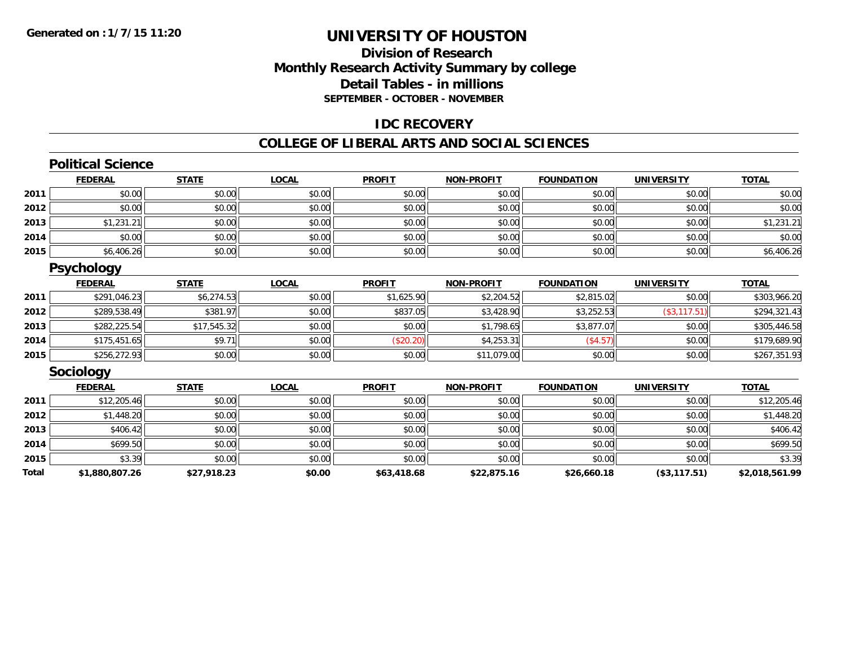# **Division of ResearchMonthly Research Activity Summary by college Detail Tables - in millionsSEPTEMBER - OCTOBER - NOVEMBER**

### **IDC RECOVERY**

#### **COLLEGE OF LIBERAL ARTS AND SOCIAL SCIENCES**

#### **Political ScienceFEDERAL STATE LOCAL PROFIT NON-PROFIT FOUNDATION UNIVERSITY TOTALTOTAL 2011** \$0.00 \$0.00 \$0.00 \$0.00 \$0.00 \$0.00 \$0.00 \$0.00 **2012**2 | \$0.00 \$0.00 \$0.00 \$0.00 \$0.00 \$0.00 \$0.00 \$0.00 \$0.00 \$0.00 \$0.00 \$0.00 \$0.00 \$0.00 \$0.00 \$0.00 \$0.00 \$0.0 **2013** $\textbf{3} \hspace{14mm} \text{\textcolor{red}{\textbf{3}}} \hspace{14mm} \text{\textcolor{red}{\textbf{3}}} \hspace{14mm} \text{\textcolor{red}{\textbf{3}}} \hspace{14mm} \text{\textcolor{red}{\textbf{3}}} \hspace{14mm} \text{\textcolor{red}{\textbf{3}}} \hspace{14mm} \text{\textcolor{red}{\textbf{3}}} \hspace{14mm} \text{\textcolor{red}{\textbf{3}}} \hspace{14mm} \text{\textcolor{red}{\textbf{3}}} \hspace{14mm} \text{\textcolor{red}{\textbf{3}}} \hspace{14mm} \text{\textcolor{red}{$ **2014**4 \$0.00 \$0.00 \$0.00 \$0.00 \$0.00 \$0.00 \$0.00 \$0.00 \$0.00 \$0.00 \$0.00 \$0.00 \$0.00 \$0.00 \$0.00 \$0.00 \$0.00 \$0.00 **2015** \$6,406.26 \$0.00 \$0.00 \$0.00 \$0.00 \$0.00 \$0.00 \$6,406.26 **Psychology FEDERAL STATE LOCAL PROFIT NON-PROFIT FOUNDATION UNIVERSITY TOTAL2011** \$291,046.23 \$6,274.53 \$0.00 \$1,625.90 \$2,204.52 \$2,815.02 \$0.00 \$303,966.20 **2012** \$289,538.49 \$381.97 \$0.00 \$837.05 \$3,428.90 \$3,252.53 (\$3,117.51) \$294,321.43 **2013** \$282,225.54 \$17,545.32 \$0.00 \$0.00 \$1,798.65 \$3,877.07 \$0.00 \$305,446.58 **2014**4 \$175,451.65|| \$9.71|| \$0.00|| (\$20.20)|| \$4,253.31|| (\$4.57)| \$0.00|| \$179,689.90 **2015** \$256,272.93 \$0.00 \$0.00 \$0.00 \$11,079.00 \$0.00 \$0.00 \$267,351.93 **Sociology FEDERAL STATE LOCAL PROFIT NON-PROFIT FOUNDATION UNIVERSITY TOTALTOTAL 2011**1 \$12,205.46 \$0.00 \$0.00 \$0.00 \$0.00 \$0.00 \$0.00 \$0.00 \$0.00 \$0.00 \$0.00 \$0.00 \$0.00 \$12,205.46 **2012** \$1,448.20 \$0.00 \$0.00 \$0.00 \$0.00 \$0.00 \$0.00 \$1,448.20 **2013** \$406.42 \$0.00 \$0.00 \$0.00 \$0.00 \$0.00 \$0.00 \$406.42 **2014**4 \$699.50 \$699.50 \$0.00 \$0.00 \$0.00 \$0.00 \$0.00 \$0.00 \$0.00 \$0.00 \$0.00 \$0.00 \$0.00 \$0.00 \$699.50 **2015**5 \$3.39 \$3.39 \$1.39 \$0.00 \$0.00 \$0.00 \$0.00 \$0.00 \$0.00 \$0.00 \$0.00 \$0.00 \$3.39 **Total\$1,880,807.26 \$27,918.23 \$0.00 \$63,418.68 \$22,875.16 \$26,660.18 (\$3,117.51) \$2,018,561.99**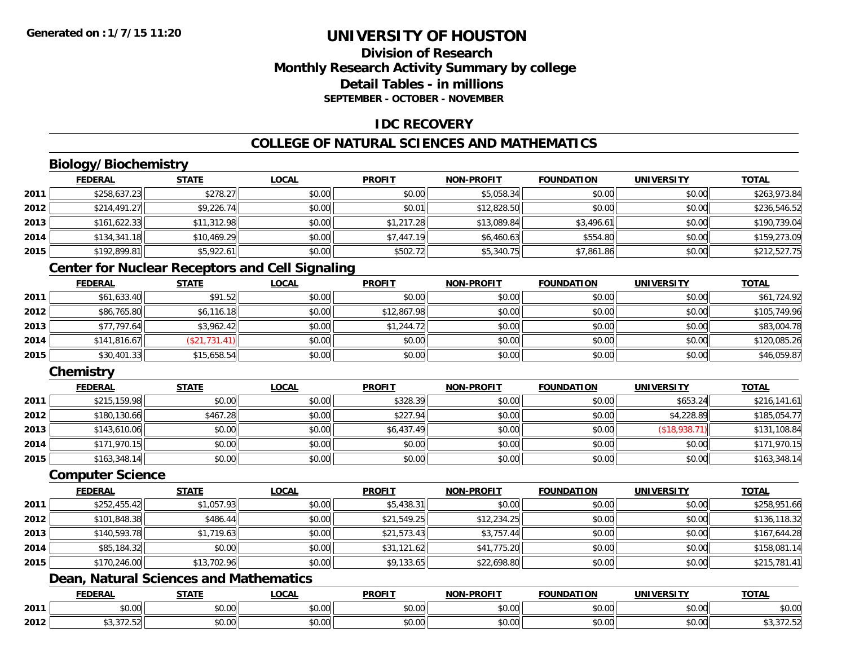# **Division of ResearchMonthly Research Activity Summary by college Detail Tables - in millionsSEPTEMBER - OCTOBER - NOVEMBER**

# **IDC RECOVERY**

# **COLLEGE OF NATURAL SCIENCES AND MATHEMATICS**

# **Biology/Biochemistry**

|      | <b>FEDERAL</b> | <b>STATE</b> | <u>LOCAL</u> | <b>PROFIT</b> | <b>NON-PROFIT</b> | <b>FOUNDATION</b> | <b>UNIVERSITY</b> | <b>TOTAL</b> |
|------|----------------|--------------|--------------|---------------|-------------------|-------------------|-------------------|--------------|
| 2011 | \$258,637.23   | \$278.27     | \$0.00       | \$0.00        | \$5,058.34        | \$0.00            | \$0.00            | \$263,973.84 |
| 2012 | \$214,491.27   | \$9,226.74   | \$0.00       | \$0.01        | \$12,828.50       | \$0.00            | \$0.00            | \$236,546.52 |
| 2013 | \$161,622.33   | \$11,312.98  | \$0.00       | \$1,217.28    | \$13,089.84       | \$3,496.61        | \$0.00            | \$190,739.04 |
| 2014 | \$134,341.18   | \$10,469.29  | \$0.00       | \$7,447.19    | \$6,460.63        | \$554.80          | \$0.00            | \$159,273.09 |
| 2015 | \$192,899.81   | \$5,922.61   | \$0.00       | \$502.72      | \$5,340.75        | \$7,861.86        | \$0.00            | \$212,527.75 |

# **Center for Nuclear Receptors and Cell Signaling**

|      | <b>FEDERAL</b> | <u>STATE</u>  | <b>LOCAL</b> | <b>PROFIT</b> | <b>NON-PROFIT</b> | <b>FOUNDATION</b> | <b>UNIVERSITY</b> | <b>TOTAL</b> |
|------|----------------|---------------|--------------|---------------|-------------------|-------------------|-------------------|--------------|
| 2011 | \$61,633.40    | \$91.52       | \$0.00       | \$0.00        | \$0.00            | \$0.00            | \$0.00            | \$61,724.92  |
| 2012 | \$86,765.80    | \$6,116.18    | \$0.00       | \$12,867.98   | \$0.00            | \$0.00            | \$0.00            | \$105,749.96 |
| 2013 | \$77,797.64    | \$3,962.42    | \$0.00       | \$1,244.72    | \$0.00            | \$0.00            | \$0.00            | \$83,004.78  |
| 2014 | \$141,816.67   | (\$21,731.41) | \$0.00       | \$0.00        | \$0.00            | \$0.00            | \$0.00            | \$120,085.26 |
| 2015 | \$30,401.33    | \$15,658.54   | \$0.00       | \$0.00        | \$0.00            | \$0.00            | \$0.00            | \$46,059.87  |

# **Chemistry**

|      | <b>FEDERAL</b> | <u>STATE</u> | <u>LOCAL</u> | <b>PROFIT</b> | <b>NON-PROFIT</b> | <b>FOUNDATION</b> | <b>UNIVERSITY</b> | <b>TOTAL</b> |
|------|----------------|--------------|--------------|---------------|-------------------|-------------------|-------------------|--------------|
| 2011 | \$215,159.98   | \$0.00       | \$0.00       | \$328.39      | \$0.00            | \$0.00            | \$653.24          | \$216,141.61 |
| 2012 | \$180,130.66   | \$467.28     | \$0.00       | \$227.94      | \$0.00            | \$0.00            | \$4,228.89        | \$185,054.77 |
| 2013 | \$143,610.06   | \$0.00       | \$0.00       | \$6,437.49    | \$0.00            | \$0.00            | (\$18,938.71)     | \$131,108.84 |
| 2014 | \$171,970.15   | \$0.00       | \$0.00       | \$0.00        | \$0.00            | \$0.00            | \$0.00            | \$171,970.15 |
| 2015 | \$163,348.14   | \$0.00       | \$0.00       | \$0.00        | \$0.00            | \$0.00            | \$0.00            | \$163,348.14 |

#### **Computer Science**

|      | <b>FEDERAL</b> | <u>STATE</u> | <b>LOCAL</b> | <b>PROFIT</b> | <b>NON-PROFIT</b> | <b>FOUNDATION</b> | <b>UNIVERSITY</b> | <b>TOTAL</b> |
|------|----------------|--------------|--------------|---------------|-------------------|-------------------|-------------------|--------------|
| 2011 | \$252,455.42   | \$1,057.93   | \$0.00       | \$5,438.31    | \$0.00            | \$0.00            | \$0.00            | \$258,951.66 |
| 2012 | \$101,848.38   | \$486.44     | \$0.00       | \$21,549.25   | \$12,234.25       | \$0.00            | \$0.00            | \$136,118.32 |
| 2013 | \$140,593.78   | \$1,719.63   | \$0.00       | \$21,573.43   | \$3,757.44        | \$0.00            | \$0.00            | \$167,644.28 |
| 2014 | \$85,184.32    | \$0.00       | \$0.00       | \$31,121.62   | \$41,775.20       | \$0.00            | \$0.00            | \$158,081.14 |
| 2015 | \$170,246.00   | \$13,702.96  | \$0.00       | \$9,133.65    | \$22,698.80       | \$0.00            | \$0.00            | \$215,781.41 |

# **Dean, Natural Sciences and Mathematics**

|      | <b>FFBFB</b><br>LINA                     | $- - - - -$        | 0 <sub>n</sub><br>.UCA | <b>PROFIT</b>                                     | <b>M-PROFIT</b><br><b>NIA</b> | .<br>⊤∩⊔ND⊾   | IINIVE<br>ne 1.    | TOTAL                       |
|------|------------------------------------------|--------------------|------------------------|---------------------------------------------------|-------------------------------|---------------|--------------------|-----------------------------|
| 2011 | $\sim$ 00<br>vv.vv                       | $\sim$ 00<br>40.00 | 0000<br>vv.vv          | 0000<br><b>DU.UU</b>                              | 0.00<br>vu.vu                 | 0000<br>vv.vv | $\sim$ 00<br>vu.vu | JU.UU                       |
| 2012 | $\sim$ $\sim$ $\sim$ $\sim$<br>,,,,,,,,, | $\sim$ 00<br>JU.UL | $\sim$ 00<br>PO.OO     | $\mathsf{A}\cap\mathsf{A}\cap\mathsf{A}$<br>JU.UU | 0.00<br><b>JU.UU</b>          | \$0.00        | امہ مہ<br>vu.vu    | $\sim$ $\sim$ $\sim$ $\sim$ |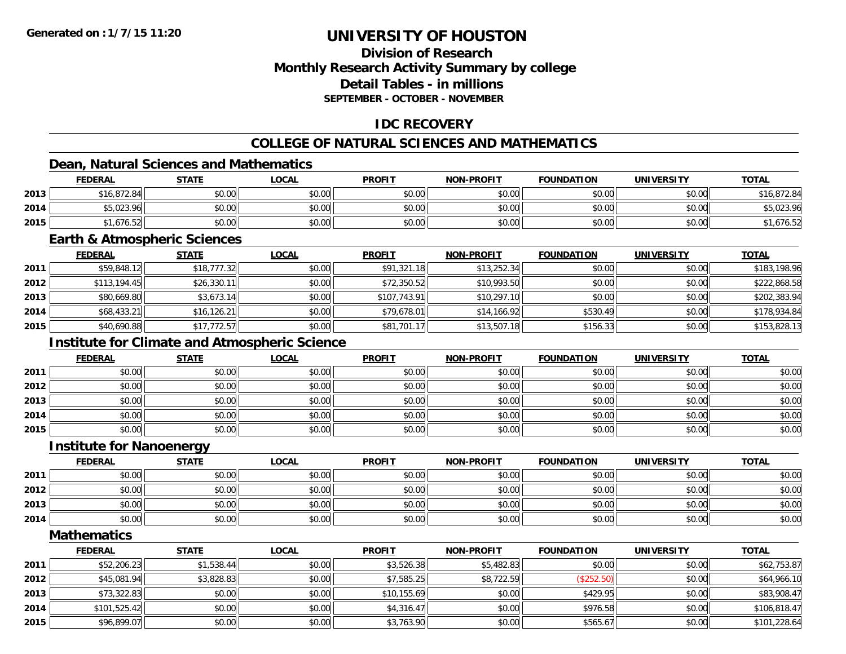# **Division of ResearchMonthly Research Activity Summary by college Detail Tables - in millionsSEPTEMBER - OCTOBER - NOVEMBER**

# **IDC RECOVERY**

# **COLLEGE OF NATURAL SCIENCES AND MATHEMATICS**

# **Dean, Natural Sciences and Mathematics**

|      | <b>FEDERAL</b> | <b>STATE</b> | <u>LOCAL</u> | <b>PROFIT</b> | <b>NON-PROFIT</b> | <b>FOUNDATION</b> | <b>UNIVERSITY</b> | <b>TOTAL</b> |
|------|----------------|--------------|--------------|---------------|-------------------|-------------------|-------------------|--------------|
| 2013 | \$16,872.84    | \$0.00       | \$0.00       | \$0.00        | \$0.00            | \$0.00            | \$0.00            | \$16,872.84  |
| 2014 | \$5,023.96     | \$0.00       | \$0.00       | \$0.00        | \$0.00            | \$0.00            | \$0.00            | \$5,023.96   |
| 2015 | \$1,676.52     | \$0.00       | \$0.00       | \$0.00        | \$0.00            | \$0.00            | \$0.00            | 1,676.52     |

#### **Earth & Atmospheric Sciences**

|      | <b>FEDERAL</b> | <u>STATE</u> | <b>LOCAL</b> | <b>PROFIT</b> | <b>NON-PROFIT</b> | <b>FOUNDATION</b> | <b>UNIVERSITY</b> | <b>TOTAL</b> |
|------|----------------|--------------|--------------|---------------|-------------------|-------------------|-------------------|--------------|
| 2011 | \$59,848.12    | \$18,777.32  | \$0.00       | \$91,321.18   | \$13,252.34       | \$0.00            | \$0.00            | \$183,198.96 |
| 2012 | \$113,194.45   | \$26,330.11  | \$0.00       | \$72,350.52   | \$10,993.50       | \$0.00            | \$0.00            | \$222,868.58 |
| 2013 | \$80,669.80    | \$3,673.14   | \$0.00       | \$107,743.91  | \$10,297.10       | \$0.00            | \$0.00            | \$202,383.94 |
| 2014 | \$68,433.21    | \$16, 126.21 | \$0.00       | \$79,678.01   | \$14,166.92       | \$530.49          | \$0.00            | \$178,934.84 |
| 2015 | \$40,690.88    | \$17,772.57  | \$0.00       | \$81,701.17   | \$13,507.18       | \$156.33          | \$0.00            | \$153,828.13 |

# **Institute for Climate and Atmospheric Science**

|      | <u>FEDERAL</u> | <b>STATE</b> | <u>LOCAL</u> | <b>PROFIT</b> | <b>NON-PROFIT</b> | <b>FOUNDATION</b> | <b>UNIVERSITY</b> | <b>TOTAL</b> |
|------|----------------|--------------|--------------|---------------|-------------------|-------------------|-------------------|--------------|
| 2011 | \$0.00         | \$0.00       | \$0.00       | \$0.00        | \$0.00            | \$0.00            | \$0.00            | \$0.00       |
| 2012 | \$0.00         | \$0.00       | \$0.00       | \$0.00        | \$0.00            | \$0.00            | \$0.00            | \$0.00       |
| 2013 | \$0.00         | \$0.00       | \$0.00       | \$0.00        | \$0.00            | \$0.00            | \$0.00            | \$0.00       |
| 2014 | \$0.00         | \$0.00       | \$0.00       | \$0.00        | \$0.00            | \$0.00            | \$0.00            | \$0.00       |
| 2015 | \$0.00         | \$0.00       | \$0.00       | \$0.00        | \$0.00            | \$0.00            | \$0.00            | \$0.00       |

#### **Institute for Nanoenergy**

|      | <b>FEDERAL</b> | <b>STATE</b> | <u>LOCAL</u> | <b>PROFIT</b> | <b>NON-PROFIT</b> | <b>FOUNDATION</b> | <b>UNIVERSITY</b> | <b>TOTAL</b> |
|------|----------------|--------------|--------------|---------------|-------------------|-------------------|-------------------|--------------|
| 2011 | \$0.00         | \$0.00       | \$0.00       | \$0.00        | \$0.00            | \$0.00            | \$0.00            | \$0.00       |
| 2012 | \$0.00         | \$0.00       | \$0.00       | \$0.00        | \$0.00            | \$0.00            | \$0.00            | \$0.00       |
| 2013 | \$0.00         | \$0.00       | \$0.00       | \$0.00        | \$0.00            | \$0.00            | \$0.00            | \$0.00       |
| 2014 | \$0.00         | \$0.00       | \$0.00       | \$0.00        | \$0.00            | \$0.00            | \$0.00            | \$0.00       |

**Mathematics**

|      | <u>FEDERAL</u> | <u>STATE</u> | <u>LOCAL</u> | <b>PROFIT</b> | <b>NON-PROFIT</b> | <b>FOUNDATION</b> | <b>UNIVERSITY</b> | <b>TOTAL</b> |
|------|----------------|--------------|--------------|---------------|-------------------|-------------------|-------------------|--------------|
| 2011 | \$52,206.23    | \$1,538.44   | \$0.00       | \$3,526.38    | \$5,482.83        | \$0.00            | \$0.00            | \$62,753.87  |
| 2012 | \$45,081.94    | \$3,828.83   | \$0.00       | \$7.585.25    | \$8,722.59        | (\$252.50)        | \$0.00            | \$64,966.10  |
| 2013 | \$73,322.83    | \$0.00       | \$0.00       | \$10,155.69   | \$0.00            | \$429.95          | \$0.00            | \$83,908.47  |
| 2014 | \$101,525.42   | \$0.00       | \$0.00       | \$4,316.47    | \$0.00            | \$976.58          | \$0.00            | \$106,818.47 |
| 2015 | \$96,899.07    | \$0.00       | \$0.00       | \$3,763.90    | \$0.00            | \$565.67          | \$0.00            | \$101,228.64 |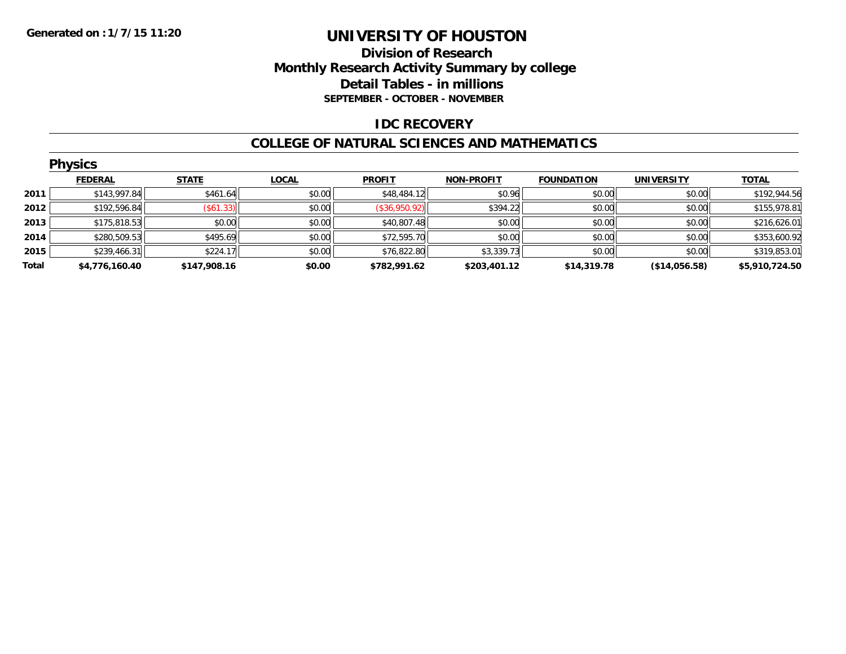# **Division of Research Monthly Research Activity Summary by college Detail Tables - in millions SEPTEMBER - OCTOBER - NOVEMBER**

### **IDC RECOVERY**

#### **COLLEGE OF NATURAL SCIENCES AND MATHEMATICS**

|       | <b>Physics</b> |              |              |               |                   |                   |                   |                |  |  |  |  |
|-------|----------------|--------------|--------------|---------------|-------------------|-------------------|-------------------|----------------|--|--|--|--|
|       | <b>FEDERAL</b> | <b>STATE</b> | <b>LOCAL</b> | <b>PROFIT</b> | <b>NON-PROFIT</b> | <b>FOUNDATION</b> | <b>UNIVERSITY</b> | <b>TOTAL</b>   |  |  |  |  |
| 2011  | \$143,997.84   | \$461.64     | \$0.00       | \$48,484.12   | \$0.96            | \$0.00            | \$0.00            | \$192,944.56   |  |  |  |  |
| 2012  | \$192,596.84   | (\$61.33)    | \$0.00       | (\$36,950.92) | \$394.22          | \$0.00            | \$0.00            | \$155,978.81   |  |  |  |  |
| 2013  | \$175,818.53   | \$0.00       | \$0.00       | \$40,807.48   | \$0.00            | \$0.00            | \$0.00            | \$216,626.01   |  |  |  |  |
| 2014  | \$280,509.53   | \$495.69     | \$0.00       | \$72,595.70   | \$0.00            | \$0.00            | \$0.00            | \$353,600.92   |  |  |  |  |
| 2015  | \$239,466.31   | \$224.17     | \$0.00       | \$76,822.80   | \$3,339.73        | \$0.00            | \$0.00            | \$319,853.01   |  |  |  |  |
| Total | \$4,776,160.40 | \$147,908.16 | \$0.00       | \$782,991.62  | \$203,401.12      | \$14,319.78       | (\$14,056.58)     | \$5,910,724.50 |  |  |  |  |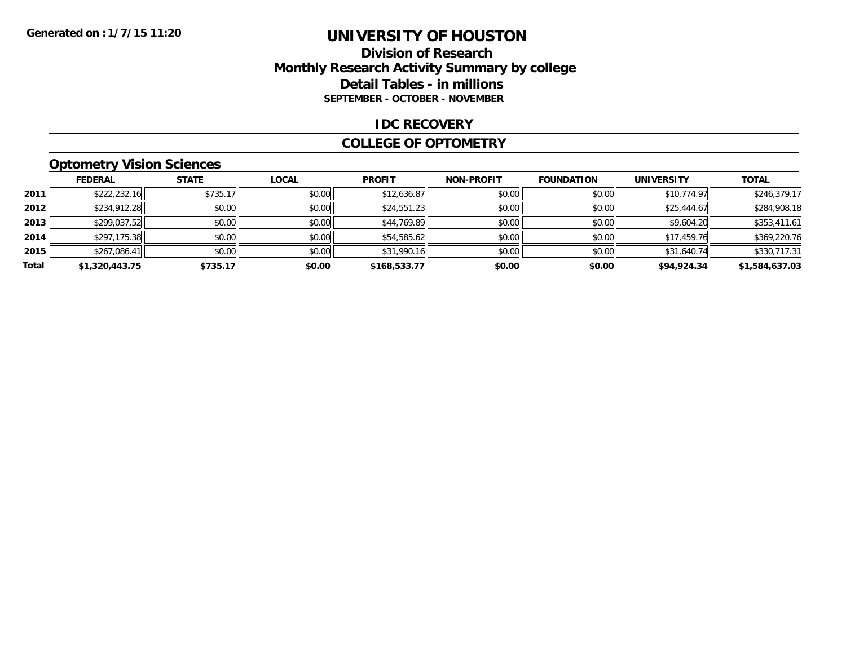## **Division of Research Monthly Research Activity Summary by college Detail Tables - in millions SEPTEMBER - OCTOBER - NOVEMBER**

#### **IDC RECOVERY**

#### **COLLEGE OF OPTOMETRY**

# **Optometry Vision Sciences**

|       | <b>FEDERAL</b> | <b>STATE</b> | <b>LOCAL</b> | <b>PROFIT</b> | <b>NON-PROFIT</b> | <b>FOUNDATION</b> | <b>UNIVERSITY</b> | <b>TOTAL</b>   |
|-------|----------------|--------------|--------------|---------------|-------------------|-------------------|-------------------|----------------|
| 2011  | \$222,232.16   | \$735.17     | \$0.00       | \$12,636.87   | \$0.00            | \$0.00            | \$10,774.97       | \$246,379.17   |
| 2012  | \$234,912.28   | \$0.00       | \$0.00       | \$24,551.23   | \$0.00            | \$0.00            | \$25,444.67       | \$284,908.18   |
| 2013  | \$299,037.52   | \$0.00       | \$0.00       | \$44,769.89   | \$0.00            | \$0.00            | \$9,604.20        | \$353,411.61   |
| 2014  | \$297,175.38   | \$0.00       | \$0.00       | \$54,585.62   | \$0.00            | \$0.00            | \$17,459.76       | \$369,220.76   |
| 2015  | \$267,086.41   | \$0.00       | \$0.00       | \$31,990.16   | \$0.00            | \$0.00            | \$31,640.74       | \$330,717.31   |
| Total | \$1,320,443.75 | \$735.17     | \$0.00       | \$168,533.77  | \$0.00            | \$0.00            | \$94,924.34       | \$1,584,637.03 |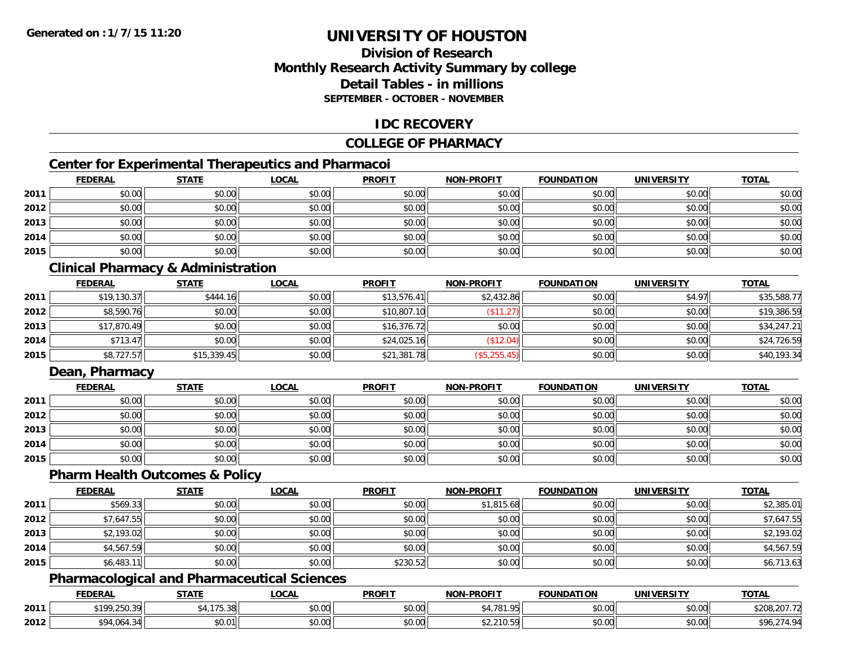# **Division of ResearchMonthly Research Activity Summary by college Detail Tables - in millionsSEPTEMBER - OCTOBER - NOVEMBER**

### **IDC RECOVERY**

### **COLLEGE OF PHARMACY**

# **Center for Experimental Therapeutics and Pharmacoi**

|      | <b>FEDERAL</b> | <b>STATE</b> | <b>LOCAL</b> | <b>PROFIT</b> | <b>NON-PROFIT</b> | <b>FOUNDATION</b> | <b>UNIVERSITY</b> | <b>TOTAL</b> |
|------|----------------|--------------|--------------|---------------|-------------------|-------------------|-------------------|--------------|
| 2011 | \$0.00         | \$0.00       | \$0.00       | \$0.00        | \$0.00            | \$0.00            | \$0.00            | \$0.00       |
| 2012 | \$0.00         | \$0.00       | \$0.00       | \$0.00        | \$0.00            | \$0.00            | \$0.00            | \$0.00       |
| 2013 | \$0.00         | \$0.00       | \$0.00       | \$0.00        | \$0.00            | \$0.00            | \$0.00            | \$0.00       |
| 2014 | \$0.00         | \$0.00       | \$0.00       | \$0.00        | \$0.00            | \$0.00            | \$0.00            | \$0.00       |
| 2015 | \$0.00         | \$0.00       | \$0.00       | \$0.00        | \$0.00            | \$0.00            | \$0.00            | \$0.00       |

# **Clinical Pharmacy & Administration**

|      | <b>FEDERAL</b> | <b>STATE</b> | <u>LOCAL</u> | <b>PROFIT</b> | <b>NON-PROFIT</b> | <b>FOUNDATION</b> | <b>UNIVERSITY</b> | <b>TOTAL</b> |
|------|----------------|--------------|--------------|---------------|-------------------|-------------------|-------------------|--------------|
| 2011 | \$19,130.37    | \$444.16     | \$0.00       | \$13,576.41   | \$2,432.86        | \$0.00            | \$4.97            | \$35,588.77  |
| 2012 | \$8,590.76     | \$0.00       | \$0.00       | \$10,807.10   | (\$11.27)         | \$0.00            | \$0.00            | \$19,386.59  |
| 2013 | \$17,870.49    | \$0.00       | \$0.00       | \$16,376.72   | \$0.00            | \$0.00            | \$0.00            | \$34,247.21  |
| 2014 | \$713.47       | \$0.00       | \$0.00       | \$24,025.16   | (\$12.04)         | \$0.00            | \$0.00            | \$24,726.59  |
| 2015 | \$8,727.57     | \$15,339.45  | \$0.00       | \$21,381.78   | (\$5,255.45)      | \$0.00            | \$0.00            | \$40,193.34  |

# **Dean, Pharmacy**

|      | <b>FEDERAL</b> | <b>STATE</b> | <u>LOCAL</u> | <b>PROFIT</b> | <b>NON-PROFIT</b> | <b>FOUNDATION</b> | <b>UNIVERSITY</b> | <b>TOTAL</b> |
|------|----------------|--------------|--------------|---------------|-------------------|-------------------|-------------------|--------------|
| 2011 | \$0.00         | \$0.00       | \$0.00       | \$0.00        | \$0.00            | \$0.00            | \$0.00            | \$0.00       |
| 2012 | \$0.00         | \$0.00       | \$0.00       | \$0.00        | \$0.00            | \$0.00            | \$0.00            | \$0.00       |
| 2013 | \$0.00         | \$0.00       | \$0.00       | \$0.00        | \$0.00            | \$0.00            | \$0.00            | \$0.00       |
| 2014 | \$0.00         | \$0.00       | \$0.00       | \$0.00        | \$0.00            | \$0.00            | \$0.00            | \$0.00       |
| 2015 | \$0.00         | \$0.00       | \$0.00       | \$0.00        | \$0.00            | \$0.00            | \$0.00            | \$0.00       |

#### **Pharm Health Outcomes & Policy**

|      | <b>FEDERAL</b> | <b>STATE</b> | <b>LOCAL</b> | <b>PROFIT</b> | <b>NON-PROFIT</b> | <b>FOUNDATION</b> | <b>UNIVERSITY</b> | <b>TOTAL</b> |
|------|----------------|--------------|--------------|---------------|-------------------|-------------------|-------------------|--------------|
| 2011 | \$569.33       | \$0.00       | \$0.00       | \$0.00        | \$1,815.68        | \$0.00            | \$0.00            | \$2,385.01   |
| 2012 | \$7,647.55     | \$0.00       | \$0.00       | \$0.00        | \$0.00            | \$0.00            | \$0.00            | \$7,647.55   |
| 2013 | \$2,193.02     | \$0.00       | \$0.00       | \$0.00        | \$0.00            | \$0.00            | \$0.00            | \$2,193.02   |
| 2014 | \$4,567.59     | \$0.00       | \$0.00       | \$0.00        | \$0.00            | \$0.00            | \$0.00            | \$4,567.59   |
| 2015 | \$6,483.11     | \$0.00       | \$0.00       | \$230.52      | \$0.00            | \$0.00            | \$0.00            | \$6,713.63   |

# **Pharmacological and Pharmaceutical Sciences**

|      | <b>FEDERAL</b>               | <b>STATE</b>                    | <b>_OCAL</b>       | <b>PROFIT</b> | I DDAEIT<br><b>NIONI</b> | FOUNDATION     | UNIVERSITY             | <b>TOTAL</b>                    |
|------|------------------------------|---------------------------------|--------------------|---------------|--------------------------|----------------|------------------------|---------------------------------|
| 2011 | <b>\$100 250 30</b><br>ں . ب | 1.47<br>$\sim$ $\sim$<br>, J.JU | $\sim$ 00<br>vv.vv | 0000<br>vu.vu | 0.4704<br>$\sim$         | 0.000<br>vo.ov | \$0.00                 | $\Delta$<br>227.7<br>5208.207.7 |
| 2012 | $Q$ $A$ $A$<br>wo<br>.       | \$0.01                          | $\sim$ 00<br>ง∪.∪บ | 0000<br>JU.UU | 240F<br>92,21 U.J        | 0000<br>JU.UU  | $n \cap \neg$<br>JU.UU | 74 O.A                          |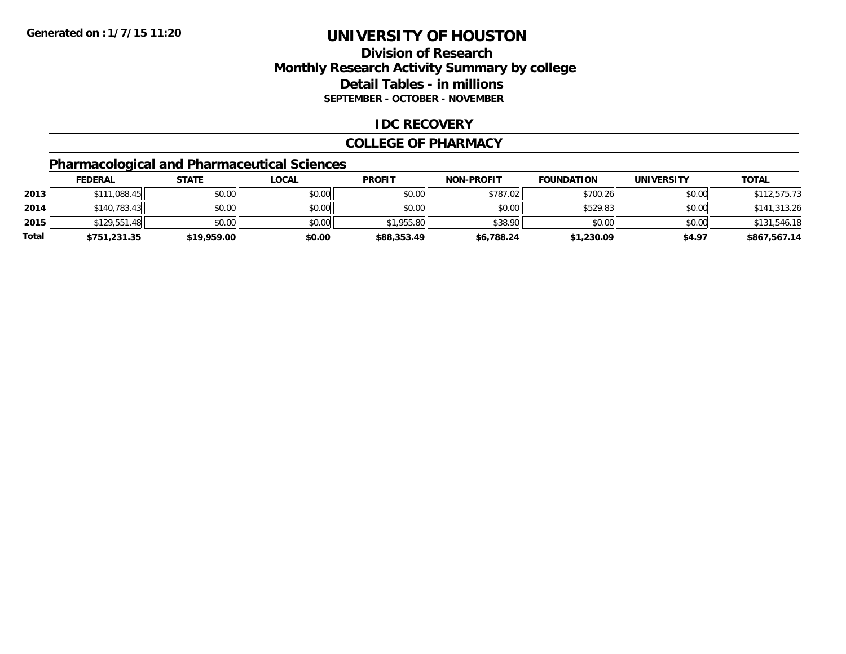# **Division of Research Monthly Research Activity Summary by college Detail Tables - in millions SEPTEMBER - OCTOBER - NOVEMBER**

### **IDC RECOVERY**

#### **COLLEGE OF PHARMACY**

# **Pharmacological and Pharmaceutical Sciences**

|       | <b>FEDERAL</b> | <u>STATE</u> | <u>LOCAL</u> | <b>PROFIT</b> | <b>NON-PROFIT</b> | <b>FOUNDATION</b> | <b>UNIVERSITY</b> | <b>TOTAL</b> |
|-------|----------------|--------------|--------------|---------------|-------------------|-------------------|-------------------|--------------|
| 2013  | \$111,088.45   | \$0.00       | \$0.00       | \$0.00        | \$787.02          | \$700.26          | \$0.00            | \$112,575.73 |
| 2014  | \$140,783.43   | \$0.00       | \$0.00       | \$0.00        | \$0.00            | \$529.83          | \$0.00            | \$141,313.26 |
| 2015  | \$129,551.48   | \$0.00       | \$0.00       | \$1,955.80    | \$38.90           | \$0.00            | \$0.00            | \$131,546.18 |
| Total | \$751,231.35   | \$19,959.00  | \$0.00       | \$88,353.49   | \$6,788.24        | \$1,230.09        | \$4.97            | \$867,567.14 |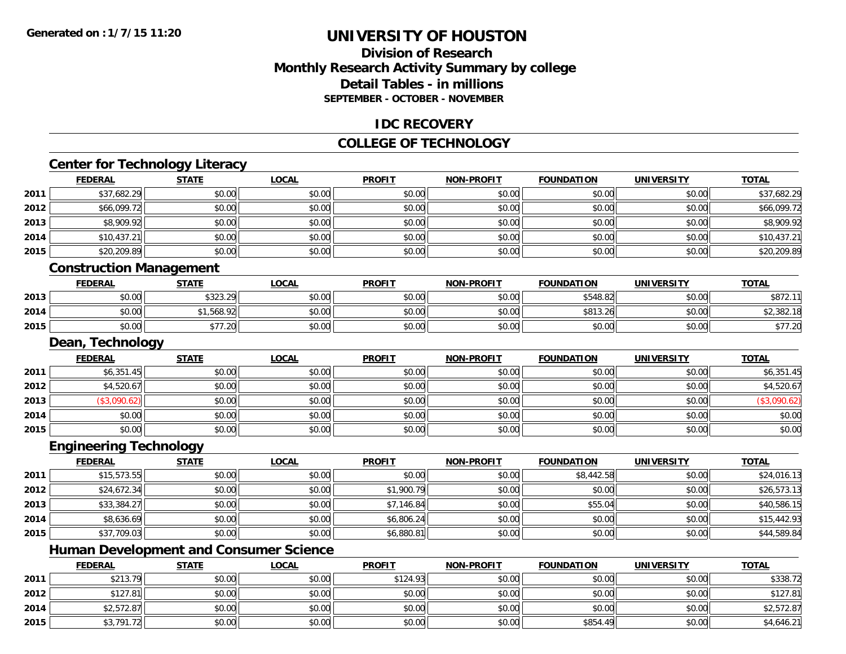# **Division of ResearchMonthly Research Activity Summary by college Detail Tables - in millionsSEPTEMBER - OCTOBER - NOVEMBER**

### **IDC RECOVERY**

## **COLLEGE OF TECHNOLOGY**

<u> 1980 - Johann Barn, amerikan besteman besteman besteman besteman besteman besteman besteman besteman bestema</u>

# **Center for Technology Literacy**

|      | <u>FEDERAL</u>                 | <b>STATE</b> | <u>LOCAL</u> | <b>PROFIT</b> | <b>NON-PROFIT</b> | <b>FOUNDATION</b> | UNIVERSITY        | <u>TOTAL</u> |
|------|--------------------------------|--------------|--------------|---------------|-------------------|-------------------|-------------------|--------------|
| 2011 | \$37,682.29                    | \$0.00       | \$0.00       | \$0.00        | \$0.00            | \$0.00            | \$0.00            | \$37,682.29  |
| 2012 | \$66,099.72                    | \$0.00       | \$0.00       | \$0.00        | \$0.00            | \$0.00            | \$0.00            | \$66,099.72  |
| 2013 | \$8,909.92                     | \$0.00       | \$0.00       | \$0.00        | \$0.00            | \$0.00            | \$0.00            | \$8,909.92   |
| 2014 | \$10,437.21                    | \$0.00       | \$0.00       | \$0.00        | \$0.00            | \$0.00            | \$0.00            | \$10,437.21  |
| 2015 | \$20,209.89                    | \$0.00       | \$0.00       | \$0.00        | \$0.00            | \$0.00            | \$0.00            | \$20,209.89  |
|      | <b>Construction Management</b> |              |              |               |                   |                   |                   |              |
|      | <b>FEDERAL</b>                 | <b>STATE</b> | <b>LOCAL</b> | <b>PROFIT</b> | <b>NON-PROFIT</b> | <b>FOUNDATION</b> | <b>UNIVERSITY</b> | <b>TOTAL</b> |
| 2013 | \$0.00                         | \$323.29     | \$0.00       | \$0.00        | \$0.00            | \$548.82          | \$0.00            | \$872.11     |
| 2014 | \$0.00                         | \$1,568.92   | \$0.00       | \$0.00        | \$0.00            | \$813.26          | \$0.00            | \$2,382.18   |
| 2015 | \$0.00                         | \$77.20      | \$0.00       | \$0.00        | \$0.00            | \$0.00            | \$0.00            | \$77.20      |

#### **Dean, Technology**

|      | <b>FEDERAL</b> | <b>STATE</b> | <u>LOCAL</u> | <b>PROFIT</b> | <b>NON-PROFIT</b> | <b>FOUNDATION</b> | <b>UNIVERSITY</b> | <b>TOTAL</b> |
|------|----------------|--------------|--------------|---------------|-------------------|-------------------|-------------------|--------------|
| 2011 | \$6,351.45     | \$0.00       | \$0.00       | \$0.00        | \$0.00            | \$0.00            | \$0.00            | \$6,351.45   |
| 2012 | \$4,520.67     | \$0.00       | \$0.00       | \$0.00        | \$0.00            | \$0.00            | \$0.00            | \$4,520.67   |
| 2013 | \$3,090.62)    | \$0.00       | \$0.00       | \$0.00        | \$0.00            | \$0.00            | \$0.00            | \$3,090.62   |
| 2014 | \$0.00         | \$0.00       | \$0.00       | \$0.00        | \$0.00            | \$0.00            | \$0.00            | \$0.00       |
| 2015 | \$0.00         | \$0.00       | \$0.00       | \$0.00        | \$0.00            | \$0.00            | \$0.00            | \$0.00       |

# **Engineering Technology**

|      | <u>FEDERAL</u> | <u>STATE</u> | <u>LOCAL</u> | <b>PROFIT</b> | <b>NON-PROFIT</b> | <b>FOUNDATION</b> | <b>UNIVERSITY</b> | <b>TOTAL</b> |
|------|----------------|--------------|--------------|---------------|-------------------|-------------------|-------------------|--------------|
| 2011 | \$15,573.55    | \$0.00       | \$0.00       | \$0.00        | \$0.00            | \$8,442.58        | \$0.00            | \$24,016.13  |
| 2012 | \$24,672.34    | \$0.00       | \$0.00       | \$1,900.79    | \$0.00            | \$0.00            | \$0.00            | \$26,573.13  |
| 2013 | \$33,384.27    | \$0.00       | \$0.00       | \$7,146.84    | \$0.00            | \$55.04           | \$0.00            | \$40,586.15  |
| 2014 | \$8,636.69     | \$0.00       | \$0.00       | \$6,806.24    | \$0.00            | \$0.00            | \$0.00            | \$15,442.93  |
| 2015 | \$37,709.03    | \$0.00       | \$0.00       | \$6,880.81    | \$0.00            | \$0.00            | \$0.00            | \$44,589.84  |

# **Human Development and Consumer Science**

|      | <b>FEDERAL</b> | <u>STATE</u> | <u>LOCAL</u> | <b>PROFIT</b> | <b>NON-PROFIT</b> | <b>FOUNDATION</b> | <b>UNIVERSITY</b> | <b>TOTAL</b> |
|------|----------------|--------------|--------------|---------------|-------------------|-------------------|-------------------|--------------|
| 2011 | \$213.79       | \$0.00       | \$0.00       | \$124.93      | \$0.00            | \$0.00            | \$0.00            | \$338.72     |
| 2012 | \$127.81       | \$0.00       | \$0.00       | \$0.00        | \$0.00            | \$0.00            | \$0.00            | \$127.81     |
| 2014 | \$2,572.87     | \$0.00       | \$0.00       | \$0.00        | \$0.00            | \$0.00            | \$0.00            | \$2,572.87   |
| 2015 | \$3,791.72     | \$0.00       | \$0.00       | \$0.00        | \$0.00            | \$854.49          | \$0.00            | \$4,646.21   |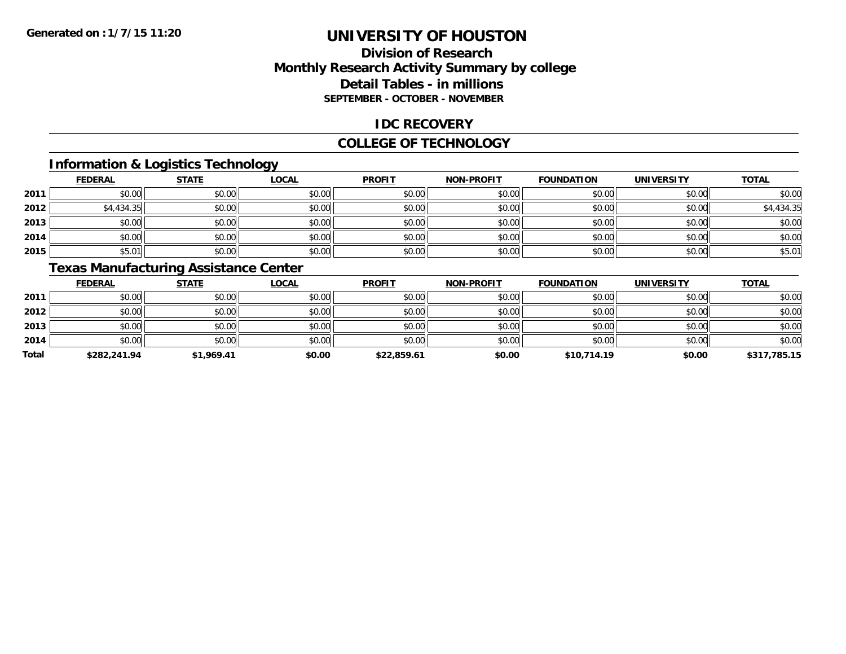# **Division of ResearchMonthly Research Activity Summary by college Detail Tables - in millions SEPTEMBER - OCTOBER - NOVEMBER**

### **IDC RECOVERY**

#### **COLLEGE OF TECHNOLOGY**

# **Information & Logistics Technology**

|      | <b>FEDERAL</b> | <b>STATE</b> | <b>LOCAL</b> | <b>PROFIT</b> | <b>NON-PROFIT</b> | <b>FOUNDATION</b> | <b>UNIVERSITY</b> | <b>TOTAL</b> |
|------|----------------|--------------|--------------|---------------|-------------------|-------------------|-------------------|--------------|
| 2011 | \$0.00         | \$0.00       | \$0.00       | \$0.00        | \$0.00            | \$0.00            | \$0.00            | \$0.00       |
| 2012 | \$4,434.35     | \$0.00       | \$0.00       | \$0.00        | \$0.00            | \$0.00            | \$0.00            | \$4,434.35   |
| 2013 | \$0.00         | \$0.00       | \$0.00       | \$0.00        | \$0.00            | \$0.00            | \$0.00            | \$0.00       |
| 2014 | \$0.00         | \$0.00       | \$0.00       | \$0.00        | \$0.00            | \$0.00            | \$0.00            | \$0.00       |
| 2015 | \$5.01         | \$0.00       | \$0.00       | \$0.00        | \$0.00            | \$0.00            | \$0.00            | \$5.01       |

# **Texas Manufacturing Assistance Center**

|       | <b>FEDERAL</b> | <b>STATE</b> | <u>LOCAL</u> | <b>PROFIT</b> | <b>NON-PROFIT</b> | <b>FOUNDATION</b> | <b>UNIVERSITY</b> | <b>TOTAL</b> |
|-------|----------------|--------------|--------------|---------------|-------------------|-------------------|-------------------|--------------|
| 2011  | \$0.00         | \$0.00       | \$0.00       | \$0.00        | \$0.00            | \$0.00            | \$0.00            | \$0.00       |
| 2012  | \$0.00         | \$0.00       | \$0.00       | \$0.00        | \$0.00            | \$0.00            | \$0.00            | \$0.00       |
| 2013  | \$0.00         | \$0.00       | \$0.00       | \$0.00        | \$0.00            | \$0.00            | \$0.00            | \$0.00       |
| 2014  | \$0.00         | \$0.00       | \$0.00       | \$0.00        | \$0.00            | \$0.00            | \$0.00            | \$0.00       |
| Total | \$282,241.94   | \$1,969.41   | \$0.00       | \$22,859.61   | \$0.00            | \$10,714.19       | \$0.00            | \$317,785.15 |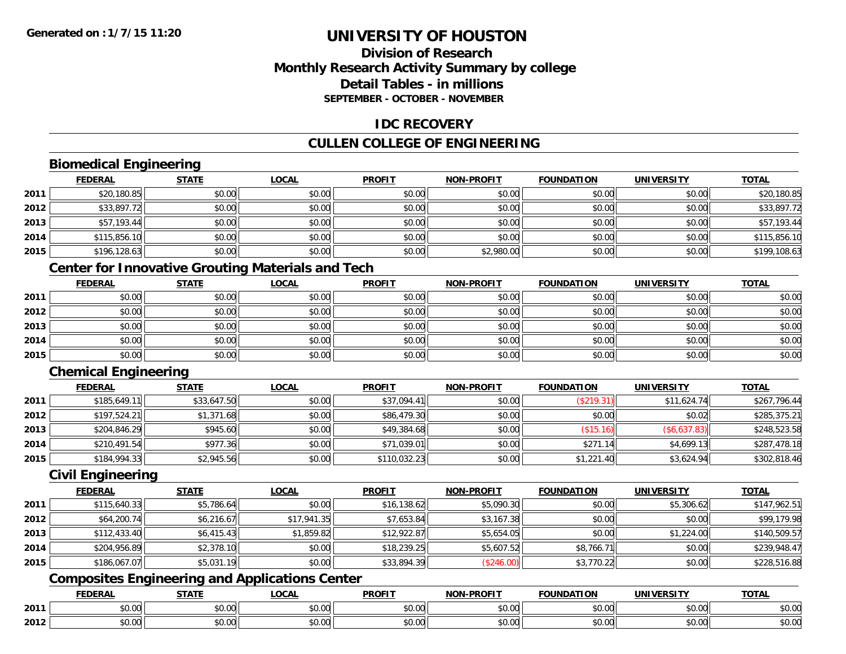# **Division of ResearchMonthly Research Activity Summary by college Detail Tables - in millionsSEPTEMBER - OCTOBER - NOVEMBER**

### **IDC RECOVERY**

# **CULLEN COLLEGE OF ENGINEERING**

# **Biomedical Engineering**

|      | <b>FEDERAL</b> | <b>STATE</b> | <b>LOCAL</b> | <b>PROFIT</b> | <b>NON-PROFIT</b> | <b>FOUNDATION</b> | <b>UNIVERSITY</b> | <b>TOTAL</b> |
|------|----------------|--------------|--------------|---------------|-------------------|-------------------|-------------------|--------------|
| 2011 | \$20,180.85    | \$0.00       | \$0.00       | \$0.00        | \$0.00            | \$0.00            | \$0.00            | \$20,180.85  |
| 2012 | \$33,897.72    | \$0.00       | \$0.00       | \$0.00        | \$0.00            | \$0.00            | \$0.00            | \$33,897.72  |
| 2013 | \$57,193.44    | \$0.00       | \$0.00       | \$0.00        | \$0.00            | \$0.00            | \$0.00            | \$57,193.44  |
| 2014 | \$115,856.10   | \$0.00       | \$0.00       | \$0.00        | \$0.00            | \$0.00            | \$0.00            | \$115,856.10 |
| 2015 | \$196,128.63   | \$0.00       | \$0.00       | \$0.00        | \$2,980.00        | \$0.00            | \$0.00            | \$199,108.63 |

# **Center for Innovative Grouting Materials and Tech**

|      | <b>FEDERAL</b> | <b>STATE</b> | <b>LOCAL</b> | <b>PROFIT</b> | <b>NON-PROFIT</b> | <b>FOUNDATION</b> | <b>UNIVERSITY</b> | <b>TOTAL</b> |
|------|----------------|--------------|--------------|---------------|-------------------|-------------------|-------------------|--------------|
| 2011 | \$0.00         | \$0.00       | \$0.00       | \$0.00        | \$0.00            | \$0.00            | \$0.00            | \$0.00       |
| 2012 | \$0.00         | \$0.00       | \$0.00       | \$0.00        | \$0.00            | \$0.00            | \$0.00            | \$0.00       |
| 2013 | \$0.00         | \$0.00       | \$0.00       | \$0.00        | \$0.00            | \$0.00            | \$0.00            | \$0.00       |
| 2014 | \$0.00         | \$0.00       | \$0.00       | \$0.00        | \$0.00            | \$0.00            | \$0.00            | \$0.00       |
| 2015 | \$0.00         | \$0.00       | \$0.00       | \$0.00        | \$0.00            | \$0.00            | \$0.00            | \$0.00       |

# **Chemical Engineering**

|      | <b>FEDERAL</b> | <b>STATE</b> | <b>LOCAL</b> | <b>PROFIT</b> | <b>NON-PROFIT</b> | <b>FOUNDATION</b> | <b>UNIVERSITY</b> | <b>TOTAL</b> |
|------|----------------|--------------|--------------|---------------|-------------------|-------------------|-------------------|--------------|
| 2011 | \$185,649.11   | \$33,647.50  | \$0.00       | \$37,094.41   | \$0.00            | (\$219.31)        | \$11,624.74       | \$267,796.44 |
| 2012 | \$197,524.21   | \$1,371.68   | \$0.00       | \$86,479.30   | \$0.00            | \$0.00            | \$0.02            | \$285,375.21 |
| 2013 | \$204,846.29   | \$945.60     | \$0.00       | \$49,384.68   | \$0.00            | (\$15.16)         | (\$6,637.83)      | \$248,523.58 |
| 2014 | \$210,491.54   | \$977.36     | \$0.00       | \$71,039.01   | \$0.00            | \$271.14          | \$4,699.13        | \$287,478.18 |
| 2015 | \$184,994.33   | \$2,945.56   | \$0.00       | \$110,032.23  | \$0.00            | \$1,221.40        | \$3,624.94        | \$302,818.46 |

#### **Civil Engineering**

|      | <b>FEDERAL</b> | <b>STATE</b> | <b>LOCAL</b> | <b>PROFIT</b> | <b>NON-PROFIT</b> | <b>FOUNDATION</b> | <b>UNIVERSITY</b> | <b>TOTAL</b> |
|------|----------------|--------------|--------------|---------------|-------------------|-------------------|-------------------|--------------|
| 2011 | \$115,640.33   | \$5,786.64   | \$0.00       | \$16,138.62   | \$5,090.30        | \$0.00            | \$5,306.62        | \$147,962.51 |
| 2012 | \$64,200.74    | \$6,216.67   | \$17,941.35  | \$7,653.84    | \$3,167.38        | \$0.00            | \$0.00            | \$99,179.98  |
| 2013 | \$112,433.40   | \$6,415.43   | \$1,859.82   | \$12,922.87   | \$5,654.05        | \$0.00            | \$1,224.00        | \$140,509.57 |
| 2014 | \$204,956.89   | \$2,378.10   | \$0.00       | \$18,239.25   | \$5,607.52        | \$8,766.71        | \$0.00            | \$239,948.47 |
| 2015 | \$186,067.07   | \$5,031.19   | \$0.00       | \$33,894.39   | (\$246.00)        | \$3,770.22        | \$0.00            | \$228,516.88 |

# **Composites Engineering and Applications Center**

|      | <b>FEDERAL</b> | <b>STATE</b><br>,,,,,, | <b>_OCAL</b>       | <b>PROFIT</b>           | -PROFIT<br><b>NIONI</b> | <b>FOUNDATION</b>                                 | <b>UNIVERSITY</b>     | <b>TOTAL</b> |
|------|----------------|------------------------|--------------------|-------------------------|-------------------------|---------------------------------------------------|-----------------------|--------------|
| 2011 | \$0.00         | Ψυ<br>יש.טע            | ሶስ ሰሰ<br>JU.UU     | 0 <sub>n</sub><br>JU.UU | 0000<br><b>DU.UU</b>    | $\mathsf{A}\cap\mathsf{A}\cap\mathsf{A}$<br>JU.UU | 0.001<br><b>JU.UU</b> | \$0.00       |
| 2012 | \$0.00         | ¢∩<br>JU.UU            | $\sim$ 00<br>JU.UU | 0000<br>JU.UU           | \$0.00                  | JU.UU                                             | 0.00<br>PO.OO         | \$0.00       |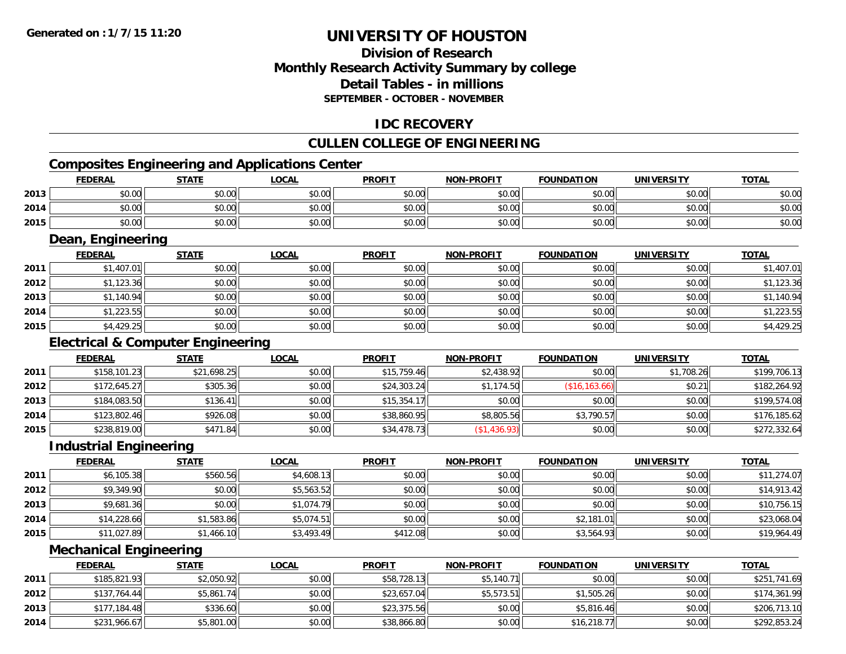# **Division of ResearchMonthly Research Activity Summary by college Detail Tables - in millionsSEPTEMBER - OCTOBER - NOVEMBER**

# **IDC RECOVERY**

# **CULLEN COLLEGE OF ENGINEERING**

# **Composites Engineering and Applications Center**

|      | <b>FEDERAL</b>    | <b>STATE</b> | <u>LOCAL</u> | <b>PROFIT</b> | <b>NON-PROFIT</b> | <b>FOUNDATION</b> | <b>UNIVERSITY</b> | <b>TOTAL</b> |  |  |  |
|------|-------------------|--------------|--------------|---------------|-------------------|-------------------|-------------------|--------------|--|--|--|
| 2013 | \$0.00            | \$0.00       | \$0.00       | \$0.00        | \$0.00            | \$0.00            | \$0.00            | \$0.00       |  |  |  |
| 2014 | \$0.00            | \$0.00       | \$0.00       | \$0.00        | \$0.00            | \$0.00            | \$0.00            | \$0.00       |  |  |  |
| 2015 | \$0.00            | \$0.00       | \$0.00       | \$0.00        | \$0.00            | \$0.00            | \$0.00            | \$0.00       |  |  |  |
|      | Dean, Engineering |              |              |               |                   |                   |                   |              |  |  |  |

|      | <b>FEDERAL</b> | <u>STATE</u> | <b>LOCAL</b> | <b>PROFIT</b> | <b>NON-PROFIT</b> | <b>FOUNDATION</b> | <b>UNIVERSITY</b> | <b>TOTAL</b> |
|------|----------------|--------------|--------------|---------------|-------------------|-------------------|-------------------|--------------|
| 2011 | \$1,407.01     | \$0.00       | \$0.00       | \$0.00        | \$0.00            | \$0.00            | \$0.00            | \$1,407.01   |
| 2012 | \$1,123.36     | \$0.00       | \$0.00       | \$0.00        | \$0.00            | \$0.00            | \$0.00            | \$1,123.36   |
| 2013 | \$1,140.94     | \$0.00       | \$0.00       | \$0.00        | \$0.00            | \$0.00            | \$0.00            | \$1,140.94   |
| 2014 | \$1,223.55     | \$0.00       | \$0.00       | \$0.00        | \$0.00            | \$0.00            | \$0.00            | \$1,223.55   |
| 2015 | \$4,429.25     | \$0.00       | \$0.00       | \$0.00        | \$0.00            | \$0.00            | \$0.00            | \$4,429.25   |

# **Electrical & Computer Engineering**

|      | <b>FEDERAL</b> | <b>STATE</b> | <b>LOCAL</b> | <b>PROFIT</b> | <b>NON-PROFIT</b> | <b>FOUNDATION</b> | UNIVERSITY | <b>TOTAL</b> |
|------|----------------|--------------|--------------|---------------|-------------------|-------------------|------------|--------------|
| 2011 | \$158,101.23   | \$21,698.25  | \$0.00       | \$15,759.46   | \$2,438.92        | \$0.00            | \$1,708.26 | \$199,706.13 |
| 2012 | \$172,645.27   | \$305.36     | \$0.00       | \$24,303.24   | \$1,174.50        | (\$16, 163.66)    | \$0.21     | \$182,264.92 |
| 2013 | \$184,083.50   | \$136.41     | \$0.00       | \$15,354.17   | \$0.00            | \$0.00            | \$0.00     | \$199,574.08 |
| 2014 | \$123,802.46   | \$926.08     | \$0.00       | \$38,860.95   | \$8,805.56        | \$3,790.57        | \$0.00     | \$176,185.62 |
| 2015 | \$238,819.00   | \$471.84     | \$0.00       | \$34,478.73   | \$1,436.93        | \$0.00            | \$0.00     | \$272,332.64 |

#### **Industrial Engineering**

|      | <b>FEDERAL</b> | <u>STATE</u> | <u>LOCAL</u> | <b>PROFIT</b> | <b>NON-PROFIT</b> | <b>FOUNDATION</b> | <b>UNIVERSITY</b> | <b>TOTAL</b> |
|------|----------------|--------------|--------------|---------------|-------------------|-------------------|-------------------|--------------|
| 2011 | \$6,105.38     | \$560.56     | \$4,608.13   | \$0.00        | \$0.00            | \$0.00            | \$0.00            | \$11,274.07  |
| 2012 | \$9,349.90     | \$0.00       | \$5,563.52   | \$0.00        | \$0.00            | \$0.00            | \$0.00            | \$14,913.42  |
| 2013 | \$9,681.36     | \$0.00       | \$1,074.79   | \$0.00        | \$0.00            | \$0.00            | \$0.00            | \$10,756.15  |
| 2014 | \$14,228.66    | \$1,583.86   | \$5,074.51   | \$0.00        | \$0.00            | \$2,181.01        | \$0.00            | \$23,068.04  |
| 2015 | \$11,027.89    | \$1,466.10   | \$3,493.49   | \$412.08      | \$0.00            | \$3,564.93        | \$0.00            | \$19,964.49  |

### **Mechanical Engineering**

|      | <b>FEDERAL</b> | <u>STATE</u> | <u>LOCAL</u> | <b>PROFIT</b> | <b>NON-PROFIT</b> | <b>FOUNDATION</b> | <b>UNIVERSITY</b> | <b>TOTAL</b> |
|------|----------------|--------------|--------------|---------------|-------------------|-------------------|-------------------|--------------|
| 2011 | \$185,821.93   | \$2,050.92   | \$0.00       | \$58,728.13   | \$5,140.71        | \$0.00            | \$0.00            | \$251,741.69 |
| 2012 | \$137,764.44   | \$5,861.74   | \$0.00       | \$23,657.04   | \$5,573.51        | \$1,505.26        | \$0.00            | \$174,361.99 |
| 2013 | \$177,184.48   | \$336.60     | \$0.00       | \$23,375.56   | \$0.00            | \$5,816.46        | \$0.00            | \$206,713.10 |
| 2014 | \$231,966.67   | \$5,801.00   | \$0.00       | \$38,866.80   | \$0.00            | \$16,218.77       | \$0.00            | \$292,853.24 |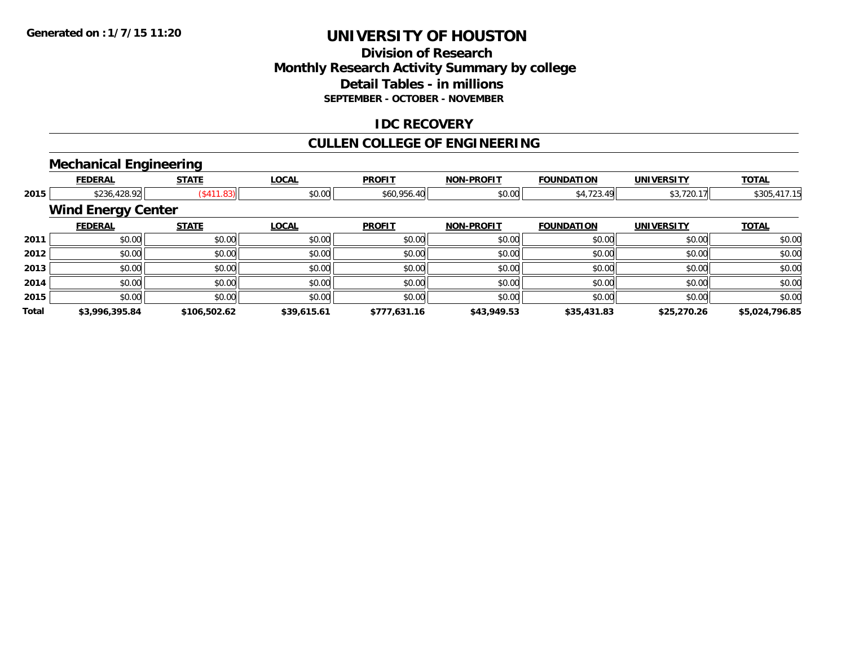# **Division of ResearchMonthly Research Activity Summary by college Detail Tables - in millions SEPTEMBER - OCTOBER - NOVEMBER**

### **IDC RECOVERY**

# **CULLEN COLLEGE OF ENGINEERING**

# **Mechanical Engineering**

|       | <b>FEDERAL</b>            | <b>STATE</b> | <b>LOCAL</b> | <b>PROFIT</b> | <b>NON-PROFIT</b> | <b>FOUNDATION</b> | <b>UNIVERSITY</b> | <b>TOTAL</b>   |
|-------|---------------------------|--------------|--------------|---------------|-------------------|-------------------|-------------------|----------------|
| 2015  | \$236,428.92              | (S411.83)    | \$0.00       | \$60,956.40   | \$0.00            | \$4,723.49        | \$3,720.17        | \$305,417.15   |
|       | <b>Wind Energy Center</b> |              |              |               |                   |                   |                   |                |
|       | <b>FEDERAL</b>            | <b>STATE</b> | <b>LOCAL</b> | <b>PROFIT</b> | <b>NON-PROFIT</b> | <b>FOUNDATION</b> | <b>UNIVERSITY</b> | <b>TOTAL</b>   |
| 2011  | \$0.00                    | \$0.00       | \$0.00       | \$0.00        | \$0.00            | \$0.00            | \$0.00            | \$0.00         |
| 2012  | \$0.00                    | \$0.00       | \$0.00       | \$0.00        | \$0.00            | \$0.00            | \$0.00            | \$0.00         |
| 2013  | \$0.00                    | \$0.00       | \$0.00       | \$0.00        | \$0.00            | \$0.00            | \$0.00            | \$0.00         |
| 2014  | \$0.00                    | \$0.00       | \$0.00       | \$0.00        | \$0.00            | \$0.00            | \$0.00            | \$0.00         |
| 2015  | \$0.00                    | \$0.00       | \$0.00       | \$0.00        | \$0.00            | \$0.00            | \$0.00            | \$0.00         |
| Total | \$3,996,395.84            | \$106,502.62 | \$39,615.61  | \$777,631.16  | \$43,949.53       | \$35,431.83       | \$25,270.26       | \$5,024,796.85 |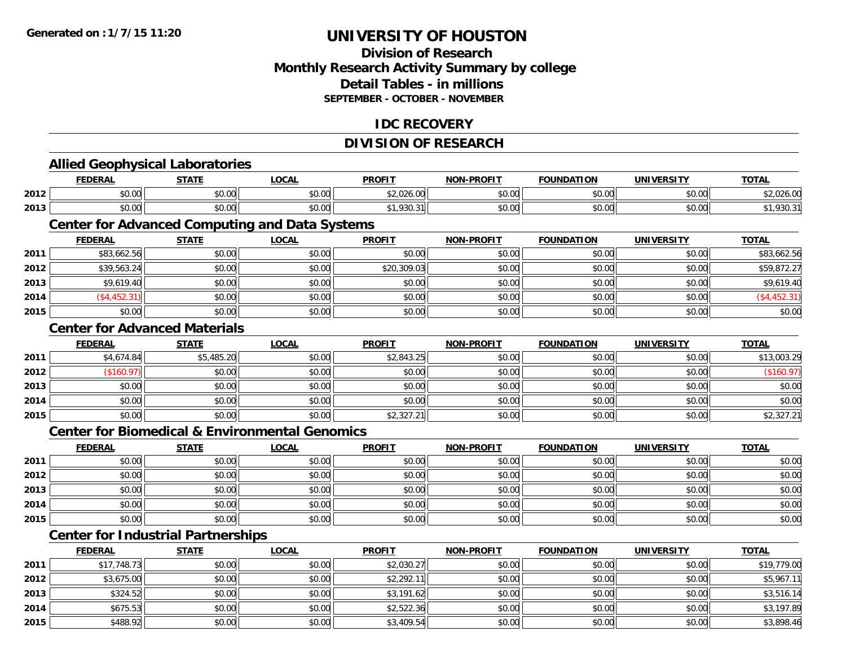**2015**

# **UNIVERSITY OF HOUSTON**

## **Division of ResearchMonthly Research Activity Summary by college Detail Tables - in millions SEPTEMBER - OCTOBER - NOVEMBER**

## **IDC RECOVERY**

## **DIVISION OF RESEARCH**

|      | <b>Allied Geophysical Laboratories</b>                    |              |              |               |                   |                   |                   |              |
|------|-----------------------------------------------------------|--------------|--------------|---------------|-------------------|-------------------|-------------------|--------------|
|      | <b>FEDERAL</b>                                            | <b>STATE</b> | <b>LOCAL</b> | <b>PROFIT</b> | <b>NON-PROFIT</b> | <b>FOUNDATION</b> | <b>UNIVERSITY</b> | <b>TOTAL</b> |
| 2012 | \$0.00                                                    | \$0.00       | \$0.00       | \$2,026.00    | \$0.00            | \$0.00            | \$0.00            | \$2,026.00   |
| 2013 | \$0.00                                                    | \$0.00       | \$0.00       | \$1,930.31    | \$0.00            | \$0.00            | \$0.00            | \$1,930.31   |
|      | <b>Center for Advanced Computing and Data Systems</b>     |              |              |               |                   |                   |                   |              |
|      | <b>FEDERAL</b>                                            | <b>STATE</b> | <b>LOCAL</b> | <b>PROFIT</b> | <b>NON-PROFIT</b> | <b>FOUNDATION</b> | <b>UNIVERSITY</b> | <b>TOTAL</b> |
| 2011 | \$83,662.56                                               | \$0.00       | \$0.00       | \$0.00        | \$0.00            | \$0.00            | \$0.00            | \$83,662.56  |
| 2012 | \$39,563.24                                               | \$0.00       | \$0.00       | \$20,309.03   | \$0.00            | \$0.00            | \$0.00            | \$59,872.27  |
| 2013 | \$9,619.40                                                | \$0.00       | \$0.00       | \$0.00        | \$0.00            | \$0.00            | \$0.00            | \$9,619.40   |
| 2014 | ( \$4,452.31)                                             | \$0.00       | \$0.00       | \$0.00        | \$0.00            | \$0.00            | \$0.00            | (\$4,452.31) |
| 2015 | \$0.00                                                    | \$0.00       | \$0.00       | \$0.00        | \$0.00            | \$0.00            | \$0.00            | \$0.00       |
|      | <b>Center for Advanced Materials</b>                      |              |              |               |                   |                   |                   |              |
|      | <b>FEDERAL</b>                                            | <b>STATE</b> | <b>LOCAL</b> | <b>PROFIT</b> | <b>NON-PROFIT</b> | <b>FOUNDATION</b> | <b>UNIVERSITY</b> | <b>TOTAL</b> |
| 2011 | \$4,674.84                                                | \$5,485.20   | \$0.00       | \$2,843.25    | \$0.00            | \$0.00            | \$0.00            | \$13,003.29  |
| 2012 | (\$160.97)                                                | \$0.00       | \$0.00       | \$0.00        | \$0.00            | \$0.00            | \$0.00            | (\$160.97)   |
| 2013 | \$0.00                                                    | \$0.00       | \$0.00       | \$0.00        | \$0.00            | \$0.00            | \$0.00            | \$0.00       |
| 2014 | \$0.00                                                    | \$0.00       | \$0.00       | \$0.00        | \$0.00            | \$0.00            | \$0.00            | \$0.00       |
| 2015 | \$0.00                                                    | \$0.00       | \$0.00       | \$2,327.21    | \$0.00            | \$0.00            | \$0.00            | \$2,327.21   |
|      | <b>Center for Biomedical &amp; Environmental Genomics</b> |              |              |               |                   |                   |                   |              |
|      | <b>FEDERAL</b>                                            | <b>STATE</b> | <b>LOCAL</b> | <b>PROFIT</b> | <b>NON-PROFIT</b> | <b>FOUNDATION</b> | <b>UNIVERSITY</b> | <b>TOTAL</b> |
| 2011 | \$0.00                                                    | \$0.00       | \$0.00       | \$0.00        | \$0.00            | \$0.00            | \$0.00            | \$0.00       |
| 2012 | \$0.00                                                    | \$0.00       | \$0.00       | \$0.00        | \$0.00            | \$0.00            | \$0.00            | \$0.00       |
| 2013 | \$0.00                                                    | \$0.00       | \$0.00       | \$0.00        | \$0.00            | \$0.00            | \$0.00            | \$0.00       |
| 2014 | \$0.00                                                    | \$0.00       | \$0.00       | \$0.00        | \$0.00            | \$0.00            | \$0.00            | \$0.00       |
| 2015 | \$0.00                                                    | \$0.00       | \$0.00       | \$0.00        | \$0.00            | \$0.00            | \$0.00            | \$0.00       |
|      | <b>Center for Industrial Partnerships</b>                 |              |              |               |                   |                   |                   |              |
|      | <b>FEDERAL</b>                                            | <b>STATE</b> | <b>LOCAL</b> | <b>PROFIT</b> | <b>NON-PROFIT</b> | <b>FOUNDATION</b> | <b>UNIVERSITY</b> | <b>TOTAL</b> |
| 2011 | \$17,748.73                                               | \$0.00       | \$0.00       | \$2,030.27    | \$0.00            | \$0.00            | \$0.00            | \$19,779.00  |
| 2012 | \$3,675.00                                                | \$0.00       | \$0.00       | \$2,292.11    | \$0.00            | \$0.00            | \$0.00            | \$5,967.11   |
| 2013 | \$324.52                                                  | \$0.00       | \$0.00       | \$3,191.62    | \$0.00            | \$0.00            | \$0.00            | \$3,516.14   |
| 2014 | \$675.53                                                  | \$0.00       | \$0.00       | \$2,522.36    | \$0.00            | \$0.00            | \$0.00            | \$3,197.89   |

\$488.92 \$0.00 \$0.00 \$3,409.54 \$0.00 \$0.00 \$0.00 \$3,898.46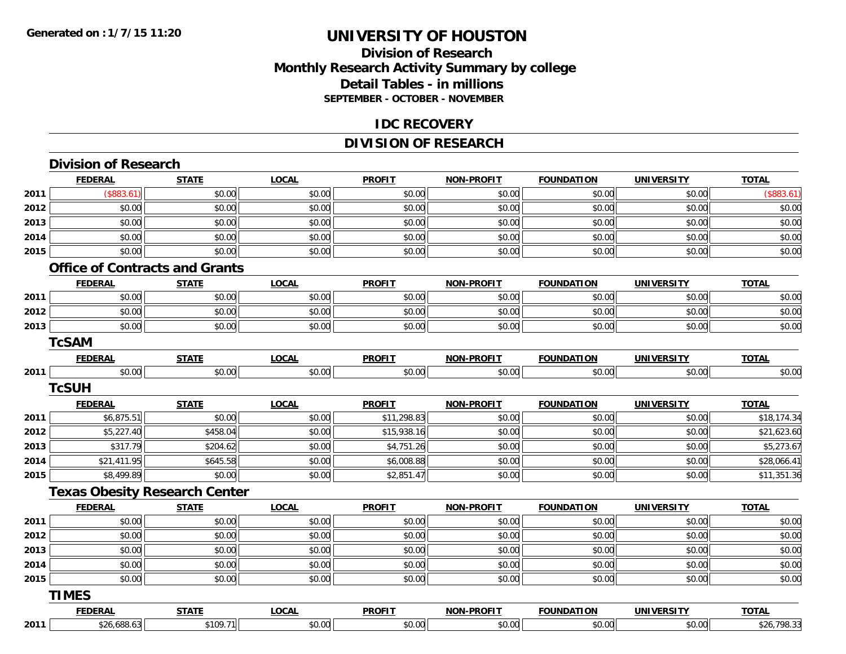## **Division of Research Monthly Research Activity Summary by college Detail Tables - in millions SEPTEMBER - OCTOBER - NOVEMBER**

#### **IDC RECOVERY**

## **DIVISION OF RESEARCH**

|                              | <b>FEDERAL</b>                 | <b>STATE</b>                          | <b>LOCAL</b> | <b>PROFIT</b> | <b>NON-PROFIT</b> | <b>FOUNDATION</b> | <b>UNIVERSITY</b> | <b>TOTAL</b>                               |
|------------------------------|--------------------------------|---------------------------------------|--------------|---------------|-------------------|-------------------|-------------------|--------------------------------------------|
| 2011                         | (\$883.61)                     | \$0.00                                | \$0.00       | \$0.00        | \$0.00            | \$0.00            | \$0.00            | (\$883.61)                                 |
| 2012                         | \$0.00                         | \$0.00                                | \$0.00       | \$0.00        | \$0.00            | \$0.00            | \$0.00            | \$0.00                                     |
| 2013                         | \$0.00                         | \$0.00                                | \$0.00       | \$0.00        | \$0.00            | \$0.00            | \$0.00            | \$0.00                                     |
| 2014                         | \$0.00                         | \$0.00                                | \$0.00       | \$0.00        | \$0.00            | \$0.00            | \$0.00            | \$0.00                                     |
| 2015                         | \$0.00                         | \$0.00                                | \$0.00       | \$0.00        | \$0.00            | \$0.00            | \$0.00            | \$0.00                                     |
|                              |                                | <b>Office of Contracts and Grants</b> |              |               |                   |                   |                   |                                            |
|                              | <b>FEDERAL</b>                 | <b>STATE</b>                          | <b>LOCAL</b> | <b>PROFIT</b> | <b>NON-PROFIT</b> | <b>FOUNDATION</b> | <b>UNIVERSITY</b> | <b>TOTAL</b>                               |
| 2011                         | \$0.00                         | \$0.00                                | \$0.00       | \$0.00        | \$0.00            | \$0.00            | \$0.00            | \$0.00                                     |
| 2012                         | \$0.00                         | \$0.00                                | \$0.00       | \$0.00        | \$0.00            | \$0.00            | \$0.00            | \$0.00                                     |
| 2013                         | \$0.00                         | \$0.00                                | \$0.00       | \$0.00        | \$0.00            | \$0.00            | \$0.00            | \$0.00                                     |
|                              | <b>TcSAM</b>                   |                                       |              |               |                   |                   |                   |                                            |
|                              | <b>FEDERAL</b>                 | <b>STATE</b>                          | <b>LOCAL</b> | <b>PROFIT</b> | <b>NON-PROFIT</b> | <b>FOUNDATION</b> | <b>UNIVERSITY</b> | <b>TOTAL</b>                               |
| 2011                         | \$0.00                         | \$0.00                                | \$0.00       | \$0.00        | \$0.00            | \$0.00            | \$0.00            | \$0.00                                     |
|                              | <b>TcSUH</b>                   |                                       |              |               |                   |                   |                   |                                            |
|                              | <b>FEDERAL</b>                 | <b>STATE</b>                          | <b>LOCAL</b> | <b>PROFIT</b> | <b>NON-PROFIT</b> | <b>FOUNDATION</b> | <b>UNIVERSITY</b> | <b>TOTAL</b>                               |
| 2011                         | \$6,875.51                     | \$0.00                                | \$0.00       | \$11,298.83   | \$0.00            | \$0.00            | \$0.00            | \$18,174.34                                |
| 2012                         | \$5,227.40                     | \$458.04                              | \$0.00       | \$15,938.16   | \$0.00            | \$0.00            | \$0.00            | \$21,623.60                                |
| 2013                         | \$317.79                       | \$204.62                              | \$0.00       | \$4,751.26    | \$0.00            | \$0.00            | \$0.00            | \$5,273.67                                 |
| 2014                         | \$21,411.95                    | \$645.58                              | \$0.00       | \$6,008.88    | \$0.00            | \$0.00            | \$0.00            | \$28,066.41                                |
| 2015                         | \$8,499.89                     | \$0.00                                | \$0.00       | \$2,851.47    | \$0.00            | \$0.00            | \$0.00            | \$11,351.36                                |
|                              |                                | <b>Texas Obesity Research Center</b>  |              |               |                   |                   |                   |                                            |
|                              | <b>FEDERAL</b>                 | <b>STATE</b>                          | <b>LOCAL</b> | <b>PROFIT</b> | <b>NON-PROFIT</b> | <b>FOUNDATION</b> | <b>UNIVERSITY</b> | <b>TOTAL</b>                               |
| 2011                         | \$0.00                         | \$0.00                                | \$0.00       | \$0.00        | \$0.00            | \$0.00            | \$0.00            | \$0.00                                     |
|                              |                                |                                       |              |               |                   | \$0.00            | \$0.00            | \$0.00                                     |
|                              | \$0.00                         | \$0.00                                | \$0.00       | \$0.00        | \$0.00            |                   |                   |                                            |
|                              | \$0.00                         | \$0.00                                | \$0.00       | \$0.00        | \$0.00            | \$0.00            | \$0.00            |                                            |
|                              | \$0.00                         | \$0.00                                | \$0.00       | \$0.00        | \$0.00            | \$0.00            | \$0.00            |                                            |
|                              | \$0.00                         | \$0.00                                | \$0.00       | \$0.00        | \$0.00            | \$0.00            | \$0.00            |                                            |
|                              |                                |                                       |              |               |                   |                   |                   |                                            |
| 2012<br>2013<br>2014<br>2015 | <b>TIMES</b><br><b>FEDERAL</b> | <b>STATE</b>                          | <b>LOCAL</b> | <b>PROFIT</b> | <b>NON-PROFIT</b> | <b>FOUNDATION</b> | <b>UNIVERSITY</b> | \$0.00<br>\$0.00<br>\$0.00<br><b>TOTAL</b> |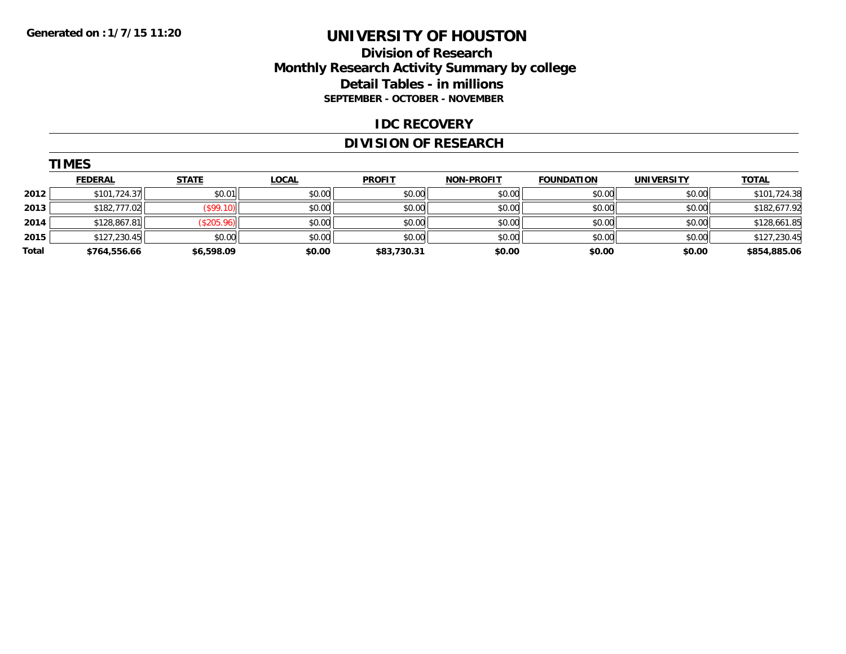## **Division of Research Monthly Research Activity Summary by college Detail Tables - in millions SEPTEMBER - OCTOBER - NOVEMBER**

#### **IDC RECOVERY**

## **DIVISION OF RESEARCH**

|       | <b>TIMES</b>   |              |              |               |                   |                   |                   |              |  |  |
|-------|----------------|--------------|--------------|---------------|-------------------|-------------------|-------------------|--------------|--|--|
|       | <b>FEDERAL</b> | <b>STATE</b> | <b>LOCAL</b> | <b>PROFIT</b> | <b>NON-PROFIT</b> | <b>FOUNDATION</b> | <b>UNIVERSITY</b> | <u>TOTAL</u> |  |  |
| 2012  | \$101,724.37   | \$0.01       | \$0.00       | \$0.00        | \$0.00            | \$0.00            | \$0.00            | \$101,724.38 |  |  |
| 2013  | \$182,777.02   | (\$99.10)    | \$0.00       | \$0.00        | \$0.00            | \$0.00            | \$0.00            | \$182,677.92 |  |  |
| 2014  | \$128,867.81   | (\$205.96)   | \$0.00       | \$0.00        | \$0.00            | \$0.00            | \$0.00            | \$128,661.85 |  |  |
| 2015  | \$127,230.45   | \$0.00       | \$0.00       | \$0.00        | \$0.00            | \$0.00            | \$0.00            | \$127,230.45 |  |  |
| Total | \$764,556.66   | \$6,598.09   | \$0.00       | \$83,730.31   | \$0.00            | \$0.00            | \$0.00            | \$854,885.06 |  |  |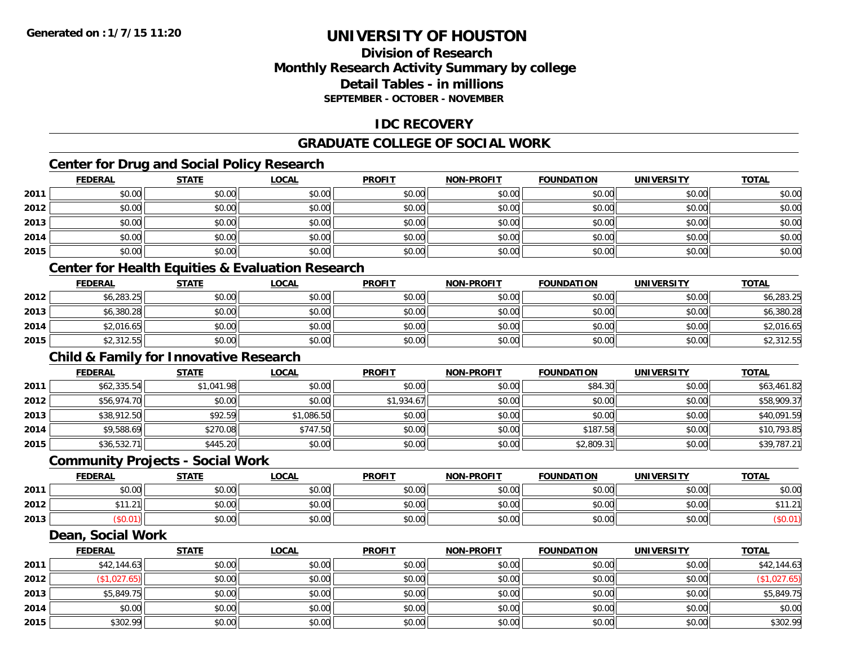**2015**

# **UNIVERSITY OF HOUSTON**

## **Division of ResearchMonthly Research Activity Summary by college Detail Tables - in millions SEPTEMBER - OCTOBER - NOVEMBER**

## **IDC RECOVERY**

## **GRADUATE COLLEGE OF SOCIAL WORK**

# **Center for Drug and Social Policy Research**

|      | <b>FEDERAL</b>                                              | <b>STATE</b> | <b>LOCAL</b> | <b>PROFIT</b> | <b>NON-PROFIT</b> | <b>FOUNDATION</b> | <b>UNIVERSITY</b> | <b>TOTAL</b> |
|------|-------------------------------------------------------------|--------------|--------------|---------------|-------------------|-------------------|-------------------|--------------|
| 2011 | \$0.00                                                      | \$0.00       | \$0.00       | \$0.00        | \$0.00            | \$0.00            | \$0.00            | \$0.00       |
| 2012 | \$0.00                                                      | \$0.00       | \$0.00       | \$0.00        | \$0.00            | \$0.00            | \$0.00            | \$0.00       |
| 2013 | \$0.00                                                      | \$0.00       | \$0.00       | \$0.00        | \$0.00            | \$0.00            | \$0.00            | \$0.00       |
| 2014 | \$0.00                                                      | \$0.00       | \$0.00       | \$0.00        | \$0.00            | \$0.00            | \$0.00            | \$0.00       |
| 2015 | \$0.00                                                      | \$0.00       | \$0.00       | \$0.00        | \$0.00            | \$0.00            | \$0.00            | \$0.00       |
|      | <b>Center for Health Equities &amp; Evaluation Research</b> |              |              |               |                   |                   |                   |              |
|      | <b>FEDERAL</b>                                              | <b>STATE</b> | <b>LOCAL</b> | <b>PROFIT</b> | <b>NON-PROFIT</b> | <b>FOUNDATION</b> | <b>UNIVERSITY</b> | <b>TOTAL</b> |
| 2012 | \$6,283.25                                                  | \$0.00       | \$0.00       | \$0.00        | \$0.00            | \$0.00            | \$0.00            | \$6,283.25   |
| 2013 | \$6,380.28                                                  | \$0.00       | \$0.00       | \$0.00        | \$0.00            | \$0.00            | \$0.00            | \$6,380.28   |
| 2014 | \$2,016.65                                                  | \$0.00       | \$0.00       | \$0.00        | \$0.00            | \$0.00            | \$0.00            | \$2,016.65   |
| 2015 | \$2,312.55                                                  | \$0.00       | \$0.00       | \$0.00        | \$0.00            | \$0.00            | \$0.00            | \$2,312.55   |
|      | <b>Child &amp; Family for Innovative Research</b>           |              |              |               |                   |                   |                   |              |
|      | <b>FEDERAL</b>                                              | <b>STATE</b> | <b>LOCAL</b> | <b>PROFIT</b> | <b>NON-PROFIT</b> | <b>FOUNDATION</b> | <b>UNIVERSITY</b> | <b>TOTAL</b> |
| 2011 | \$62,335.54                                                 | \$1,041.98   | \$0.00       | \$0.00        | \$0.00            | \$84.30           | \$0.00            | \$63,461.82  |
| 2012 | \$56,974.70                                                 | \$0.00       | \$0.00       | \$1,934.67    | \$0.00            | \$0.00            | \$0.00            | \$58,909.37  |
| 2013 | \$38,912.50                                                 | \$92.59      | \$1,086.50   | \$0.00        | \$0.00            | \$0.00            | \$0.00            | \$40,091.59  |
| 2014 | \$9,588.69                                                  | \$270.08     | \$747.50     | \$0.00        | \$0.00            | \$187.58          | \$0.00            | \$10,793.85  |
| 2015 | \$36,532.71                                                 | \$445.20     | \$0.00       | \$0.00        | \$0.00            | \$2,809.31        | \$0.00            | \$39,787.21  |
|      | <b>Community Projects - Social Work</b>                     |              |              |               |                   |                   |                   |              |
|      | <b>FEDERAL</b>                                              | <b>STATE</b> | <b>LOCAL</b> | <b>PROFIT</b> | <b>NON-PROFIT</b> | <b>FOUNDATION</b> | <b>UNIVERSITY</b> | <b>TOTAL</b> |
| 2011 | \$0.00                                                      | \$0.00       | \$0.00       | \$0.00        | \$0.00            | \$0.00            | \$0.00            | \$0.00       |
| 2012 | \$11.21                                                     | \$0.00       | \$0.00       | \$0.00        | \$0.00            | \$0.00            | \$0.00            | \$11.21      |
| 2013 | (\$0.01)                                                    | \$0.00       | \$0.00       | \$0.00        | \$0.00            | \$0.00            | \$0.00            | (\$0.01)     |
|      | Dean, Social Work                                           |              |              |               |                   |                   |                   |              |
|      | <b>FEDERAL</b>                                              | <b>STATE</b> | <b>LOCAL</b> | <b>PROFIT</b> | <b>NON-PROFIT</b> | <b>FOUNDATION</b> | <b>UNIVERSITY</b> | <b>TOTAL</b> |
| 2011 | \$42,144.63                                                 | \$0.00       | \$0.00       | \$0.00        | \$0.00            | \$0.00            | \$0.00            | \$42,144.63  |
| 2012 | (\$1,027.65)                                                | \$0.00       | \$0.00       | \$0.00        | \$0.00            | \$0.00            | \$0.00            | (\$1,027.65) |
| 2013 | \$5,849.75                                                  | \$0.00       | \$0.00       | \$0.00        | \$0.00            | \$0.00            | \$0.00            | \$5,849.75   |
| 2014 | \$0.00                                                      | \$0.00       | \$0.00       | \$0.00        | \$0.00            | \$0.00            | \$0.00            | \$0.00       |

\$302.99 \$0.00 \$0.00 \$0.00 \$0.00 \$0.00 \$0.00 \$302.99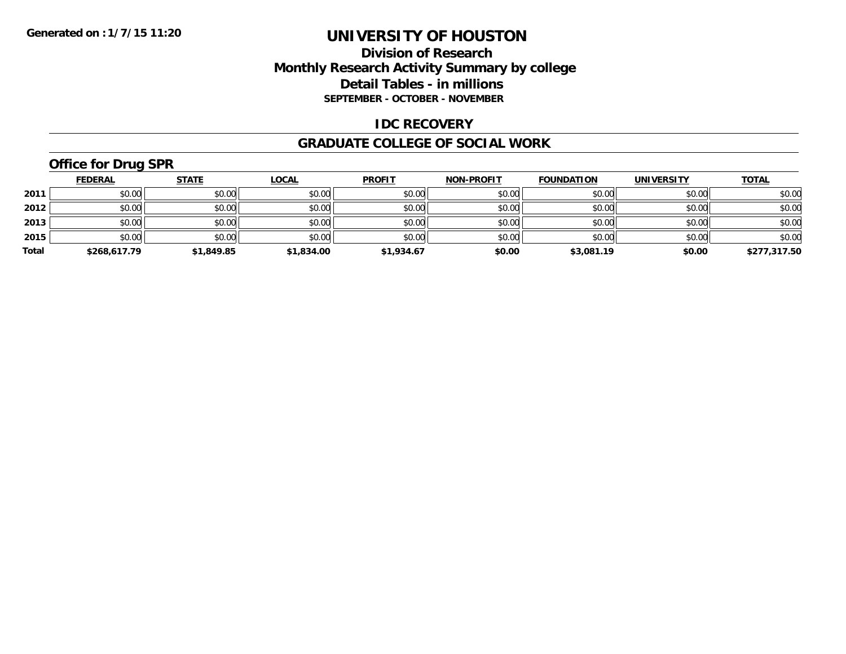## **Division of Research Monthly Research Activity Summary by college Detail Tables - in millions SEPTEMBER - OCTOBER - NOVEMBER**

### **IDC RECOVERY**

#### **GRADUATE COLLEGE OF SOCIAL WORK**

# **Office for Drug SPR**

|       | <b>FEDERAL</b> | <b>STATE</b> | <u>LOCAL</u> | <b>PROFIT</b> | <b>NON-PROFIT</b> | <b>FOUNDATION</b> | <b>UNIVERSITY</b> | <b>TOTAL</b> |
|-------|----------------|--------------|--------------|---------------|-------------------|-------------------|-------------------|--------------|
| 2011  | \$0.00         | \$0.00       | \$0.00       | \$0.00        | \$0.00            | \$0.00            | \$0.00            | \$0.00       |
| 2012  | \$0.00         | \$0.00       | \$0.00       | \$0.00        | \$0.00            | \$0.00            | \$0.00            | \$0.00       |
| 2013  | \$0.00         | \$0.00       | \$0.00       | \$0.00        | \$0.00            | \$0.00            | \$0.00            | \$0.00       |
| 2015  | \$0.00         | \$0.00       | \$0.00       | \$0.00        | \$0.00            | \$0.00            | \$0.00            | \$0.00       |
| Total | \$268,617.79   | \$1,849.85   | \$1,834.00   | \$1,934.67    | \$0.00            | \$3,081.19        | \$0.00            | \$277,317.50 |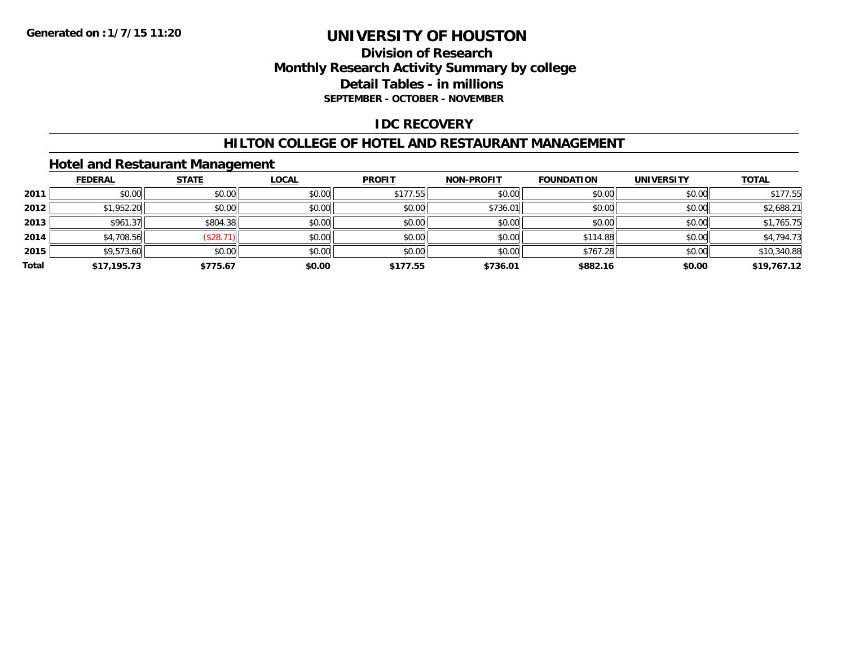## **Division of Research Monthly Research Activity Summary by college Detail Tables - in millions SEPTEMBER - OCTOBER - NOVEMBER**

### **IDC RECOVERY**

#### **HILTON COLLEGE OF HOTEL AND RESTAURANT MANAGEMENT**

## **Hotel and Restaurant Management**

|       | <b>FEDERAL</b> | <b>STATE</b> | <b>LOCAL</b> | <b>PROFIT</b> | <b>NON-PROFIT</b> | <b>FOUNDATION</b> | <b>UNIVERSITY</b> | <b>TOTAL</b> |
|-------|----------------|--------------|--------------|---------------|-------------------|-------------------|-------------------|--------------|
| 2011  | \$0.00         | \$0.00       | \$0.00       | \$177.55      | \$0.00            | \$0.00            | \$0.00            | \$177.55     |
| 2012  | \$1,952.20     | \$0.00       | \$0.00       | \$0.00        | \$736.01          | \$0.00            | \$0.00            | \$2,688.21   |
| 2013  | \$961.37       | \$804.38     | \$0.00       | \$0.00        | \$0.00            | \$0.00            | \$0.00            | \$1,765.75   |
| 2014  | \$4,708.56     | (\$28.7      | \$0.00       | \$0.00        | \$0.00            | \$114.88          | \$0.00            | \$4,794.73   |
| 2015  | \$9,573.60     | \$0.00       | \$0.00       | \$0.00        | \$0.00            | \$767.28          | \$0.00            | \$10,340.88  |
| Total | \$17,195.73    | \$775.67     | \$0.00       | \$177.55      | \$736.01          | \$882.16          | \$0.00            | \$19,767.12  |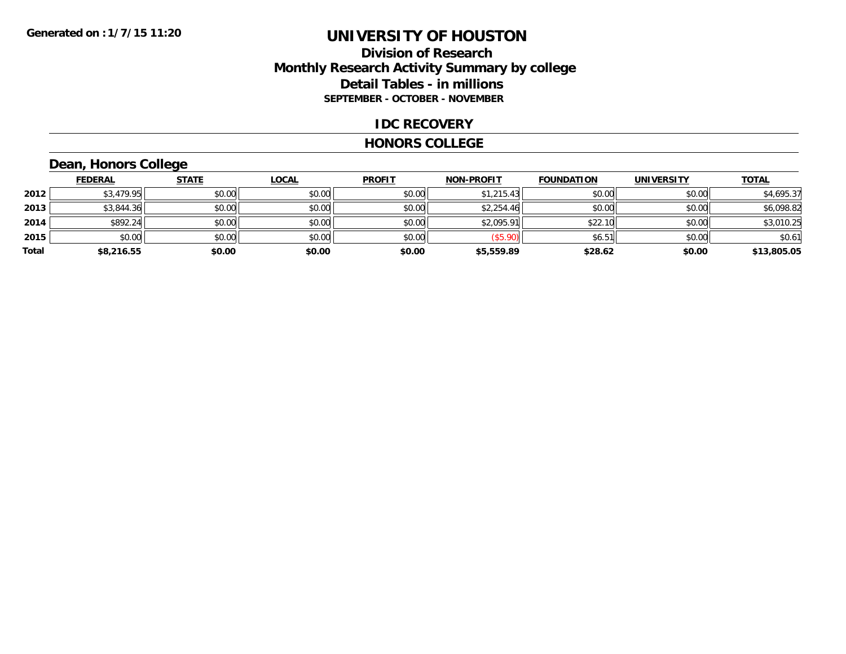## **Division of Research Monthly Research Activity Summary by college Detail Tables - in millions SEPTEMBER - OCTOBER - NOVEMBER**

### **IDC RECOVERY**

#### **HONORS COLLEGE**

# **Dean, Honors College**

|       | <b>FEDERAL</b> | <b>STATE</b> | <b>LOCAL</b> | <b>PROFIT</b> | <b>NON-PROFIT</b> | <b>FOUNDATION</b> | <b>UNIVERSITY</b> | <b>TOTAL</b> |
|-------|----------------|--------------|--------------|---------------|-------------------|-------------------|-------------------|--------------|
| 2012  | \$3,479.95     | \$0.00       | \$0.00       | \$0.00        | \$1,215.43        | \$0.00            | \$0.00            | \$4,695.37   |
| 2013  | \$3,844.36     | \$0.00       | \$0.00       | \$0.00        | \$2,254.46        | \$0.00            | \$0.00            | \$6,098.82   |
| 2014  | \$892.24       | \$0.00       | \$0.00       | \$0.00        | \$2,095.91        | \$22.10           | \$0.00            | \$3,010.25   |
| 2015  | \$0.00         | \$0.00       | \$0.00       | \$0.00        | \$5.90            | \$6.51            | \$0.00            | \$0.61       |
| Total | \$8,216.55     | \$0.00       | \$0.00       | \$0.00        | \$5,559.89        | \$28.62           | \$0.00            | \$13,805.05  |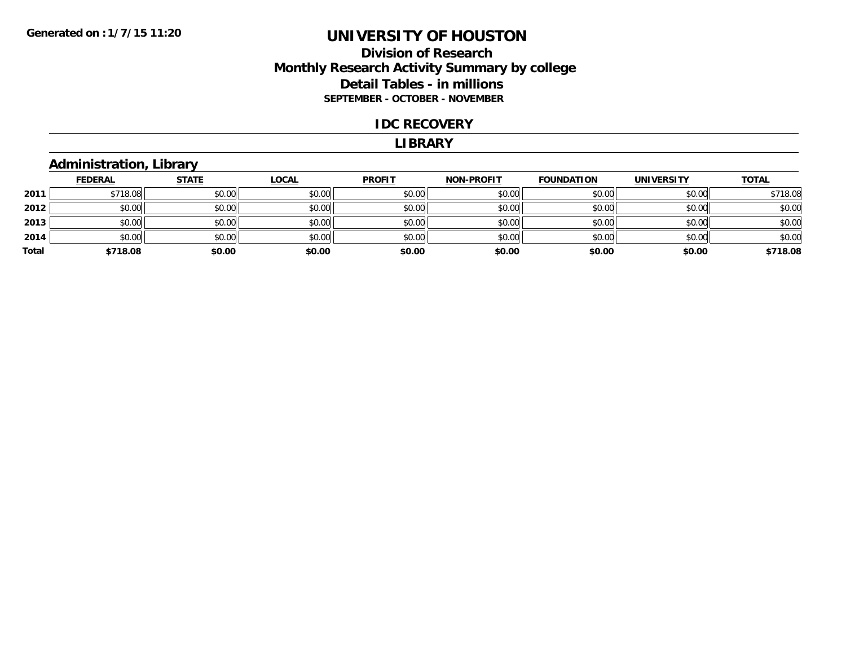## **Division of Research Monthly Research Activity Summary by college Detail Tables - in millions SEPTEMBER - OCTOBER - NOVEMBER**

#### **IDC RECOVERY**

#### **LIBRARY**

## **Administration, Library**

|       | <b>FEDERAL</b> | <b>STATE</b> | <u>LOCAL</u> | <b>PROFIT</b> | <b>NON-PROFIT</b> | <b>FOUNDATION</b> | <b>UNIVERSITY</b> | <b>TOTAL</b> |
|-------|----------------|--------------|--------------|---------------|-------------------|-------------------|-------------------|--------------|
| 2011  | \$718.08       | \$0.00       | \$0.00       | \$0.00        | \$0.00            | \$0.00            | \$0.00            | \$718.08     |
| 2012  | \$0.00         | \$0.00       | \$0.00       | \$0.00        | \$0.00            | \$0.00            | \$0.00            | \$0.00       |
| 2013  | \$0.00         | \$0.00       | \$0.00       | \$0.00        | \$0.00            | \$0.00            | \$0.00            | \$0.00       |
| 2014  | \$0.00         | \$0.00       | \$0.00       | \$0.00        | \$0.00            | \$0.00            | \$0.00            | \$0.00       |
| Total | \$718.08       | \$0.00       | \$0.00       | \$0.00        | \$0.00            | \$0.00            | \$0.00            | \$718.08     |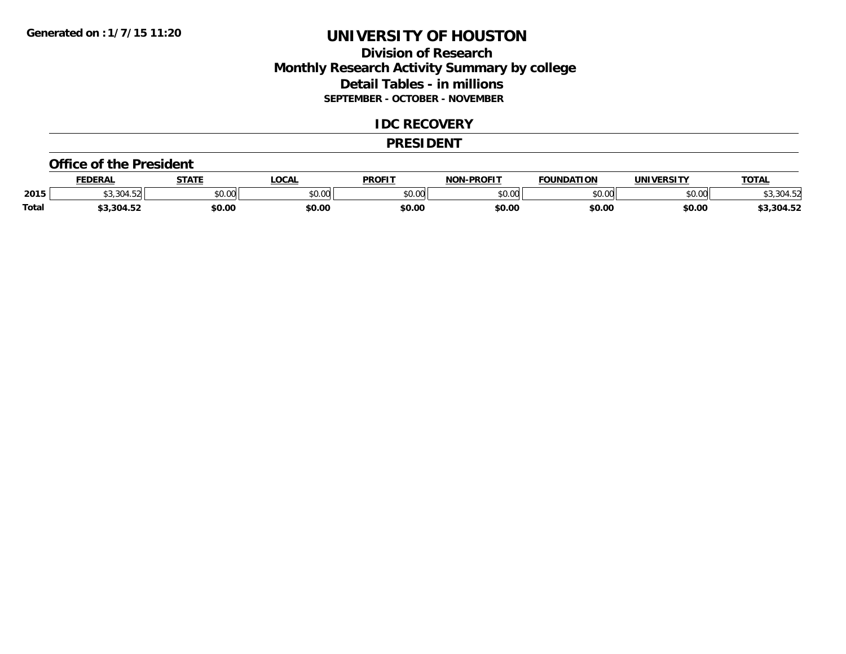## **Division of Research Monthly Research Activity Summary by college Detail Tables - in millions SEPTEMBER - OCTOBER - NOVEMBER**

#### **IDC RECOVERY**

#### **PRESIDENT**

#### **Office of the President**

|              | <b>FEDERAL</b>     | <b>CTATI</b>  | <b>OCAL</b> | <b>PROFIT</b> | <b>LDDOFIT</b><br>ארות | <b>FOUNDATION</b>  | <b>'INIVEDSITY</b>                | <b>TOTAL</b>   |
|--------------|--------------------|---------------|-------------|---------------|------------------------|--------------------|-----------------------------------|----------------|
| 2015         | $\sim$ 00          | 0.00<br>JU.UU | \$0.00      | 0000<br>JU.UU | 0.00<br>, U.UU         | $\sim$ 00<br>JU.UU | $\uparrow$ $\cap$ $\cap$<br>JU.UU | ጋሰ <i>ላ</i> ፍ′ |
| <b>Total</b> | 304.52<br>JJJU4.JZ | \$0.00        | \$0.00      | \$0.00        | \$0.00                 | \$0.00             | \$0.00                            | 3,304.52ء      |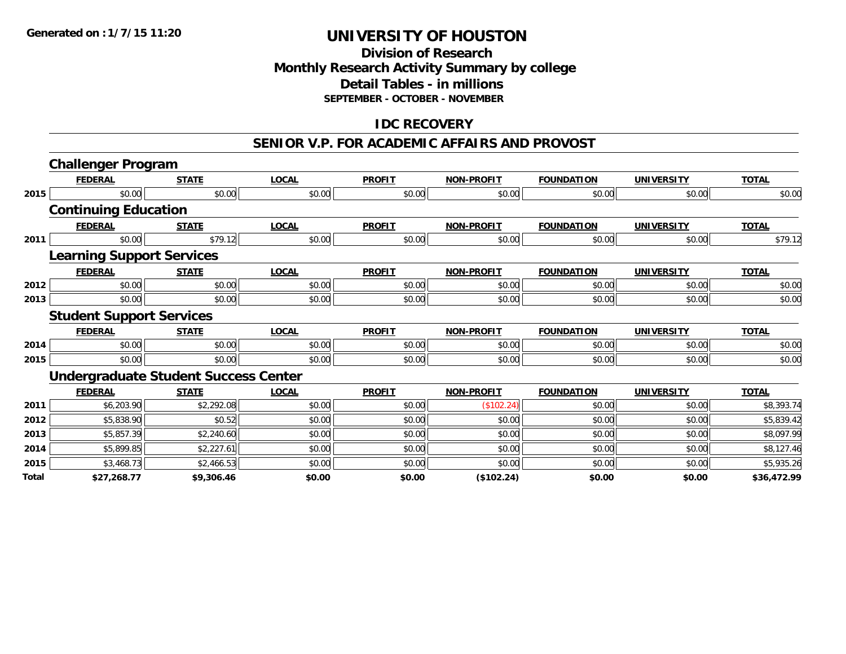## **Division of Research Monthly Research Activity Summary by college Detail Tables - in millions SEPTEMBER - OCTOBER - NOVEMBER**

## **IDC RECOVERY**

#### **SENIOR V.P. FOR ACADEMIC AFFAIRS AND PROVOST**

|              | <b>Challenger Program</b>                   |              |              |               |                   |                   |                   |              |
|--------------|---------------------------------------------|--------------|--------------|---------------|-------------------|-------------------|-------------------|--------------|
|              | <b>FEDERAL</b>                              | <b>STATE</b> | <b>LOCAL</b> | <b>PROFIT</b> | <b>NON-PROFIT</b> | <b>FOUNDATION</b> | <b>UNIVERSITY</b> | <b>TOTAL</b> |
| 2015         | \$0.00                                      | \$0.00       | \$0.00       | \$0.00        | \$0.00            | \$0.00            | \$0.00            | \$0.00       |
|              | <b>Continuing Education</b>                 |              |              |               |                   |                   |                   |              |
|              | <b>FEDERAL</b>                              | <b>STATE</b> | <b>LOCAL</b> | <b>PROFIT</b> | <b>NON-PROFIT</b> | <b>FOUNDATION</b> | <b>UNIVERSITY</b> | <b>TOTAL</b> |
| 2011         | \$0.00                                      | \$79.12      | \$0.00       | \$0.00        | \$0.00            | \$0.00            | \$0.00            | \$79.12      |
|              | <b>Learning Support Services</b>            |              |              |               |                   |                   |                   |              |
|              | <b>FEDERAL</b>                              | <b>STATE</b> | <b>LOCAL</b> | <b>PROFIT</b> | <b>NON-PROFIT</b> | <b>FOUNDATION</b> | <b>UNIVERSITY</b> | <b>TOTAL</b> |
| 2012         | \$0.00                                      | \$0.00       | \$0.00       | \$0.00        | \$0.00            | \$0.00            | \$0.00            | \$0.00       |
| 2013         | \$0.00                                      | \$0.00       | \$0.00       | \$0.00        | \$0.00            | \$0.00            | \$0.00            | \$0.00       |
|              | <b>Student Support Services</b>             |              |              |               |                   |                   |                   |              |
|              | <b>FEDERAL</b>                              | <b>STATE</b> | <b>LOCAL</b> | <b>PROFIT</b> | <b>NON-PROFIT</b> | <b>FOUNDATION</b> | <b>UNIVERSITY</b> | <b>TOTAL</b> |
| 2014         | \$0.00                                      | \$0.00       | \$0.00       | \$0.00        | \$0.00            | \$0.00            | \$0.00            | \$0.00       |
| 2015         | \$0.00                                      | \$0.00       | \$0.00       | \$0.00        | \$0.00            | \$0.00            | \$0.00            | \$0.00       |
|              | <b>Undergraduate Student Success Center</b> |              |              |               |                   |                   |                   |              |
|              | <b>FEDERAL</b>                              | <b>STATE</b> | <b>LOCAL</b> | <b>PROFIT</b> | <b>NON-PROFIT</b> | <b>FOUNDATION</b> | <b>UNIVERSITY</b> | <b>TOTAL</b> |
| 2011         | \$6,203.90                                  | \$2,292.08   | \$0.00       | \$0.00        | (\$102.24)        | \$0.00            | \$0.00            | \$8,393.74   |
| 2012         | \$5,838.90                                  | \$0.52       | \$0.00       | \$0.00        | \$0.00            | \$0.00            | \$0.00            | \$5,839.42   |
| 2013         | \$5,857.39                                  | \$2,240.60   | \$0.00       | \$0.00        | \$0.00            | \$0.00            | \$0.00            | \$8,097.99   |
| 2014         | \$5,899.85                                  | \$2,227.61   | \$0.00       | \$0.00        | \$0.00            | \$0.00            | \$0.00            | \$8,127.46   |
| 2015         | \$3,468.73                                  | \$2,466.53   | \$0.00       | \$0.00        | \$0.00            | \$0.00            | \$0.00            | \$5,935.26   |
| <b>Total</b> | \$27,268.77                                 | \$9,306.46   | \$0.00       | \$0.00        | (\$102.24)        | \$0.00            | \$0.00            | \$36,472.99  |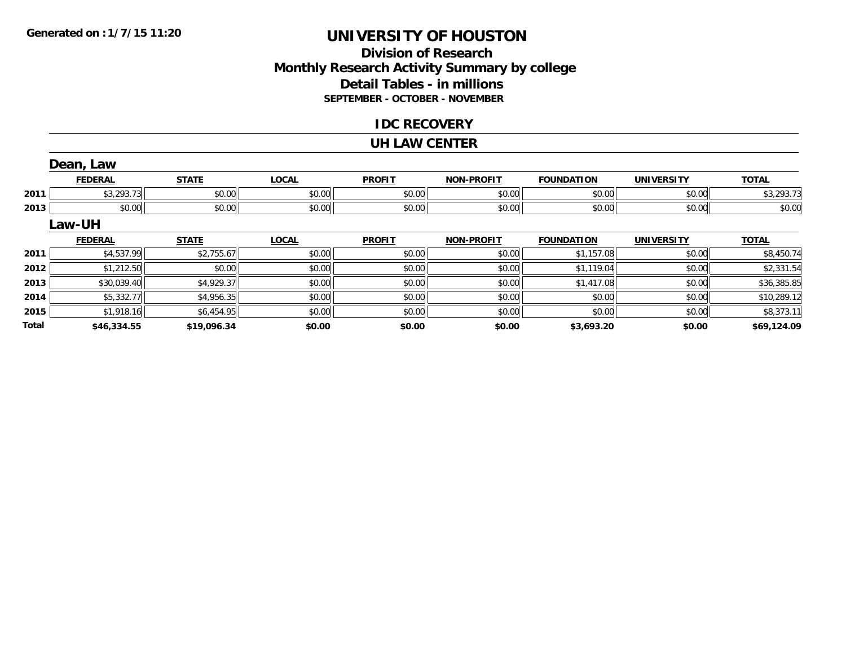## **Division of ResearchMonthly Research Activity Summary by college Detail Tables - in millions SEPTEMBER - OCTOBER - NOVEMBER**

### **IDC RECOVERY**

#### **UH LAW CENTER**

|              | Dean, Law      |              |              |               |                   |                   |                   |              |
|--------------|----------------|--------------|--------------|---------------|-------------------|-------------------|-------------------|--------------|
|              | <b>FEDERAL</b> | <b>STATE</b> | <b>LOCAL</b> | <b>PROFIT</b> | <b>NON-PROFIT</b> | <b>FOUNDATION</b> | <b>UNIVERSITY</b> | <b>TOTAL</b> |
| 2011         | \$3,293.73     | \$0.00       | \$0.00       | \$0.00        | \$0.00            | \$0.00            | \$0.00            | \$3,293.73   |
| 2013         | \$0.00         | \$0.00       | \$0.00       | \$0.00        | \$0.00            | \$0.00            | \$0.00            | \$0.00       |
|              | Law-UH         |              |              |               |                   |                   |                   |              |
|              | <b>FEDERAL</b> | <b>STATE</b> | <b>LOCAL</b> | <b>PROFIT</b> | <b>NON-PROFIT</b> | <b>FOUNDATION</b> | <b>UNIVERSITY</b> | <b>TOTAL</b> |
| 2011         | \$4,537.99     | \$2,755.67   | \$0.00       | \$0.00        | \$0.00            | \$1,157.08        | \$0.00            | \$8,450.74   |
| 2012         | \$1,212.50     | \$0.00       | \$0.00       | \$0.00        | \$0.00            | \$1,119.04        | \$0.00            | \$2,331.54   |
| 2013         | \$30,039.40    | \$4,929.37   | \$0.00       | \$0.00        | \$0.00            | \$1,417.08        | \$0.00            | \$36,385.85  |
| 2014         | \$5,332.77     | \$4,956.35   | \$0.00       | \$0.00        | \$0.00            | \$0.00            | \$0.00            | \$10,289.12  |
| 2015         | \$1,918.16     | \$6,454.95   | \$0.00       | \$0.00        | \$0.00            | \$0.00            | \$0.00            | \$8,373.11   |
| <b>Total</b> | \$46,334.55    | \$19,096.34  | \$0.00       | \$0.00        | \$0.00            | \$3,693.20        | \$0.00            | \$69,124.09  |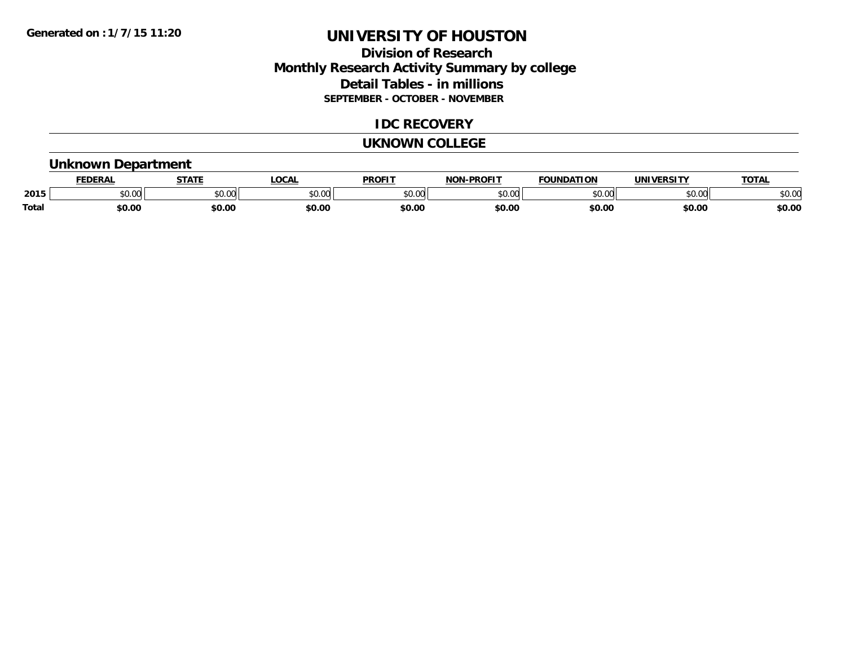## **Division of Research Monthly Research Activity Summary by college Detail Tables - in millions SEPTEMBER - OCTOBER - NOVEMBER**

### **IDC RECOVERY**

#### **UKNOWN COLLEGE**

## **Unknown Department**

|              |        | <b>STAT</b> | CCA                     | DDOE!"                | <b>DDAFIT</b><br>הרוח | חחו<br>nд | <u>urneitu</u> | TOTA.          |
|--------------|--------|-------------|-------------------------|-----------------------|-----------------------|-----------|----------------|----------------|
| 2015         | JU.UU  | \$0.00      | 0 <sub>n</sub><br>JU.UU | 0 <sup>n</sup><br>, J | 0000<br>v.vu          | ልስ ስስ     | 0000<br>טט.טע  | ልስ ሰሰ<br>DU.UL |
| <b>Total</b> | \$0.00 | \$0.00      | \$0.00                  | ቀስ ሰ/                 | \$0.00                | \$0.00    | \$0.00         | \$0.00         |